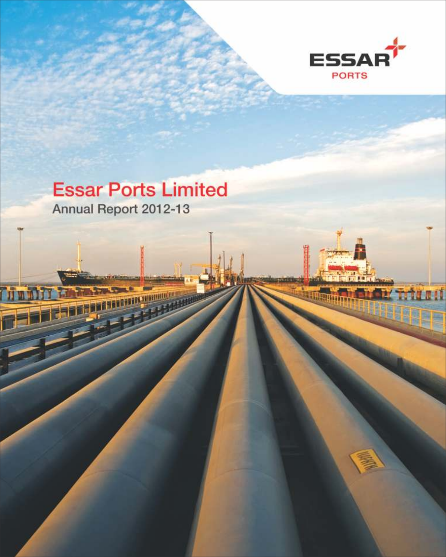

# **Essar Ports Limited**

Annual Report 2012-13

**TIMENT**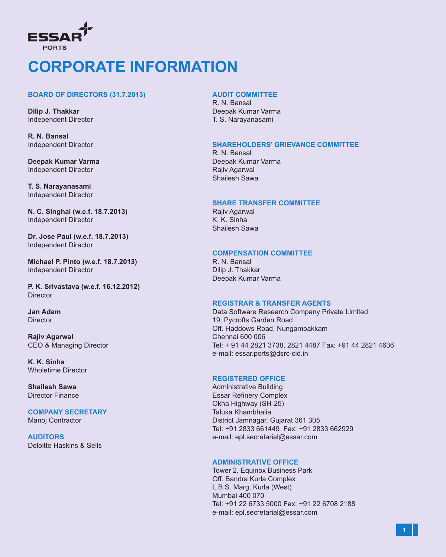

## **CORPORATE INFORMATION**

#### **BOARD OF DIRECTORS (31.7.2013)**

**Dilip J. Thakkar** Independent Director

**R. N. Bansal** Independent Director

**Deepak Kumar Varma** Independent Director

**T. S. Narayanasami** Independent Director

**N. C. Singhal (w.e.f. 18.7.2013)** Independent Director

**Dr. Jose Paul (w.e.f. 18.7.2013)** Independent Director

**Michael P. Pinto (w.e.f. 18.7.2013)** Independent Director

**P. K. Srivastava (w.e.f. 16.12.2012) Director** 

**Jan Adam Director** 

**Rajiv Agarwal** CEO & Managing Director

**K. K. Sinha** Wholetime Director

**Shailesh Sawa**  Director Finance

**COMPANY SECRETARY** Manoj Contractor

**AUDITORS** Deloitte Haskins & Sells

#### **AUDIT COMMITTEE**

R. N. Bansal Deepak Kumar Varma T. S. Narayanasami

#### **SHAREHOLDERS' GRIEVANCE COMMITTEE**

R. N. Bansal Deepak Kumar Varma Rajiv Agarwal Shailesh Sawa

#### **SHARE TRANSFER COMMITTEE**

Rajiv Agarwal K. K. Sinha Shailesh Sawa

#### **COMPENSATION COMMITTEE**

R. N. Bansal Dilip J. Thakkar Deepak Kumar Varma

#### **REGISTRAR & TRANSFER AGENTS**

Data Software Research Company Private Limited 19, Pycrofts Garden Road Off. Haddows Road, Nungambakkam Chennai 600 006 Tel: + 91 44 2821 3738, 2821 4487 Fax: +91 44 2821 4636 e-mail: essar.ports@dsrc-cid.in

#### **REGISTERED OFFICE**

Administrative Building Essar Refinery Complex Okha Highway (SH-25) Taluka Khambhalia District Jamnagar, Gujarat 361 305 Tel: +91 2833 661449 Fax: +91 2833 662929 e-mail: epl.secretarial@essar.com

#### **ADMINISTRATIVE OFFICE**

Tower 2, Equinox Business Park Off. Bandra Kurla Complex L.B.S. Marg, Kurla (West) Mumbai 400 070 Tel: +91 22 6733 5000 Fax: +91 22 6708 2188 e-mail: epl.secretarial@essar.com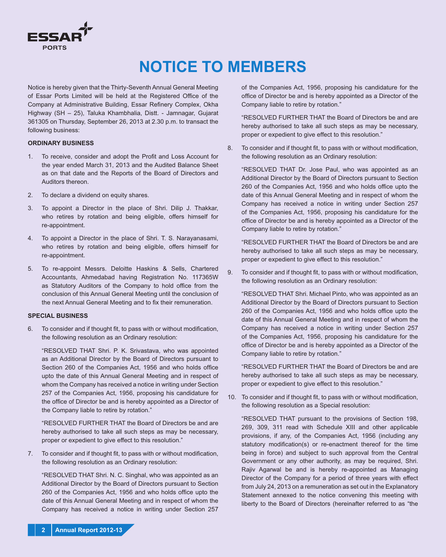

# **NOTICE TO MEMBERS**

Notice is hereby given that the Thirty-Seventh Annual General Meeting of Essar Ports Limited will be held at the Registered Office of the Company at Administrative Building, Essar Refinery Complex, Okha Highway (SH – 25), Taluka Khambhalia, Distt. - Jamnagar, Gujarat 361305 on Thursday, September 26, 2013 at 2.30 p.m. to transact the following business:

#### **ORDINARY BUSINESS**

- 1. To receive, consider and adopt the Profit and Loss Account for the year ended March 31, 2013 and the Audited Balance Sheet as on that date and the Reports of the Board of Directors and Auditors thereon.
- 2. To declare a dividend on equity shares.
- 3. To appoint a Director in the place of Shri. Dilip J. Thakkar, who retires by rotation and being eligible, offers himself for re-appointment.
- 4. To appoint a Director in the place of Shri. T. S. Narayanasami, who retires by rotation and being eligible, offers himself for re-appointment.
- 5. To re-appoint Messrs. Deloitte Haskins & Sells, Chartered Accountants, Ahmedabad having Registration No. 117365W as Statutory Auditors of the Company to hold office from the conclusion of this Annual General Meeting until the conclusion of the next Annual General Meeting and to fix their remuneration.

#### **SPECIAL BUSINESS**

6. To consider and if thought fit, to pass with or without modification, the following resolution as an Ordinary resolution:

 "RESOLVED THAT Shri. P. K. Srivastava, who was appointed as an Additional Director by the Board of Directors pursuant to Section 260 of the Companies Act, 1956 and who holds office upto the date of this Annual General Meeting and in respect of whom the Company has received a notice in writing under Section 257 of the Companies Act, 1956, proposing his candidature for the office of Director be and is hereby appointed as a Director of the Company liable to retire by rotation."

 "RESOLVED FURTHER THAT the Board of Directors be and are hereby authorised to take all such steps as may be necessary, proper or expedient to give effect to this resolution."

7. To consider and if thought fit, to pass with or without modification, the following resolution as an Ordinary resolution:

 "RESOLVED THAT Shri. N. C. Singhal, who was appointed as an Additional Director by the Board of Directors pursuant to Section 260 of the Companies Act, 1956 and who holds office upto the date of this Annual General Meeting and in respect of whom the Company has received a notice in writing under Section 257

of the Companies Act, 1956, proposing his candidature for the office of Director be and is hereby appointed as a Director of the Company liable to retire by rotation."

 "RESOLVED FURTHER THAT the Board of Directors be and are hereby authorised to take all such steps as may be necessary, proper or expedient to give effect to this resolution."

8. To consider and if thought fit, to pass with or without modification, the following resolution as an Ordinary resolution:

 "RESOLVED THAT Dr. Jose Paul, who was appointed as an Additional Director by the Board of Directors pursuant to Section 260 of the Companies Act, 1956 and who holds office upto the date of this Annual General Meeting and in respect of whom the Company has received a notice in writing under Section 257 of the Companies Act, 1956, proposing his candidature for the office of Director be and is hereby appointed as a Director of the Company liable to retire by rotation."

 "RESOLVED FURTHER THAT the Board of Directors be and are hereby authorised to take all such steps as may be necessary, proper or expedient to give effect to this resolution."

9. To consider and if thought fit, to pass with or without modification, the following resolution as an Ordinary resolution:

 "RESOLVED THAT Shri. Michael Pinto, who was appointed as an Additional Director by the Board of Directors pursuant to Section 260 of the Companies Act, 1956 and who holds office upto the date of this Annual General Meeting and in respect of whom the Company has received a notice in writing under Section 257 of the Companies Act, 1956, proposing his candidature for the office of Director be and is hereby appointed as a Director of the Company liable to retire by rotation."

 "RESOLVED FURTHER THAT the Board of Directors be and are hereby authorised to take all such steps as may be necessary, proper or expedient to give effect to this resolution."

10. To consider and if thought fit, to pass with or without modification, the following resolution as a Special resolution:

 "RESOLVED THAT pursuant to the provisions of Section 198, 269, 309, 311 read with Schedule XIII and other applicable provisions, if any, of the Companies Act, 1956 (including any statutory modification(s) or re-enactment thereof for the time being in force) and subject to such approval from the Central Government or any other authority, as may be required, Shri. Rajiv Agarwal be and is hereby re-appointed as Managing Director of the Company for a period of three years with effect from July 24, 2013 on a remuneration as set out in the Explanatory Statement annexed to the notice convening this meeting with liberty to the Board of Directors (hereinafter referred to as "the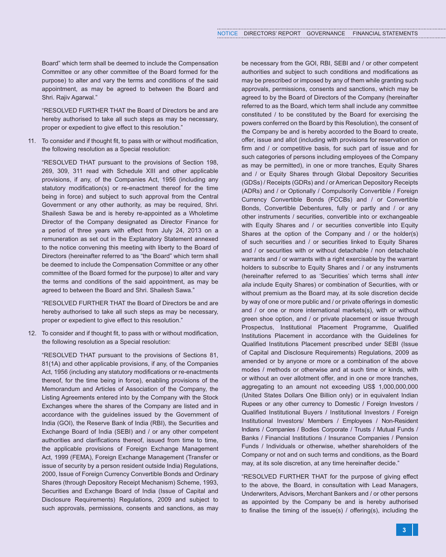Board" which term shall be deemed to include the Compensation Committee or any other committee of the Board formed for the purpose) to alter and vary the terms and conditions of the said appointment, as may be agreed to between the Board and Shri. Rajiv Agarwal."

 "RESOLVED FURTHER THAT the Board of Directors be and are hereby authorised to take all such steps as may be necessary, proper or expedient to give effect to this resolution."

11. To consider and if thought fit, to pass with or without modification, the following resolution as a Special resolution:

 "RESOLVED THAT pursuant to the provisions of Section 198, 269, 309, 311 read with Schedule XIII and other applicable provisions, if any, of the Companies Act, 1956 (including any statutory modification(s) or re-enactment thereof for the time being in force) and subject to such approval from the Central Government or any other authority, as may be required, Shri. Shailesh Sawa be and is hereby re-appointed as a Wholetime Director of the Company designated as Director Finance for a period of three years with effect from July 24, 2013 on a remuneration as set out in the Explanatory Statement annexed to the notice convening this meeting with liberty to the Board of Directors (hereinafter referred to as "the Board" which term shall be deemed to include the Compensation Committee or any other committee of the Board formed for the purpose) to alter and vary the terms and conditions of the said appointment, as may be agreed to between the Board and Shri. Shailesh Sawa."

 "RESOLVED FURTHER THAT the Board of Directors be and are hereby authorised to take all such steps as may be necessary, proper or expedient to give effect to this resolution."

12. To consider and if thought fit, to pass with or without modification, the following resolution as a Special resolution:

 "RESOLVED THAT pursuant to the provisions of Sections 81, 81(1A) and other applicable provisions, if any, of the Companies Act, 1956 (including any statutory modifications or re-enactments thereof, for the time being in force), enabling provisions of the Memorandum and Articles of Association of the Company, the Listing Agreements entered into by the Company with the Stock Exchanges where the shares of the Company are listed and in accordance with the guidelines issued by the Government of India (GOI), the Reserve Bank of India (RBI), the Securities and Exchange Board of India (SEBI) and / or any other competent authorities and clarifications thereof, issued from time to time, the applicable provisions of Foreign Exchange Management Act, 1999 (FEMA), Foreign Exchange Management (Transfer or issue of security by a person resident outside India) Regulations, 2000, Issue of Foreign Currency Convertible Bonds and Ordinary Shares (through Depository Receipt Mechanism) Scheme, 1993, Securities and Exchange Board of India (Issue of Capital and Disclosure Requirements) Regulations, 2009 and subject to such approvals, permissions, consents and sanctions, as may

be necessary from the GOI, RBI, SEBI and / or other competent authorities and subject to such conditions and modifications as may be prescribed or imposed by any of them while granting such approvals, permissions, consents and sanctions, which may be agreed to by the Board of Directors of the Company (hereinafter referred to as the Board, which term shall include any committee constituted / to be constituted by the Board for exercising the powers conferred on the Board by this Resolution), the consent of the Company be and is hereby accorded to the Board to create, offer, issue and allot (including with provisions for reservation on firm and / or competitive basis, for such part of issue and for such categories of persons including employees of the Company as may be permitted), in one or more tranches, Equity Shares and / or Equity Shares through Global Depository Securities (GDSs) / Receipts (GDRs) and / or American Depository Receipts (ADRs) and / or Optionally / Compulsorily Convertible / Foreign Currency Convertible Bonds (FCCBs) and / or Convertible Bonds, Convertible Debentures, fully or partly and / or any other instruments / securities, convertible into or exchangeable with Equity Shares and / or securities convertible into Equity Shares at the option of the Company and / or the holder(s) of such securities and / or securities linked to Equity Shares and / or securities with or without detachable / non detachable warrants and / or warrants with a right exercisable by the warrant holders to subscribe to Equity Shares and / or any instruments (hereinafter referred to as 'Securities' which terms shall *inter alia* include Equity Shares) or combination of Securities, with or without premium as the Board may, at its sole discretion decide by way of one or more public and / or private offerings in domestic and / or one or more international markets(s), with or without green shoe option, and / or private placement or issue through Prospectus, Institutional Placement Programme, Qualified Institutions Placement in accordance with the Guidelines for Qualified Institutions Placement prescribed under SEBI (Issue of Capital and Disclosure Requirements) Regulations, 2009 as amended or by anyone or more or a combination of the above modes / methods or otherwise and at such time or kinds, with or without an over allotment offer, and in one or more tranches, aggregating to an amount not exceeding US\$ 1,000,000,000 (United States Dollars One Billion only) or in equivalent Indian Rupees or any other currency to Domestic / Foreign Investors / Qualified Institutional Buyers / Institutional Investors / Foreign Institutional Investors/ Members / Employees / Non-Resident Indians / Companies / Bodies Corporate / Trusts / Mutual Funds / Banks / Financial Institutions / Insurance Companies / Pension Funds / Individuals or otherwise, whether shareholders of the Company or not and on such terms and conditions, as the Board may, at its sole discretion, at any time hereinafter decide."

 "RESOLVED FURTHER THAT for the purpose of giving effect to the above, the Board, in consultation with Lead Managers, Underwriters, Advisors, Merchant Bankers and / or other persons as appointed by the Company be and is hereby authorised to finalise the timing of the issue(s) / offering(s), including the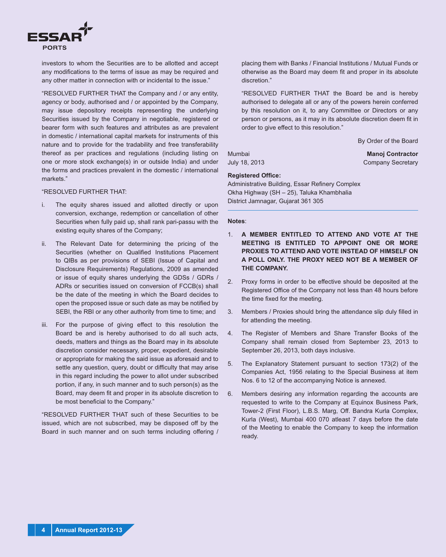

investors to whom the Securities are to be allotted and accept any modifications to the terms of issue as may be required and any other matter in connection with or incidental to the issue."

 "RESOLVED FURTHER THAT the Company and / or any entity, agency or body, authorised and / or appointed by the Company, may issue depository receipts representing the underlying Securities issued by the Company in negotiable, registered or bearer form with such features and attributes as are prevalent in domestic / international capital markets for instruments of this nature and to provide for the tradability and free transferability thereof as per practices and regulations (including listing on one or more stock exchange(s) in or outside India) and under the forms and practices prevalent in the domestic / international markets."

#### "RESOLVED FURTHER THAT:

- i. The equity shares issued and allotted directly or upon conversion, exchange, redemption or cancellation of other Securities when fully paid up, shall rank pari-passu with the existing equity shares of the Company;
- ii. The Relevant Date for determining the pricing of the Securities (whether on Qualified Institutions Placement to QIBs as per provisions of SEBI (Issue of Capital and Disclosure Requirements) Regulations, 2009 as amended or issue of equity shares underlying the GDSs / GDRs / ADRs or securities issued on conversion of FCCB(s) shall be the date of the meeting in which the Board decides to open the proposed issue or such date as may be notified by SEBI, the RBI or any other authority from time to time; and
- iii. For the purpose of giving effect to this resolution the Board be and is hereby authorised to do all such acts, deeds, matters and things as the Board may in its absolute discretion consider necessary, proper, expedient, desirable or appropriate for making the said issue as aforesaid and to settle any question, query, doubt or difficulty that may arise in this regard including the power to allot under subscribed portion, if any, in such manner and to such person(s) as the Board, may deem fit and proper in its absolute discretion to be most beneficial to the Company."

 "RESOLVED FURTHER THAT such of these Securities to be issued, which are not subscribed, may be disposed off by the Board in such manner and on such terms including offering /

placing them with Banks / Financial Institutions / Mutual Funds or otherwise as the Board may deem fit and proper in its absolute discretion."

 "RESOLVED FURTHER THAT the Board be and is hereby authorised to delegate all or any of the powers herein conferred by this resolution on it, to any Committee or Directors or any person or persons, as it may in its absolute discretion deem fit in order to give effect to this resolution."

By Order of the Board

| Mumbai        | <b>Manoj Contractor</b>  |
|---------------|--------------------------|
| July 18, 2013 | <b>Company Secretary</b> |

#### **Registered Office:**

Administrative Building, Essar Refinery Complex Okha Highway (SH – 25), Taluka Khambhalia District Jamnagar, Gujarat 361 305

#### **Notes**:

- 1. **A MEMBER ENTITLED TO ATTEND AND VOTE AT THE MEETING IS ENTITLED TO APPOINT ONE OR MORE PROXIES TO ATTEND AND VOTE INSTEAD OF HIMSELF ON A POLL ONLY. THE PROXY NEED NOT BE A MEMBER OF THE COMPANY.**
- 2. Proxy forms in order to be effective should be deposited at the Registered Office of the Company not less than 48 hours before the time fixed for the meeting.
- 3. Members / Proxies should bring the attendance slip duly filled in for attending the meeting.
- 4. The Register of Members and Share Transfer Books of the Company shall remain closed from September 23, 2013 to September 26, 2013, both days inclusive.
- 5. The Explanatory Statement pursuant to section 173(2) of the Companies Act, 1956 relating to the Special Business at item Nos. 6 to 12 of the accompanying Notice is annexed.
- 6. Members desiring any information regarding the accounts are requested to write to the Company at Equinox Business Park, Tower-2 (First Floor), L.B.S. Marg, Off. Bandra Kurla Complex, Kurla (West), Mumbai 400 070 atleast 7 days before the date of the Meeting to enable the Company to keep the information ready.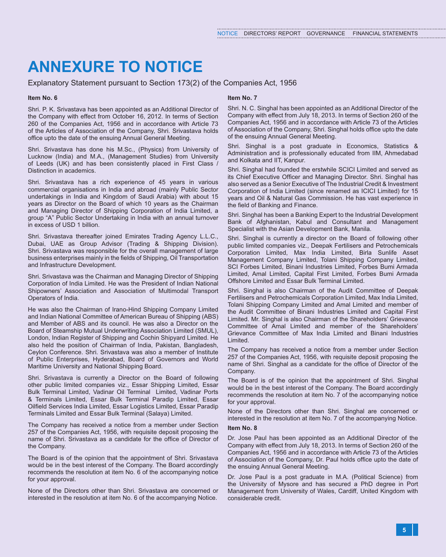### **ANNEXURE TO NOTICE**

#### Explanatory Statement pursuant to Section 173(2) of the Companies Act, 1956

#### **Item No. 6**

Shri. P. K. Srivastava has been appointed as an Additional Director of the Company with effect from October 16, 2012. In terms of Section 260 of the Companies Act, 1956 and in accordance with Article 73 of the Articles of Association of the Company, Shri. Srivastava holds office upto the date of the ensuing Annual General Meeting.

Shri. Srivastava has done his M.Sc., (Physics) from University of Lucknow (India) and M.A., (Management Studies) from University of Leeds (UK) and has been consistently placed in First Class / Distinction in academics.

Shri. Srivastava has a rich experience of 45 years in various commercial organisations in India and abroad (mainly Public Sector undertakings in India and Kingdom of Saudi Arabia) with about 15 years as Director on the Board of which 10 years as the Chairman and Managing Director of Shipping Corporation of India Limited, a group "A" Public Sector Undertaking in India with an annual turnover in excess of USD 1 billion.

Shri. Srivastava thereafter joined Emirates Trading Agency L.L.C., Dubai, UAE as Group Advisor (Trading & Shipping Division). Shri. Srivastava was responsible for the overall management of large business enterprises mainly in the fields of Shipping, Oil Transportation and Infrastructure Development.

Shri. Srivastava was the Chairman and Managing Director of Shipping Corporation of India Limited. He was the President of Indian National Shipowners' Association and Association of Multimodal Transport Operators of India.

He was also the Chairman of Irano-Hind Shipping Company Limited and Indian National Committee of American Bureau of Shipping (ABS) and Member of ABS and its council. He was also a Director on the Board of Steamship Mutual Underwriting Association Limited (SMUL), London, Indian Register of Shipping and Cochin Shipyard Limited. He also held the position of Chairman of India, Pakistan, Bangladesh, Ceylon Conference. Shri. Srivastava was also a member of Institute of Public Enterprises, Hyderabad, Board of Governors and World Maritime University and National Shipping Board.

Shri. Srivastava is currently a Director on the Board of following other public limited companies viz., Essar Shipping Limited, Essar Bulk Terminal Limited, Vadinar Oil Terminal Limited, Vadinar Ports & Terminals Limited, Essar Bulk Terminal Paradip Limited, Essar Oilfield Services India Limited, Essar Logistics Limited, Essar Paradip Terminals Limited and Essar Bulk Terminal (Salaya) Limited.

The Company has received a notice from a member under Section 257 of the Companies Act, 1956, with requisite deposit proposing the name of Shri. Srivastava as a candidate for the office of Director of the Company.

The Board is of the opinion that the appointment of Shri. Srivastava would be in the best interest of the Company. The Board accordingly recommends the resolution at item No. 6 of the accompanying notice for your approval.

None of the Directors other than Shri. Srivastava are concerned or interested in the resolution at item No. 6 of the accompanying Notice.

#### **Item No. 7**

Shri. N. C. Singhal has been appointed as an Additional Director of the Company with effect from July 18, 2013. In terms of Section 260 of the Companies Act, 1956 and in accordance with Article 73 of the Articles of Association of the Company, Shri. Singhal holds office upto the date of the ensuing Annual General Meeting.

Shri. Singhal is a post graduate in Economics, Statistics & Administration and is professionally educated from IIM, Ahmedabad and Kolkata and IIT, Kanpur.

Shri. Singhal had founded the erstwhile SCICI Limited and served as its Chief Executive Officer and Managing Director. Shri. Singhal has also served as a Senior Executive of The Industrial Credit & Investment Corporation of India Limited (since renamed as ICICI Limited) for 15 years and Oil & Natural Gas Commission. He has vast experience in the field of Banking and Finance.

Shri. Singhal has been a Banking Expert to the Industrial Development Bank of Afghanistan, Kabul and Consultant and Management Specialist with the Asian Development Bank, Manila.

Shri. Singhal is currently a director on the Board of following other public limited companies viz., Deepak Fertilisers and Petrochemicals Corporation Limited, Max India Limited, Birla Sunlife Asset Management Company Limited, Tolani Shipping Company Limited, SCI Forbes Limited, Binani Industries Limited, Forbes Bumi Armada Limited, Amal Limited, Capital First Limited, Forbes Bumi Armada Offshore Limited and Essar Bulk Terminal Limited.

Shri. Singhal is also Chairman of the Audit Committee of Deepak Fertilisers and Petrochemicals Corporation Limited, Max India Limited, Tolani Shipping Company Limited and Amal Limited and member of the Audit Committee of Binani Industries Limited and Capital First Limited. Mr. Singhal is also Chairman of the Shareholders' Grievance Committee of Amal Limited and member of the Shareholders' Grievance Committee of Max India Limited and Binani Industries Limited.

The Company has received a notice from a member under Section 257 of the Companies Act, 1956, with requisite deposit proposing the name of Shri. Singhal as a candidate for the office of Director of the Company.

The Board is of the opinion that the appointment of Shri. Singhal would be in the best interest of the Company. The Board accordingly recommends the resolution at item No. 7 of the accompanying notice for your approval.

None of the Directors other than Shri. Singhal are concerned or interested in the resolution at item No. 7 of the accompanying Notice.

#### **Item No. 8**

Dr. Jose Paul has been appointed as an Additional Director of the Company with effect from July 18, 2013. In terms of Section 260 of the Companies Act, 1956 and in accordance with Article 73 of the Articles of Association of the Company, Dr. Paul holds office upto the date of the ensuing Annual General Meeting.

Dr. Jose Paul is a post graduate in M.A. (Political Science) from the University of Mysore and has secured a PhD degree in Port Management from University of Wales, Cardiff, United Kingdom with considerable credit.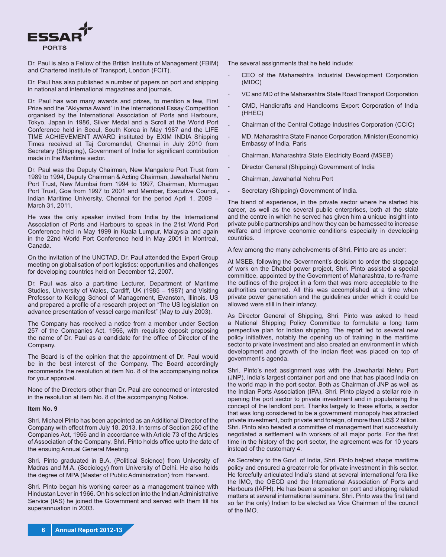

Dr. Paul is also a Fellow of the British Institute of Management (FBIM) and Chartered Institute of Transport, London (FCIT).

Dr. Paul has also published a number of papers on port and shipping in national and international magazines and journals.

Dr. Paul has won many awards and prizes, to mention a few, First Prize and the "Akiyama Award" in the International Essay Competition organised by the International Association of Ports and Harbours, Tokyo, Japan in 1986, Silver Medal and a Scroll at the World Port Conference held in Seoul, South Korea in May 1987 and the LIFE TIME ACHIEVEMENT AWARD instituted by EXIM INDIA Shipping Times received at Taj Coromandel, Chennai in July 2010 from Secretary (Shipping), Government of India for significant contribution made in the Maritime sector.

Dr. Paul was the Deputy Chairman, New Mangalore Port Trust from 1989 to 1994, Deputy Chairman & Acting Chairman, Jawaharlal Nehru Port Trust, New Mumbai from 1994 to 1997, Chairman, Mormugao Port Trust, Goa from 1997 to 2001 and Member, Executive Council, Indian Maritime University, Chennai for the period April 1, 2009 – March 31, 2011.

He was the only speaker invited from India by the International Association of Ports and Harbours to speak in the 21st World Port Conference held in May 1999 in Kuala Lumpur, Malaysia and again in the 22nd World Port Conference held in May 2001 in Montreal, Canada.

On the invitation of the UNCTAD, Dr. Paul attended the Expert Group meeting on globalisation of port logistics: opportunities and challenges for developing countries held on December 12, 2007.

Dr. Paul was also a part-time Lecturer, Department of Maritime Studies, University of Wales, Cardiff, UK (1985 – 1987) and Visiting Professor to Kellogg School of Management, Evanston, Illinois, US and prepared a profile of a research project on "The US legislation on advance presentation of vessel cargo manifest" (May to July 2003).

The Company has received a notice from a member under Section 257 of the Companies Act, 1956, with requisite deposit proposing the name of Dr. Paul as a candidate for the office of Director of the Company.

The Board is of the opinion that the appointment of Dr. Paul would be in the best interest of the Company. The Board accordingly recommends the resolution at item No. 8 of the accompanying notice for your approval.

None of the Directors other than Dr. Paul are concerned or interested in the resolution at item No. 8 of the accompanying Notice.

#### **Item No. 9**

Shri. Michael Pinto has been appointed as an Additional Director of the Company with effect from July 18, 2013. In terms of Section 260 of the Companies Act, 1956 and in accordance with Article 73 of the Articles of Association of the Company, Shri. Pinto holds office upto the date of the ensuing Annual General Meeting.

Shri. Pinto graduated in B.A. (Political Science) from University of Madras and M.A. (Sociology) from University of Delhi. He also holds the degree of MPA (Master of Public Administration) from Harvard.

Shri. Pinto began his working career as a management trainee with Hindustan Lever in 1966. On his selection into the Indian Administrative Service (IAS) he joined the Government and served with them till his superannuation in 2003.

The several assignments that he held include:

- CEO of the Maharashtra Industrial Development Corporation (MIDC)
- VC and MD of the Maharashtra State Road Transport Corporation
- CMD, Handicrafts and Handlooms Export Corporation of India (HHEC)
- Chairman of the Central Cottage Industries Corporation (CCIC)
- MD, Maharashtra State Finance Corporation, Minister (Economic) Embassy of India, Paris
- Chairman, Maharashtra State Electricity Board (MSEB)
- Director General (Shipping) Government of India
- Chairman, Jawaharlal Nehru Port
- Secretary (Shipping) Government of India.

The blend of experience, in the private sector where he started his career, as well as the several public enterprises, both at the state and the centre in which he served has given him a unique insight into private public partnerships and how they can be harnessed to increase welfare and improve economic conditions especially in developing countries.

A few among the many acheivements of Shri. Pinto are as under:

At MSEB, following the Government's decision to order the stoppage of work on the Dhabol power project, Shri. Pinto assisted a special committee, appointed by the Government of Maharashtra, to re-frame the outlines of the project in a form that was more acceptable to the authorities concerned. All this was accomplished at a time when private power generation and the guidelines under which it could be allowed were still in their infancy.

As Director General of Shipping, Shri. Pinto was asked to head a National Shipping Policy Committee to formulate a long term perspective plan for Indian shipping. The report led to several new policy initiatives, notably the opening up of training in the maritime sector to private investment and also created an environment in which development and growth of the Indian fleet was placed on top of government's agenda.

Shri. Pinto's next assignment was with the Jawaharlal Nehru Port (JNP), India's largest container port and one that has placed India on the world map in the port sector. Both as Chairman of JNP as well as the Indian Ports Association (IPA), Shri. Pinto played a stellar role in opening the port sector to private investment and in popularising the concept of the landlord port. Thanks largely to these efforts, a sector that was long considered to be a government monopoly has attracted private investment, both private and foreign, of more than US\$ 2 billion. Shri. Pinto also headed a committee of management that successfully negotiated a settlement with workers of all major ports. For the first time in the history of the port sector, the agreement was for 10 years instead of the customary 4.

As Secretary to the Govt. of India, Shri. Pinto helped shape maritime policy and ensured a greater role for private investment in this sector. He forcefully articulated India's stand at several international fora like the IMO, the OECD and the International Association of Ports and Harbours (IAPH). He has been a speaker on port and shipping related matters at several international seminars. Shri. Pinto was the first (and so far the only) Indian to be elected as Vice Chairman of the council of the IMO.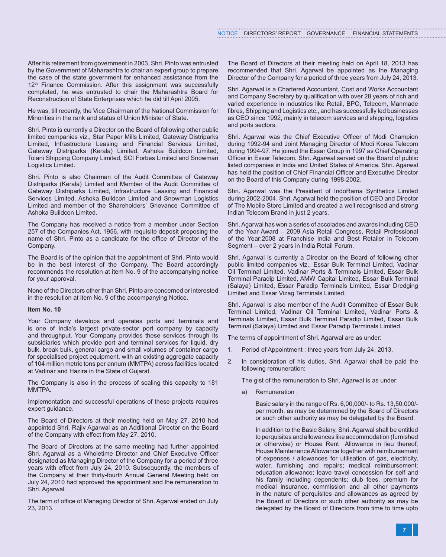After his retirement from government in 2003, Shri. Pinto was entrusted by the Government of Maharashtra to chair an expert group to prepare the case of the state government for enhanced assistance from the  $12<sup>th</sup>$  Finance Commission. After this assignment was successfully completed, he was entrusted to chair the Maharashtra Board for Reconstruction of State Enterprises which he did till April 2005.

He was, till recently, the Vice Chairman of the National Commission for Minorities in the rank and status of Union Minister of State.

Shri. Pinto is currently a Director on the Board of following other public limited companies viz., Star Paper Mills Limited, Gateway Distriparks Limited, Infrastructure Leasing and Financial Services Limited, Gateway Distriparks (Kerala) Limited, Ashoka Buildcon Limited, Tolani Shipping Company Limited, SCI Forbes Limited and Snowman Logistics Limited.

Shri. Pinto is also Chairman of the Audit Committee of Gateway Distriparks (Kerala) Limited and Member of the Audit Committee of Gateway Distriparks Limited, Infrastructure Leasing and Financial Services Limited, Ashoka Buildcon Limited and Snowman Logistics Limited and member of the Shareholders' Grievance Committee of Ashoka Buildcon Limited.

The Company has received a notice from a member under Section 257 of the Companies Act, 1956, with requisite deposit proposing the name of Shri. Pinto as a candidate for the office of Director of the Company.

The Board is of the opinion that the appointment of Shri. Pinto would be in the best interest of the Company. The Board accordingly recommends the resolution at item No. 9 of the accompanying notice for your approval.

None of the Directors other than Shri. Pinto are concerned or interested in the resolution at item No. 9 of the accompanying Notice.

#### **Item No. 10**

Your Company develops and operates ports and terminals and is one of India's largest private-sector port company by capacity and throughput. Your Company provides these services through its subsidiaries which provide port and terminal services for liquid, dry bulk, break bulk, general cargo and small volumes of container cargo for specialised project equipment, with an existing aggregate capacity of 104 million metric tons per annum (MMTPA) across facilities located at Vadinar and Hazira in the State of Gujarat.

The Company is also in the process of scaling this capacity to 181 MMTPA.

Implementation and successful operations of these projects requires expert guidance.

The Board of Directors at their meeting held on May 27, 2010 had appointed Shri. Rajiv Agarwal as an Additional Director on the Board of the Company with effect from May 27, 2010.

The Board of Directors at the same meeting had further appointed Shri. Agarwal as a Wholetime Director and Chief Executive Officer designated as Managing Director of the Company for a period of three years with effect from July 24, 2010. Subsequently, the members of the Company at their thirty-fourth Annual General Meeting held on July 24, 2010 had approved the appointment and the remuneration to Shri. Agarwal.

The term of office of Managing Director of Shri. Agarwal ended on July 23, 2013.

The Board of Directors at their meeting held on April 18, 2013 has recommended that Shri. Agarwal be appointed as the Managing Director of the Company for a period of three years from July 24, 2013.

Shri. Agarwal is a Chartered Accountant, Cost and Works Accountant and Company Secretary by qualification with over 28 years of rich and varied experience in industries like Retail, BPO, Telecom, Manmade fibres, Shipping and Logistics etc., and has successfully led businesses as CEO since 1992, mainly in telecom services and shipping, logistics and ports sectors.

Shri. Agarwal was the Chief Executive Officer of Modi Champion during 1992-94 and Joint Managing Director of Modi Korea Telecom during 1994-97. He joined the Essar Group in 1997 as Chief Operating Officer in Essar Telecom. Shri. Agarwal served on the Board of public listed companies in India and United States of America. Shri. Agarwal has held the position of Chief Financial Officer and Executive Director on the Board of this Company during 1998-2002.

Shri. Agarwal was the President of IndoRama Synthetics Limited during 2002-2004. Shri. Agarwal held the position of CEO and Director of The Mobile Store Limited and created a well recognised and strong Indian Telecom Brand in just 2 years.

Shri. Agarwal has won a series of accolades and awards including CEO of the Year Award – 2009 Asia Retail Congress, Retail Professional of the Year:2008 at Franchise India and Best Retailer in Telecom Segment – over 2 years in India Retail Forum.

Shri. Agarwal is currently a Director on the Board of following other public limited companies viz., Essar Bulk Terminal Limited, Vadinar Oil Terminal Limited, Vadinar Ports & Terminals Limited, Essar Bulk Terminal Paradip Limited, AMW Capital Limited, Essar Bulk Terminal (Salaya) Limited, Essar Paradip Terminals Limited, Essar Dredging Limited and Essar Vizag Terminals Limited.

Shri. Agarwal is also member of the Audit Committee of Essar Bulk Terminal Limited, Vadinar Oil Terminal Limited, Vadinar Ports & Terminals Limited, Essar Bulk Terminal Paradip Limited, Essar Bulk Terminal (Salaya) Limited and Essar Paradip Terminals Limited.

The terms of appointment of Shri. Agarwal are as under:

- 1. Period of Appointment : three years from July 24, 2013.
- 2. In consideration of his duties, Shri. Agarwal shall be paid the following remuneration:

The gist of the remuneration to Shri. Agarwal is as under:

a) Remuneration :

 Basic salary in the range of Rs. 6,00,000/- to Rs. 13,50,000/ per month, as may be determined by the Board of Directors or such other authority as may be delegated by the Board.

 In addition to the Basic Salary, Shri. Agarwal shall be entitled to perquisites and allowances like accommodation (furnished or otherwise) or House Rent Allowance in lieu thereof; House Maintenance Allowance together with reimbursement of expenses / allowances for utilisation of gas, electricity, water, furnishing and repairs; medical reimbursement; education allowance; leave travel concession for self and his family including dependents; club fees, premium for medical insurance, commission and all other payments in the nature of perquisites and allowances as agreed by the Board of Directors or such other authority as may be delegated by the Board of Directors from time to time upto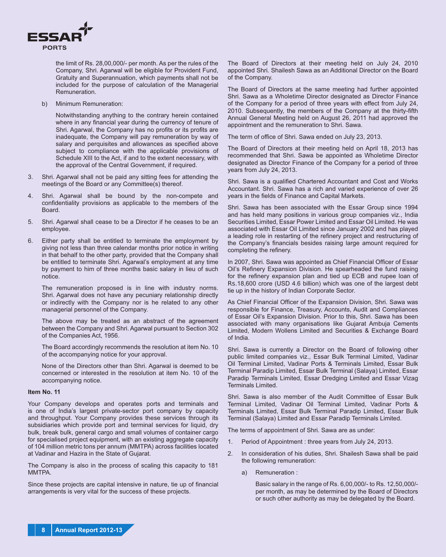

the limit of Rs. 28,00,000/- per month. As per the rules of the Company, Shri. Agarwal will be eligible for Provident Fund, Gratuity and Superannuation, which payments shall not be included for the purpose of calculation of the Managerial Remuneration.

b) Minimum Remuneration:

 Notwithstanding anything to the contrary herein contained where in any financial year during the currency of tenure of Shri. Agarwal, the Company has no profits or its profits are inadequate, the Company will pay remuneration by way of salary and perquisites and allowances as specified above subject to compliance with the applicable provisions of Schedule XIII to the Act, if and to the extent necessary, with the approval of the Central Government, if required.

- 3. Shri. Agarwal shall not be paid any sitting fees for attending the meetings of the Board or any Committee(s) thereof.
- Shri. Agarwal shall be bound by the non-compete and confidentiality provisions as applicable to the members of the Board.
- 5. Shri. Agarwal shall cease to be a Director if he ceases to be an employee.
- 6. Either party shall be entitled to terminate the employment by giving not less than three calendar months prior notice in writing in that behalf to the other party, provided that the Company shall be entitled to terminate Shri. Agarwal's employment at any time by payment to him of three months basic salary in lieu of such notice.

 The remuneration proposed is in line with industry norms. Shri. Agarwal does not have any pecuniary relationship directly or indirectly with the Company nor is he related to any other managerial personnel of the Company.

 The above may be treated as an abstract of the agreement between the Company and Shri. Agarwal pursuant to Section 302 of the Companies Act, 1956.

 The Board accordingly recommends the resolution at item No. 10 of the accompanying notice for your approval.

 None of the Directors other than Shri. Agarwal is deemed to be concerned or interested in the resolution at item No. 10 of the accompanying notice.

#### **Item No. 11**

Your Company develops and operates ports and terminals and is one of India's largest private-sector port company by capacity and throughput. Your Company provides these services through its subsidiaries which provide port and terminal services for liquid, dry bulk, break bulk, general cargo and small volumes of container cargo for specialised project equipment, with an existing aggregate capacity of 104 million metric tons per annum (MMTPA) across facilities located at Vadinar and Hazira in the State of Gujarat.

The Company is also in the process of scaling this capacity to 181 MMTPA.

Since these projects are capital intensive in nature, tie up of financial arrangements is very vital for the success of these projects.

The Board of Directors at their meeting held on July 24, 2010 appointed Shri. Shailesh Sawa as an Additional Director on the Board of the Company.

The Board of Directors at the same meeting had further appointed Shri. Sawa as a Wholetime Director designated as Director Finance of the Company for a period of three years with effect from July 24, 2010. Subsequently, the members of the Company at the thirty-fifth Annual General Meeting held on August 26, 2011 had approved the appointment and the remuneration to Shri. Sawa.

The term of office of Shri. Sawa ended on July 23, 2013.

The Board of Directors at their meeting held on April 18, 2013 has recommended that Shri. Sawa be appointed as Wholetime Director designated as Director Finance of the Company for a period of three years from July 24, 2013.

Shri. Sawa is a qualified Chartered Accountant and Cost and Works Accountant. Shri. Sawa has a rich and varied experience of over 26 years in the fields of Finance and Capital Markets.

Shri. Sawa has been associated with the Essar Group since 1994 and has held many positions in various group companies viz., India Securities Limited, Essar Power Limited and Essar Oil Limited. He was associated with Essar Oil Limited since January 2002 and has played a leading role in restarting of the refinery project and restructuring of the Company's financials besides raising large amount required for completing the refinery.

In 2007, Shri. Sawa was appointed as Chief Financial Officer of Essar Oil's Refinery Expansion Division. He spearheaded the fund raising for the refinery expansion plan and tied up ECB and rupee loan of Rs.18,600 crore (USD 4.6 billion) which was one of the largest debt tie up in the history of Indian Corporate Sector.

As Chief Financial Officer of the Expansion Division, Shri. Sawa was responsible for Finance, Treasury, Accounts, Audit and Compliances of Essar Oil's Expansion Division. Prior to this, Shri. Sawa has been associated with many organisations like Gujarat Ambuja Cements Limited, Modern Wollens Limited and Securities & Exchange Board of India.

Shri. Sawa is currently a Director on the Board of following other public limited companies viz., Essar Bulk Terminal Limited, Vadinar Oil Terminal Limited, Vadinar Ports & Terminals Limited, Essar Bulk Terminal Paradip Limited, Essar Bulk Terminal (Salaya) Limited, Essar Paradip Terminals Limited, Essar Dredging Limited and Essar Vizag Terminals Limited.

Shri. Sawa is also member of the Audit Committee of Essar Bulk Terminal Limited, Vadinar Oil Terminal Limited, Vadinar Ports & Terminals Limited, Essar Bulk Terminal Paradip Limited, Essar Bulk Terminal (Salaya) Limited and Essar Paradip Terminals Limited.

The terms of appointment of Shri. Sawa are as under:

- 1. Period of Appointment : three years from July 24, 2013.
- 2. In consideration of his duties, Shri. Shailesh Sawa shall be paid the following remuneration:
	- a) Remuneration :

 Basic salary in the range of Rs. 6,00,000/- to Rs. 12,50,000/ per month, as may be determined by the Board of Directors or such other authority as may be delegated by the Board.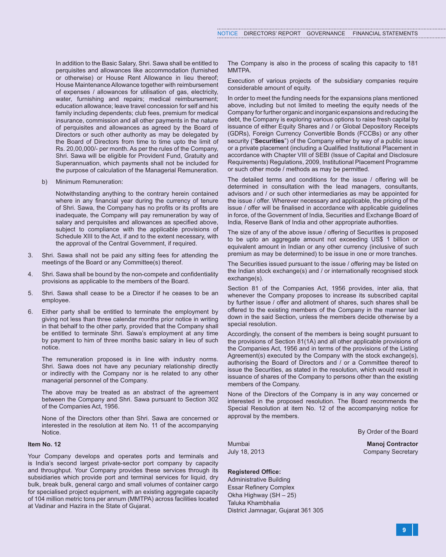In addition to the Basic Salary, Shri. Sawa shall be entitled to perquisites and allowances like accommodation (furnished or otherwise) or House Rent Allowance in lieu thereof; House Maintenance Allowance together with reimbursement of expenses / allowances for utilisation of gas, electricity, water, furnishing and repairs; medical reimbursement; education allowance; leave travel concession for self and his family including dependents; club fees, premium for medical insurance, commission and all other payments in the nature of perquisites and allowances as agreed by the Board of Directors or such other authority as may be delegated by the Board of Directors from time to time upto the limit of Rs. 20,00,000/- per month. As per the rules of the Company, Shri. Sawa will be eligible for Provident Fund, Gratuity and Superannuation, which payments shall not be included for the purpose of calculation of the Managerial Remuneration.

b) Minimum Remuneration:

 Notwithstanding anything to the contrary herein contained where in any financial year during the currency of tenure of Shri. Sawa, the Company has no profits or its profits are inadequate, the Company will pay remuneration by way of salary and perquisites and allowances as specified above, subject to compliance with the applicable provisions of Schedule XIII to the Act, if and to the extent necessary, with the approval of the Central Government, if required.

- 3. Shri. Sawa shall not be paid any sitting fees for attending the meetings of the Board or any Committee(s) thereof.
- Shri. Sawa shall be bound by the non-compete and confidentiality provisions as applicable to the members of the Board.
- 5. Shri. Sawa shall cease to be a Director if he ceases to be an employee.
- 6. Either party shall be entitled to terminate the employment by giving not less than three calendar months prior notice in writing in that behalf to the other party, provided that the Company shall be entitled to terminate Shri. Sawa's employment at any time by payment to him of three months basic salary in lieu of such notice.

 The remuneration proposed is in line with industry norms. Shri. Sawa does not have any pecuniary relationship directly or indirectly with the Company nor is he related to any other managerial personnel of the Company.

 The above may be treated as an abstract of the agreement between the Company and Shri. Sawa pursuant to Section 302 of the Companies Act, 1956.

 None of the Directors other than Shri. Sawa are concerned or interested in the resolution at item No. 11 of the accompanying Notice.

#### **Item No. 12**

Your Company develops and operates ports and terminals and is India's second largest private-sector port company by capacity and throughput. Your Company provides these services through its subsidiaries which provide port and terminal services for liquid, dry bulk, break bulk, general cargo and small volumes of container cargo for specialised project equipment, with an existing aggregate capacity of 104 million metric tons per annum (MMTPA) across facilities located at Vadinar and Hazira in the State of Gujarat.

The Company is also in the process of scaling this capacity to 181 MMTPA.

Execution of various projects of the subsidiary companies require considerable amount of equity.

In order to meet the funding needs for the expansions plans mentioned above, including but not limited to meeting the equity needs of the Company for further organic and inorganic expansions and reducing the debt, the Company is exploring various options to raise fresh capital by issuance of either Equity Shares and / or Global Depository Receipts (GDRs), Foreign Currency Convertible Bonds (FCCBs) or any other security ("**Securities**") of the Company either by way of a public issue or a private placement (including a Qualified Institutional Placement in accordance with Chapter VIII of SEBI (Issue of Capital and Disclosure Requirements) Regulations, 2009, Institutional Placement Programme or such other mode / methods as may be permitted.

The detailed terms and conditions for the issue / offering will be determined in consultation with the lead managers, consultants, advisors and / or such other intermediaries as may be appointed for the issue / offer. Wherever necessary and applicable, the pricing of the issue / offer will be finalised in accordance with applicable guidelines in force, of the Government of India, Securities and Exchange Board of India, Reserve Bank of India and other appropriate authorities.

The size of any of the above issue / offering of Securities is proposed to be upto an aggregate amount not exceeding US\$ 1 billion or equivalent amount in Indian or any other currency (inclusive of such premium as may be determined) to be issue in one or more tranches.

The Securities issued pursuant to the issue / offering may be listed on the Indian stock exchange(s) and / or internationally recognised stock exchange(s).

Section 81 of the Companies Act, 1956 provides, inter alia, that whenever the Company proposes to increase its subscribed capital by further issue / offer and allotment of shares, such shares shall be offered to the existing members of the Company in the manner laid down in the said Section, unless the members decide otherwise by a special resolution.

Accordingly, the consent of the members is being sought pursuant to the provisions of Section 81(1A) and all other applicable provisions of the Companies Act, 1956 and in terms of the provisions of the Listing Agreement(s) executed by the Company with the stock exchange(s), authorising the Board of Directors and / or a Committee thereof to issue the Securities, as stated in the resolution, which would result in issuance of shares of the Company to persons other than the existing members of the Company.

None of the Directors of the Company is in any way concerned or interested in the proposed resolution. The Board recommends the Special Resolution at item No. 12 of the accompanying notice for approval by the members.

By Order of the Board

Mumbai **Manoj Contractor** July 18, 2013 **Company Secretary** 

**Registered Office:** 

Administrative Building Essar Refinery Complex Okha Highway (SH – 25) Taluka Khambhalia District Jamnagar, Gujarat 361 305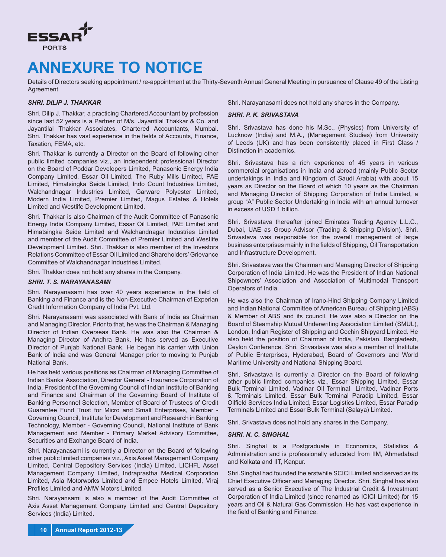

### **ANNEXURE TO NOTICE**

Details of Directors seeking appointment / re-appointment at the Thirty-Seventh Annual General Meeting in pursuance of Clause 49 of the Listing Agreement

#### *SHRI. DILIP J. THAKKAR*

Shri. Dilip J. Thakkar, a practicing Chartered Accountant by profession since last 52 years is a Partner of M/s. Jayantilal Thakkar & Co. and Jayantilal Thakkar Associates, Chartered Accountants, Mumbai. Shri. Thakkar has vast experience in the fields of Accounts, Finance, Taxation, FEMA, etc.

Shri. Thakkar is currently a Director on the Board of following other public limited companies viz., an independent professional Director on the Board of Poddar Developers Limited, Panasonic Energy India Company Limited, Essar Oil Limited, The Ruby Mills Limited, PAE Limited, Himatsingka Seide Limited, Indo Count Industries Limited, Walchandnagar Industries Limited, Garware Polyester Limited, Modern India Limited, Premier Limited, Magus Estates & Hotels Limited and Westlife Development Limited.

Shri. Thakkar is also Chairman of the Audit Committee of Panasonic Energy India Company Limited, Essar Oil Limited, PAE Limited and Himatsingka Seide Limited and Walchandnagar Industries Limited and member of the Audit Committee of Premier Limited and Westlife Development Limited. Shri. Thakkar is also member of the Investors Relations Committee of Essar Oil Limited and Shareholders' Grievance Committee of Walchandnagar Industries Limited.

Shri. Thakkar does not hold any shares in the Company.

#### *SHRI. T. S. NARAYANASAMI*

Shri. Narayanasami has over 40 years experience in the field of Banking and Finance and is the Non-Executive Chairman of Experian Credit Information Company of India Pvt. Ltd.

Shri. Narayanasami was associated with Bank of India as Chairman and Managing Director. Prior to that, he was the Chairman & Managing Director of Indian Overseas Bank. He was also the Chairman & Managing Director of Andhra Bank. He has served as Executive Director of Punjab National Bank. He began his carrier with Union Bank of India and was General Manager prior to moving to Punjab National Bank.

He has held various positions as Chairman of Managing Committee of Indian Banks' Association, Director General - Insurance Corporation of India, President of the Governing Council of Indian Institute of Banking and Finance and Chairman of the Governing Board of Institute of Banking Personnel Selection, Member of Board of Trustees of Credit Guarantee Fund Trust for Micro and Small Enterprises, Member - Governing Council, Institute for Development and Research in Banking Technology, Member - Governing Council, National Institute of Bank Management and Member - Primary Market Advisory Committee, Securities and Exchange Board of India.

Shri. Narayanasami is currently a Director on the Board of following other public limited companies viz., Axis Asset Management Company Limited, Central Depository Services (India) Limited, LICHFL Asset Management Company Limited, Indraprastha Medical Corporation Limited, Asia Motorworks Limited and Empee Hotels Limited, Viraj Profiles Limited and AMW Motors Limited.

Shri. Narayansami is also a member of the Audit Committee of Axis Asset Management Company Limited and Central Depository Services (India) Limited.

Shri. Narayanasami does not hold any shares in the Company.

#### *SHRI. P. K. SRIVASTAVA*

Shri. Srivastava has done his M.Sc., (Physics) from University of Lucknow (India) and M.A., (Management Studies) from University of Leeds (UK) and has been consistently placed in First Class / Distinction in academics.

Shri. Srivastava has a rich experience of 45 years in various commercial organisations in India and abroad (mainly Public Sector undertakings in India and Kingdom of Saudi Arabia) with about 15 years as Director on the Board of which 10 years as the Chairman and Managing Director of Shipping Corporation of India Limited, a group "A" Public Sector Undertaking in India with an annual turnover in excess of USD 1 billion.

Shri. Srivastava thereafter joined Emirates Trading Agency L.L.C., Dubai, UAE as Group Advisor (Trading & Shipping Division). Shri. Srivastava was responsible for the overall management of large business enterprises mainly in the fields of Shipping, Oil Transportation and Infrastructure Development.

Shri. Srivastava was the Chairman and Managing Director of Shipping Corporation of India Limited. He was the President of Indian National Shipowners' Association and Association of Multimodal Transport Operators of India.

He was also the Chairman of Irano-Hind Shipping Company Limited and Indian National Committee of American Bureau of Shipping (ABS) & Member of ABS and its council. He was also a Director on the Board of Steamship Mutual Underwriting Association Limited (SMUL), London, Indian Register of Shipping and Cochin Shipyard Limited. He also held the position of Chairman of India, Pakistan, Bangladesh, Ceylon Conference. Shri. Srivastava was also a member of Institute of Public Enterprises, Hyderabad, Board of Governors and World Maritime University and National Shipping Board.

Shri. Srivastava is currently a Director on the Board of following other public limited companies viz., Essar Shipping Limited, Essar Bulk Terminal Limited, Vadinar Oil Terminal Limited, Vadinar Ports & Terminals Limited, Essar Bulk Terminal Paradip Limited, Essar Oilfield Services India Limited, Essar Logistics Limited, Essar Paradip Terminals Limited and Essar Bulk Terminal (Salaya) Limited.

Shri. Srivastava does not hold any shares in the Company.

#### *SHRI. N. C. SINGHAL*

Shri. Singhal is a Postgraduate in Economics, Statistics & Administration and is professionally educated from IIM, Ahmedabad and Kolkata and IIT, Kanpur.

Shri.Singhal had founded the erstwhile SCICI Limited and served as its Chief Executive Officer and Managing Director. Shri. Singhal has also served as a Senior Executive of The Industrial Credit & Investment Corporation of India Limited (since renamed as ICICI Limited) for 15 years and Oil & Natural Gas Commission. He has vast experience in the field of Banking and Finance.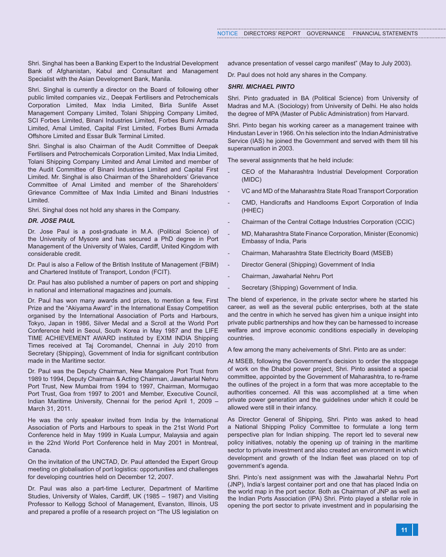Shri. Singhal has been a Banking Expert to the Industrial Development Bank of Afghanistan, Kabul and Consultant and Management Specialist with the Asian Development Bank, Manila.

Shri. Singhal is currently a director on the Board of following other public limited companies viz., Deepak Fertilisers and Petrochemicals Corporation Limited, Max India Limited, Birla Sunlife Asset Management Company Limited, Tolani Shipping Company Limited, SCI Forbes Limited, Binani Industries Limited, Forbes Bumi Armada Limited, Amal Limited, Capital First Limited, Forbes Bumi Armada Offshore Limited and Essar Bulk Terminal Limited.

Shri. Singhal is also Chairman of the Audit Committee of Deepak Fertilisers and Petrochemicals Corporation Limited, Max India Limited, Tolani Shipping Company Limited and Amal Limited and member of the Audit Committee of Binani Industries Limited and Capital First Limited. Mr. Singhal is also Chairman of the Shareholders' Grievance Committee of Amal Limited and member of the Shareholders' Grievance Committee of Max India Limited and Binani Industries Limited.

Shri. Singhal does not hold any shares in the Company.

#### *DR. JOSE PAUL*

Dr. Jose Paul is a post-graduate in M.A. (Political Science) of the University of Mysore and has secured a PhD degree in Port Management of the University of Wales, Cardiff, United Kingdom with considerable credit.

Dr. Paul is also a Fellow of the British Institute of Management (FBIM) and Chartered Institute of Transport, London (FCIT).

Dr. Paul has also published a number of papers on port and shipping in national and international magazines and journals.

Dr. Paul has won many awards and prizes, to mention a few, First Prize and the "Akiyama Award" in the International Essay Competition organised by the International Association of Ports and Harbours, Tokyo, Japan in 1986, Silver Medal and a Scroll at the World Port Conference held in Seoul, South Korea in May 1987 and the LIFE TIME ACHIEVEMENT AWARD instituted by EXIM INDIA Shipping Times received at Taj Coromandel, Chennai in July 2010 from Secretary (Shipping), Government of India for significant contribution made in the Maritime sector.

Dr. Paul was the Deputy Chairman, New Mangalore Port Trust from 1989 to 1994, Deputy Chairman & Acting Chairman, Jawaharlal Nehru Port Trust, New Mumbai from 1994 to 1997, Chairman, Mormugao Port Trust, Goa from 1997 to 2001 and Member, Executive Council, Indian Maritime University, Chennai for the period April 1, 2009 – March 31, 2011.

He was the only speaker invited from India by the International Association of Ports and Harbours to speak in the 21st World Port Conference held in May 1999 in Kuala Lumpur, Malaysia and again in the 22nd World Port Conference held in May 2001 in Montreal, Canada.

On the invitation of the UNCTAD, Dr. Paul attended the Expert Group meeting on globalisation of port logistics: opportunities and challenges for developing countries held on December 12, 2007.

Dr. Paul was also a part-time Lecturer, Department of Maritime Studies, University of Wales, Cardiff, UK (1985 – 1987) and Visiting Professor to Kellogg School of Management, Evanston, Illinois, US and prepared a profile of a research project on "The US legislation on advance presentation of vessel cargo manifest" (May to July 2003).

Dr. Paul does not hold any shares in the Company.

#### *SHRI. MICHAEL PINTO*

Shri. Pinto graduated in BA (Political Science) from University of Madras and M.A. (Sociology) from University of Delhi. He also holds the degree of MPA (Master of Public Administration) from Harvard.

Shri. Pinto began his working career as a management trainee with Hindustan Lever in 1966. On his selection into the Indian Administrative Service (IAS) he joined the Government and served with them till his superannuation in 2003.

The several assignments that he held include:

- CEO of the Maharashtra Industrial Development Corporation (MIDC)
- VC and MD of the Maharashtra State Road Transport Corporation
- CMD, Handicrafts and Handlooms Export Corporation of India (HHEC)
- Chairman of the Central Cottage Industries Corporation (CCIC)
- MD, Maharashtra State Finance Corporation, Minister (Economic) Embassy of India, Paris
- Chairman, Maharashtra State Electricity Board (MSEB)
- Director General (Shipping) Government of India
- Chairman, Jawaharlal Nehru Port
- Secretary (Shipping) Government of India.

The blend of experience, in the private sector where he started his career, as well as the several public enterprises, both at the state and the centre in which he served has given him a unique insight into private public partnerships and how they can be harnessed to increase welfare and improve economic conditions especially in developing countries.

A few among the many acheivements of Shri. Pinto are as under:

At MSEB, following the Government's decision to order the stoppage of work on the Dhabol power project, Shri. Pinto assisted a special committee, appointed by the Government of Maharashtra, to re-frame the outlines of the project in a form that was more acceptable to the authorities concerned. All this was accomplished at a time when private power generation and the guidelines under which it could be allowed were still in their infancy.

As Director General of Shipping, Shri. Pinto was asked to head a National Shipping Policy Committee to formulate a long term perspective plan for Indian shipping. The report led to several new policy initiatives, notably the opening up of training in the maritime sector to private investment and also created an environment in which development and growth of the Indian fleet was placed on top of government's agenda.

Shri. Pinto's next assignment was with the Jawaharlal Nehru Port (JNP), India's largest container port and one that has placed India on the world map in the port sector. Both as Chairman of JNP as well as the Indian Ports Association (IPA) Shri. Pinto played a stellar role in opening the port sector to private investment and in popularising the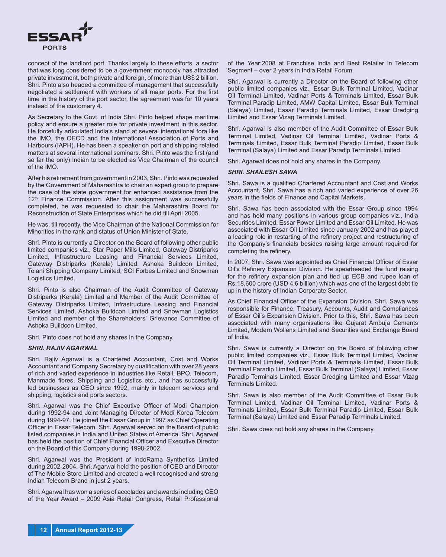

concept of the landlord port. Thanks largely to these efforts, a sector that was long considered to be a government monopoly has attracted private investment, both private and foreign, of more than US\$ 2 billion. Shri. Pinto also headed a committee of management that successfully negotiated a settlement with workers of all major ports. For the first time in the history of the port sector, the agreement was for 10 years instead of the customary 4.

As Secretary to the Govt. of India Shri. Pinto helped shape maritime policy and ensure a greater role for private investment in this sector. He forcefully articulated India's stand at several international fora like the IMO, the OECD and the International Association of Ports and Harbours (IAPH). He has been a speaker on port and shipping related matters at several international seminars. Shri. Pinto was the first (and so far the only) Indian to be elected as Vice Chairman of the council of the IMO.

After his retirement from government in 2003, Shri. Pinto was requested by the Government of Maharashtra to chair an expert group to prepare the case of the state government for enhanced assistance from the 12<sup>th</sup> Finance Commission. After this assignment was successfully completed, he was requested to chair the Maharashtra Board for Reconstruction of State Enterprises which he did till April 2005.

He was, till recently, the Vice Chairman of the National Commission for Minorities in the rank and status of Union Minister of State.

Shri. Pinto is currently a Director on the Board of following other public limited companies viz., Star Paper Mills Limited, Gateway Distriparks Limited, Infrastructure Leasing and Financial Services Limited, Gateway Distriparks (Kerala) Limited, Ashoka Buildcon Limited, Tolani Shipping Company Limited, SCI Forbes Limited and Snowman Logistics Limited.

Shri. Pinto is also Chairman of the Audit Committee of Gateway Distriparks (Kerala) Limited and Member of the Audit Committee of Gateway Distriparks Limited, Infrastructure Leasing and Financial Services Limited, Ashoka Buildcon Limited and Snowman Logistics Limited and member of the Shareholders' Grievance Committee of Ashoka Buildcon Limited.

Shri. Pinto does not hold any shares in the Company.

#### *SHRI. RAJIV AGARWAL*

Shri. Rajiv Agarwal is a Chartered Accountant, Cost and Works Accountant and Company Secretary by qualification with over 28 years of rich and varied experience in industries like Retail, BPO, Telecom, Manmade fibres, Shipping and Logistics etc., and has successfully led businesses as CEO since 1992, mainly in telecom services and shipping, logistics and ports sectors.

Shri. Agarwal was the Chief Executive Officer of Modi Champion during 1992-94 and Joint Managing Director of Modi Korea Telecom during 1994-97. He joined the Essar Group in 1997 as Chief Operating Officer in Essar Telecom. Shri. Agarwal served on the Board of public listed companies in India and United States of America. Shri. Agarwal has held the position of Chief Financial Officer and Executive Director on the Board of this Company during 1998-2002.

Shri. Agarwal was the President of IndoRama Synthetics Limited during 2002-2004. Shri. Agarwal held the position of CEO and Director of The Mobile Store Limited and created a well recognised and strong Indian Telecom Brand in just 2 years.

Shri. Agarwal has won a series of accolades and awards including CEO of the Year Award – 2009 Asia Retail Congress, Retail Professional

of the Year:2008 at Franchise India and Best Retailer in Telecom Segment – over 2 years in India Retail Forum.

Shri. Agarwal is currently a Director on the Board of following other public limited companies viz., Essar Bulk Terminal Limited, Vadinar Oil Terminal Limited, Vadinar Ports & Terminals Limited, Essar Bulk Terminal Paradip Limited, AMW Capital Limited, Essar Bulk Terminal (Salaya) Limited, Essar Paradip Terminals Limited, Essar Dredging Limited and Essar Vizag Terminals Limited.

Shri. Agarwal is also member of the Audit Committee of Essar Bulk Terminal Limited, Vadinar Oil Terminal Limited, Vadinar Ports & Terminals Limited, Essar Bulk Terminal Paradip Limited, Essar Bulk Terminal (Salaya) Limited and Essar Paradip Terminals Limited.

Shri. Agarwal does not hold any shares in the Company.

#### *SHRI. SHAILESH SAWA*

Shri. Sawa is a qualified Chartered Accountant and Cost and Works Accountant. Shri. Sawa has a rich and varied experience of over 26 years in the fields of Finance and Capital Markets.

Shri. Sawa has been associated with the Essar Group since 1994 and has held many positions in various group companies viz., India Securities Limited, Essar Power Limited and Essar Oil Limited. He was associated with Essar Oil Limited since January 2002 and has played a leading role in restarting of the refinery project and restructuring of the Company's financials besides raising large amount required for completing the refinery.

In 2007, Shri. Sawa was appointed as Chief Financial Officer of Essar Oil's Refinery Expansion Division. He spearheaded the fund raising for the refinery expansion plan and tied up ECB and rupee loan of Rs.18,600 crore (USD 4.6 billion) which was one of the largest debt tie up in the history of Indian Corporate Sector.

As Chief Financial Officer of the Expansion Division, Shri. Sawa was responsible for Finance, Treasury, Accounts, Audit and Compliances of Essar Oil's Expansion Division. Prior to this, Shri. Sawa has been associated with many organisations like Gujarat Ambuja Cements Limited, Modern Wollens Limited and Securities and Exchange Board of India.

Shri. Sawa is currently a Director on the Board of following other public limited companies viz., Essar Bulk Terminal Limited, Vadinar Oil Terminal Limited, Vadinar Ports & Terminals Limited, Essar Bulk Terminal Paradip Limited, Essar Bulk Terminal (Salaya) Limited, Essar Paradip Terminals Limited, Essar Dredging Limited and Essar Vizag Terminals Limited.

Shri. Sawa is also member of the Audit Committee of Essar Bulk Terminal Limited, Vadinar Oil Terminal Limited, Vadinar Ports & Terminals Limited, Essar Bulk Terminal Paradip Limited, Essar Bulk Terminal (Salaya) Limited and Essar Paradip Terminals Limited.

Shri. Sawa does not hold any shares in the Company.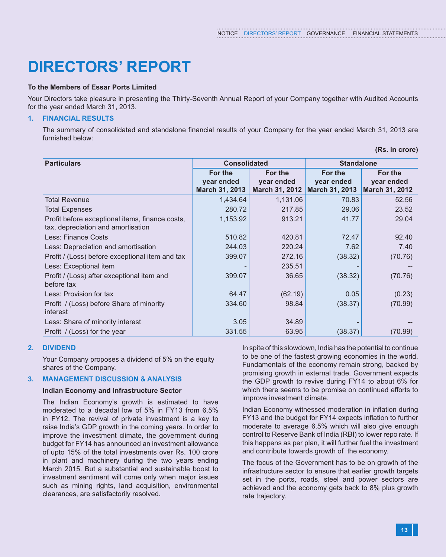### **DIRECTORS' REPORT**

#### **To the Members of Essar Ports Limited**

Your Directors take pleasure in presenting the Thirty-Seventh Annual Report of your Company together with Audited Accounts for the year ended March 31, 2013.

#### **1. FINANCIAL RESULTS**

The summary of consolidated and standalone financial results of your Company for the year ended March 31, 2013 are furnished below:

| <b>Consolidated</b><br><b>Standalone</b><br><b>Particulars</b> |                |                |                |                       |
|----------------------------------------------------------------|----------------|----------------|----------------|-----------------------|
|                                                                |                |                |                |                       |
|                                                                | For the        | For the        | For the        | For the               |
|                                                                | year ended     | year ended     | year ended     | year ended            |
|                                                                | March 31, 2013 | March 31, 2012 | March 31, 2013 | <b>March 31, 2012</b> |
| <b>Total Revenue</b>                                           | 1,434.64       | 1,131.06       | 70.83          | 52.56                 |
| <b>Total Expenses</b>                                          | 280.72         | 217.85         | 29.06          | 23.52                 |
| Profit before exceptional items, finance costs,                | 1,153.92       | 913.21         | 41.77          | 29.04                 |
| tax, depreciation and amortisation                             |                |                |                |                       |
| Less: Finance Costs                                            | 510.82         | 420.81         | 72.47          | 92.40                 |
| Less: Depreciation and amortisation                            | 244.03         | 220.24         | 7.62           | 7.40                  |
| Profit / (Loss) before exceptional item and tax                | 399.07         | 272.16         | (38.32)        | (70.76)               |
| Less: Exceptional item                                         |                | 235.51         |                |                       |
| Profit / (Loss) after exceptional item and                     | 399.07         | 36.65          | (38.32)        | (70.76)               |
| before tax                                                     |                |                |                |                       |
| Less: Provision for tax                                        | 64.47          | (62.19)        | 0.05           | (0.23)                |
| Profit / (Loss) before Share of minority                       | 334.60         | 98.84          | (38.37)        | (70.99)               |
| interest                                                       |                |                |                |                       |
| Less: Share of minority interest                               | 3.05           | 34.89          |                |                       |
| Profit / (Loss) for the year                                   | 331.55         | 63.95          | (38.37)        | (70.99)               |

#### **2. DIVIDEND**

 Your Company proposes a dividend of 5% on the equity shares of the Company.

#### **3. MANAGEMENT DISCUSSION & ANALYSIS**

#### **Indian Economy and Infrastructure Sector**

 The Indian Economy's growth is estimated to have moderated to a decadal low of 5% in FY13 from 6.5% in FY12. The revival of private investment is a key to raise India's GDP growth in the coming years. In order to improve the investment climate, the government during budget for FY14 has announced an investment allowance of upto 15% of the total investments over Rs. 100 crore in plant and machinery during the two years ending March 2015. But a substantial and sustainable boost to investment sentiment will come only when major issues such as mining rights, land acquisition, environmental clearances, are satisfactorily resolved.

 In spite of this slowdown, India has the potential to continue to be one of the fastest growing economies in the world. Fundamentals of the economy remain strong, backed by promising growth in external trade. Government expects the GDP growth to revive during FY14 to about 6% for which there seems to be promise on continued efforts to improve investment climate.

Indian Economy witnessed moderation in inflation during FY13 and the budget for FY14 expects inflation to further moderate to average 6.5% which will also give enough control to Reserve Bank of India (RBI) to lower repo rate. If this happens as per plan, it will further fuel the investment and contribute towards growth of the economy.

 The focus of the Government has to be on growth of the infrastructure sector to ensure that earlier growth targets set in the ports, roads, steel and power sectors are achieved and the economy gets back to 8% plus growth rate trajectory.

**(Rs. in crore)**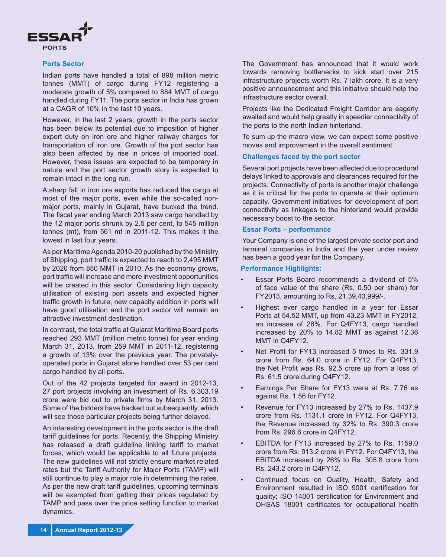

#### **Ports Sector**

 Indian ports have handled a total of 898 million metric tonnes (MMT) of cargo during FY12 registering a moderate growth of 5% compared to 884 MMT of cargo handled during FY11. The ports sector in India has grown at a CAGR of 10% in the last 10 years.

 However, in the last 2 years, growth in the ports sector has been below its potential due to imposition of higher export duty on iron ore and higher railway charges for transportation of iron ore. Growth of the port sector has also been affected by rise in prices of imported coal. However, these issues are expected to be temporary in nature and the port sector growth story is expected to remain intact in the long run.

 A sharp fall in iron ore exports has reduced the cargo at most of the major ports, even while the so-called nonmajor ports, mainly in Gujarat, have bucked the trend. The fiscal year ending March 2013 saw cargo handled by the 12 major ports shrunk by 2.5 per cent, to 545 million tonnes (mt), from 561 mt in 2011-12. This makes it the lowest in last four years.

 As per Maritime Agenda 2010-20 published by the Ministry of Shipping, port traffic is expected to reach to 2,495 MMT by 2020 from 850 MMT in 2010. As the economy grows, port traffic will increase and more investment opportunities will be created in this sector. Considering high capacity utilisation of existing port assets and expected higher traffic growth in future, new capacity addition in ports will have good utilisation and the port sector will remain an attractive investment destination.

In contrast, the total traffic at Gujarat Maritime Board ports reached 293 MMT (million metric tonne) for year ending March 31, 2013, from 259 MMT in 2011-12, registering a growth of 13% over the previous year. The privatelyoperated ports in Gujarat alone handled over 53 per cent cargo handled by all ports.

 Out of the 42 projects targeted for award in 2012-13, 27 port projects involving an investment of Rs. 6,303.19 crore were bid out to private firms by March 31, 2013. Some of the bidders have backed out subsequently, which will see those particular projects being further delayed.

 An interesting development in the ports sector is the draft tariff guidelines for ports. Recently, the Shipping Ministry has released a draft guideline linking tariff to market forces, which would be applicable to all future projects. The new guidelines will not strictly ensure market related rates but the Tariff Authority for Major Ports (TAMP) will still continue to play a major role in determining the rates. As per the new draft tariff guidelines, upcoming terminals will be exempted from getting their prices regulated by TAMP and pass over the price setting function to market dynamics.

 The Government has announced that it would work towards removing bottlenecks to kick start over 215 infrastructure projects worth Rs. 7 lakh crore. It is a very positive announcement and this initiative should help the infrastructure sector overall.

 Projects like the Dedicated Freight Corridor are eagerly awaited and would help greatly in speedier connectivity of the ports to the north Indian hinterland.

 To sum up the macro view, we can expect some positive moves and improvement in the overall sentiment.

#### **Challenges faced by the port sector**

 Several port projects have been affected due to procedural delays linked to approvals and clearances required for the projects. Connectivity of ports is another major challenge as it is critical for the ports to operate at their optimum capacity. Government initiatives for development of port connectivity as linkages to the hinterland would provide necessary boost to the sector.

#### **Essar Ports – performance**

 Your Company is one of the largest private sector port and terminal companies in India and the year under review has been a good year for the Company.

#### **Performance Highlights:**

- Essar Ports Board recommends a dividend of 5% of face value of the share (Rs. 0.50 per share) for FY2013, amounting to Rs. 21,39,43,999/-.
- Highest ever cargo handled in a year for Essar Ports at 54.52 MMT, up from 43.23 MMT in FY2012, an increase of 26%. For Q4FY13, cargo handled increased by 20% to 14.82 MMT as against 12.36 MMT in Q4FY12.
- Net Profit for FY13 increased 5 times to Rs. 331.9 crore from Rs. 64.0 crore in FY12. For Q4FY13, the Net Profit was Rs. 92.5 crore up from a loss of Rs. 61.5 crore during Q4FY12.
- Earnings Per Share for FY13 were at Rs. 7.76 as against Rs. 1.56 for FY12.
- Revenue for FY13 increased by 27% to Rs. 1437.9 crore from Rs. 1131.1 crore in FY12. For Q4FY13, the Revenue increased by 32% to Rs. 390.3 crore from Rs. 296.6 crore in Q4FY12.
- EBITDA for FY13 increased by 27% to Rs. 1159.0 crore from Rs. 913.2 crore in FY12. For Q4FY13, the EBITDA increased by 26% to Rs. 305.8 crore from Rs. 243.2 crore in Q4FY12.
- Continued focus on Quality, Health, Safety and Environment resulted in ISO 9001 certification for quality; ISO 14001 certification for Environment and OHSAS 18001 certificates for occupational health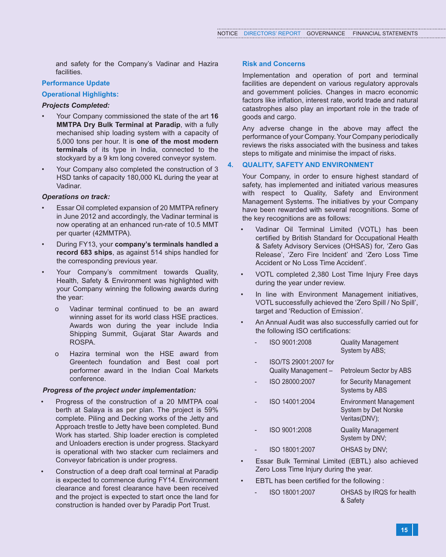and safety for the Company's Vadinar and Hazira facilities.

#### **Performance Update**

#### **Operational Highlights:**

#### *Projects Completed:*

- Your Company commissioned the state of the art **16 MMTPA Dry Bulk Terminal at Paradip**, with a fully mechanised ship loading system with a capacity of 5,000 tons per hour. It is **one of the most modern terminals** of its type in India, connected to the stockyard by a 9 km long covered conveyor system.
- Your Company also completed the construction of 3 HSD tanks of capacity 180,000 KL during the year at Vadinar.

#### *Operations on track:*

- Essar Oil completed expansion of 20 MMTPA refinery in June 2012 and accordingly, the Vadinar terminal is now operating at an enhanced run-rate of 10.5 MMT per quarter (42MMTPA).
- During FY13, your **company's terminals handled a record 683 ships**, as against 514 ships handled for the corresponding previous year.
- Your Company's commitment towards Quality, Health, Safety & Environment was highlighted with your Company winning the following awards during the year:
	- o Vadinar terminal continued to be an award winning asset for its world class HSE practices. Awards won during the year include India Shipping Summit, Gujarat Star Awards and ROSPA.
	- o Hazira terminal won the HSE award from Greentech foundation and Best coal port performer award in the Indian Coal Markets conference.

#### *Progress of the project under implementation:*

- Progress of the construction of a 20 MMTPA coal berth at Salaya is as per plan. The project is 59% complete. Piling and Decking works of the Jetty and Approach trestle to Jetty have been completed. Bund Work has started. Ship loader erection is completed and Unloaders erection is under progress. Stackyard is operational with two stacker cum reclaimers and Conveyor fabrication is under progress.
- Construction of a deep draft coal terminal at Paradip is expected to commence during FY14. Environment clearance and forest clearance have been received and the project is expected to start once the land for construction is handed over by Paradip Port Trust.

#### **Risk and Concerns**

 Implementation and operation of port and terminal facilities are dependent on various regulatory approvals and government policies. Changes in macro economic factors like inflation, interest rate, world trade and natural catastrophes also play an important role in the trade of goods and cargo.

 Any adverse change in the above may affect the performance of your Company. Your Company periodically reviews the risks associated with the business and takes steps to mitigate and minimise the impact of risks.

#### **4. QUALITY, SAFETY AND ENVIRONMENT**

 Your Company, in order to ensure highest standard of safety, has implemented and initiated various measures with respect to Quality, Safety and Environment Management Systems. The initiatives by your Company have been rewarded with several recognitions. Some of the key recognitions are as follows:

- Vadinar Oil Terminal Limited (VOTL) has been certified by British Standard for Occupational Health & Safety Advisory Services (OHSAS) for, 'Zero Gas Release', 'Zero Fire Incident' and 'Zero Loss Time Accident or No Loss Time Accident'.
- VOTL completed 2,380 Lost Time Injury Free days during the year under review.
- In line with Environment Management initiatives, VOTL successfully achieved the 'Zero Spill / No Spill', target and 'Reduction of Emission'.
- An Annual Audit was also successfully carried out for the following ISO certifications:

| ISO 9001:2008                                 | <b>Quality Management</b><br>System by ABS;                            |
|-----------------------------------------------|------------------------------------------------------------------------|
| ISO/TS 29001:2007 for<br>Quality Management - | Petroleum Sector by ABS                                                |
| ISO 28000:2007                                | for Security Management<br><b>Systems by ABS</b>                       |
| ISO 14001:2004                                | <b>Environment Management</b><br>System by Det Norske<br>Veritas(DNV); |
| ISO 9001:2008                                 | <b>Quality Management</b><br>System by DNV:                            |
| ISO 18001:2007                                | OHSAS by DNV:                                                          |

- Essar Bulk Terminal Limited (EBTL) also achieved Zero Loss Time Injury during the year.
- EBTL has been certified for the following :
	- ISO 18001:2007 OHSAS by IRQS for health & Safety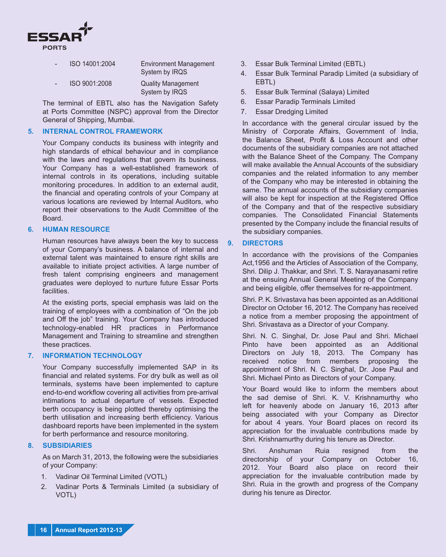

| $\overline{a}$ | ISO 14001:2004 | <b>Environment Management</b><br>System by IRQS |
|----------------|----------------|-------------------------------------------------|
|                | ISO 9001:2008  | <b>Quality Management</b><br>System by IRQS     |

 The terminal of EBTL also has the Navigation Safety at Ports Committee (NSPC) approval from the Director General of Shipping, Mumbai.

#### **5. INTERNAL CONTROL FRAMEWORK**

 Your Company conducts its business with integrity and high standards of ethical behaviour and in compliance with the laws and regulations that govern its business. Your Company has a well-established framework of internal controls in its operations, including suitable monitoring procedures. In addition to an external audit, the financial and operating controls of your Company at various locations are reviewed by Internal Auditors, who report their observations to the Audit Committee of the Board.

#### **6. HUMAN RESOURCE**

 Human resources have always been the key to success of your Company's business. A balance of internal and external talent was maintained to ensure right skills are available to initiate project activities. A large number of fresh talent comprising engineers and management graduates were deployed to nurture future Essar Ports facilities.

 At the existing ports, special emphasis was laid on the training of employees with a combination of "On the job and Off the job" training. Your Company has introduced technology-enabled HR practices in Performance Management and Training to streamline and strengthen these practices.

#### **7. INFORMATION TECHNOLOGY**

 Your Company successfully implemented SAP in its financial and related systems. For dry bulk as well as oil terminals, systems have been implemented to capture end-to-end workflow covering all activities from pre-arrival intimations to actual departure of vessels. Expected berth occupancy is being plotted thereby optimising the berth utilisation and increasing berth efficiency. Various dashboard reports have been implemented in the system for berth performance and resource monitoring.

#### **8. SUBSIDIARIES**

 As on March 31, 2013, the following were the subsidiaries of your Company:

- 1. Vadinar Oil Terminal Limited (VOTL)
- 2. Vadinar Ports & Terminals Limited (a subsidiary of VOTL)
- 3. Essar Bulk Terminal Limited (EBTL)
- 4. Essar Bulk Terminal Paradip Limited (a subsidiary of EBTL)
- 5. Essar Bulk Terminal (Salaya) Limited
- 6. Essar Paradip Terminals Limited
- 7. Essar Dredging Limited

 In accordance with the general circular issued by the Ministry of Corporate Affairs, Government of India, the Balance Sheet, Profit & Loss Account and other documents of the subsidiary companies are not attached with the Balance Sheet of the Company. The Company will make available the Annual Accounts of the subsidiary companies and the related information to any member of the Company who may be interested in obtaining the same. The annual accounts of the subsidiary companies will also be kept for inspection at the Registered Office of the Company and that of the respective subsidiary companies. The Consolidated Financial Statements presented by the Company include the financial results of the subsidiary companies.

#### **9. DIRECTORS**

 In accordance with the provisions of the Companies Act,1956 and the Articles of Association of the Company, Shri. Dilip J. Thakkar, and Shri. T. S. Narayanasami retire at the ensuing Annual General Meeting of the Company and being eligible, offer themselves for re-appointment.

 Shri. P. K. Srivastava has been appointed as an Additional Director on October 16, 2012. The Company has received a notice from a member proposing the appointment of Shri. Srivastava as a Director of your Company.

 Shri. N. C. Singhal, Dr. Jose Paul and Shri. Michael Pinto have been appointed as an Additional Directors on July 18, 2013. The Company has received notice from members proposing the appointment of Shri. N. C. Singhal, Dr. Jose Paul and Shri. Michael Pinto as Directors of your Company.

 Your Board would like to inform the members about the sad demise of Shri. K. V. Krishnamurthy who left for heavenly abode on January 16, 2013 after being associated with your Company as Director for about 4 years. Your Board places on record its appreciation for the invaluable contributions made by Shri. Krishnamurthy during his tenure as Director.

 Shri. Anshuman Ruia resigned from the directorship of your Company on October 16, 2012. Your Board also place on record their appreciation for the invaluable contribution made by Shri. Ruia in the growth and progress of the Company during his tenure as Director.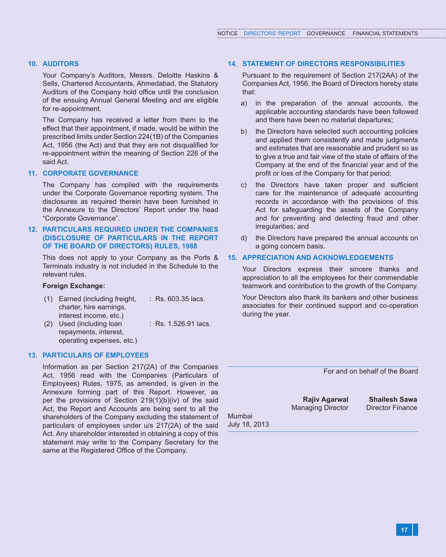#### **10. AUDITORS**

 Your Company's Auditors, Messrs. Deloitte Haskins & Sells, Chartered Accountants, Ahmedabad, the Statutory Auditors of the Company hold office until the conclusion of the ensuing Annual General Meeting and are eligible for re-appointment.

 The Company has received a letter from them to the effect that their appointment, if made, would be within the prescribed limits under Section 224(1B) of the Companies Act, 1956 (the Act) and that they are not disqualified for re-appointment within the meaning of Section 226 of the said Act.

#### **11. CORPORATE GOVERNANCE**

 The Company has complied with the requirements under the Corporate Governance reporting system. The disclosures as required therein have been furnished in the Annexure to the Directors' Report under the head "Corporate Governance".

#### **12. PARTICULARS REQUIRED UNDER THE COMPANIES (DISCLOSURE OF PARTICULARS IN THE REPORT OF THE BOARD OF DIRECTORS) RULES, 1988**

 This does not apply to your Company as the Ports & Terminals industry is not included in the Schedule to the relevant rules.

#### **Foreign Exchange:**

- (1) Earned (including freight, charter, hire earnings, interest income, etc.) : Rs. 603.35 lacs. (2) Used (including loan repayments, interest, : Rs. 1,526.91 lacs.
- operating expenses, etc.)

#### **13. PARTICULARS OF EMPLOYEES**

 Information as per Section 217(2A) of the Companies Act, 1956 read with the Companies (Particulars of Employees) Rules, 1975, as amended, is given in the Annexure forming part of this Report. However, as per the provisions of Section 219(1)(b)(iv) of the said Act, the Report and Accounts are being sent to all the shareholders of the Company excluding the statement of particulars of employees under u/s 217(2A) of the said Act. Any shareholder interested in obtaining a copy of this statement may write to the Company Secretary for the same at the Registered Office of the Company.

#### **14. STATEMENT OF DIRECTORS RESPONSIBILITIES**

 Pursuant to the requirement of Section 217(2AA) of the Companies Act, 1956, the Board of Directors hereby state that:

- a) in the preparation of the annual accounts, the applicable accounting standards have been followed and there have been no material departures;
- b) the Directors have selected such accounting policies and applied them consistently and made judgments and estimates that are reasonable and prudent so as to give a true and fair view of the state of affairs of the Company at the end of the financial year and of the profit or loss of the Company for that period;
- c) the Directors have taken proper and sufficient care for the maintenance of adequate accounting records in accordance with the provisions of this Act for safeguarding the assets of the Company and for preventing and detecting fraud and other irregularities; and
- d) the Directors have prepared the annual accounts on a going concern basis.

#### **15. APPRECIATION AND ACKNOWLEDGEMENTS**

 Your Directors express their sincere thanks and appreciation to all the employees for their commendable teamwork and contribution to the growth of the Company.

 Your Directors also thank its bankers and other business associates for their continued support and co-operation during the year.

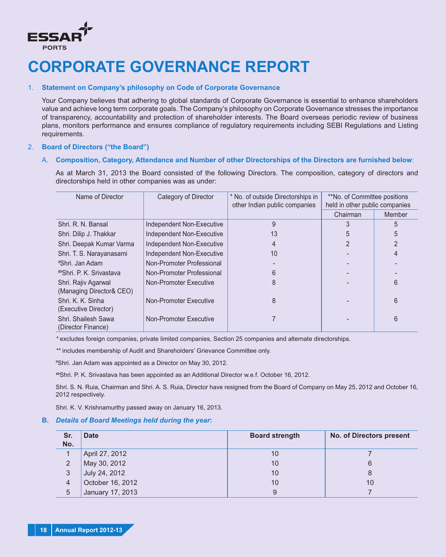

## **CORPORATE GOVERNANCE REPORT**

#### 1. **Statement on Company's philosophy on Code of Corporate Governance**

 Your Company believes that adhering to global standards of Corporate Governance is essential to enhance shareholders value and achieve long term corporate goals. The Company's philosophy on Corporate Governance stresses the importance of transparency, accountability and protection of shareholder interests. The Board overseas periodic review of business plans, monitors performance and ensures compliance of regulatory requirements including SEBI Regulations and Listing requirements.

#### 2. **Board of Directors ("the Board")**

#### A. **Composition, Category, Attendance and Number of other Directorships of the Directors are furnished below**:

 As at March 31, 2013 the Board consisted of the following Directors. The composition, category of directors and directorships held in other companies was as under:

| Name of Director                                | Category of Director      | * No. of outside Directorships in<br>other Indian public companies | **No. of Committee positions<br>held in other public companies |                |
|-------------------------------------------------|---------------------------|--------------------------------------------------------------------|----------------------------------------------------------------|----------------|
|                                                 |                           |                                                                    | Chairman                                                       | Member         |
| Shri, R. N. Bansal                              | Independent Non-Executive | 9                                                                  | 3                                                              | 5              |
| Shri. Dilip J. Thakkar                          | Independent Non-Executive | 13                                                                 | 5                                                              | 5              |
| Shri. Deepak Kumar Varma                        | Independent Non-Executive | 4                                                                  | $\mathfrak{p}$                                                 | $\mathfrak{p}$ |
| Shri. T. S. Narayanasami                        | Independent Non-Executive | 10                                                                 |                                                                | 4              |
| #Shri, Jan Adam                                 | Non-Promoter Professional |                                                                    |                                                                |                |
| #Shri, P. K. Srivastava                         | Non-Promoter Professional | 6                                                                  |                                                                |                |
| Shri. Rajiv Agarwal<br>(Managing Director& CEO) | Non-Promoter Executive    | 8                                                                  |                                                                | 6              |
| Shri, K. K. Sinha<br>(Executive Director)       | Non-Promoter Executive    | 8                                                                  |                                                                | 6              |
| Shri, Shailesh Sawa<br>(Director Finance)       | Non-Promoter Executive    |                                                                    |                                                                | 6              |

*\** excludes foreign companies, private limited companies, Section 25 companies and alternate directorships.

*\*\** includes membership of Audit and Shareholders' Grievance Committee only.

# Shri. Jan Adam was appointed as a Director on May 30, 2012.

*##*Shri. P. K. Srivastava has been appointed as an Additional Director w.e.f. October 16, 2012.

 Shri. S. N. Ruia, Chairman and Shri. A. S. Ruia, Director have resigned from the Board of Company on May 25, 2012 and October 16, 2012 respectively.

Shri. K. V. Krishnamurthy passed away on January 16, 2013.

#### **B.** *Details of Board Meetings held during the year***:**

| Sr.<br>No.     | <b>Date</b>      | <b>Board strength</b> | No. of Directors present |
|----------------|------------------|-----------------------|--------------------------|
|                | April 27, 2012   | 10                    |                          |
| $\overline{2}$ | May 30, 2012     | 10                    | 6                        |
| 3              | July 24, 2012    | 10                    | 8                        |
| $\overline{4}$ | October 16, 2012 | 10                    | 10                       |
| 5              | January 17, 2013 | 9                     |                          |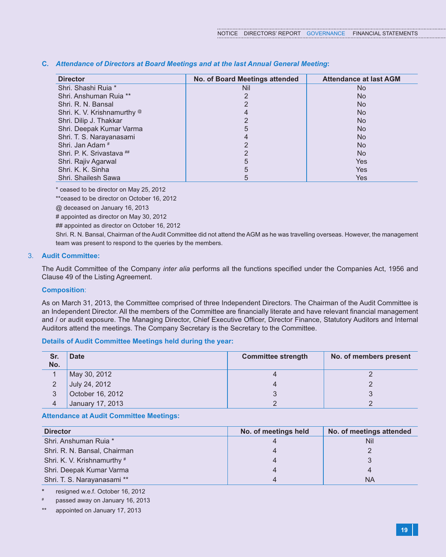| <b>Director</b>                          | <b>No. of Board Meetings attended</b> | <b>Attendance at last AGM</b> |
|------------------------------------------|---------------------------------------|-------------------------------|
| Shri, Shashi Ruja *                      | Nil                                   | No.                           |
| Shri, Anshuman Ruja **                   |                                       | <b>No</b>                     |
| Shri, R. N. Bansal                       |                                       | <b>No</b>                     |
| Shri. K. V. Krishnamurthy $^{\circledR}$ | 4                                     | No                            |
| Shri. Dilip J. Thakkar                   |                                       | <b>No</b>                     |
| Shri. Deepak Kumar Varma                 | 5                                     | <b>No</b>                     |
| Shri. T. S. Narayanasami                 |                                       | <b>No</b>                     |
| Shri, Jan Adam <sup>#</sup>              |                                       | No.                           |
| Shri, P. K. Srivastava ##                |                                       | <b>No</b>                     |
| Shri. Rajiv Agarwal                      | 5                                     | Yes                           |
| Shri, K. K. Sinha                        | 5                                     | <b>Yes</b>                    |
| Shri, Shailesh Sawa                      | 5                                     | Yes                           |

#### **C***. Attendance of Directors at Board Meetings and at the last Annual General Meeting***:**

\* ceased to be director on May 25, 2012

\*\*ceased to be director on October 16, 2012

@ deceased on January 16, 2013

# appointed as director on May 30, 2012

## appointed as director on October 16, 2012

 Shri. R. N. Bansal, Chairman of the Audit Committee did not attend the AGM as he was travelling overseas. However, the management team was present to respond to the queries by the members.

#### 3. **Audit Committee:**

The Audit Committee of the Company *inter alia* performs all the functions specified under the Companies Act, 1956 and Clause 49 of the Listing Agreement.

#### **Composition**:

 As on March 31, 2013, the Committee comprised of three Independent Directors. The Chairman of the Audit Committee is an Independent Director. All the members of the Committee are financially literate and have relevant financial management and / or audit exposure. The Managing Director, Chief Executive Officer, Director Finance, Statutory Auditors and Internal Auditors attend the meetings. The Company Secretary is the Secretary to the Committee.

#### **Details of Audit Committee Meetings held during the year:**

| Sr.<br>No. | <b>Date</b>      | <b>Committee strength</b> | No. of members present |
|------------|------------------|---------------------------|------------------------|
|            | May 30, 2012     |                           |                        |
| 2          | July 24, 2012    |                           |                        |
| 3          | October 16, 2012 | 3                         |                        |
| 4          | January 17, 2013 |                           |                        |

#### **Attendance at Audit Committee Meetings:**

| <b>Director</b>              | No. of meetings held | No. of meetings attended |
|------------------------------|----------------------|--------------------------|
| Shri, Anshuman Ruja *        |                      | Nil                      |
| Shri. R. N. Bansal, Chairman |                      |                          |
| Shri. K. V. Krishnamurthy #  | 4                    |                          |
| Shri. Deepak Kumar Varma     | 4                    |                          |
| Shri. T. S. Narayanasami **  | 4                    | NA                       |

resigned w.e.f. October 16, 2012

# passed away on January 16, 2013

appointed on January 17, 2013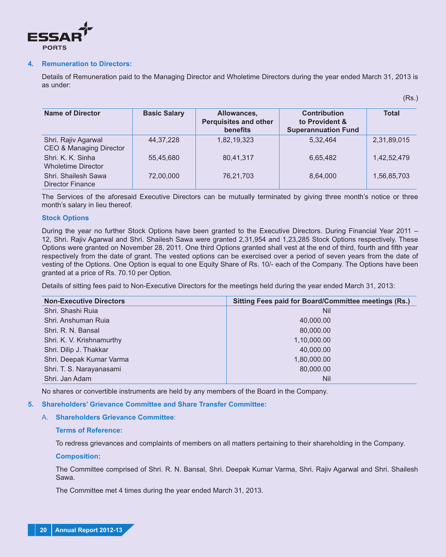

#### **4. Remuneration to Directors:**

 Details of Remuneration paid to the Managing Director and Wholetime Directors during the year ended March 31, 2013 is as under:

 $\sim$  Rs.) The contract of the contract of the contract of the contract of the contract of  $\sim$ 

| <b>Name of Director</b>                        | <b>Basic Salary</b> | Allowances,<br><b>Perquisites and other</b><br>benefits | <b>Contribution</b><br>to Provident &<br><b>Superannuation Fund</b> | <b>Total</b> |
|------------------------------------------------|---------------------|---------------------------------------------------------|---------------------------------------------------------------------|--------------|
| Shri. Rajiv Agarwal<br>CEO & Managing Director | 44, 37, 228         | 1,82,19,323                                             | 5.32.464                                                            | 2,31,89,015  |
| Shri, K. K. Sinha<br><b>Wholetime Director</b> | 55.45.680           | 80,41,317                                               | 6.65.482                                                            | 1,42,52,479  |
| Shri, Shailesh Sawa<br>Director Finance        | 72,00,000           | 76,21,703                                               | 8,64,000                                                            | 1,56,85,703  |

 The Services of the aforesaid Executive Directors can be mutually terminated by giving three month's notice or three month's salary in lieu thereof.

#### **Stock Options**

 During the year no further Stock Options have been granted to the Executive Directors. During Financial Year 2011 – 12, Shri. Rajiv Agarwal and Shri. Shailesh Sawa were granted 2,31,954 and 1,23,285 Stock Options respectively. These Options were granted on November 28, 2011. One third Options granted shall vest at the end of third, fourth and fifth year respectively from the date of grant. The vested options can be exercised over a period of seven years from the date of vesting of the Options. One Option is equal to one Equity Share of Rs. 10/- each of the Company. The Options have been granted at a price of Rs. 70.10 per Option.

Details of sitting fees paid to Non-Executive Directors for the meetings held during the year ended March 31, 2013:

| <b>Non-Executive Directors</b> | Sitting Fees paid for Board/Committee meetings (Rs.) |
|--------------------------------|------------------------------------------------------|
| Shri, Shashi Ruja              | Nil                                                  |
| Shri, Anshuman Ruja            | 40,000.00                                            |
| Shri, R. N. Bansal             | 80,000.00                                            |
| Shri. K. V. Krishnamurthy      | 1,10,000.00                                          |
| Shri. Dilip J. Thakkar         | 40,000.00                                            |
| Shri. Deepak Kumar Varma       | 1,80,000.00                                          |
| Shri. T. S. Narayanasami       | 80,000,00                                            |
| Shri, Jan Adam                 | Nil                                                  |

No shares or convertible instruments are held by any members of the Board in the Company.

#### **5. Shareholders' Grievance Committee and Share Transfer Committee:**

#### A. **Shareholders Grievance Committee**:

#### **Terms of Reference:**

To redress grievances and complaints of members on all matters pertaining to their shareholding in the Company.

#### **Composition:**

 The Committee comprised of Shri. R. N. Bansal, Shri. Deepak Kumar Varma, Shri. Rajiv Agarwal and Shri. Shailesh Sawa.

The Committee met 4 times during the year ended March 31, 2013.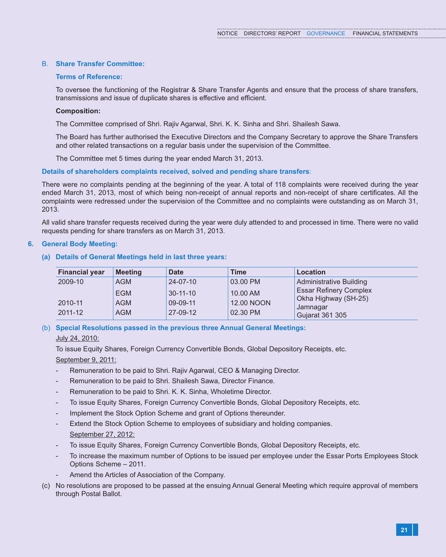#### B. **Share Transfer Committee:**

#### **Terms of Reference:**

 To oversee the functioning of the Registrar & Share Transfer Agents and ensure that the process of share transfers, transmissions and issue of duplicate shares is effective and efficient.

#### **Composition:**

The Committee comprised of Shri. Rajiv Agarwal, Shri. K. K. Sinha and Shri. Shailesh Sawa.

 The Board has further authorised the Executive Directors and the Company Secretary to approve the Share Transfers and other related transactions on a regular basis under the supervision of the Committee.

The Committee met 5 times during the year ended March 31, 2013.

#### **Details of shareholders complaints received, solved and pending share transfers**:

 There were no complaints pending at the beginning of the year. A total of 118 complaints were received during the year ended March 31, 2013, most of which being non-receipt of annual reports and non-receipt of share certificates. All the complaints were redressed under the supervision of the Committee and no complaints were outstanding as on March 31, 2013.

 All valid share transfer requests received during the year were duly attended to and processed in time. There were no valid requests pending for share transfers as on March 31, 2013.

#### **6. General Body Meeting:**

#### **(a) Details of General Meetings held in last three years:**

| <b>Financial year</b> | <b>Meeting</b> | <b>Date</b>    | Time       | Location                         |
|-----------------------|----------------|----------------|------------|----------------------------------|
| 2009-10               | <b>AGM</b>     | $24 - 07 - 10$ | 03.00 PM   | Administrative Building          |
|                       | <b>EGM</b>     | $30 - 11 - 10$ | 10.00 AM   | <b>Essar Refinery Complex</b>    |
| 2010-11               | <b>AGM</b>     | 09-09-11       | 12.00 NOON | Okha Highway (SH-25)<br>Jamnagar |
| 2011-12               | <b>AGM</b>     | 27-09-12       | 02.30 PM   | Gujarat 361 305                  |

#### (b) **Special Resolutions passed in the previous three Annual General Meetings:**

#### July 24, 2010:

 To issue Equity Shares, Foreign Currency Convertible Bonds, Global Depository Receipts, etc. September 9, 2011:

- Remuneration to be paid to Shri. Rajiv Agarwal, CEO & Managing Director.
- Remuneration to be paid to Shri. Shailesh Sawa, Director Finance.
- Remuneration to be paid to Shri. K. K. Sinha, Wholetime Director.
- To issue Equity Shares, Foreign Currency Convertible Bonds, Global Depository Receipts, etc.
- Implement the Stock Option Scheme and grant of Options thereunder.
- Extend the Stock Option Scheme to employees of subsidiary and holding companies. September 27, 2012:
- To issue Equity Shares, Foreign Currency Convertible Bonds, Global Depository Receipts, etc.
- To increase the maximum number of Options to be issued per employee under the Essar Ports Employees Stock Options Scheme – 2011.
- Amend the Articles of Association of the Company.
- (c) No resolutions are proposed to be passed at the ensuing Annual General Meeting which require approval of members through Postal Ballot.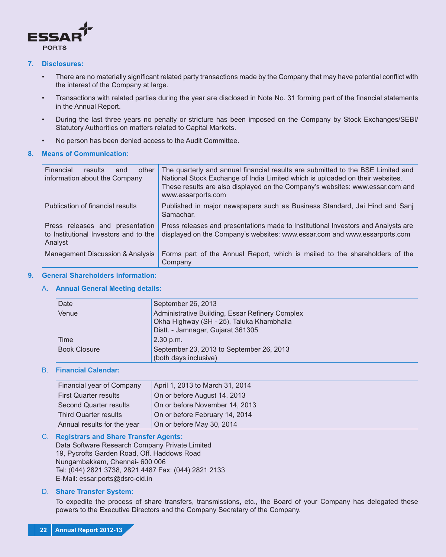

#### **7. Disclosures:**

- There are no materially significant related party transactions made by the Company that may have potential conflict with the interest of the Company at large.
- Transactions with related parties during the year are disclosed in Note No. 31 forming part of the financial statements in the Annual Report.
- During the last three years no penalty or stricture has been imposed on the Company by Stock Exchanges/SEBI/ Statutory Authorities on matters related to Capital Markets.
- No person has been denied access to the Audit Committee.

#### **8. Means of Communication:**

| Financial<br>results<br>other<br>and<br>information about the Company               | The quarterly and annual financial results are submitted to the BSE Limited and<br>National Stock Exchange of India Limited which is uploaded on their websites.<br>These results are also displayed on the Company's websites: www.essar.com and<br>www.essarports.com |
|-------------------------------------------------------------------------------------|-------------------------------------------------------------------------------------------------------------------------------------------------------------------------------------------------------------------------------------------------------------------------|
| Publication of financial results                                                    | Published in major newspapers such as Business Standard, Jai Hind and Sanj<br>Samachar.                                                                                                                                                                                 |
| Press releases and presentation<br>to Institutional Investors and to the<br>Analyst | Press releases and presentations made to Institutional Investors and Analysts are<br>displayed on the Company's websites: www.essar.com and www.essarports.com                                                                                                          |
| <b>Management Discussion &amp; Analysis</b>                                         | Forms part of the Annual Report, which is mailed to the shareholders of the<br>Company                                                                                                                                                                                  |

#### **9. General Shareholders information:**

#### A. **Annual General Meeting details:**

| Date                | September 26, 2013                                                                                                                |
|---------------------|-----------------------------------------------------------------------------------------------------------------------------------|
| Venue               | Administrative Building, Essar Refinery Complex<br>Okha Highway (SH - 25), Taluka Khambhalia<br>Distt. - Jamnagar, Gujarat 361305 |
| Time                | $2.30$ p.m.                                                                                                                       |
| <b>Book Closure</b> | September 23, 2013 to September 26, 2013<br>(both days inclusive)                                                                 |

#### B. **Financial Calendar:**

| Financial year of Company    | April 1, 2013 to March 31, 2014 |
|------------------------------|---------------------------------|
| <b>First Quarter results</b> | On or before August 14, 2013    |
| Second Quarter results       | On or before November 14, 2013  |
| Third Quarter results        | On or before February 14, 2014  |
| Annual results for the year  | On or before May 30, 2014       |

#### C. **Registrars and Share Transfer Agents:**

Data Software Research Company Private Limited 19, Pycrofts Garden Road, Off. Haddows Road Nungambakkam, Chennai- 600 006 Tel: (044) 2821 3738, 2821 4487 Fax: (044) 2821 2133 E-Mail: essar.ports@dsrc-cid.in

#### D. **Share Transfer System:**

 To expedite the process of share transfers, transmissions, etc., the Board of your Company has delegated these powers to the Executive Directors and the Company Secretary of the Company.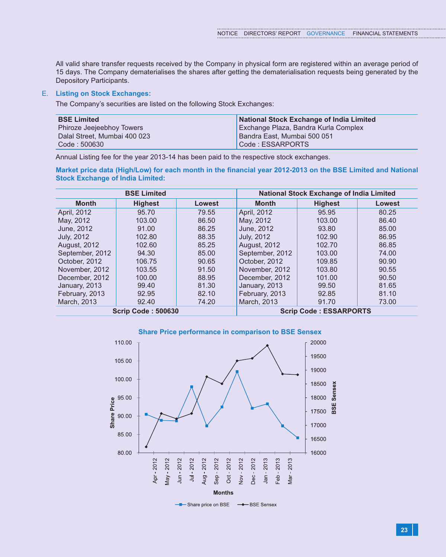All valid share transfer requests received by the Company in physical form are registered within an average period of 15 days. The Company dematerialises the shares after getting the dematerialisation requests being generated by the Depository Participants.

#### E. **Listing on Stock Exchanges:**

The Company's securities are listed on the following Stock Exchanges:

| <b>BSE Limited</b>           | National Stock Exchange of India Limited |
|------------------------------|------------------------------------------|
| Phiroze Jeejeebhoy Towers    | Exchange Plaza, Bandra Kurla Complex     |
| Dalal Street. Mumbai 400 023 | Bandra East, Mumbai 500 051              |
| Code: 500630                 | Code: ESSARPORTS                         |

Annual Listing fee for the year 2013-14 has been paid to the respective stock exchanges.

Market price data (High/Low) for each month in the financial year 2012-2013 on the BSE Limited and National **Stock Exchange of India Limited:**

| <b>BSE Limited</b>        |                |               | <b>National Stock Exchange of India Limited</b> |                |        |
|---------------------------|----------------|---------------|-------------------------------------------------|----------------|--------|
| <b>Month</b>              | <b>Highest</b> | <b>Lowest</b> | <b>Month</b>                                    | <b>Highest</b> | Lowest |
| April, 2012               | 95.70          | 79.55         | April, 2012                                     | 95.95          | 80.25  |
| May, 2012                 | 103.00         | 86.50         | May, 2012                                       | 103.00         | 86.40  |
| June, 2012                | 91.00          | 86.25         | June, 2012                                      | 93.80          | 85.00  |
| <b>July, 2012</b>         | 102.80         | 88.35         | <b>July, 2012</b>                               | 102.90         | 86.95  |
| August, 2012              | 102.60         | 85.25         | <b>August, 2012</b>                             | 102.70         | 86.85  |
| September, 2012           | 94.30          | 85.00         | September, 2012                                 | 103.00         | 74.00  |
| October, 2012             | 106.75         | 90.65         | October, 2012                                   | 109.85         | 90.90  |
| November, 2012            | 103.55         | 91.50         | November, 2012                                  | 103.80         |        |
| December, 2012            | 100.00         | 88.95         | December, 2012                                  | 101.00         | 90.50  |
| January, 2013             | 99.40          | 81.30         | January, 2013                                   | 99.50          | 81.65  |
| February, 2013            | 92.95          | 82.10         | February, 2013                                  | 92.85          | 81.10  |
| March, 2013               | 92.40          | 74.20         | March, 2013<br>91.70                            |                | 73.00  |
| <b>Scrip Code: 500630</b> |                |               | <b>Scrip Code: ESSARPORTS</b>                   |                |        |

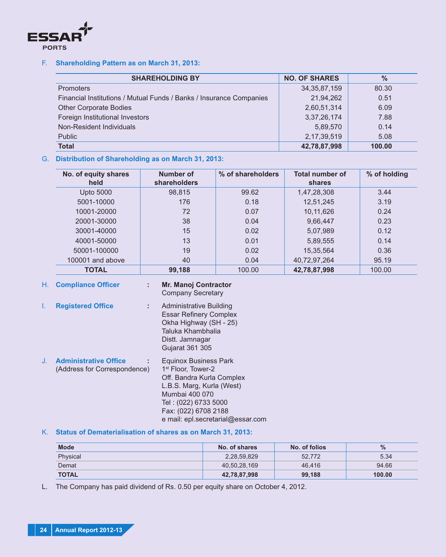

#### F. **Shareholding Pattern as on March 31, 2013:**

| <b>SHAREHOLDING BY</b>                                              | <b>NO. OF SHARES</b> | $\%$   |
|---------------------------------------------------------------------|----------------------|--------|
| <b>Promoters</b>                                                    | 34, 35, 87, 159      | 80.30  |
| Financial Institutions / Mutual Funds / Banks / Insurance Companies | 21,94,262            | 0.51   |
| <b>Other Corporate Bodies</b>                                       | 2,60,51,314          | 6.09   |
| Foreign Institutional Investors                                     | 3, 37, 26, 174       | 7.88   |
| Non-Resident Individuals                                            | 5,89,570             | 0.14   |
| <b>Public</b>                                                       | 2,17,39,519          | 5.08   |
| <b>Total</b>                                                        | 42,78,87,998         | 100.00 |

#### G. **Distribution of Shareholding as on March 31, 2013:**

| No. of equity shares<br>held | Number of<br><b>shareholders</b> | % of shareholders | <b>Total number of</b><br>shares | % of holding |
|------------------------------|----------------------------------|-------------------|----------------------------------|--------------|
| <b>Upto 5000</b>             | 98,815                           | 99.62             | 1,47,28,308                      | 3.44         |
| 5001-10000                   | 176                              | 0.18              | 12,51,245                        | 3.19         |
| 10001-20000                  | 72                               | 0.07              | 10,11,626                        | 0.24         |
| 20001-30000                  | 38                               | 0.04              | 9,66,447                         | 0.23         |
| 30001-40000                  | 15                               | 0.02              | 5,07,989                         | 0.12         |
| 40001-50000                  | 13                               | 0.01              | 5,89,555                         | 0.14         |
| 50001-100000                 | 19                               | 0.02              | 15,35,564                        | 0.36         |
| 100001 and above             | 40                               | 0.04              | 40,72,97,264                     | 95.19        |
| <b>TOTAL</b>                 | 99,188                           | 100.00            | 42,78,87,998                     | 100.00       |

| Н. | <b>Compliance Officer</b>                                    | ÷ | <b>Mr. Manoj Contractor</b><br><b>Company Secretary</b>                                                                                       |
|----|--------------------------------------------------------------|---|-----------------------------------------------------------------------------------------------------------------------------------------------|
|    | <b>Registered Office</b>                                     | ÷ | Administrative Building<br><b>Essar Refinery Complex</b><br>Okha Highway (SH - 25)<br>Taluka Khambhalia<br>Distt. Jamnagar<br>Gujarat 361 305 |
| J. | <b>Administrative Office</b><br>(Address for Correspondence) | ÷ | Equinox Business Park<br>1 <sup>st</sup> Floor, Tower-2<br>Off. Bandra Kurla Complex<br>L.B.S. Marg, Kurla (West)                             |

 Mumbai 400 070 Tel : (022) 6733 5000 Fax: (022) 6708 2188

e mail: epl.secretarial@essar.com

#### K. **Status of Dematerialisation of shares as on March 31, 2013:**

| <b>Mode</b>  | No. of shares | No. of folios | $\frac{9}{6}$ |  |
|--------------|---------------|---------------|---------------|--|
| Physical     | 2,28,59,829   | 52.772        | 5.34          |  |
| Demat        | 40.50.28.169  | 46.416        | 94.66         |  |
| <b>TOTAL</b> | 42,78,87,998  | 99.188        | 100.00        |  |

L. The Company has paid dividend of Rs. 0.50 per equity share on October 4, 2012.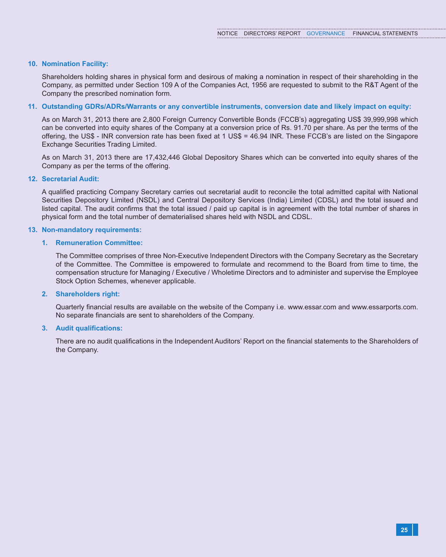#### **10. Nomination Facility:**

 Shareholders holding shares in physical form and desirous of making a nomination in respect of their shareholding in the Company, as permitted under Section 109 A of the Companies Act, 1956 are requested to submit to the R&T Agent of the Company the prescribed nomination form.

#### **11. Outstanding GDRs/ADRs/Warrants or any convertible instruments, conversion date and likely impact on equity:**

 As on March 31, 2013 there are 2,800 Foreign Currency Convertible Bonds (FCCB's) aggregating US\$ 39,999,998 which can be converted into equity shares of the Company at a conversion price of Rs. 91.70 per share. As per the terms of the offering, the US\$ - INR conversion rate has been fixed at 1 US\$ = 46.94 INR. These FCCB's are listed on the Singapore Exchange Securities Trading Limited.

 As on March 31, 2013 there are 17,432,446 Global Depository Shares which can be converted into equity shares of the Company as per the terms of the offering.

#### **12. Secretarial Audit:**

A qualified practicing Company Secretary carries out secretarial audit to reconcile the total admitted capital with National Securities Depository Limited (NSDL) and Central Depository Services (India) Limited (CDSL) and the total issued and listed capital. The audit confirms that the total issued / paid up capital is in agreement with the total number of shares in physical form and the total number of dematerialised shares held with NSDL and CDSL.

#### **13. Non-mandatory requirements:**

#### **1. Remuneration Committee:**

 The Committee comprises of three Non-Executive Independent Directors with the Company Secretary as the Secretary of the Committee. The Committee is empowered to formulate and recommend to the Board from time to time, the compensation structure for Managing / Executive / Wholetime Directors and to administer and supervise the Employee Stock Option Schemes, whenever applicable.

#### **2. Shareholders right:**

Quarterly financial results are available on the website of the Company i.e. www.essar.com and www.essarports.com. No separate financials are sent to shareholders of the Company.

#### **3.** Audit qualifications:

There are no audit qualifications in the Independent Auditors' Report on the financial statements to the Shareholders of the Company.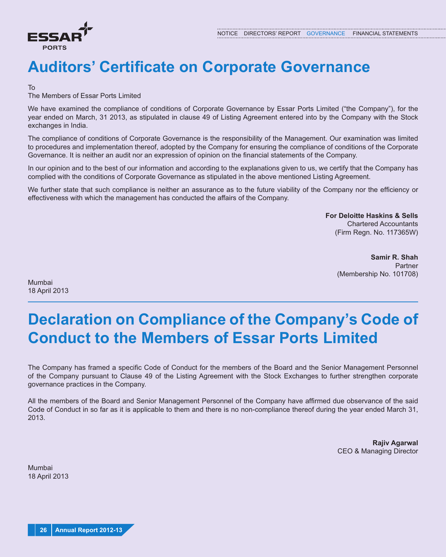

# **Auditors' Certificate on Corporate Governance**

#### To

The Members of Essar Ports Limited

We have examined the compliance of conditions of Corporate Governance by Essar Ports Limited ("the Company"), for the year ended on March, 31 2013, as stipulated in clause 49 of Listing Agreement entered into by the Company with the Stock exchanges in India.

The compliance of conditions of Corporate Governance is the responsibility of the Management. Our examination was limited to procedures and implementation thereof, adopted by the Company for ensuring the compliance of conditions of the Corporate Governance. It is neither an audit nor an expression of opinion on the financial statements of the Company.

In our opinion and to the best of our information and according to the explanations given to us, we certify that the Company has complied with the conditions of Corporate Governance as stipulated in the above mentioned Listing Agreement.

We further state that such compliance is neither an assurance as to the future viability of the Company nor the efficiency or effectiveness with which the management has conducted the affairs of the Company.

> **For Deloitte Haskins & Sells** Chartered Accountants (Firm Regn. No. 117365W)

> > **Samir R. Shah** Partner (Membership No. 101708)

Mumbai 18 April 2013

## **Declaration on Compliance of the Company's Code of Conduct to the Members of Essar Ports Limited**

The Company has framed a specific Code of Conduct for the members of the Board and the Senior Management Personnel of the Company pursuant to Clause 49 of the Listing Agreement with the Stock Exchanges to further strengthen corporate governance practices in the Company.

All the members of the Board and Senior Management Personnel of the Company have affirmed due observance of the said Code of Conduct in so far as it is applicable to them and there is no non-compliance thereof during the year ended March 31, 2013.

> **Rajiv Agarwal** CEO & Managing Director

Mumbai 18 April 2013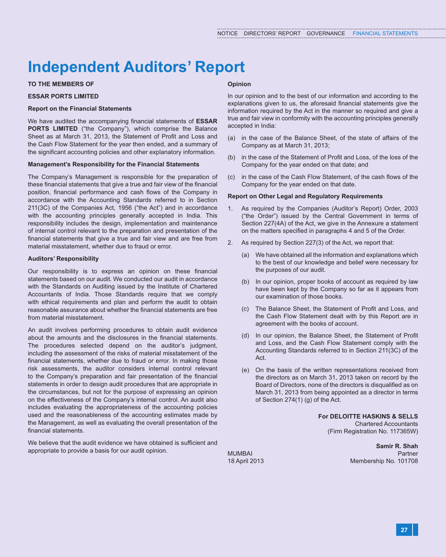### **Independent Auditors' Report**

#### **TO THE MEMBERS OF**

#### **ESSAR PORTS LIMITED**

#### **Report on the Financial Statements**

We have audited the accompanying financial statements of ESSAR **PORTS LIMITED** ("the Company"), which comprise the Balance Sheet as at March 31, 2013, the Statement of Profit and Loss and the Cash Flow Statement for the year then ended, and a summary of the significant accounting policies and other explanatory information.

#### **Management's Responsibility for the Financial Statements**

The Company's Management is responsible for the preparation of these financial statements that give a true and fair view of the financial position, financial performance and cash flows of the Company in accordance with the Accounting Standards referred to in Section 211(3C) of the Companies Act, 1956 ("the Act") and in accordance with the accounting principles generally accepted in India. This responsibility includes the design, implementation and maintenance of internal control relevant to the preparation and presentation of the financial statements that give a true and fair view and are free from material misstatement, whether due to fraud or error.

#### **Auditors' Responsibility**

Our responsibility is to express an opinion on these financial statements based on our audit. We conducted our audit in accordance with the Standards on Auditing issued by the Institute of Chartered Accountants of India. Those Standards require that we comply with ethical requirements and plan and perform the audit to obtain reasonable assurance about whether the financial statements are free from material misstatement.

An audit involves performing procedures to obtain audit evidence about the amounts and the disclosures in the financial statements. The procedures selected depend on the auditor's judgment, including the assessment of the risks of material misstatement of the financial statements, whether due to fraud or error. In making those risk assessments, the auditor considers internal control relevant to the Company's preparation and fair presentation of the financial statements in order to design audit procedures that are appropriate in the circumstances, but not for the purpose of expressing an opinion on the effectiveness of the Company's internal control. An audit also includes evaluating the appropriateness of the accounting policies used and the reasonableness of the accounting estimates made by the Management, as well as evaluating the overall presentation of the financial statements.

We believe that the audit evidence we have obtained is sufficient and appropriate to provide a basis for our audit opinion.

#### **Opinion**

In our opinion and to the best of our information and according to the explanations given to us, the aforesaid financial statements give the information required by the Act in the manner so required and give a true and fair view in conformity with the accounting principles generally accepted in India:

- (a) in the case of the Balance Sheet, of the state of affairs of the Company as at March 31, 2013;
- (b) in the case of the Statement of Profit and Loss, of the loss of the Company for the year ended on that date; and
- (c) in the case of the Cash Flow Statement, of the cash flows of the Company for the year ended on that date.

#### **Report on Other Legal and Regulatory Requirements**

- 1. As required by the Companies (Auditor's Report) Order, 2003 ("the Order") issued by the Central Government in terms of Section 227(4A) of the Act, we give in the Annexure a statement on the matters specified in paragraphs 4 and 5 of the Order.
- 2. As required by Section 227(3) of the Act, we report that:
	- (a) We have obtained all the information and explanations which to the best of our knowledge and belief were necessary for the purposes of our audit.
	- (b) In our opinion, proper books of account as required by law have been kept by the Company so far as it appears from our examination of those books.
	- (c) The Balance Sheet, the Statement of Profit and Loss, and the Cash Flow Statement dealt with by this Report are in agreement with the books of account.
	- (d) In our opinion, the Balance Sheet, the Statement of Profit and Loss, and the Cash Flow Statement comply with the Accounting Standards referred to in Section 211(3C) of the Act.
	- (e) On the basis of the written representations received from the directors as on March 31, 2013 taken on record by the Board of Directors, none of the directors is disqualified as on March 31, 2013 from being appointed as a director in terms of Section 274(1) (g) of the Act.

**For DELOITTE HASKINS & SELLS** Chartered Accountants (Firm Registration No. 117365W)

 **Samir R. Shah** MUMBAI Partner 18 April 2013 Membership No. 101708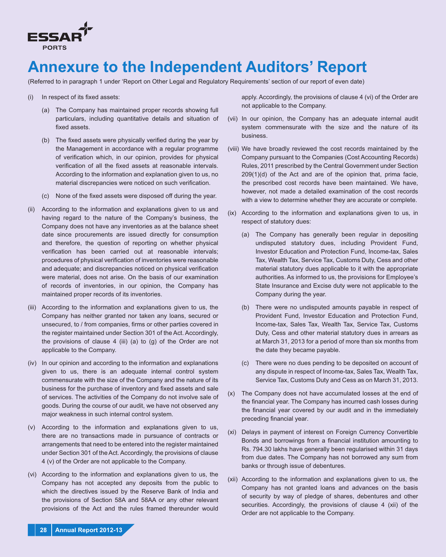

### **Annexure to the Independent Auditors' Report**

(Referred to in paragraph 1 under 'Report on Other Legal and Regulatory Requirements' section of our report of even date)

- $(i)$  In respect of its fixed assets:
	- (a) The Company has maintained proper records showing full particulars, including quantitative details and situation of fixed assets.
	- (b) The fixed assets were physically verified during the year by the Management in accordance with a regular programme of verification which, in our opinion, provides for physical verification of all the fixed assets at reasonable intervals. According to the information and explanation given to us, no material discrepancies were noticed on such verification.
	- (c) None of the fixed assets were disposed off during the year.
- (ii) According to the information and explanations given to us and having regard to the nature of the Company's business, the Company does not have any inventories as at the balance sheet date since procurements are issued directly for consumption and therefore, the question of reporting on whether physical verification has been carried out at reasonable intervals; procedures of physical verification of inventories were reasonable and adequate; and discrepancies noticed on physical verification were material, does not arise. On the basis of our examination of records of inventories, in our opinion, the Company has maintained proper records of its inventories.
- (iii) According to the information and explanations given to us, the Company has neither granted nor taken any loans, secured or unsecured, to / from companies, firms or other parties covered in the register maintained under Section 301 of the Act. Accordingly, the provisions of clause 4 (iii) (a) to (g) of the Order are not applicable to the Company.
- (iv) In our opinion and according to the information and explanations given to us, there is an adequate internal control system commensurate with the size of the Company and the nature of its business for the purchase of inventory and fixed assets and sale of services. The activities of the Company do not involve sale of goods. During the course of our audit, we have not observed any major weakness in such internal control system.
- (v) According to the information and explanations given to us, there are no transactions made in pursuance of contracts or arrangements that need to be entered into the register maintained under Section 301 of the Act. Accordingly, the provisions of clause 4 (v) of the Order are not applicable to the Company.
- (vi) According to the information and explanations given to us, the Company has not accepted any deposits from the public to which the directives issued by the Reserve Bank of India and the provisions of Section 58A and 58AA or any other relevant provisions of the Act and the rules framed thereunder would

apply. Accordingly, the provisions of clause 4 (vi) of the Order are not applicable to the Company.

- (vii) In our opinion, the Company has an adequate internal audit system commensurate with the size and the nature of its business.
- (viii) We have broadly reviewed the cost records maintained by the Company pursuant to the Companies (Cost Accounting Records) Rules, 2011 prescribed by the Central Government under Section 209(1)(d) of the Act and are of the opinion that, prima facie, the prescribed cost records have been maintained. We have, however, not made a detailed examination of the cost records with a view to determine whether they are accurate or complete.
- (ix) According to the information and explanations given to us, in respect of statutory dues:
	- (a) The Company has generally been regular in depositing undisputed statutory dues, including Provident Fund, Investor Education and Protection Fund, Income-tax, Sales Tax, Wealth Tax, Service Tax, Customs Duty, Cess and other material statutory dues applicable to it with the appropriate authorities. As informed to us, the provisions for Employee's State Insurance and Excise duty were not applicable to the Company during the year.
	- (b) There were no undisputed amounts payable in respect of Provident Fund, Investor Education and Protection Fund, Income-tax, Sales Tax, Wealth Tax, Service Tax, Customs Duty, Cess and other material statutory dues in arrears as at March 31, 2013 for a period of more than six months from the date they became payable.
	- (c) There were no dues pending to be deposited on account of any dispute in respect of Income-tax, Sales Tax, Wealth Tax, Service Tax, Customs Duty and Cess as on March 31, 2013.
- (x) The Company does not have accumulated losses at the end of the financial year. The Company has incurred cash losses during the financial year covered by our audit and in the immediately preceding financial year.
- (xi) Delays in payment of interest on Foreign Currency Convertible Bonds and borrowings from a financial institution amounting to Rs. 794.30 lakhs have generally been regularised within 31 days from due dates. The Company has not borrowed any sum from banks or through issue of debentures.
- (xii) According to the information and explanations given to us, the Company has not granted loans and advances on the basis of security by way of pledge of shares, debentures and other securities. Accordingly, the provisions of clause 4 (xii) of the Order are not applicable to the Company.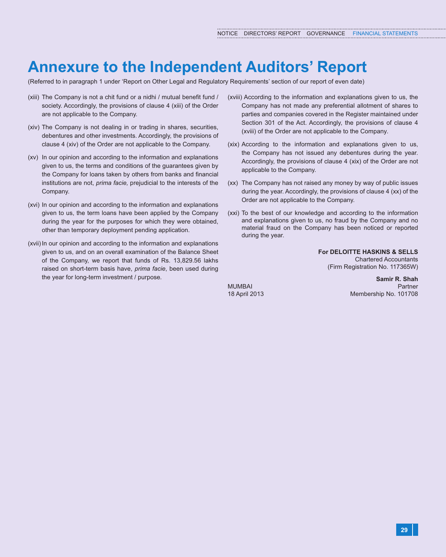### **Annexure to the Independent Auditors' Report**

(Referred to in paragraph 1 under 'Report on Other Legal and Regulatory Requirements' section of our report of even date)

- (xiii) The Company is not a chit fund or a nidhi / mutual benefit fund / society. Accordingly, the provisions of clause 4 (xiii) of the Order are not applicable to the Company.
- (xiv) The Company is not dealing in or trading in shares, securities, debentures and other investments. Accordingly, the provisions of clause 4 (xiv) of the Order are not applicable to the Company.
- (xv) In our opinion and according to the information and explanations given to us, the terms and conditions of the guarantees given by the Company for loans taken by others from banks and financial institutions are not, *prima facie,* prejudicial to the interests of the Company.
- (xvi) In our opinion and according to the information and explanations given to us, the term loans have been applied by the Company during the year for the purposes for which they were obtained, other than temporary deployment pending application.
- (xvii) In our opinion and according to the information and explanations given to us, and on an overall examination of the Balance Sheet of the Company, we report that funds of Rs. 13,829.56 lakhs raised on short-term basis have, *prima facie*, been used during the year for long-term investment / purpose*.*
- (xviii) According to the information and explanations given to us, the Company has not made any preferential allotment of shares to parties and companies covered in the Register maintained under Section 301 of the Act. Accordingly, the provisions of clause 4 (xviii) of the Order are not applicable to the Company*.*
- (xix) According to the information and explanations given to us, the Company has not issued any debentures during the year. Accordingly, the provisions of clause 4 (xix) of the Order are not applicable to the Company.
- (xx) The Company has not raised any money by way of public issues during the year. Accordingly, the provisions of clause 4 (xx) of the Order are not applicable to the Company.
- (xxi) To the best of our knowledge and according to the information and explanations given to us, no fraud by the Company and no material fraud on the Company has been noticed or reported during the year.

**For DELOITTE HASKINS & SELLS** Chartered Accountants (Firm Registration No. 117365W)

**Samir R. Shah**<br>Partner MUMBAI Partner and the control of the control of the control of the control of the control of the control of the control of the control of the control of the control of the control of the control of the control of the cont 18 April 2013 Membership No. 101708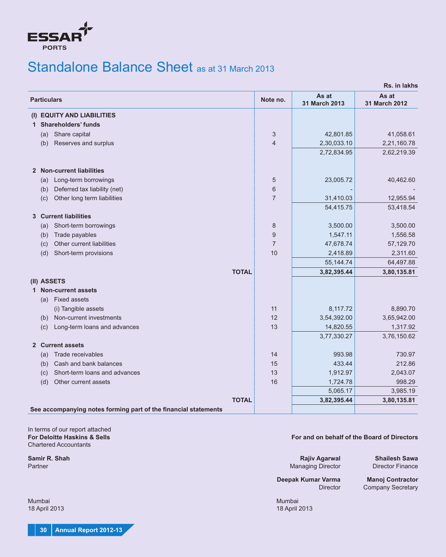

### Standalone Balance Sheet as at 31 March 2013

|                    |                                                                 |              |                |                        | Rs. in lakhs           |
|--------------------|-----------------------------------------------------------------|--------------|----------------|------------------------|------------------------|
| <b>Particulars</b> |                                                                 |              | Note no.       | As at<br>31 March 2013 | As at<br>31 March 2012 |
|                    | (I) EQUITY AND LIABILITIES                                      |              |                |                        |                        |
|                    | 1 Shareholders' funds                                           |              |                |                        |                        |
| (a)                | Share capital                                                   |              | 3              | 42,801.85              | 41,058.61              |
| (b)                | Reserves and surplus                                            |              | 4              | 2,30,033.10            | 2,21,160.78            |
|                    |                                                                 |              |                | 2,72,834.95            | 2,62,219.39            |
|                    | 2 Non-current liabilities                                       |              |                |                        |                        |
| (a)                | Long-term borrowings                                            |              | 5              | 23,005.72              | 40,462.60              |
| (b)                | Deferred tax liability (net)                                    |              | 6              |                        |                        |
| (c)                | Other long term liabilities                                     |              | $\overline{7}$ | 31,410.03              | 12,955.94              |
|                    |                                                                 |              |                | 54,415.75              | 53,418.54              |
|                    | 3 Current liabilities                                           |              |                |                        |                        |
| (a)                | Short-term borrowings                                           |              | 8              | 3,500.00               | 3,500.00               |
| (b)                | Trade payables                                                  |              | 9              | 1,547.11               | 1,556.58               |
| (c)                | Other current liabilities                                       |              | $\overline{7}$ | 47,678.74              | 57,129.70              |
| (d)                | Short-term provisions                                           |              | 10             | 2,418.89               | 2,311.60               |
|                    |                                                                 |              |                | 55,144.74              | 64,497.88              |
|                    |                                                                 | <b>TOTAL</b> |                | 3,82,395.44            | 3,80,135.81            |
|                    | (II) ASSETS                                                     |              |                |                        |                        |
|                    | 1 Non-current assets                                            |              |                |                        |                        |
| (a)                | <b>Fixed assets</b>                                             |              |                |                        |                        |
|                    | (i) Tangible assets                                             |              | 11             | 8,117.72               | 8,890.70               |
| (b)                | Non-current investments                                         |              | 12             | 3,54,392.00            | 3,65,942.00            |
| (c)                | Long-term loans and advances                                    |              | 13             | 14,820.55              | 1,317.92               |
|                    |                                                                 |              |                | 3,77,330.27            | 3,76,150.62            |
|                    | 2 Current assets                                                |              |                |                        |                        |
| (a)                | Trade receivables                                               |              | 14             | 993.98                 | 730.97                 |
| (b)                | Cash and bank balances                                          |              | 15             | 433.44                 | 212.86                 |
| (c)                | Short-term loans and advances                                   |              | 13             | 1,912.97               | 2,043.07               |
| (d)                | Other current assets                                            |              | 16             | 1,724.78               | 998.29                 |
|                    |                                                                 |              |                | 5,065.17               | 3,985.19               |
|                    |                                                                 | <b>TOTAL</b> |                | 3,82,395.44            | 3,80,135.81            |
|                    | See accompanying notes forming part of the financial statements |              |                |                        |                        |

In terms of our report attached<br>For Deloitte Haskins & Sells Chartered Accountants

#### **For and on behalf of the Board of Directors**

| Samir R. Shah | <b>Rajiv Agarwal</b>     | <b>Shailesh Sawa</b>    |
|---------------|--------------------------|-------------------------|
| Partner       | <b>Managing Director</b> | <b>Director Finance</b> |

**Deepak Kumar Varma Manoj Contractor<br>Director Company Secretary** 

Company Secretary

Mumbai Manazarta di Kabupatén Bandung Kabupatén Kabupatén Kabupatén Kabupatén Kabupatén Kabupatén Ka 18 April 2013 18 April 2013

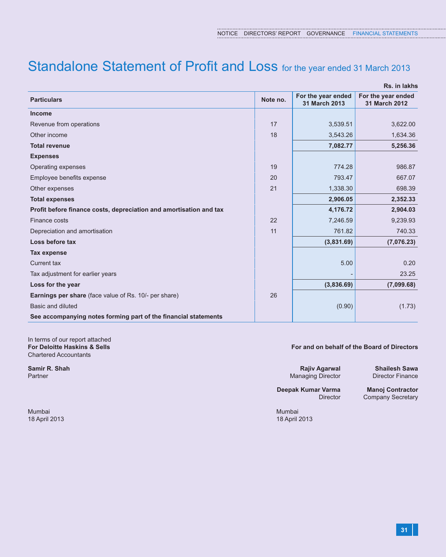|                                                                    |          |                                     | NS. III IANIIS                      |
|--------------------------------------------------------------------|----------|-------------------------------------|-------------------------------------|
| <b>Particulars</b>                                                 | Note no. | For the year ended<br>31 March 2013 | For the year ended<br>31 March 2012 |
| <b>Income</b>                                                      |          |                                     |                                     |
| Revenue from operations                                            | 17       | 3,539.51                            | 3,622.00                            |
| Other income                                                       | 18       | 3,543.26                            | 1,634.36                            |
| <b>Total revenue</b>                                               |          | 7,082.77                            | 5,256.36                            |
| <b>Expenses</b>                                                    |          |                                     |                                     |
| Operating expenses                                                 | 19       | 774.28                              | 986.87                              |
| Employee benefits expense                                          | 20       | 793.47                              | 667.07                              |
| Other expenses                                                     | 21       | 1,338.30                            | 698.39                              |
| <b>Total expenses</b>                                              |          | 2,906.05                            | 2,352.33                            |
| Profit before finance costs, depreciation and amortisation and tax |          | 4,176.72                            | 2,904.03                            |
| Finance costs                                                      | 22       | 7,246.59                            | 9,239.93                            |
| Depreciation and amortisation                                      | 11       | 761.82                              | 740.33                              |
| Loss before tax                                                    |          | (3,831.69)                          | (7,076.23)                          |
| <b>Tax expense</b>                                                 |          |                                     |                                     |
| <b>Current tax</b>                                                 |          | 5.00                                | 0.20                                |
| Tax adjustment for earlier years                                   |          |                                     | 23.25                               |
| Loss for the year                                                  |          | (3,836.69)                          | (7,099.68)                          |
| <b>Earnings per share</b> (face value of Rs. 10/- per share)       | 26       |                                     |                                     |
| <b>Basic and diluted</b>                                           |          | (0.90)                              | (1.73)                              |
| See accompanying notes forming part of the financial statements    |          |                                     |                                     |
|                                                                    |          |                                     |                                     |

### Standalone Statement of Profit and Loss for the year ended 31 March 2013

In terms of our report attached<br>For Deloitte Haskins & Sells Chartered Accountants

#### **For and on behalf of the Board of Directors**

**Samir R. Shah Rajiv Agarwal Shailesh Sawa Managing Director** 

 **Rs. in lakhs**

**Deepak Kumar Varma Manoj Contractor** Director Company Secretary

Mumbai Manazarta di Kabupatén Bandung Kabupatén Kabupatén Kabupatén Kabupatén Kabupatén Kabupatén Ka 18 April 2013 18 April 2013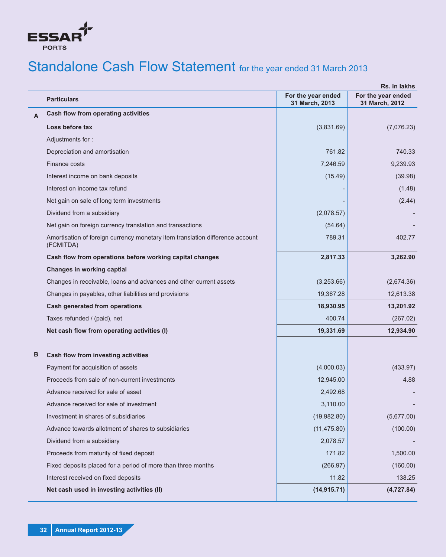

### Standalone Cash Flow Statement for the year ended 31 March 2013

|   | Rs. in lakhs                                                                               |                                      |                                      |  |
|---|--------------------------------------------------------------------------------------------|--------------------------------------|--------------------------------------|--|
|   | <b>Particulars</b>                                                                         | For the year ended<br>31 March, 2013 | For the year ended<br>31 March, 2012 |  |
| A | <b>Cash flow from operating activities</b>                                                 |                                      |                                      |  |
|   | Loss before tax                                                                            | (3,831.69)                           | (7,076.23)                           |  |
|   | Adjustments for:                                                                           |                                      |                                      |  |
|   | Depreciation and amortisation                                                              | 761.82                               | 740.33                               |  |
|   | Finance costs                                                                              | 7,246.59                             | 9,239.93                             |  |
|   | Interest income on bank deposits                                                           | (15.49)                              | (39.98)                              |  |
|   | Interest on income tax refund                                                              |                                      | (1.48)                               |  |
|   | Net gain on sale of long term investments                                                  |                                      | (2.44)                               |  |
|   | Dividend from a subsidiary                                                                 | (2,078.57)                           |                                      |  |
|   | Net gain on foreign currency translation and transactions                                  | (54.64)                              |                                      |  |
|   | Amortisation of foreign currency monetary item translation difference account<br>(FCMITDA) | 789.31                               | 402.77                               |  |
|   | Cash flow from operations before working capital changes                                   | 2,817.33                             | 3,262.90                             |  |
|   | <b>Changes in working captial</b>                                                          |                                      |                                      |  |
|   | Changes in receivable, loans and advances and other current assets                         | (3,253.66)                           | (2,674.36)                           |  |
|   | Changes in payables, other liabilities and provisions                                      | 19,367.28                            | 12,613.38                            |  |
|   | <b>Cash generated from operations</b>                                                      | 18,930.95                            | 13,201.92                            |  |
|   | Taxes refunded / (paid), net                                                               | 400.74                               | (267.02)                             |  |
|   | Net cash flow from operating activities (I)                                                | 19,331.69                            | 12,934.90                            |  |
| в | Cash flow from investing activities                                                        |                                      |                                      |  |
|   | Payment for acquisition of assets                                                          | (4,000.03)                           | (433.97)                             |  |
|   | Proceeds from sale of non-current investments                                              | 12,945.00                            | 4.88                                 |  |
|   | Advance received for sale of asset                                                         | 2,492.68                             |                                      |  |
|   | Advance received for sale of investment                                                    | 3,110.00                             |                                      |  |
|   | Investment in shares of subsidiaries                                                       | (19,982.80)                          | (5,677.00)                           |  |
|   | Advance towards allotment of shares to subsidiaries                                        | (11, 475.80)                         | (100.00)                             |  |
|   | Dividend from a subsidiary                                                                 | 2,078.57                             |                                      |  |
|   | Proceeds from maturity of fixed deposit                                                    | 171.82                               | 1,500.00                             |  |
|   | Fixed deposits placed for a period of more than three months                               | (266.97)                             | (160.00)                             |  |
|   | Interest received on fixed deposits                                                        | 11.82                                | 138.25                               |  |
|   | Net cash used in investing activities (II)                                                 | (14, 915.71)                         | (4,727.84)                           |  |
|   |                                                                                            |                                      |                                      |  |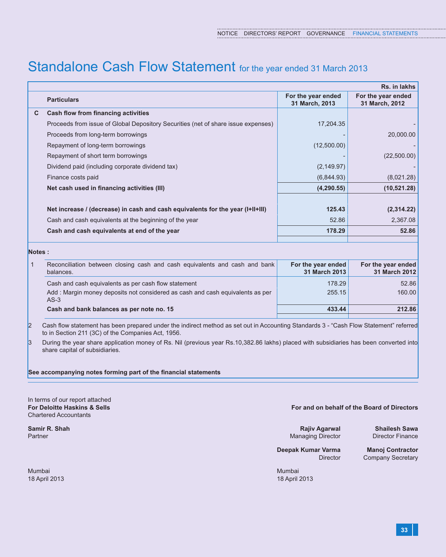### Standalone Cash Flow Statement for the year ended 31 March 2013

|                | Rs. in lakhs                                                                                                                                                                                |                                      |                                      |  |  |
|----------------|---------------------------------------------------------------------------------------------------------------------------------------------------------------------------------------------|--------------------------------------|--------------------------------------|--|--|
|                | <b>Particulars</b>                                                                                                                                                                          | For the year ended<br>31 March, 2013 | For the year ended<br>31 March, 2012 |  |  |
| С              | <b>Cash flow from financing activities</b>                                                                                                                                                  |                                      |                                      |  |  |
|                | Proceeds from issue of Global Depository Securities (net of share issue expenses)                                                                                                           | 17,204.35                            |                                      |  |  |
|                | Proceeds from long-term borrowings                                                                                                                                                          |                                      | 20,000.00                            |  |  |
|                | Repayment of long-term borrowings                                                                                                                                                           | (12,500.00)                          |                                      |  |  |
|                | Repayment of short term borrowings                                                                                                                                                          |                                      | (22,500.00)                          |  |  |
|                | Dividend paid (including corporate dividend tax)                                                                                                                                            | (2, 149.97)                          |                                      |  |  |
|                | Finance costs paid                                                                                                                                                                          | (6,844.93)                           | (8,021.28)                           |  |  |
|                | Net cash used in financing activities (III)                                                                                                                                                 | (4, 290.55)                          | (10, 521.28)                         |  |  |
|                |                                                                                                                                                                                             |                                      |                                      |  |  |
|                | Net increase / (decrease) in cash and cash equivalents for the year (I+II+III)                                                                                                              | 125.43                               | (2,314.22)                           |  |  |
|                | Cash and cash equivalents at the beginning of the year                                                                                                                                      | 52.86                                | 2,367.08                             |  |  |
|                | Cash and cash equivalents at end of the year                                                                                                                                                | 178.29                               | 52.86                                |  |  |
|                | Notes:                                                                                                                                                                                      |                                      |                                      |  |  |
| $\mathbf{1}$   | Reconciliation between closing cash and cash equivalents and cash and bank<br>balances.                                                                                                     | For the year ended<br>31 March 2013  | For the year ended<br>31 March 2012  |  |  |
|                | Cash and cash equivalents as per cash flow statement                                                                                                                                        | 178.29                               | 52.86                                |  |  |
|                | Add: Margin money deposits not considered as cash and cash equivalents as per<br>$AS-3$                                                                                                     | 255.15                               | 160.00                               |  |  |
|                | Cash and bank balances as per note no. 15                                                                                                                                                   | 433.44                               | 212.86                               |  |  |
| $\overline{2}$ | Cash flow statement has been prepared under the indirect method as set out in Accounting Standards 3 - "Cash Flow Statement" referred<br>to in Section 211 (3C) of the Companies Act, 1956. |                                      |                                      |  |  |
| 3              | During the year share application money of Rs. Nil (previous year Rs.10,382.86 lakhs) placed with subsidiaries has been converted into<br>share capital of subsidiaries.                    |                                      |                                      |  |  |
|                | See accompanying notes forming part of the financial statements                                                                                                                             |                                      |                                      |  |  |
|                |                                                                                                                                                                                             |                                      |                                      |  |  |
|                | la taxana af aux xanaxt attaahaal                                                                                                                                                           |                                      |                                      |  |  |

In terms of our report attached<br>For Deloitte Haskins & Sells Chartered Accountants

Mumbai Manazarta di Kabupatén Bandung Kabupatén Kabupatén Kabupatén Kabupatén Kabupatén Kabupatén Ka 18 April 2013 18 April 2013

#### **For and on behalf of the Board of Directors**

**Samir R. Shah Rajiv Agarwal Shailesh Sawa** Partner Managing Director Director Finance Control of the Managing Director Managing Director Director Finance

**Deepak Kumar Varma Manoj Contractor<br>Director Company Secretary** 

Company Secretary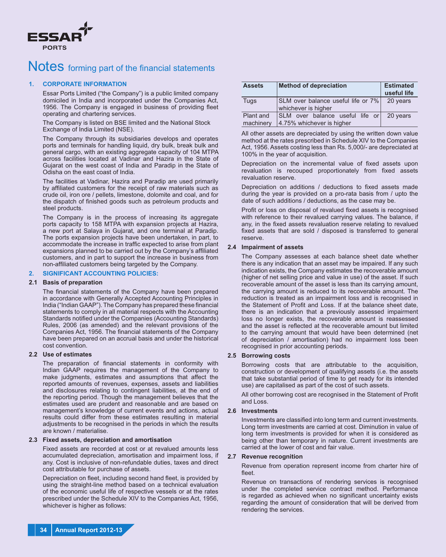

### Notes forming part of the financial statements

#### **1. CORPORATE INFORMATION**

 Essar Ports Limited ("the Company") is a public limited company domiciled in India and incorporated under the Companies Act, 1956. The Company is engaged in business of providing fleet operating and chartering services.

 The Company is listed on BSE limited and the National Stock Exchange of India Limited (NSE).

 The Company through its subsidiaries develops and operates ports and terminals for handling liquid, dry bulk, break bulk and general cargo, with an existing aggregate capacity of 104 MTPA across facilities located at Vadinar and Hazira in the State of Gujarat on the west coast of India and Paradip in the State of Odisha on the east coast of India.

 The facilities at Vadinar, Hazira and Paradip are used primarily by affiliated customers for the receipt of raw materials such as crude oil, iron ore / pellets, limestone, dolomite and coal, and for the dispatch of finished goods such as petroleum products and steel products.

 The Company is in the process of increasing its aggregate ports capacity to 158 MTPA with expansion projects at Hazira, a new port at Salaya in Gujarat, and one terminal at Paradip. The ports expansion projects have been undertaken, in part, to accommodate the increase in traffic expected to arise from plant expansions planned to be carried out by the Company's affiliated customers, and in part to support the increase in business from non-affiliated customers being targeted by the Company.

#### **2. SIGNIFICANT ACCOUNTING POLICIES:**

#### **2.1 Basis of preparation**

The financial statements of the Company have been prepared in accordance with Generally Accepted Accounting Principles in India ("Indian GAAP"). The Company has prepared these financial statements to comply in all material respects with the Accounting Standards notified under the Companies (Accounting Standards) Rules, 2006 (as amended) and the relevant provisions of the Companies Act, 1956. The financial statements of the Company have been prepared on an accrual basis and under the historical cost convention.

#### **2.2 Use of estimates**

The preparation of financial statements in conformity with Indian GAAP requires the management of the Company to make judgments, estimates and assumptions that affect the reported amounts of revenues, expenses, assets and liabilities and disclosures relating to contingent liabilities, at the end of the reporting period. Though the management believes that the estimates used are prudent and reasonable and are based on management's knowledge of current events and actions, actual results could differ from these estimates resulting in material adjustments to be recognised in the periods in which the results are known / materialise.

#### **2.3 Fixed assets, depreciation and amortisation**

 Fixed assets are recorded at cost or at revalued amounts less accumulated depreciation, amortisation and impairment loss, if any. Cost is inclusive of non-refundable duties, taxes and direct cost attributable for purchase of assets.

Depreciation on fleet, including second hand fleet, is provided by using the straight-line method based on a technical evaluation of the economic useful life of respective vessels or at the rates prescribed under the Schedule XIV to the Companies Act, 1956, whichever is higher as follows:

| <b>Assets</b> | Method of depreciation             | <b>Estimated</b> |
|---------------|------------------------------------|------------------|
|               |                                    | useful life      |
| Tugs          | SLM over balance useful life or 7% | 20 years         |
|               | whichever is higher                |                  |
| Plant and     | SLM over balance useful life or    | 20 years         |
| machinery     | 4.75% whichever is higher          |                  |

 All other assets are depreciated by using the written down value method at the rates prescribed in Schedule XIV to the Companies Act, 1956. Assets costing less than Rs. 5,000/- are depreciated at 100% in the year of acquisition.

Depreciation on the incremental value of fixed assets upon revaluation is recouped proportionately from fixed assets revaluation reserve.

Depreciation on additions / deductions to fixed assets made during the year is provided on a pro-rata basis from / upto the date of such additions / deductions, as the case may be.

Profit or loss on disposal of revalued fixed assets is recognised with reference to their revalued carrying values. The balance, if any, in the fixed assets revaluation reserve relating to revalued fixed assets that are sold / disposed is transferred to general reserve.

#### **2.4 Impairment of assets**

 The Company assesses at each balance sheet date whether there is any indication that an asset may be impaired. If any such indication exists, the Company estimates the recoverable amount (higher of net selling price and value in use) of the asset. If such recoverable amount of the asset is less than its carrying amount, the carrying amount is reduced to its recoverable amount. The reduction is treated as an impairment loss and is recognised in the Statement of Profit and Loss. If at the balance sheet date, there is an indication that a previously assessed impairment loss no longer exists, the recoverable amount is reassessed and the asset is reflected at the recoverable amount but limited to the carrying amount that would have been determined (net of depreciation / amortisation) had no impairment loss been recognised in prior accounting periods.

#### **2.5 Borrowing costs**

 Borrowing costs that are attributable to the acquisition, construction or development of qualifying assets (i.e. the assets that take substantial period of time to get ready for its intended use) are capitalised as part of the cost of such assets.

All other borrowing cost are recognised in the Statement of Profit and Loss.

#### **2.6 Investments**

Investments are classified into long term and current investments. Long term investments are carried at cost. Diminution in value of long term investments is provided for when it is considered as being other than temporary in nature. Current investments are carried at the lower of cost and fair value.

#### **2.7 Revenue recognition**

 Revenue from operation represent income from charter hire of fleet.

 Revenue on transactions of rendering services is recognised under the completed service contract method. Performance is regarded as achieved when no significant uncertainty exists regarding the amount of consideration that will be derived from rendering the services.

**34 Annual Report 2012-13**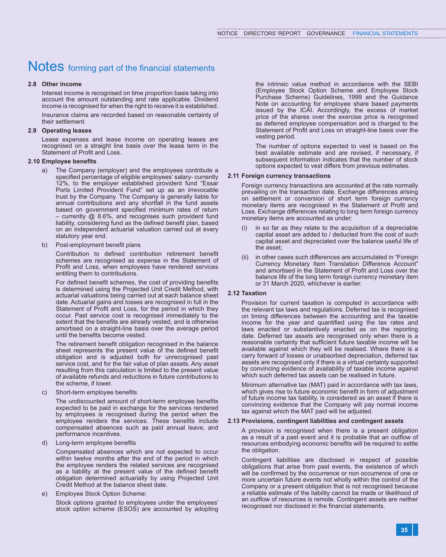### Notes forming part of the financial statements

#### **2.8 Other income**

 Interest income is recognised on time proportion basis taking into account the amount outstanding and rate applicable. Dividend income is recognised for when the right to receive it is established. Insurance claims are recorded based on reasonable certainty of their settlement.

#### **2.9 Operating leases**

 Lease expenses and lease income on operating leases are recognised on a straight line basis over the lease term in the Statement of Profit and Loss.

#### **2.10 Employee benefits**

- The Company (employer) and the employees contribute a specified percentage of eligible employees' salary- currently 12%, to the employer established provident fund "Essar Ports Limited Provident Fund" set up as an irrevocable trust by the Company. The Company is generally liable for annual contributions and any shortfall in the fund assets based on government specified minimum rates of return – currently @ 8.6%, and recognises such provident fund liability, considering fund as the defined benefit plan, based on an independent actuarial valuation carried out at every statutory year end.
- b) Post-employment benefit plans

Contribution to defined contribution retirement benefit schemes are recognised as expense in the Statement of Profit and Loss, when employees have rendered services entitling them to contributions.

For defined benefit schemes, the cost of providing benefits is determined using the Projected Unit Credit Method, with actuarial valuations being carried out at each balance sheet date. Actuarial gains and losses are recognised in full in the Statement of Profit and Loss, for the period in which they occur. Past service cost is recognised immediately to the extent that the benefits are already vested, and is otherwise amortised on a straight-line basis over the average period until the benefits become vested.

The retirement benefit obligation recognised in the balance sheet represents the present value of the defined benefit obligation and is adjusted both for unrecognised past service cost, and for the fair value of plan assets. Any asset resulting from this calculation is limited to the present value of available refunds and reductions in future contributions to the scheme, if lower.

c) Short-term employee benefits

The undiscounted amount of short-term employee benefits expected to be paid in exchange for the services rendered by employees is recognised during the period when the employee renders the services. These benefits include compensated absences such as paid annual leave, and performance incentives.

d) Long-term employee benefits

 Compensated absences which are not expected to occur within twelve months after the end of the period in which the employee renders the related services are recognised as a liability at the present value of the defined benefit obligation determined actuarially by using Projected Unit Credit Method at the balance sheet date.

e) Employee Stock Option Scheme:

 Stock options granted to employees under the employees' stock option scheme (ESOS) are accounted by adopting the intrinsic value method in accordance with the SEBI (Employee Stock Option Scheme and Employee Stock Purchase Scheme) Guidelines, 1999 and the Guidance Note on accounting for employee share based payments issued by the ICAI. Accordingly, the excess of market price of the shares over the exercise price is recognised as deferred employee compensation and is charged to the Statement of Profit and Loss on straight-line basis over the vesting period.

 The number of options expected to vest is based on the best available estimate and are revised, if necessary, if subsequent information indicates that the number of stock options expected to vest differs from previous estimates.

#### **2.11 Foreign currency transactions**

 Foreign currency transactions are accounted at the rate normally prevailing on the transaction date. Exchange differences arising on settlement or conversion of short term foreign currency monetary items are recognised in the Statement of Profit and Loss. Exchange differences relating to long term foreign currency monetary items are accounted as under:

- in so far as they relate to the acquisition of a depreciable capital asset are added to / deducted from the cost of such capital asset and depreciated over the balance useful life of the asset;
- (ii) in other cases such differences are accumulated in "Foreign Currency Monetary Item Translation Difference Account" and amortised in the Statement of Profit and Loss over the balance life of the long term foreign currency monetary item or 31 March 2020, whichever is earlier.

#### **2.12 Taxation**

 Provision for current taxation is computed in accordance with the relevant tax laws and regulations. Deferred tax is recognised on timing differences between the accounting and the taxable income for the year and quantified using the tax rates and laws enacted or substantively enacted as on the reporting date. Deferred tax assets are recognised only when there is a reasonable certainty that sufficient future taxable income will be available against which they will be realised. Where there is a carry forward of losses or unabsorbed depreciation, deferred tax assets are recognised only if there is a virtual certainty supported by convincing evidence of availability of taxable income against which such deferred tax assets can be realised in future.

 Minimum alternative tax (MAT) paid in accordance with tax laws, which gives rise to future economic benefit in form of adjustment of future income tax liability, is considered as an asset if there is convincing evidence that the Company will pay normal income tax against which the MAT paid will be adjusted.

#### **2.13 Provisions, contingent liabilities and contingent assets**

 A provision is recognised when there is a present obligation as a result of a past event and it is probable that an outflow of resources embodying economic benefits will be required to settle the obligation.

 Contingent liabilities are disclosed in respect of possible obligations that arise from past events, the existence of which will be confirmed by the occurrence or non occurrence of one or more uncertain future events not wholly within the control of the Company or a present obligation that is not recognised because a reliable estimate of the liability cannot be made or likelihood of an outflow of resources is remote. Contingent assets are neither recognised nor disclosed in the financial statements.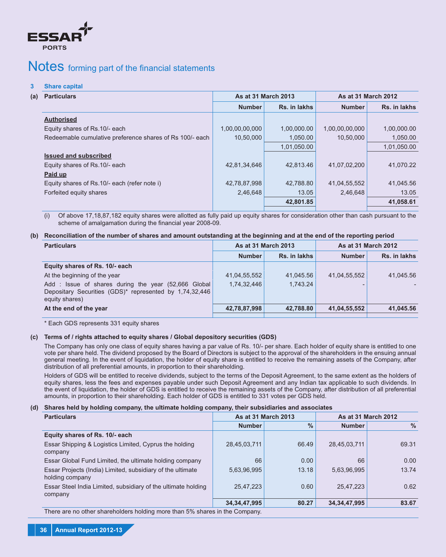

### **3 Share capital**

| (a) | <b>Particulars</b>                                       |                | As at 31 March 2013 | As at 31 March 2012 |              |  |
|-----|----------------------------------------------------------|----------------|---------------------|---------------------|--------------|--|
|     |                                                          | <b>Number</b>  | Rs. in lakhs        | <b>Number</b>       | Rs. in lakhs |  |
|     | <b>Authorised</b>                                        |                |                     |                     |              |  |
|     | Equity shares of Rs.10/- each                            | 1,00,00,00,000 | 1,00,000.00         | 1,00,00,00,000      | 1,00,000.00  |  |
|     | Redeemable cumulative preference shares of Rs 100/- each | 10,50,000      | 1,050.00            | 10.50.000           | 1,050.00     |  |
|     |                                                          |                | 1,01,050.00         |                     | 1,01,050.00  |  |
|     | <b>Issued and subscribed</b>                             |                |                     |                     |              |  |
|     | Equity shares of Rs.10/- each                            | 42,81,34,646   | 42.813.46           | 41,07,02,200        | 41.070.22    |  |
|     | Paid up                                                  |                |                     |                     |              |  |
|     | Equity shares of Rs.10/- each (refer note i)             | 42,78,87,998   | 42.788.80           | 41,04,55,552        | 41.045.56    |  |
|     | Forfeited equity shares                                  | 2.46.648       | 13.05               | 2.46.648            | 13.05        |  |
|     |                                                          |                | 42.801.85           |                     | 41,058.61    |  |
|     |                                                          |                |                     |                     |              |  |

 (i) Of above 17,18,87,182 equity shares were allotted as fully paid up equity shares for consideration other than cash pursuant to the scheme of amalgamation during the financial year 2008-09.

### **(b) Reconciliation of the number of shares and amount outstanding at the beginning and at the end of the reporting period**

| <b>Particulars</b>                                                                                                               |               | As at 31 March 2013 | As at 31 March 2012 |              |  |
|----------------------------------------------------------------------------------------------------------------------------------|---------------|---------------------|---------------------|--------------|--|
|                                                                                                                                  | <b>Number</b> | Rs. in lakhs        | <b>Number</b>       | Rs. in lakhs |  |
| Equity shares of Rs. 10/- each                                                                                                   |               |                     |                     |              |  |
| At the beginning of the year                                                                                                     | 41,04,55,552  | 41.045.56           | 41,04,55,552        | 41.045.56    |  |
| Add: Issue of shares during the year (52,666 Global<br>Depositary Securities (GDS)* represented by 1,74,32,446<br>equity shares) | 1.74.32.446   | 1.743.24            |                     |              |  |
| At the end of the year                                                                                                           | 42,78,87,998  | 42,788.80           | 41,04,55,552        | 41,045.56    |  |
|                                                                                                                                  |               |                     |                     |              |  |

\* Each GDS represents 331 equity shares

### **(c) Terms of / rights attached to equity shares / Global depository securities (GDS)**

The Company has only one class of equity shares having a par value of Rs. 10/- per share. Each holder of equity share is entitled to one vote per share held. The dividend proposed by the Board of Directors is subject to the approval of the shareholders in the ensuing annual general meeting. In the event of liquidation, the holder of equity share is entitled to receive the remaining assets of the Company, after distribution of all preferential amounts, in proportion to their shareholding.

Holders of GDS will be entitled to receive dividends, subject to the terms of the Deposit Agreement, to the same extent as the holders of equity shares, less the fees and expenses payable under such Deposit Agreement and any Indian tax applicable to such dividends. In the event of liquidation, the holder of GDS is entitled to receive the remaining assets of the Company, after distribution of all preferential amounts, in proportion to their shareholding. Each holder of GDS is entitled to 331 votes per GDS held.

### **(d) Shares held by holding company, the ultimate holding company, their subsidiaries and associates**

| <b>Number</b> | $\frac{0}{0}$                                                                                                 | <b>Number</b>   | $\frac{0}{0}$ |
|---------------|---------------------------------------------------------------------------------------------------------------|-----------------|---------------|
|               |                                                                                                               |                 |               |
|               |                                                                                                               |                 |               |
| 28,45,03,711  | 66.49                                                                                                         | 28,45,03,711    | 69.31         |
| 66            | 0.00                                                                                                          | 66              | 0.00          |
|               | 13.18                                                                                                         | 5,63,96,995     | 13.74         |
| 25,47,223     | 0.60                                                                                                          | 25,47,223       | 0.62          |
|               | 80.27                                                                                                         | 34, 34, 47, 995 | 83.67         |
|               | 5,63,96,995<br>34, 34, 47, 995<br>There are no other shareholders holding more than 5% shares in the Company. |                 |               |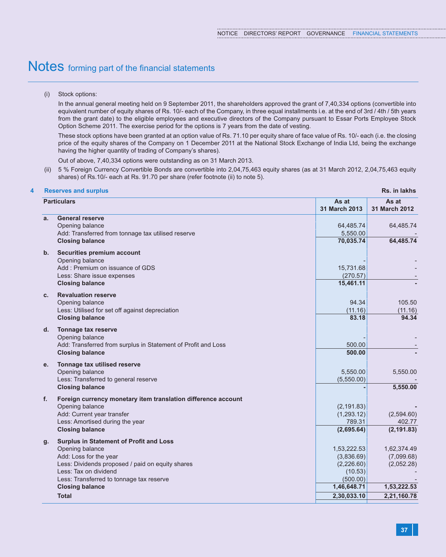#### (i) Stock options:

 In the annual general meeting held on 9 September 2011, the shareholders approved the grant of 7,40,334 options (convertible into equivalent number of equity shares of Rs. 10/- each of the Company, in three equal installments i.e. at the end of 3rd / 4th / 5th years from the grant date) to the eligible employees and executive directors of the Company pursuant to Essar Ports Employee Stock Option Scheme 2011. The exercise period for the options is 7 years from the date of vesting.

 These stock options have been granted at an option value of Rs. 71.10 per equity share of face value of Rs. 10/- each (i.e. the closing price of the equity shares of the Company on 1 December 2011 at the National Stock Exchange of India Ltd, being the exchange having the higher quantity of trading of Company's shares).

Out of above, 7,40,334 options were outstanding as on 31 March 2013.

(ii) 5 % Foreign Currency Convertible Bonds are convertible into 2,04,75,463 equity shares (as at 31 March 2012, 2,04,75,463 equity shares) of Rs.10/- each at Rs. 91.70 per share (refer footnote (ii) to note 5).

#### **4 Reserves and surplus Rs. in lakhs**

|             | <b>Particulars</b>                                                                                                                                                                                                                                             | As at<br>31 March 2013                                                                       | As at<br>31 March 2012                                                |  |
|-------------|----------------------------------------------------------------------------------------------------------------------------------------------------------------------------------------------------------------------------------------------------------------|----------------------------------------------------------------------------------------------|-----------------------------------------------------------------------|--|
| a.          | <b>General reserve</b><br>Opening balance<br>Add: Transferred from tonnage tax utilised reserve<br><b>Closing balance</b>                                                                                                                                      | 64,485.74<br>5,550.00<br>70,035.74                                                           | 64,485.74<br>64,485.74                                                |  |
| b.          | Securities premium account<br>Opening balance<br>Add: Premium on issuance of GDS<br>Less: Share issue expenses<br><b>Closing balance</b>                                                                                                                       | 15,731.68<br>(270.57)<br>15,461.11                                                           |                                                                       |  |
| $c_{\cdot}$ | <b>Revaluation reserve</b><br>Opening balance<br>Less: Utilised for set off against depreciation<br><b>Closing balance</b>                                                                                                                                     | 94.34<br>(11.16)<br>83.18                                                                    | 105.50<br>(11.16)<br>94.34                                            |  |
| d.          | Tonnage tax reserve<br>Opening balance<br>Add: Transferred from surplus in Statement of Profit and Loss<br><b>Closing balance</b>                                                                                                                              | 500.00<br>500.00                                                                             |                                                                       |  |
| е.          | Tonnage tax utilised reserve<br>Opening balance<br>Less: Transferred to general reserve<br><b>Closing balance</b>                                                                                                                                              | 5,550.00<br>(5,550.00)                                                                       | 5,550.00<br>5,550.00                                                  |  |
| f.          | Foreign currency monetary item translation difference account<br>Opening balance<br>Add: Current year transfer<br>Less: Amortised during the year<br><b>Closing balance</b>                                                                                    | (2, 191.83)<br>(1,293.12)<br>789.31<br>(2,695.64)                                            | (2,594.60)<br>402.77<br>(2, 191.83)                                   |  |
| g.          | <b>Surplus in Statement of Profit and Loss</b><br>Opening balance<br>Add: Loss for the year<br>Less: Dividends proposed / paid on equity shares<br>Less: Tax on dividend<br>Less: Transferred to tonnage tax reserve<br><b>Closing balance</b><br><b>Total</b> | 1,53,222.53<br>(3,836.69)<br>(2,226.60)<br>(10.53)<br>(500.00)<br>1,46,648.71<br>2,30,033.10 | 1,62,374.49<br>(7,099.68)<br>(2,052.28)<br>1,53,222.53<br>2,21,160.78 |  |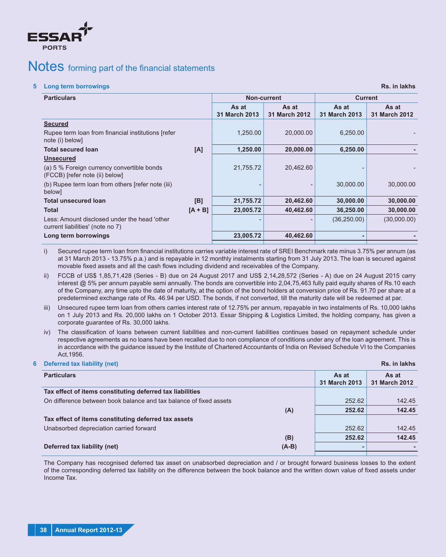

### **5** Long term borrowings **RS. in lakhs RS. in lakhs**

| <b>Particulars</b>                                                               |           |                        | Non-current            | Current                |                        |
|----------------------------------------------------------------------------------|-----------|------------------------|------------------------|------------------------|------------------------|
|                                                                                  |           | As at<br>31 March 2013 | As at<br>31 March 2012 | As at<br>31 March 2013 | As at<br>31 March 2012 |
| <b>Secured</b>                                                                   |           |                        |                        |                        |                        |
| Rupee term loan from financial institutions [refer<br>note (i) below]            |           | 1,250.00               | 20,000.00              | 6,250.00               |                        |
| <b>Total secured loan</b>                                                        | [A]       | 1,250.00               | 20,000.00              | 6,250.00               |                        |
| <b>Unsecured</b>                                                                 |           |                        |                        |                        |                        |
| (a) 5 % Foreign currency convertible bonds<br>(FCCB) [refer note (ii) below]     |           | 21,755.72              | 20,462.60              |                        |                        |
| (b) Rupee term loan from others [refer note (iii)<br>below]                      |           |                        |                        | 30,000.00              | 30,000.00              |
| <b>Total unsecured loan</b>                                                      | [B]       | 21,755.72              | 20,462.60              | 30,000.00              | 30,000.00              |
| <b>Total</b>                                                                     | $[A + B]$ | 23,005.72              | 40,462.60              | 36,250.00              | 30,000.00              |
| Less: Amount disclosed under the head 'other<br>current liabilities' (note no 7) |           |                        |                        | (36, 250.00)           | (30,000.00)            |
| Long term borrowings                                                             |           | 23,005.72              | 40.462.60              |                        |                        |
|                                                                                  |           |                        |                        |                        |                        |

i) Secured rupee term loan from financial institutions carries variable interest rate of SREI Benchmark rate minus 3.75% per annum (as at 31 March 2013 - 13.75% p.a.) and is repayable in 12 monthly instalments starting from 31 July 2013. The loan is secured against movable fixed assets and all the cash flows including dividend and receivables of the Company.

ii) FCCB of US\$ 1,85,71,428 (Series - B) due on 24 August 2017 and US\$ 2,14,28,572 (Series - A) due on 24 August 2015 carry interest @ 5% per annum payable semi annually. The bonds are convertible into 2,04,75,463 fully paid equity shares of Rs.10 each of the Company, any time upto the date of maturity, at the option of the bond holders at conversion price of Rs. 91.70 per share at a predetermined exchange rate of Rs. 46.94 per USD. The bonds, if not converted, till the maturity date will be redeemed at par.

- iii) Unsecured rupee term loan from others carries interest rate of 12.75% per annum, repayable in two instalments of Rs. 10,000 lakhs on 1 July 2013 and Rs. 20,000 lakhs on 1 October 2013. Essar Shipping & Logistics Limited, the holding company, has given a corporate guarantee of Rs. 30,000 lakhs.
- iv) The classification of loans between current liabilities and non-current liabilities continues based on repayment schedule under respective agreements as no loans have been recalled due to non compliance of conditions under any of the loan agreement. This is in accordance with the guidance issued by the Institute of Chartered Accountants of India on Revised Schedule VI to the Companies Act,1956.

### **6** Deferred tax liability (net) **RS. in lakhs**

|                                                                    |         |                        | .                      |
|--------------------------------------------------------------------|---------|------------------------|------------------------|
| <b>Particulars</b>                                                 |         | As at<br>31 March 2013 | As at<br>31 March 2012 |
| Tax effect of items constituting deferred tax liabilities          |         |                        |                        |
| On difference between book balance and tax balance of fixed assets |         | 252.62                 | 142.45                 |
|                                                                    | (A)     | 252.62                 | 142.45                 |
| Tax effect of items constituting deferred tax assets               |         |                        |                        |
| Unabsorbed depreciation carried forward                            |         | 252.62                 | 142.45                 |
|                                                                    | (B)     | 252.62                 | 142.45                 |
| Deferred tax liability (net)                                       | $(A-B)$ |                        |                        |
|                                                                    |         |                        |                        |

The Company has recognised deferred tax asset on unabsorbed depreciation and / or brought forward business losses to the extent of the corresponding deferred tax liability on the difference between the book balance and the written down value of fixed assets under Income Tax.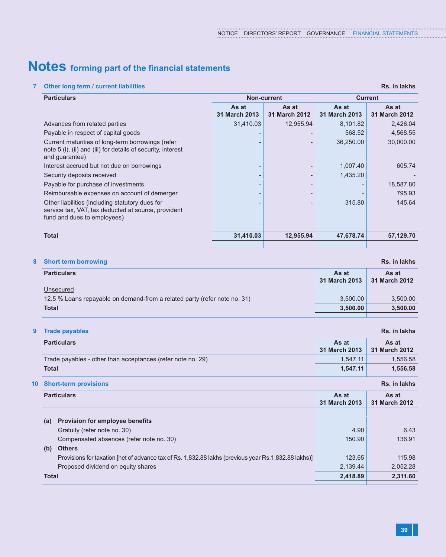### **7 Other long term / current liabilities Rs. in lakhs**

| <b>Particulars</b>                                                                                                                    |                        | Non-current            | <b>Current</b>         |                               |  |
|---------------------------------------------------------------------------------------------------------------------------------------|------------------------|------------------------|------------------------|-------------------------------|--|
|                                                                                                                                       | As at<br>31 March 2013 | As at<br>31 March 2012 | As at<br>31 March 2013 | As at<br><b>31 March 2012</b> |  |
| Advances from related parties                                                                                                         | 31,410.03              | 12,955.94              | 8,101.82               | 2,426.04                      |  |
| Payable in respect of capital goods                                                                                                   |                        |                        | 568.52                 | 4,568.55                      |  |
| Current maturities of long-term borrowings (refer<br>note 5 (i), (ii) and (iii) for details of security, interest<br>and quarantee)   |                        |                        | 36,250.00              | 30,000.00                     |  |
| Interest accrued but not due on borrowings                                                                                            |                        |                        | 1,007.40               | 605.74                        |  |
| Security deposits received                                                                                                            |                        |                        | 1,435.20               |                               |  |
| Payable for purchase of investments                                                                                                   |                        |                        |                        | 18,587.80                     |  |
| Reimbursable expenses on account of demerger                                                                                          |                        |                        |                        | 795.93                        |  |
| Other liabilities (including statutory dues for<br>service tax, VAT, tax deducted at source, provident<br>fund and dues to employees) |                        |                        | 315.80                 | 145.64                        |  |
| <b>Total</b>                                                                                                                          | 31,410.03              | 12,955.94              | 47,678.74              | 57,129.70                     |  |
|                                                                                                                                       |                        |                        |                        |                               |  |

### **8 Short term borrowing Rs. in lakhs Rs. in lakhs Rs. in lakhs**

| <b>Particulars</b>                                                        | As at<br>31 March 2013 | As at<br>31 March 2012 |
|---------------------------------------------------------------------------|------------------------|------------------------|
| Unsecured                                                                 |                        |                        |
| 12.5 % Loans repayable on demand-from a related party (refer note no. 31) | 3.500.00               | 3.500.00               |
| <b>Total</b>                                                              | 3.500.00               | 3.500.00               |
|                                                                           |                        |                        |

### **9 Trade payables Rs. in lakhs**

| <b>Particulars</b>                                          | As at<br>31 March 2013 | As at<br>31 March 2012 |
|-------------------------------------------------------------|------------------------|------------------------|
| Trade payables - other than acceptances (refer note no. 29) | 1.547.11               | 1.556.58               |
| <b>Total</b>                                                | 1.547.11               | 1.556.58               |
|                                                             |                        |                        |

### **10 Short-term provisions Rs. in lakhs**

| $\frac{1}{2}$                                                                                         |          |                        |
|-------------------------------------------------------------------------------------------------------|----------|------------------------|
| <b>Particulars</b><br>31 March 2013                                                                   |          | As at<br>31 March 2012 |
| <b>Provision for employee benefits</b><br>(a)                                                         |          |                        |
| Gratuity (refer note no. 30)                                                                          | 4.90     | 6.43                   |
| Compensated absences (refer note no. 30)                                                              | 150.90   | 136.91                 |
| <b>Others</b><br>(b)                                                                                  |          |                        |
| Provisions for taxation [net of advance tax of Rs. 1,832.88 lakhs (previous year Rs. 1,832.88 lakhs)] | 123.65   | 115.98                 |
| Proposed dividend on equity shares                                                                    | 2,139.44 | 2,052.28               |
| <b>Total</b>                                                                                          | 2,418.89 | 2,311.60               |
|                                                                                                       |          |                        |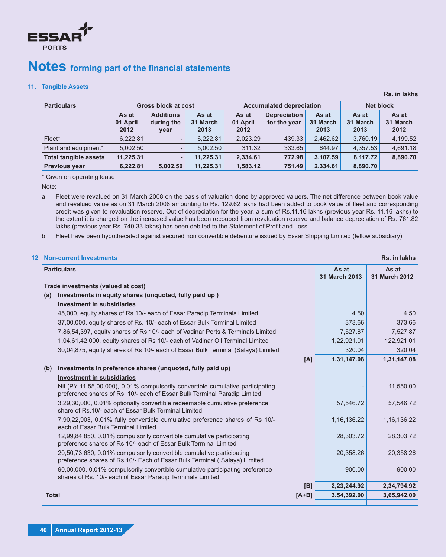

### **11. Tangible Assets**

| <b>Particulars</b>           | Gross block at cost       |                                        |                           |                           | <b>Accumulated depreciation</b>     | Net block                 |                           |                           |  |  |
|------------------------------|---------------------------|----------------------------------------|---------------------------|---------------------------|-------------------------------------|---------------------------|---------------------------|---------------------------|--|--|
|                              | As at<br>01 April<br>2012 | <b>Additions</b><br>during the<br>year | As at<br>31 March<br>2013 | As at<br>01 April<br>2012 | <b>Depreciation</b><br>for the year | As at<br>31 March<br>2013 | As at<br>31 March<br>2013 | As at<br>31 March<br>2012 |  |  |
| Fleet*                       | 6.222.81                  |                                        | 6.222.81                  | 2.023.29                  | 439.33                              | 2.462.62                  | 3,760.19                  | 4,199.52                  |  |  |
| Plant and equipment*         | 5.002.50                  |                                        | 5.002.50                  | 311.32                    | 333.65                              | 644.97                    | 4,357.53                  | 4,691.18                  |  |  |
| <b>Total tangible assets</b> | 11.225.31                 | ۰.                                     | 11.225.31                 | 2.334.61                  | 772.98                              | 3.107.59                  | 8.117.72                  | 8,890.70                  |  |  |
| <b>Previous year</b>         | 6,222.81                  | 5,002.50                               | 11,225.31                 | 1,583.12                  | 751.49                              | 2,334.61                  | 8,890.70                  |                           |  |  |

**Rs. in lakhs**

\* Given on operating lease

Note:

a. Fleet were revalued on 31 March 2008 on the basis of valuation done by approved valuers. The net difference between book value and revalued value as on 31 March 2008 amounting to Rs. 129.62 lakhs had been added to book value of fleet and corresponding credit was given to revaluation reserve. Out of depreciation for the year, a sum of Rs.11.16 lakhs (previous year Rs. 11.16 lakhs) to the extent it is charged on the increased value has been recouped from revaluation reserve and balance depreciation of Rs. 761.82 lakhs (previous year Rs. 740.33 lakhs) has been debited to the Statement of Profit and Loss.

b. Fleet have been hypothecated against secured non convertible debenture issued by Essar Shipping Limited (fellow subsidiary).

### **12 Non-current Investments Rs. in lakhs**

|              | <b>Particulars</b>                                                                                                                                          |         | As at<br>31 March 2013 | As at<br>31 March 2012 |
|--------------|-------------------------------------------------------------------------------------------------------------------------------------------------------------|---------|------------------------|------------------------|
|              | Trade investments (valued at cost)                                                                                                                          |         |                        |                        |
| (a)          | Investments in equity shares (unquoted, fully paid up)                                                                                                      |         |                        |                        |
|              | <b>Investment in subsidiaries</b>                                                                                                                           |         |                        |                        |
|              | 45,000, equity shares of Rs.10/- each of Essar Paradip Terminals Limited                                                                                    |         | 4.50                   | 4.50                   |
|              | 37,00,000, equity shares of Rs. 10/- each of Essar Bulk Terminal Limited                                                                                    |         | 373.66                 | 373.66                 |
|              | 7,86,54,397, equity shares of Rs 10/- each of Vadinar Ports & Terminals Limited                                                                             |         | 7,527.87               | 7,527.87               |
|              | 1,04,61,42,000, equity shares of Rs 10/- each of Vadinar Oil Terminal Limited                                                                               |         | 1,22,921.01            | 122,921.01             |
|              | 30,04,875, equity shares of Rs 10/- each of Essar Bulk Terminal (Salaya) Limited                                                                            |         | 320.04                 | 320.04                 |
|              |                                                                                                                                                             | [A]     | 1,31,147.08            | 1,31,147.08            |
| (b)          | Investments in preference shares (unquoted, fully paid up)                                                                                                  |         |                        |                        |
|              | Investment in subsidiaries                                                                                                                                  |         |                        |                        |
|              | Nil (PY 11,55,00,000), 0.01% compulsorily convertible cumulative participating<br>preference shares of Rs. 10/- each of Essar Bulk Terminal Paradip Limited |         |                        | 11,550.00              |
|              | 3,29,30,000, 0.01% optionally convertible redeemable cumulative preference<br>share of Rs.10/- each of Essar Bulk Terminal Limited                          |         | 57,546.72              | 57,546.72              |
|              | 7,90,22,903, 0.01% fully convertible cumulative preference shares of Rs 10/-<br>each of Essar Bulk Terminal Limited                                         |         | 1, 16, 136. 22         | 1, 16, 136. 22         |
|              | 12,99,84,850, 0.01% compulsorily convertible cumulative participating<br>preference shares of Rs 10/- each of Essar Bulk Terminal Limited                   |         | 28,303.72              | 28,303.72              |
|              | 20,50,73,630, 0.01% compulsorily convertible cumulative participating<br>preference shares of Rs 10/- Each of Essar Bulk Terminal (Salaya) Limited          |         | 20,358.26              | 20,358.26              |
|              | 90,00,000, 0.01% compulsorily convertible cumulative participating preference<br>shares of Rs. 10/- each of Essar Paradip Terminals Limited                 |         | 900.00                 | 900.00                 |
|              |                                                                                                                                                             | [B]     | 2,23,244.92            | 2,34,794.92            |
| <b>Total</b> |                                                                                                                                                             | $[A+B]$ | 3,54,392.00            | 3,65,942.00            |
|              |                                                                                                                                                             |         |                        |                        |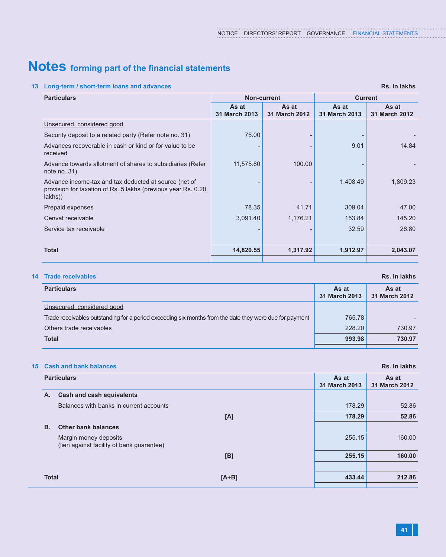| 13 | Long-term / short-term loans and advances<br>Rs. in lakhs                                                                             |                        |                               |                        |                        |  |
|----|---------------------------------------------------------------------------------------------------------------------------------------|------------------------|-------------------------------|------------------------|------------------------|--|
|    | <b>Particulars</b><br>Non-current                                                                                                     |                        |                               | <b>Current</b>         |                        |  |
|    |                                                                                                                                       | As at<br>31 March 2013 | As at<br><b>31 March 2012</b> | As at<br>31 March 2013 | As at<br>31 March 2012 |  |
|    | Unsecured, considered good                                                                                                            |                        |                               |                        |                        |  |
|    | Security deposit to a related party (Refer note no. 31)                                                                               | 75.00                  |                               |                        |                        |  |
|    | Advances recoverable in cash or kind or for value to be<br>received                                                                   |                        |                               | 9.01                   | 14.84                  |  |
|    | Advance towards allotment of shares to subsidiaries (Refer<br>note no. $31)$                                                          | 11,575.80              | 100.00                        |                        |                        |  |
|    | Advance income-tax and tax deducted at source (net of<br>provision for taxation of Rs. 5 lakhs (previous year Rs. 0.20)<br>$lakhs)$ ) |                        |                               | 1,408.49               | 1,809.23               |  |
|    | Prepaid expenses                                                                                                                      | 78.35                  | 41.71                         | 309.04                 | 47.00                  |  |
|    | Cenvat receivable                                                                                                                     | 3,091.40               | 1,176.21                      | 153.84                 | 145.20                 |  |
|    | Service tax receivable                                                                                                                |                        |                               | 32.59                  | 26.80                  |  |
|    | <b>Total</b>                                                                                                                          | 14,820.55              | 1,317.92                      | 1,912.97               | 2,043.07               |  |
|    |                                                                                                                                       |                        |                               |                        |                        |  |

### **14 Trade receivables Rs. in lakhs**

| <b>Particulars</b>                                                                                      | As at<br>31 March 2013 | As at<br>31 March 2012 |
|---------------------------------------------------------------------------------------------------------|------------------------|------------------------|
| Unsecured, considered good                                                                              |                        |                        |
| Trade receivables outstanding for a period exceeding six months from the date they were due for payment | 765.78                 |                        |
| Others trade receivables                                                                                | 228.20                 | 730.97                 |
| <b>Total</b>                                                                                            | 993.98                 | 730.97                 |
|                                                                                                         |                        |                        |

| 15 <sub>1</sub> |              | <b>Cash and bank balances</b><br>Rs. in lakhs                      |  |                        |                        |  |
|-----------------|--------------|--------------------------------------------------------------------|--|------------------------|------------------------|--|
|                 |              | <b>Particulars</b>                                                 |  | As at<br>31 March 2013 | As at<br>31 March 2012 |  |
|                 | А.           | <b>Cash and cash equivalents</b>                                   |  |                        |                        |  |
|                 |              | Balances with banks in current accounts                            |  | 178.29                 | 52.86                  |  |
|                 |              | [A]                                                                |  | 178.29                 | 52.86                  |  |
|                 | <b>B.</b>    | Other bank balances                                                |  |                        |                        |  |
|                 |              | Margin money deposits<br>(lien against facility of bank guarantee) |  | 255.15                 | 160.00                 |  |
|                 |              | [B]                                                                |  | 255.15                 | 160.00                 |  |
|                 |              |                                                                    |  |                        |                        |  |
|                 | <b>Total</b> | $[A+B]$                                                            |  | 433.44                 | 212.86                 |  |
|                 |              |                                                                    |  |                        |                        |  |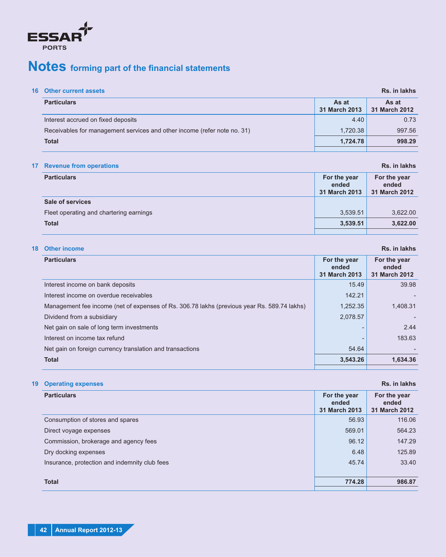

|  |  | 16 Other current assets |  |  |
|--|--|-------------------------|--|--|
|--|--|-------------------------|--|--|

| <b>16</b> Other current assets<br>Rs. in lakhs                           |                        |                        |  |  |
|--------------------------------------------------------------------------|------------------------|------------------------|--|--|
| <b>Particulars</b>                                                       | As at<br>31 March 2013 | As at<br>31 March 2012 |  |  |
| Interest accrued on fixed deposits                                       | 4.40                   | 0.73                   |  |  |
| Receivables for management services and other income (refer note no. 31) | 1.720.38               | 997.56                 |  |  |
| Total                                                                    | 1.724.78               | 998.29                 |  |  |
|                                                                          |                        |                        |  |  |

### **17 Revenue from operations Rs. in lakhs**

| <b>Particulars</b>                      | For the year<br>ended<br>31 March 2013 |          | For the year<br>ended<br>31 March 2012 |
|-----------------------------------------|----------------------------------------|----------|----------------------------------------|
| Sale of services                        |                                        |          |                                        |
| Fleet operating and chartering earnings |                                        | 3,539.51 | 3,622.00                               |
| <b>Total</b>                            |                                        | 3,539.51 | 3,622.00                               |
|                                         |                                        |          |                                        |

### **18 Other income Rs. in lakhs**

| <b>Particulars</b>                                                                          | For the year<br>ended<br>31 March 2013 | For the year<br>ended<br>31 March 2012 |
|---------------------------------------------------------------------------------------------|----------------------------------------|----------------------------------------|
| Interest income on bank deposits                                                            | 15.49                                  | 39.98                                  |
| Interest income on overdue receivables                                                      | 142.21                                 |                                        |
| Management fee income (net of expenses of Rs. 306.78 lakhs (previous year Rs. 589.74 lakhs) | 1,252.35                               | 1.408.31                               |
| Dividend from a subsidiary                                                                  | 2.078.57                               |                                        |
| Net gain on sale of long term investments                                                   |                                        | 2.44                                   |
| Interest on income tax refund                                                               |                                        | 183.63                                 |
| Net gain on foreign currency translation and transactions                                   | 54.64                                  |                                        |
| <b>Total</b>                                                                                | 3,543.26                               | 1.634.36                               |
|                                                                                             |                                        |                                        |

### **19 Operating expenses Rs. in lakhs**

| <b>Particulars</b>                            | For the year<br>ended<br>31 March 2013 | For the year<br>ended<br><b>31 March 2012</b> |
|-----------------------------------------------|----------------------------------------|-----------------------------------------------|
| Consumption of stores and spares              | 56.93                                  | 116.06                                        |
| Direct voyage expenses                        | 569.01                                 | 564.23                                        |
| Commission, brokerage and agency fees         | 96.12                                  | 147.29                                        |
| Dry docking expenses                          | 6.48                                   | 125.89                                        |
| Insurance, protection and indemnity club fees | 45.74                                  | 33.40                                         |
|                                               |                                        |                                               |
| <b>Total</b>                                  | 774.28                                 | 986.87                                        |
|                                               |                                        |                                               |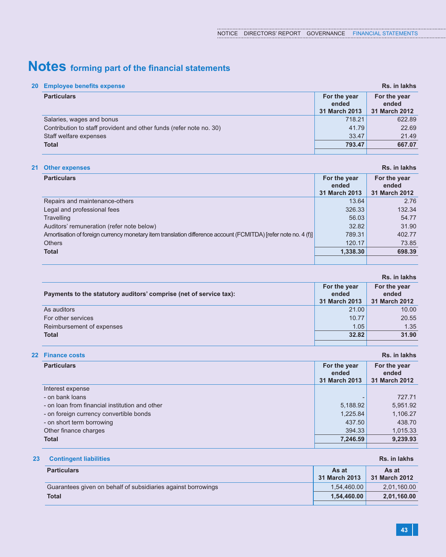| 20 Employee benefits expense<br>Rs. in lakhs                        |                       |                       |  |
|---------------------------------------------------------------------|-----------------------|-----------------------|--|
| <b>Particulars</b>                                                  | For the year<br>ended | For the year<br>ended |  |
|                                                                     | 31 March 2013         | 31 March 2012         |  |
| Salaries, wages and bonus                                           | 718.21                | 622.89                |  |
| Contribution to staff provident and other funds (refer note no. 30) | 41.79                 | 22.69                 |  |
| Staff welfare expenses                                              | 33.47                 | 21.49                 |  |
| <b>Total</b>                                                        | 793.47                | 667.07                |  |
|                                                                     |                       |                       |  |

### **21 Other expenses Rs. in lakhs**

| <b>Particulars</b>                                                                                             | For the year<br>ended | For the year<br>ended |
|----------------------------------------------------------------------------------------------------------------|-----------------------|-----------------------|
|                                                                                                                | 31 March 2013         | <b>31 March 2012</b>  |
| Repairs and maintenance-others                                                                                 | 13.64                 | 2.76                  |
| Legal and professional fees                                                                                    | 326.33                | 132.34                |
| <b>Travelling</b>                                                                                              | 56.03                 | 54.77                 |
| Auditors' remuneration (refer note below)                                                                      | 32.82                 | 31.90                 |
| Amortisation of foreign currency monetary item translation difference account (FCMITDA) [refer note no. 4 (f)] | 789.31                | 402.77                |
| <b>Others</b>                                                                                                  | 120.17                | 73.85                 |
| <b>Total</b>                                                                                                   | 1.338.30              | 698.39                |
|                                                                                                                |                       |                       |

|                                                                    |                                        | Rs. in lakhs                           |
|--------------------------------------------------------------------|----------------------------------------|----------------------------------------|
| Payments to the statutory auditors' comprise (net of service tax): | For the year<br>ended<br>31 March 2013 | For the year<br>ended<br>31 March 2012 |
| As auditors                                                        | 21.00                                  | 10.00                                  |
| For other services                                                 | 10.77                                  | 20.55                                  |
| Reimbursement of expenses                                          | 1.05                                   | 1.35                                   |
| <b>Total</b>                                                       | 32.82                                  | 31.90                                  |
|                                                                    |                                        |                                        |

### **22 Finance costs Rs. in lakhs**

| <b>Particulars</b>                             | For the year<br>ended<br>31 March 2013 | For the year<br>ended<br><b>31 March 2012</b> |
|------------------------------------------------|----------------------------------------|-----------------------------------------------|
| Interest expense                               |                                        |                                               |
| - on bank loans                                |                                        | 727.71                                        |
| - on loan from financial institution and other | 5,188.92                               | 5,951.92                                      |
| - on foreign currency convertible bonds        | 1,225.84                               | 1,106.27                                      |
| - on short term borrowing                      | 437.50                                 | 438.70                                        |
| Other finance charges                          | 394.33                                 | 1,015.33                                      |
| <b>Total</b>                                   | 7,246.59                               | 9,239.93                                      |
|                                                |                                        |                                               |

| 23 | Rs. in lakhs<br><b>Contingent liabilities</b>                 |                        |                        |  |  |  |
|----|---------------------------------------------------------------|------------------------|------------------------|--|--|--|
|    | <b>Particulars</b>                                            | As at<br>31 March 2013 | As at<br>31 March 2012 |  |  |  |
|    | Guarantees given on behalf of subsidiaries against borrowings | 1.54.460.00            | 2,01,160.00            |  |  |  |
|    | Total                                                         | 1.54.460.00            | 2,01,160.00            |  |  |  |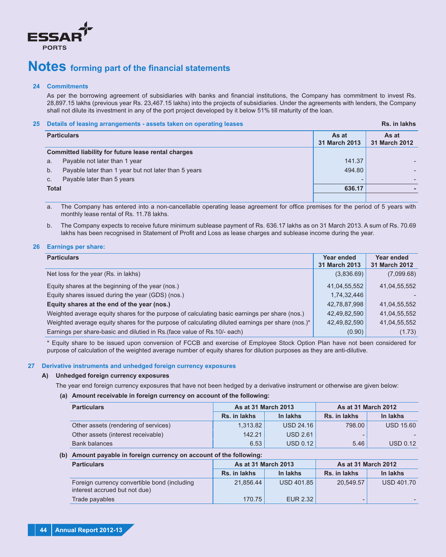

### **24 Commitments**

As per the borrowing agreement of subsidiaries with banks and financial institutions, the Company has commitment to invest Rs. 28,897.15 lakhs (previous year Rs. 23,467.15 lakhs) into the projects of subsidiaries. Under the agreements with lenders, the Company shall not dilute its investment in any of the port project developed by it below 51% till maturity of the loan.

#### **25 Details of leasing arrangements - assets taken on operating leases Rs. in lakhs**

|              | <b>Particulars</b>                                   |        | As at<br>31 March 2012 |
|--------------|------------------------------------------------------|--------|------------------------|
|              | Committed liability for future lease rental charges  |        |                        |
| a.           | Payable not later than 1 year                        | 141.37 |                        |
| b.           | Payable later than 1 year but not later than 5 years | 494.80 |                        |
| C.           | Payable later than 5 years                           |        |                        |
| <b>Total</b> |                                                      | 636.17 |                        |
|              |                                                      |        |                        |

a. The Company has entered into a non-cancellable operating lease agreement for office premises for the period of 5 years with monthly lease rental of Rs. 11.78 lakhs.

b. The Company expects to receive future minimum sublease payment of Rs. 636.17 lakhs as on 31 March 2013. A sum of Rs. 70.69 lakhs has been recognised in Statement of Profit and Loss as lease charges and sublease income during the year.

### **26 Earnings per share:**

| <b>Particulars</b>                                                                               | Year ended<br>31 March 2013 | Year ended<br>31 March 2012 |
|--------------------------------------------------------------------------------------------------|-----------------------------|-----------------------------|
| Net loss for the year (Rs. in lakhs)                                                             | (3,836.69)                  | (7,099.68)                  |
| Equity shares at the beginning of the year (nos.)                                                | 41,04,55,552                | 41,04,55,552                |
| Equity shares issued during the year (GDS) (nos.)                                                | 1,74,32,446                 |                             |
| Equity shares at the end of the year (nos.)                                                      | 42,78,87,998                | 41,04,55,552                |
| Weighted average equity shares for the purpose of calculating basic earnings per share (nos.)    | 42,49,82,590                | 41,04,55,552                |
| Weighted average equity shares for the purpose of calculating diluted earnings per share (nos.)* | 42,49,82,590                | 41,04,55,552                |
| Earnings per share-basic and dilutied in Rs. (face value of Rs. 10/- each)                       | (0.90)                      | (1.73)                      |

\* Equity share to be issued upon conversion of FCCB and exercise of Employee Stock Option Plan have not been considered for purpose of calculation of the weighted average number of equity shares for dilution purposes as they are anti-dilutive.

#### **27 Derivative instruments and unhedged foreign currency exposures**

#### **A) Unhedged foreign currency exposures**

The year end foreign currency exposures that have not been hedged by a derivative instrument or otherwise are given below:

### **(a) Amount receivable in foreign currency on account of the following:**

| <b>Particulars</b>                   | As at 31 March 2013 |                 | As at 31 March 2012 |                  |  |
|--------------------------------------|---------------------|-----------------|---------------------|------------------|--|
|                                      | Rs. in lakhs        | In lakhs        | Rs. in lakhs        | In lakhs         |  |
| Other assets (rendering of services) | 1.313.82            | USD 24.16       | 798.00              | <b>USD 15.60</b> |  |
| Other assets (interest receivable)   | 142.21              | <b>USD 2.61</b> |                     |                  |  |
| <b>Bank balances</b>                 | 6.53                | USD $0.12$      | 5.46                | <b>USD 0.12</b>  |  |

### **(b) Amount payable in foreign currency on account of the following:**

| <b>Particulars</b>                                                            | As at 31 March 2013 |            | As at 31 March 2012 |            |  |
|-------------------------------------------------------------------------------|---------------------|------------|---------------------|------------|--|
|                                                                               | Rs. in lakhs        | In lakhs   | Rs. in lakhs        | In lakhs   |  |
| Foreign currency convertible bond (including<br>interest accrued but not due) | 21.856.44           | USD 401.85 | 20.549.57           | USD 401.70 |  |
| Trade payables                                                                | 170.75              | EUR 2.32   |                     |            |  |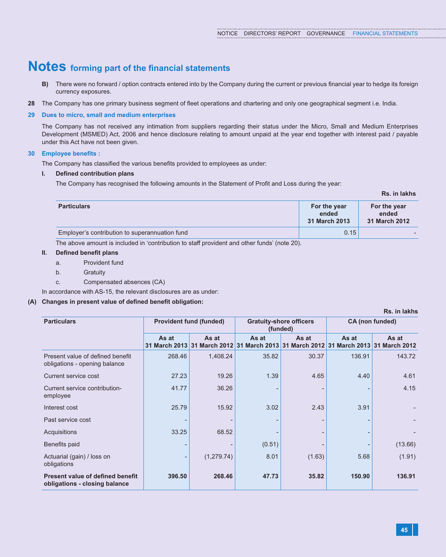- **B)** There were no forward / option contracts entered into by the Company during the current or previous financial year to hedge its foreign currency exposures.
- 28 The Company has one primary business segment of fleet operations and chartering and only one geographical segment i.e. India.

### **29 Dues to micro, small and medium enterprises**

 The Company has not received any intimation from suppliers regarding their status under the Micro, Small and Medium Enterprises Development (MSMED) Act, 2006 and hence disclosure relating to amount unpaid at the year end together with interest paid / payable under this Act have not been given.

### **30 Employee benefits :**

The Company has classified the various benefits provided to employees as under:

### **I.** Defined contribution plans

The Company has recognised the following amounts in the Statement of Profit and Loss during the year:

| <b>Particulars</b>                                                                                                                           | For the year<br>ended<br>31 March 2013 | For the year<br>ended<br>31 March 2012 |
|----------------------------------------------------------------------------------------------------------------------------------------------|----------------------------------------|----------------------------------------|
| Employer's contribution to superannuation fund                                                                                               | 0.15                                   |                                        |
| $-$<br>$\mathcal{L}$ , and $\mathcal{L}$ , and $\mathcal{L}$ , and $\mathcal{L}$ , and $\mathcal{L}$ , and $\mathcal{L}$ , and $\mathcal{L}$ |                                        |                                        |

The above amount is included in 'contribution to staff provident and other funds' (note 20).

### **II.** Defined benefit plans

- a. Provident fund
- b. Gratuity
- c. Compensated absences (CA)

In accordance with AS-15, the relevant disclosures are as under:

### (A) Changes in present value of defined benefit obligation:

| <b>Particulars</b>                                                       | <b>Provident fund (funded)</b> |                                      |                                                                  | <b>Gratuity-shore officers</b><br>(funded) | <b>CA</b> (non funded) |         |  |
|--------------------------------------------------------------------------|--------------------------------|--------------------------------------|------------------------------------------------------------------|--------------------------------------------|------------------------|---------|--|
|                                                                          | As at                          | As at<br>31 March 2013 31 March 2012 | As at<br>31 March 2013 31 March 2012 31 March 2013 31 March 2012 | As at                                      | As at                  | As at   |  |
| Present value of defined benefit<br>obligations - opening balance        | 268.46                         | 1,408.24                             | 35.82                                                            | 30.37                                      | 136.91                 | 143.72  |  |
| Current service cost                                                     | 27.23                          | 19.26                                | 1.39                                                             | 4.65                                       | 4.40                   | 4.61    |  |
| Current service contribution-<br>employee                                | 41.77                          | 36.26                                |                                                                  |                                            |                        | 4.15    |  |
| Interest cost                                                            | 25.79                          | 15.92                                | 3.02                                                             | 2.43                                       | 3.91                   |         |  |
| Past service cost                                                        |                                |                                      |                                                                  |                                            |                        |         |  |
| Acquisitions                                                             | 33.25                          | 68.52                                |                                                                  |                                            |                        |         |  |
| Benefits paid                                                            |                                |                                      | (0.51)                                                           |                                            |                        | (13.66) |  |
| Actuarial (gain) / loss on<br>obligations                                | $\overline{\phantom{a}}$       | (1,279.74)                           | 8.01                                                             | (1.63)                                     | 5.68                   | (1.91)  |  |
| <b>Present value of defined benefit</b><br>obligations - closing balance | 396.50                         | 268.46                               | 47.73                                                            | 35.82                                      | 150.90                 | 136.91  |  |

**Rs. in lakhs**

**Rs. in lakhs**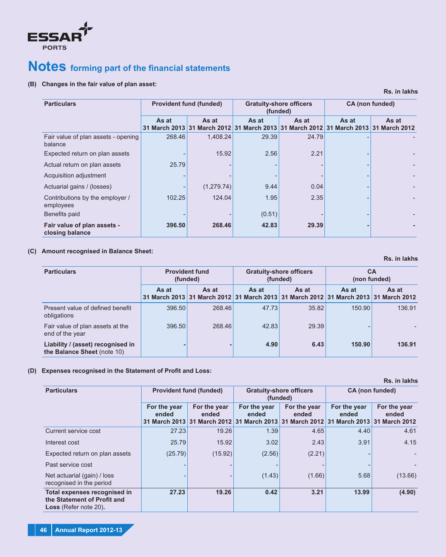

### **(B) Changes in the fair value of plan asset:**

| <b>Particulars</b>                             | <b>Provident fund (funded)</b> |             |                                                                                              | <b>Gratuity-shore officers</b><br>(funded) | <b>CA</b> (non funded) |       |
|------------------------------------------------|--------------------------------|-------------|----------------------------------------------------------------------------------------------|--------------------------------------------|------------------------|-------|
|                                                | As at                          | As at       | As at<br>31 March 2013 31 March 2012 31 March 2013 31 March 2012 31 March 2013 31 March 2012 | As at                                      | As at                  | As at |
| Fair value of plan assets - opening<br>balance | 268.46                         | 1,408.24    | 29.39                                                                                        | 24.79                                      |                        |       |
| Expected return on plan assets                 |                                | 15.92       | 2.56                                                                                         | 2.21                                       |                        |       |
| Actual return on plan assets                   | 25.79                          |             |                                                                                              |                                            |                        |       |
| Acquisition adjustment                         |                                |             |                                                                                              |                                            |                        |       |
| Actuarial gains / (losses)                     |                                | (1, 279.74) | 9.44                                                                                         | 0.04                                       |                        |       |
| Contributions by the employer /<br>employees   | 102.25                         | 124.04      | 1.95                                                                                         | 2.35                                       |                        |       |
| Benefits paid                                  |                                |             | (0.51)                                                                                       |                                            |                        |       |
| Fair value of plan assets -<br>closing balance | 396.50                         | 268.46      | 42.83                                                                                        | 29.39                                      |                        |       |

### **(C) Amount recognised in Balance Sheet:**

| <b>Particulars</b>                                               | <b>Provident fund</b><br>(funded) |        |                                                                                              | <b>Gratuity-shore officers</b><br>(funded) | <b>CA</b><br>(non funded) |        |
|------------------------------------------------------------------|-----------------------------------|--------|----------------------------------------------------------------------------------------------|--------------------------------------------|---------------------------|--------|
|                                                                  | As at                             | As at  | As at<br>31 March 2013 31 March 2012 31 March 2013 31 March 2012 31 March 2013 31 March 2012 | As at                                      | As at                     | As at  |
| Present value of defined benefit<br>obligations                  | 396.50                            | 268.46 | 47.73                                                                                        | 35.82                                      | 150.90                    | 136.91 |
| Fair value of plan assets at the<br>end of the year              | 396.50                            | 268.46 | 42.83                                                                                        | 29.39                                      |                           |        |
| Liability / (asset) recognised in<br>the Balance Sheet (note 10) |                                   |        | 4.90                                                                                         | 6.43                                       | 150.90                    | 136.91 |

### (D) Expenses recognised in the Statement of Profit and Loss:

|                                                                                             |                                |                       |                                                                                                              |                       |                        | Rs. in lakhs             |
|---------------------------------------------------------------------------------------------|--------------------------------|-----------------------|--------------------------------------------------------------------------------------------------------------|-----------------------|------------------------|--------------------------|
| <b>Particulars</b>                                                                          | <b>Provident fund (funded)</b> |                       | <b>Gratuity-shore officers</b>                                                                               | (funded)              | <b>CA</b> (non funded) |                          |
|                                                                                             | For the year<br>ended          | For the year<br>ended | For the year<br>ended<br>31 March 2013 31 March 2012 31 March 2013 31 March 2012 31 March 2013 31 March 2012 | For the year<br>ended | For the year<br>ended  | For the year<br>ended    |
| Current service cost                                                                        | 27.23                          | 19.26                 | 1.39                                                                                                         | 4.65                  | 4.40                   | 4.61                     |
| Interest cost                                                                               | 25.79                          | 15.92                 | 3.02                                                                                                         | 2.43                  | 3.91                   | 4.15                     |
| Expected return on plan assets                                                              | (25.79)                        | (15.92)               | (2.56)                                                                                                       | (2.21)                |                        | $\overline{\phantom{a}}$ |
| Past service cost                                                                           |                                |                       |                                                                                                              |                       |                        | $\overline{\phantom{a}}$ |
| Net actuarial (gain) / loss<br>recognised in the period                                     |                                |                       | (1.43)                                                                                                       | (1.66)                | 5.68                   | (13.66)                  |
| Total expenses recognised in<br>the Statement of Profit and<br><b>Loss</b> (Refer note 20). | 27.23                          | 19.26                 | 0.42                                                                                                         | 3.21                  | 13.99                  | (4.90)                   |

**Rs. in lakhs**

**Rs. in lakhs**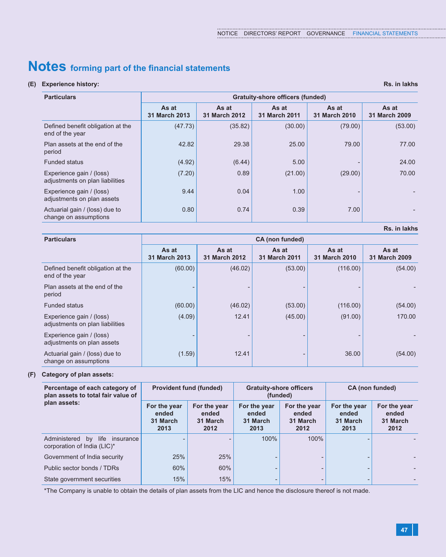.............................

. . . . . . . . . .

### **Notes** forming part of the financial statements

### **(E) Experience history: Rs. in lakhs**

| <b>Particulars</b>                                          | Gratuity-shore officers (funded) |                        |                        |                        |                        |  |  |  |
|-------------------------------------------------------------|----------------------------------|------------------------|------------------------|------------------------|------------------------|--|--|--|
|                                                             | As at<br>31 March 2013           | As at<br>31 March 2012 | As at<br>31 March 2011 | As at<br>31 March 2010 | As at<br>31 March 2009 |  |  |  |
| Defined benefit obligation at the<br>end of the year        | (47.73)                          | (35.82)                | (30.00)                | (79.00)                | (53.00)                |  |  |  |
| Plan assets at the end of the<br>period                     | 42.82                            | 29.38                  | 25.00                  | 79.00                  | 77.00                  |  |  |  |
| <b>Funded status</b>                                        | (4.92)                           | (6.44)                 | 5.00                   | $\qquad \qquad$        | 24.00                  |  |  |  |
| Experience gain / (loss)<br>adjustments on plan liabilities | (7.20)                           | 0.89                   | (21.00)                | (29.00)                | 70.00                  |  |  |  |
| Experience gain / (loss)<br>adjustments on plan assets      | 9.44                             | 0.04                   | 1.00                   |                        |                        |  |  |  |
| Actuarial gain / (loss) due to<br>change on assumptions     | 0.80                             | 0.74                   | 0.39                   | 7.00                   |                        |  |  |  |

**Rs. in lakhs**

| <b>Particulars</b>                                          | CA (non funded)          |                        |                        |                        |                        |  |  |  |
|-------------------------------------------------------------|--------------------------|------------------------|------------------------|------------------------|------------------------|--|--|--|
|                                                             | As at<br>31 March 2013   | As at<br>31 March 2012 | As at<br>31 March 2011 | As at<br>31 March 2010 | As at<br>31 March 2009 |  |  |  |
| Defined benefit obligation at the<br>end of the year        | (60.00)                  | (46.02)                | (53.00)                | (116.00)               | (54.00)                |  |  |  |
| Plan assets at the end of the<br>period                     | $\overline{\phantom{0}}$ |                        |                        |                        |                        |  |  |  |
| <b>Funded status</b>                                        | (60.00)                  | (46.02)                | (53.00)                | (116.00)               | (54.00)                |  |  |  |
| Experience gain / (loss)<br>adjustments on plan liabilities | (4.09)                   | 12.41                  | (45.00)                | (91.00)                | 170.00                 |  |  |  |
| Experience gain / (loss)<br>adjustments on plan assets      | $\overline{\phantom{0}}$ |                        |                        |                        |                        |  |  |  |
| Actuarial gain / (loss) due to<br>change on assumptions     | (1.59)                   | 12.41                  |                        | 36.00                  | (54.00)                |  |  |  |

### **(F) Category of plan assets:**

| Percentage of each category of<br>plan assets to total fair value of   |                                           | <b>Provident fund (funded)</b>            |                                           | <b>Gratuity-shore officers</b><br>(funded) | CA (non funded)                           |                                           |  |
|------------------------------------------------------------------------|-------------------------------------------|-------------------------------------------|-------------------------------------------|--------------------------------------------|-------------------------------------------|-------------------------------------------|--|
| plan assets:                                                           | For the year<br>ended<br>31 March<br>2013 | For the year<br>ended<br>31 March<br>2012 | For the year<br>ended<br>31 March<br>2013 | For the year<br>ended<br>31 March<br>2012  | For the year<br>ended<br>31 March<br>2013 | For the year<br>ended<br>31 March<br>2012 |  |
| Administered<br>life<br>by<br>insurance<br>corporation of India (LIC)* |                                           |                                           | 100%                                      | 100%                                       |                                           |                                           |  |
| Government of India security                                           | 25%                                       | 25%                                       |                                           | $\qquad \qquad$                            |                                           |                                           |  |
| Public sector bonds / TDRs                                             | 60%                                       | 60%                                       |                                           | $\qquad \qquad$                            |                                           | $\qquad \qquad \blacksquare$              |  |
| State government securities                                            | 15%                                       | 15%                                       |                                           | $\qquad \qquad$                            |                                           |                                           |  |

\*The Company is unable to obtain the details of plan assets from the LIC and hence the disclosure thereof is not made.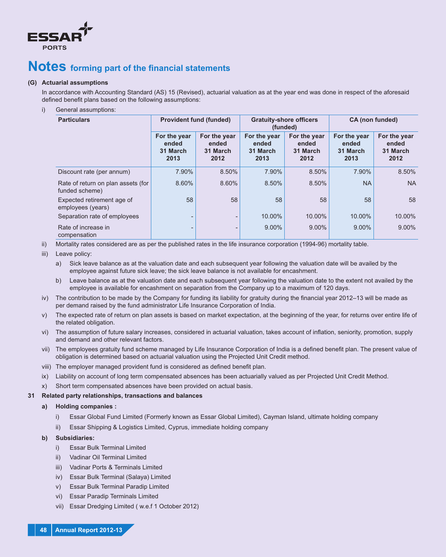

### **(G) Actuarial assumptions**

 In accordance with Accounting Standard (AS) 15 (Revised), actuarial valuation as at the year end was done in respect of the aforesaid defined benefit plans based on the following assumptions:

i) General assumptions:

| <b>Particulars</b>                                   |                                           | <b>Provident fund (funded)</b>            |                                           | <b>Gratuity-shore officers</b><br>(funded) | <b>CA</b> (non funded)                    |                                           |  |
|------------------------------------------------------|-------------------------------------------|-------------------------------------------|-------------------------------------------|--------------------------------------------|-------------------------------------------|-------------------------------------------|--|
|                                                      | For the year<br>ended<br>31 March<br>2013 | For the year<br>ended<br>31 March<br>2012 | For the year<br>ended<br>31 March<br>2013 | For the year<br>ended<br>31 March<br>2012  | For the year<br>ended<br>31 March<br>2013 | For the year<br>ended<br>31 March<br>2012 |  |
| Discount rate (per annum)                            | 7.90%                                     | 8.50%                                     | 7.90%                                     | 8.50%                                      | 7.90%                                     | 8.50%                                     |  |
| Rate of return on plan assets (for<br>funded scheme) | 8.60%                                     | 8.60%                                     | 8.50%                                     | 8.50%                                      | <b>NA</b>                                 | <b>NA</b>                                 |  |
| Expected retirement age of<br>employees (years)      | 58                                        | 58                                        | 58                                        | 58                                         | 58                                        | 58                                        |  |
| Separation rate of employees                         | $\overline{\phantom{0}}$                  | -                                         | 10.00%                                    | 10.00%                                     | 10.00%                                    | 10.00%                                    |  |
| Rate of increase in<br>compensation                  | $\overline{\phantom{0}}$                  |                                           | $9.00\%$                                  | 9.00%                                      | $9.00\%$                                  | $9.00\%$                                  |  |

ii) Mortality rates considered are as per the published rates in the life insurance corporation (1994-96) mortality table.

- iii) Leave policy:
	- a) Sick leave balance as at the valuation date and each subsequent year following the valuation date will be availed by the employee against future sick leave; the sick leave balance is not available for encashment.
	- b) Leave balance as at the valuation date and each subsequent year following the valuation date to the extent not availed by the employee is available for encashment on separation from the Company up to a maximum of 120 days.
- iv) The contribution to be made by the Company for funding its liability for gratuity during the financial year 2012–13 will be made as per demand raised by the fund administrator Life Insurance Corporation of India.
- v) The expected rate of return on plan assets is based on market expectation, at the beginning of the year, for returns over entire life of the related obligation.
- vi) The assumption of future salary increases, considered in actuarial valuation, takes account of inflation, seniority, promotion, supply and demand and other relevant factors.
- vii) The employees gratuity fund scheme managed by Life Insurance Corporation of India is a defined benefit plan. The present value of obligation is determined based on actuarial valuation using the Projected Unit Credit method.
- viii) The employer managed provident fund is considered as defined benefit plan.
- ix) Liability on account of long term compensated absences has been actuarially valued as per Projected Unit Credit Method.
- x) Short term compensated absences have been provided on actual basis.

### **31 Related party relationships, transactions and balances**

### **a) Holding companies :**

- i) Essar Global Fund Limited (Formerly known as Essar Global Limited), Cayman Island, ultimate holding company
- ii) Essar Shipping & Logistics Limited, Cyprus, immediate holding company

### **b) Subsidiaries:**

- i) Essar Bulk Terminal Limited
- ii) Vadinar Oil Terminal Limited
- iii) Vadinar Ports & Terminals Limited
- iv) Essar Bulk Terminal (Salaya) Limited
- v) Essar Bulk Terminal Paradip Limited
- vi) Essar Paradip Terminals Limited
- vii) Essar Dredging Limited ( w.e.f 1 October 2012)

**48 Annual Report 2012-13**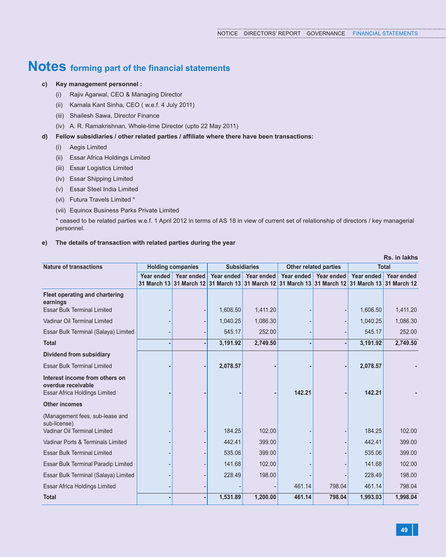### **c) Key management personnel :**

- (i) Rajiv Agarwal, CEO & Managing Director
- (ii) Kamala Kant Sinha, CEO ( w.e.f. 4 July 2011)
- (iii) Shailesh Sawa, Director Finance
- (iv) A. R. Ramakrishnan, Whole-time Director (upto 22 May 2011)

### **d) Fellow subsidiaries / other related parties / affi liate where there have been transactions:**

- (i) Aegis Limited
- (ii) Essar Africa Holdings Limited
- (iii) Essar Logistics Limited
- (iv) Essar Shipping Limited
- (v) Essar Steel India Limited
- (vi) Futura Travels Limited \*
- (vii) Equinox Business Parks Private Limited

 \* ceased to be related parties w.e.f. 1 April 2012 in terms of AS 18 in view of current set of relationship of directors / key managerial personnel.

### **e) The details of transaction with related parties during the year**

Nature of transactions **Holding companies** Subsidiaries **Companies** Subsidiaries **Other related parties** Total  **Year ended Year ended 31 March 13 31 March 12 31 March 13 31 March 12 31 March 13 31 March 12 31 March 13 31 March 12 Year ended Year ended Year ended Year ended Year ended Year ended Fleet operating and chartering earnings** Essar Bulk Terminal Limited | - | - | 1,606.50 | 1,411.20 | - | - | 1,606.50 | 1,411.20 Vadinar Oil Terminal Limited - - 1,040.25 1,086.30 - - 1,040.25 1,086.30 Essar Bulk Terminal (Salaya) Limited | - - - - 545.17 545.17 | 252.00 - - 545.17 252.00 **Total - - 3,191.92 2,749.50 - - 3,191.92 2,749.50 Dividend from subsidiary** Essar Bulk Terminal Limited **- 1 - 1 - 2,078.57** - 2,078.57 - 2,078.57 **Interest income from others on overdue receivable** Essar Africa Holdings Limited **- 142.21 - 142.21 - 142.21** 142.21 142.21 **Other incomes** (Management fees, sub-lease and sub-license) Vadinar Oil Terminal Limited | - | - | 184.25 | 102.00 | - | 184.25 | 102.00 Vadinar Ports & Terminals Limited | - | - | 442.41 | 399.00 | - | - | 442.41 399.00 Essar Bulk Terminal Limited | - | - | 535.06 399.00 - | - 535.06 399.00 Essar Bulk Terminal Paradip Limited | The Lotter Left 141.68 | 102.00 | The Lotter Left 141.68 | 102.00 Essar Bulk Terminal (Salaya) Limited | - | - | 228.49 | 198.00 | - | - | 228.49 | 198.00 Essar Africa Holdings Limited | - | - | - | - | 461.14 798.04 461.14 798.04 **Total - - 1,531.89 1,200.00 461.14 798.04 1,993.03 1,998.04**

**Rs. in lakhs**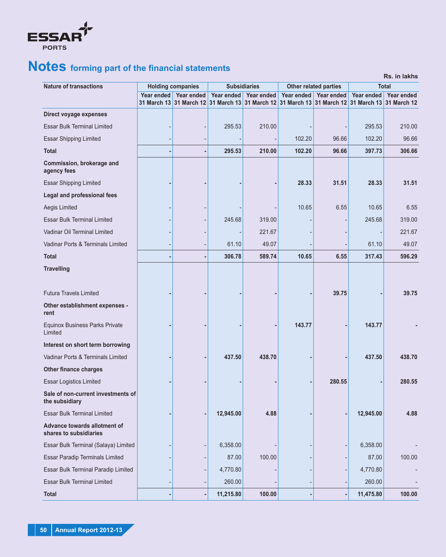

| Rs. in lakhs                                           |            |                                       |            |                                                                                       |        |                       |              |            |
|--------------------------------------------------------|------------|---------------------------------------|------------|---------------------------------------------------------------------------------------|--------|-----------------------|--------------|------------|
| <b>Nature of transactions</b>                          |            | <b>Holding companies</b>              |            | <b>Subsidiaries</b>                                                                   |        | Other related parties | <b>Total</b> |            |
|                                                        | Year ended | Year ended<br>31 March 13 31 March 12 | Year ended | Year ended<br>31 March 13 31 March 12 31 March 13 31 March 12 31 March 13 31 March 12 |        | Year ended Year ended | Year ended   | Year ended |
| Direct voyage expenses                                 |            |                                       |            |                                                                                       |        |                       |              |            |
| <b>Essar Bulk Terminal Limited</b>                     |            |                                       | 295.53     | 210.00                                                                                |        |                       | 295.53       | 210.00     |
| <b>Essar Shipping Limited</b>                          |            |                                       |            |                                                                                       | 102.20 | 96.66                 | 102.20       | 96.66      |
| <b>Total</b>                                           |            |                                       | 295.53     | 210.00                                                                                | 102.20 | 96.66                 | 397.73       | 306.66     |
| Commission, brokerage and<br>agency fees               |            |                                       |            |                                                                                       |        |                       |              |            |
| <b>Essar Shipping Limited</b>                          |            |                                       |            |                                                                                       | 28.33  | 31.51                 | 28.33        | 31.51      |
| Legal and professional fees                            |            |                                       |            |                                                                                       |        |                       |              |            |
| Aegis Limited                                          |            |                                       |            |                                                                                       | 10.65  | 6.55                  | 10.65        | 6.55       |
| <b>Essar Bulk Terminal Limited</b>                     |            |                                       | 245.68     | 319.00                                                                                |        |                       | 245.68       | 319.00     |
| Vadinar Oil Terminal Limited                           |            |                                       |            | 221.67                                                                                |        |                       |              | 221.67     |
| Vadinar Ports & Terminals Limited                      |            |                                       | 61.10      | 49.07                                                                                 |        |                       | 61.10        | 49.07      |
| <b>Total</b>                                           |            |                                       | 306.78     | 589.74                                                                                | 10.65  | 6.55                  | 317.43       | 596.29     |
| <b>Travelling</b>                                      |            |                                       |            |                                                                                       |        |                       |              |            |
|                                                        |            |                                       |            |                                                                                       |        |                       |              |            |
| <b>Futura Travels Limited</b>                          |            |                                       |            |                                                                                       |        | 39.75                 |              | 39.75      |
| Other establishment expenses -<br>rent                 |            |                                       |            |                                                                                       |        |                       |              |            |
| Equinox Business Parks Private<br>Limited              |            |                                       |            |                                                                                       | 143.77 |                       | 143.77       |            |
| Interest on short term borrowing                       |            |                                       |            |                                                                                       |        |                       |              |            |
| Vadinar Ports & Terminals Limited                      |            |                                       | 437.50     | 438.70                                                                                |        |                       | 437.50       | 438.70     |
| Other finance charges                                  |            |                                       |            |                                                                                       |        |                       |              |            |
| <b>Essar Logistics Limited</b>                         |            |                                       |            |                                                                                       |        | 280.55                |              | 280.55     |
| Sale of non-current investments of<br>the subsidiary   |            |                                       |            |                                                                                       |        |                       |              |            |
| <b>Essar Bulk Terminal Limited</b>                     |            |                                       | 12,945.00  | 4.88                                                                                  |        |                       | 12,945.00    | 4.88       |
| Advance towards allotment of<br>shares to subsidiaries |            |                                       |            |                                                                                       |        |                       |              |            |
| Essar Bulk Terminal (Salaya) Limited                   |            |                                       | 6,358.00   |                                                                                       |        |                       | 6,358.00     |            |
| <b>Essar Paradip Terminals Limited</b>                 |            |                                       | 87.00      | 100.00                                                                                |        |                       | 87.00        | 100.00     |
| Essar Bulk Terminal Paradip Limited                    |            |                                       | 4,770.80   |                                                                                       |        |                       | 4,770.80     |            |
| <b>Essar Bulk Terminal Limited</b>                     |            |                                       | 260.00     |                                                                                       |        |                       | 260.00       |            |
| <b>Total</b>                                           |            |                                       | 11,215.80  | 100.00                                                                                |        |                       | 11,475.80    | 100.00     |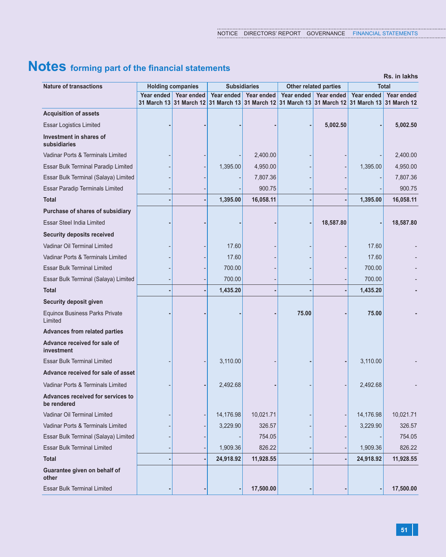|                                                  | Rs. in lakhs |                                       |            |                     |                                                                                       |                       |              |            |
|--------------------------------------------------|--------------|---------------------------------------|------------|---------------------|---------------------------------------------------------------------------------------|-----------------------|--------------|------------|
| <b>Nature of transactions</b>                    |              | <b>Holding companies</b>              |            | <b>Subsidiaries</b> |                                                                                       | Other related parties | <b>Total</b> |            |
|                                                  | Year ended   | Year ended<br>31 March 13 31 March 12 | Year ended | Year ended          | Year ended<br>31 March 13 31 March 12 31 March 13 31 March 12 31 March 13 31 March 12 | Year ended            | Year ended   | Year ended |
| <b>Acquisition of assets</b>                     |              |                                       |            |                     |                                                                                       |                       |              |            |
| <b>Essar Logistics Limited</b>                   |              |                                       |            |                     |                                                                                       | 5,002.50              |              | 5,002.50   |
| Investment in shares of<br>subsidiaries          |              |                                       |            |                     |                                                                                       |                       |              |            |
| Vadinar Ports & Terminals Limited                |              |                                       |            | 2,400.00            |                                                                                       |                       |              | 2,400.00   |
| Essar Bulk Terminal Paradip Limited              |              |                                       | 1,395.00   | 4,950.00            |                                                                                       |                       | 1,395.00     | 4,950.00   |
| Essar Bulk Terminal (Salaya) Limited             |              |                                       |            | 7,807.36            |                                                                                       |                       |              | 7,807.36   |
| Essar Paradip Terminals Limited                  |              |                                       |            | 900.75              |                                                                                       |                       |              | 900.75     |
| <b>Total</b>                                     |              |                                       | 1,395.00   | 16,058.11           |                                                                                       |                       | 1,395.00     | 16,058.11  |
| Purchase of shares of subsidiary                 |              |                                       |            |                     |                                                                                       |                       |              |            |
| Essar Steel India Limited                        |              |                                       |            |                     |                                                                                       | 18,587.80             |              | 18,587.80  |
| <b>Security deposits received</b>                |              |                                       |            |                     |                                                                                       |                       |              |            |
| Vadinar Oil Terminal Limited                     |              |                                       | 17.60      |                     |                                                                                       |                       | 17.60        |            |
| Vadinar Ports & Terminals Limited                |              |                                       | 17.60      |                     |                                                                                       |                       | 17.60        |            |
| <b>Essar Bulk Terminal Limited</b>               |              |                                       | 700.00     |                     |                                                                                       |                       | 700.00       |            |
| Essar Bulk Terminal (Salaya) Limited             |              |                                       | 700.00     |                     |                                                                                       |                       | 700.00       |            |
| <b>Total</b>                                     |              |                                       | 1,435.20   |                     |                                                                                       |                       | 1,435.20     |            |
| Security deposit given                           |              |                                       |            |                     |                                                                                       |                       |              |            |
| <b>Equinox Business Parks Private</b><br>Limited |              |                                       |            |                     | 75.00                                                                                 |                       | 75.00        |            |
| Advances from related parties                    |              |                                       |            |                     |                                                                                       |                       |              |            |
| Advance received for sale of<br>investment       |              |                                       |            |                     |                                                                                       |                       |              |            |
| <b>Essar Bulk Terminal Limited</b>               |              |                                       | 3,110.00   |                     |                                                                                       |                       | 3,110.00     |            |
| Advance received for sale of asset               |              |                                       |            |                     |                                                                                       |                       |              |            |
| Vadinar Ports & Terminals Limited                |              |                                       | 2,492.68   |                     |                                                                                       |                       | 2,492.68     |            |
| Advances received for services to<br>be rendered |              |                                       |            |                     |                                                                                       |                       |              |            |
| Vadinar Oil Terminal Limited                     |              |                                       | 14,176.98  | 10,021.71           |                                                                                       |                       | 14,176.98    | 10,021.71  |
| Vadinar Ports & Terminals Limited                |              |                                       | 3,229.90   | 326.57              |                                                                                       |                       | 3,229.90     | 326.57     |
| Essar Bulk Terminal (Salaya) Limited             |              |                                       |            | 754.05              |                                                                                       |                       |              | 754.05     |
| Essar Bulk Terminal Limited                      |              |                                       | 1,909.36   | 826.22              |                                                                                       |                       | 1,909.36     | 826.22     |
| <b>Total</b>                                     |              |                                       | 24,918.92  | 11,928.55           |                                                                                       |                       | 24,918.92    | 11,928.55  |
| Guarantee given on behalf of<br>other            |              |                                       |            |                     |                                                                                       |                       |              |            |
| Essar Bulk Terminal Limited                      |              |                                       |            | 17,500.00           |                                                                                       |                       |              | 17,500.00  |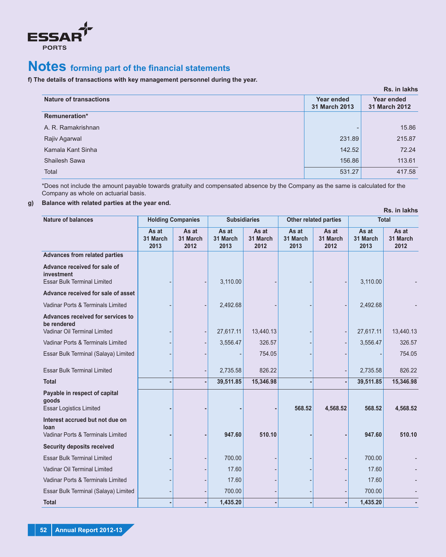

**f) The details of transactions with key management personnel during the year.**

|                               | Rs. in lakhs                |                             |  |  |  |  |  |
|-------------------------------|-----------------------------|-----------------------------|--|--|--|--|--|
| <b>Nature of transactions</b> | Year ended<br>31 March 2013 | Year ended<br>31 March 2012 |  |  |  |  |  |
| Remuneration*                 |                             |                             |  |  |  |  |  |
| A. R. Ramakrishnan            |                             | 15.86                       |  |  |  |  |  |
| Rajiv Agarwal                 | 231.89                      | 215.87                      |  |  |  |  |  |
| Kamala Kant Sinha             | 142.52                      | 72.24                       |  |  |  |  |  |
| <b>Shailesh Sawa</b>          | 156.86                      | 113.61                      |  |  |  |  |  |
| Total                         | 531.27                      | 417.58                      |  |  |  |  |  |

\*Does not include the amount payable towards gratuity and compensated absence by the Company as the same is calculated for the Company as whole on actuarial basis.

**Rs. in lakhs**

### **g) Balance with related parties at the year end.**

| <b>Nature of balances</b>                                                        |                           | <b>Holding Companies</b>  | <b>Subsidiaries</b>       |                           |                           | <b>Other related parties</b> | <b>Total</b>              |                           |
|----------------------------------------------------------------------------------|---------------------------|---------------------------|---------------------------|---------------------------|---------------------------|------------------------------|---------------------------|---------------------------|
|                                                                                  | As at<br>31 March<br>2013 | As at<br>31 March<br>2012 | As at<br>31 March<br>2013 | As at<br>31 March<br>2012 | As at<br>31 March<br>2013 | As at<br>31 March<br>2012    | As at<br>31 March<br>2013 | As at<br>31 March<br>2012 |
| <b>Advances from related parties</b>                                             |                           |                           |                           |                           |                           |                              |                           |                           |
| Advance received for sale of<br>investment<br><b>Essar Bulk Terminal Limited</b> |                           |                           | 3,110.00                  |                           |                           |                              | 3,110.00                  |                           |
| Advance received for sale of asset                                               |                           |                           |                           |                           |                           |                              |                           |                           |
| Vadinar Ports & Terminals Limited                                                |                           |                           | 2,492.68                  |                           |                           |                              | 2,492.68                  |                           |
| Advances received for services to<br>be rendered                                 |                           |                           |                           |                           |                           |                              |                           |                           |
| Vadinar Oil Terminal Limited                                                     |                           |                           | 27,617.11                 | 13,440.13                 |                           |                              | 27,617.11                 | 13,440.13                 |
| Vadinar Ports & Terminals Limited                                                |                           |                           | 3,556.47                  | 326.57                    |                           |                              | 3,556.47                  | 326.57                    |
| Essar Bulk Terminal (Salaya) Limited                                             |                           |                           |                           | 754.05                    |                           |                              |                           | 754.05                    |
| <b>Essar Bulk Terminal Limited</b>                                               |                           |                           | 2,735.58                  | 826.22                    |                           |                              | 2,735.58                  | 826.22                    |
| Total                                                                            |                           | $\blacksquare$            | 39,511.85                 | 15,346.98                 |                           |                              | 39,511.85                 | 15,346.98                 |
| Payable in respect of capital<br>goods<br><b>Essar Logistics Limited</b>         |                           |                           |                           |                           | 568.52                    | 4,568.52                     | 568.52                    | 4,568.52                  |
| Interest accrued but not due on<br>loan<br>Vadinar Ports & Terminals Limited     |                           |                           | 947.60                    | 510.10                    |                           |                              | 947.60                    | 510.10                    |
| <b>Security deposits received</b>                                                |                           |                           |                           |                           |                           |                              |                           |                           |
| <b>Essar Bulk Terminal Limited</b>                                               |                           |                           | 700.00                    |                           |                           |                              | 700.00                    |                           |
| Vadinar Oil Terminal Limited                                                     |                           |                           | 17.60                     |                           |                           |                              | 17.60                     |                           |
| Vadinar Ports & Terminals Limited                                                |                           |                           | 17.60                     |                           |                           |                              | 17.60                     |                           |
| Essar Bulk Terminal (Salaya) Limited                                             |                           |                           | 700.00                    |                           |                           |                              | 700.00                    |                           |
| <b>Total</b>                                                                     |                           |                           | 1,435.20                  |                           |                           |                              | 1,435.20                  |                           |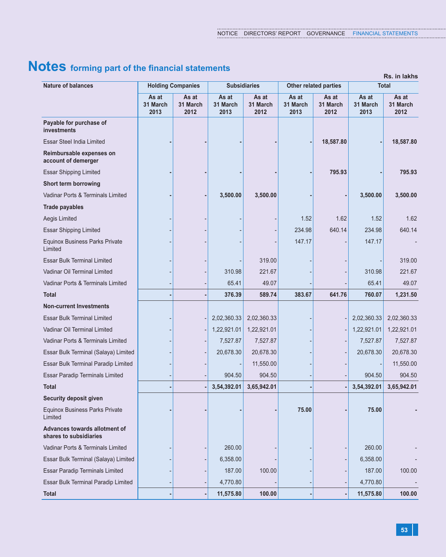| <b>Nature of balances</b>                               | <b>Holding Companies</b>  |                           |                           | <b>Subsidiaries</b>       |                           | Other related parties     | <b>Total</b>              |                           |
|---------------------------------------------------------|---------------------------|---------------------------|---------------------------|---------------------------|---------------------------|---------------------------|---------------------------|---------------------------|
|                                                         | As at<br>31 March<br>2013 | As at<br>31 March<br>2012 | As at<br>31 March<br>2013 | As at<br>31 March<br>2012 | As at<br>31 March<br>2013 | As at<br>31 March<br>2012 | As at<br>31 March<br>2013 | As at<br>31 March<br>2012 |
| Payable for purchase of<br>investments                  |                           |                           |                           |                           |                           |                           |                           |                           |
| <b>Essar Steel India Limited</b>                        |                           |                           |                           |                           |                           | 18,587.80                 |                           | 18,587.80                 |
| Reimbursable expenses on<br>account of demerger         |                           |                           |                           |                           |                           |                           |                           |                           |
| <b>Essar Shipping Limited</b>                           |                           |                           |                           |                           |                           | 795.93                    |                           | 795.93                    |
| Short term borrowing                                    |                           |                           |                           |                           |                           |                           |                           |                           |
| Vadinar Ports & Terminals Limited                       |                           |                           | 3,500.00                  | 3,500.00                  |                           |                           | 3,500.00                  | 3,500.00                  |
| <b>Trade payables</b>                                   |                           |                           |                           |                           |                           |                           |                           |                           |
| Aegis Limited                                           |                           |                           |                           |                           | 1.52                      | 1.62                      | 1.52                      | 1.62                      |
| <b>Essar Shipping Limited</b>                           |                           |                           |                           |                           | 234.98                    | 640.14                    | 234.98                    | 640.14                    |
| <b>Equinox Business Parks Private</b><br>Limited        |                           |                           |                           |                           | 147.17                    |                           | 147.17                    |                           |
| <b>Essar Bulk Terminal Limited</b>                      |                           |                           |                           | 319.00                    |                           |                           |                           | 319.00                    |
| Vadinar Oil Terminal Limited                            |                           |                           | 310.98                    | 221.67                    |                           |                           | 310.98                    | 221.67                    |
| Vadinar Ports & Terminals Limited                       |                           |                           | 65.41                     | 49.07                     |                           |                           | 65.41                     | 49.07                     |
| <b>Total</b>                                            |                           |                           | 376.39                    | 589.74                    | 383.67                    | 641.76                    | 760.07                    | 1,231.50                  |
| <b>Non-current Investments</b>                          |                           |                           |                           |                           |                           |                           |                           |                           |
| <b>Essar Bulk Terminal Limited</b>                      |                           |                           | 2,02,360.33               | 2,02,360.33               |                           |                           | 2,02,360.33               | 2,02,360.33               |
| Vadinar Oil Terminal Limited                            |                           |                           | 1,22,921.01               | 1,22,921.01               |                           |                           | 1,22,921.01               | 1,22,921.01               |
| Vadinar Ports & Terminals Limited                       |                           |                           | 7,527.87                  | 7,527.87                  |                           |                           | 7,527.87                  | 7,527.87                  |
| Essar Bulk Terminal (Salaya) Limited                    |                           |                           | 20,678.30                 | 20,678.30                 |                           |                           | 20,678.30                 | 20,678.30                 |
| Essar Bulk Terminal Paradip Limited                     |                           |                           |                           | 11,550.00                 |                           |                           |                           | 11,550.00                 |
| Essar Paradip Terminals Limited                         |                           |                           | 904.50                    | 904.50                    |                           |                           | 904.50                    | 904.50                    |
| <b>Total</b>                                            |                           |                           | 3,54,392.01               | 3,65,942.01               |                           |                           | 3,54,392.01               | 3,65,942.01               |
| Security deposit given                                  |                           |                           |                           |                           |                           |                           |                           |                           |
| <b>Equinox Business Parks Private</b><br>Limited        |                           |                           |                           |                           | 75.00                     |                           | 75.00                     |                           |
| Advances towards allotment of<br>shares to subsidiaries |                           |                           |                           |                           |                           |                           |                           |                           |
| Vadinar Ports & Terminals Limited                       |                           |                           | 260.00                    |                           |                           |                           | 260.00                    |                           |
| Essar Bulk Terminal (Salaya) Limited                    |                           |                           | 6,358.00                  |                           |                           |                           | 6,358.00                  | $\overline{\phantom{a}}$  |
| Essar Paradip Terminals Limited                         |                           |                           | 187.00                    | 100.00                    |                           |                           | 187.00                    | 100.00                    |
| Essar Bulk Terminal Paradip Limited                     |                           |                           | 4,770.80                  |                           |                           |                           | 4,770.80                  |                           |
| <b>Total</b>                                            |                           |                           | 11,575.80                 | 100.00                    |                           |                           | 11,575.80                 | 100.00                    |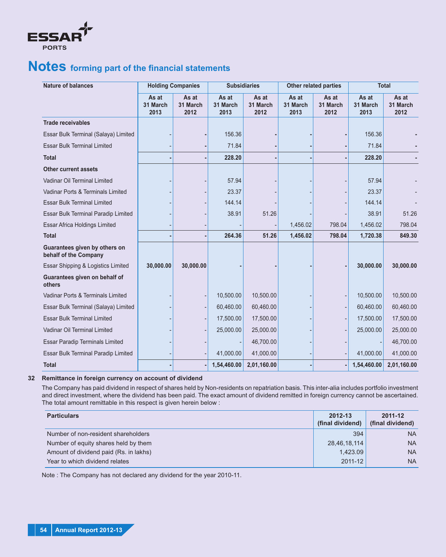

| <b>Nature of balances</b>                              |                           | <b>Holding Companies</b>  | <b>Subsidiaries</b>       |                           |                           | <b>Other related parties</b> |                           | <b>Total</b>              |
|--------------------------------------------------------|---------------------------|---------------------------|---------------------------|---------------------------|---------------------------|------------------------------|---------------------------|---------------------------|
|                                                        | As at<br>31 March<br>2013 | As at<br>31 March<br>2012 | As at<br>31 March<br>2013 | As at<br>31 March<br>2012 | As at<br>31 March<br>2013 | As at<br>31 March<br>2012    | As at<br>31 March<br>2013 | As at<br>31 March<br>2012 |
| <b>Trade receivables</b>                               |                           |                           |                           |                           |                           |                              |                           |                           |
| Essar Bulk Terminal (Salaya) Limited                   |                           |                           | 156.36                    |                           |                           |                              | 156.36                    |                           |
| <b>Essar Bulk Terminal Limited</b>                     |                           |                           | 71.84                     |                           |                           |                              | 71.84                     |                           |
| <b>Total</b>                                           |                           |                           | 228.20                    |                           |                           |                              | 228.20                    |                           |
| <b>Other current assets</b>                            |                           |                           |                           |                           |                           |                              |                           |                           |
| Vadinar Oil Terminal Limited                           |                           |                           | 57.94                     |                           |                           |                              | 57.94                     |                           |
| Vadinar Ports & Terminals Limited                      |                           |                           | 23.37                     |                           |                           |                              | 23.37                     |                           |
| <b>Essar Bulk Terminal Limited</b>                     |                           |                           | 144.14                    |                           |                           |                              | 144.14                    |                           |
| Essar Bulk Terminal Paradip Limited                    |                           |                           | 38.91                     | 51.26                     |                           |                              | 38.91                     | 51.26                     |
| Essar Africa Holdings Limited                          |                           |                           |                           |                           | 1,456.02                  | 798.04                       | 1,456.02                  | 798.04                    |
| <b>Total</b>                                           |                           |                           | 264.36                    | 51.26                     | 1,456.02                  | 798.04                       | 1,720.38                  | 849.30                    |
| Guarantees given by others on<br>behalf of the Company |                           |                           |                           |                           |                           |                              |                           |                           |
| Essar Shipping & Logistics Limited                     | 30.000.00                 | 30,000.00                 |                           |                           |                           |                              | 30,000.00                 | 30,000.00                 |
| Guarantees given on behalf of<br>others                |                           |                           |                           |                           |                           |                              |                           |                           |
| Vadinar Ports & Terminals Limited                      |                           |                           | 10,500.00                 | 10,500.00                 |                           |                              | 10,500.00                 | 10,500.00                 |
| Essar Bulk Terminal (Salaya) Limited                   |                           |                           | 60,460.00                 | 60,460.00                 |                           |                              | 60,460.00                 | 60,460.00                 |
| <b>Essar Bulk Terminal Limited</b>                     |                           |                           | 17,500.00                 | 17,500.00                 |                           |                              | 17,500.00                 | 17,500.00                 |
| Vadinar Oil Terminal Limited                           |                           |                           | 25,000.00                 | 25,000.00                 |                           |                              | 25,000.00                 | 25,000.00                 |
| <b>Essar Paradip Terminals Limited</b>                 |                           |                           |                           | 46,700.00                 |                           |                              |                           | 46,700.00                 |
| Essar Bulk Terminal Paradip Limited                    |                           |                           | 41,000.00                 | 41,000.00                 |                           |                              | 41,000.00                 | 41,000.00                 |
| <b>Total</b>                                           |                           |                           | 1,54,460.00               | 2,01,160.00               |                           |                              | 1,54,460.00               | 2,01,160.00               |

### **32 Remittance in foreign currency on account of dividend**

The Company has paid dividend in respect of shares held by Non-residents on repatriation basis. This inter-alia includes portfolio investment and direct investment, where the dividend has been paid. The exact amount of dividend remitted in foreign currency cannot be ascertained. The total amount remittable in this respect is given herein below :

| <b>Particulars</b>                     | 2012-13<br>(final dividend) | 2011-12<br>(final dividend) |
|----------------------------------------|-----------------------------|-----------------------------|
| Number of non-resident shareholders    | 394                         | NA.                         |
| Number of equity shares held by them   | 28,46,18,114                | NA.                         |
| Amount of dividend paid (Rs. in lakhs) | 1.423.09                    | <b>NA</b>                   |
| Year to which dividend relates         | 2011-12                     | <b>NA</b>                   |

Note : The Company has not declared any dividend for the year 2010-11.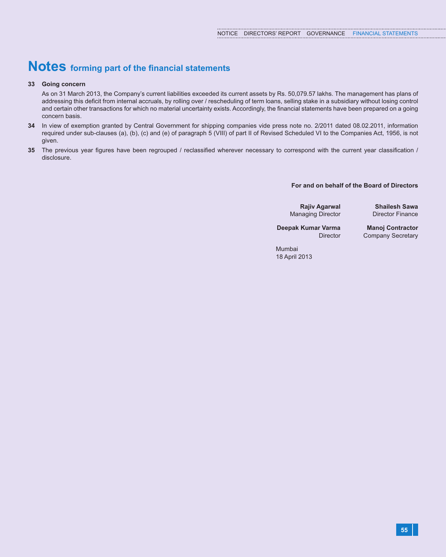### **33 Going concern**

As on 31 March 2013, the Company's current liabilities exceeded its current assets by Rs. 50,079.57 lakhs. The management has plans of addressing this deficit from internal accruals, by rolling over / rescheduling of term loans, selling stake in a subsidiary without losing control and certain other transactions for which no material uncertainty exists. Accordingly, the financial statements have been prepared on a going concern basis.

- **34** In view of exemption granted by Central Government for shipping companies vide press note no. 2/2011 dated 08.02.2011, information required under sub-clauses (a), (b), (c) and (e) of paragraph 5 (VIII) of part II of Revised Scheduled VI to the Companies Act, 1956, is not given.
- 35 The previous year figures have been regrouped / reclassified wherever necessary to correspond with the current year classification / disclosure.

#### **For and on behalf of the Board of Directors**

**Rajiv Agarwal Shailesh Sawa** Managing Director **Director Bilance** 

**Deepak Kumar Varma Manoj Contractor**

Director Company Secretary

Mumbai 18 April 2013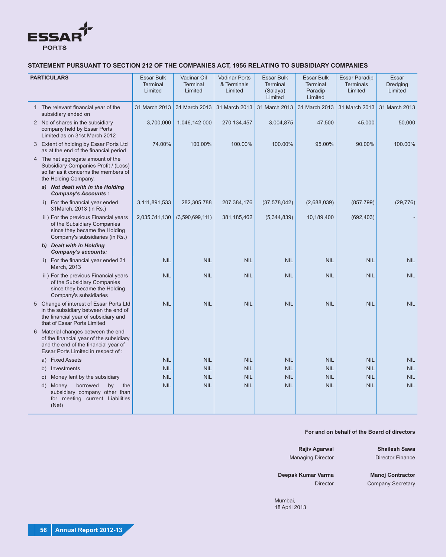

### **STATEMENT PURSUANT TO SECTION 212 OF THE COMPANIES ACT, 1956 RELATING TO SUBSIDIARY COMPANIES**

|  | <b>PARTICULARS</b>                                                                                                                                           | <b>Essar Bulk</b>          | <b>Vadinar Oil</b>         | <b>Vadinar Ports</b>   | <b>Essar Bulk</b>                      | <b>Essar Bulk</b>              | <b>Essar Paradip</b>        | Essar               |
|--|--------------------------------------------------------------------------------------------------------------------------------------------------------------|----------------------------|----------------------------|------------------------|----------------------------------------|--------------------------------|-----------------------------|---------------------|
|  |                                                                                                                                                              | <b>Terminal</b><br>Limited | <b>Terminal</b><br>Limited | & Terminals<br>Limited | <b>Terminal</b><br>(Salaya)<br>Limited | Terminal<br>Paradip<br>Limited | <b>Terminals</b><br>Limited | Dredging<br>Limited |
|  | 1 The relevant financial year of the<br>subsidiary ended on                                                                                                  | 31 March 2013              | 31 March 2013              | 31 March 2013          | 31 March 2013                          | 31 March 2013                  | 31 March 2013               | 31 March 2013       |
|  | 2 No of shares in the subsidiary<br>company held by Essar Ports<br>Limited as on 31st March 2012                                                             | 3,700,000                  | 1,046,142,000              | 270,134,457            | 3,004,875                              | 47,500                         | 45,000                      | 50,000              |
|  | 3 Extent of holding by Essar Ports Ltd<br>as at the end of the financial period                                                                              | 74.00%                     | 100.00%                    | 100.00%                | 100.00%                                | 95.00%                         | 90.00%                      | 100.00%             |
|  | 4 The net aggregate amount of the<br>Subsidiary Companies Profit / (Loss)<br>so far as it concerns the members of<br>the Holding Company.                    |                            |                            |                        |                                        |                                |                             |                     |
|  | a) Not dealt with in the Holding<br>Company's Accounts:                                                                                                      |                            |                            |                        |                                        |                                |                             |                     |
|  | i) For the financial year ended<br>31 March, 2013 (in Rs.)                                                                                                   | 3,111,891,533              | 282,305,788                | 207,384,176            | (37, 578, 042)                         | (2,688,039)                    | (857, 799)                  | (29, 776)           |
|  | ii) For the previous Financial years<br>of the Subsidiary Companies<br>since they became the Holding<br>Company's subsidiaries (in Rs.)                      | 2,035,311,130              | (3,590,699,111)            | 381,185,462            | (5,344,839)                            | 10,189,400                     | (692, 403)                  |                     |
|  | b) Dealt with in Holding<br>Company's accounts:                                                                                                              |                            |                            |                        |                                        |                                |                             |                     |
|  | i) For the financial year ended 31<br>March, 2013                                                                                                            | <b>NIL</b>                 | <b>NIL</b>                 | <b>NIL</b>             | <b>NIL</b>                             | <b>NIL</b>                     | <b>NIL</b>                  | <b>NIL</b>          |
|  | ii) For the previous Financial years<br>of the Subsidiary Companies<br>since they became the Holding<br>Company's subsidiaries                               | <b>NIL</b>                 | <b>NIL</b>                 | <b>NIL</b>             | <b>NIL</b>                             | <b>NIL</b>                     | <b>NIL</b>                  | <b>NIL</b>          |
|  | 5 Change of interest of Essar Ports Ltd<br>in the subsidiary between the end of<br>the financial year of subsidiary and<br>that of Essar Ports Limited       | <b>NIL</b>                 | <b>NIL</b>                 | <b>NIL</b>             | <b>NIL</b>                             | <b>NIL</b>                     | <b>NIL</b>                  | <b>NIL</b>          |
|  | 6 Material changes between the end<br>of the financial year of the subsidiary<br>and the end of the financial year of<br>Essar Ports Limited in respect of : |                            |                            |                        |                                        |                                |                             |                     |
|  | a) Fixed Assets                                                                                                                                              | <b>NIL</b>                 | <b>NIL</b>                 | <b>NIL</b>             | <b>NIL</b>                             | <b>NIL</b>                     | <b>NIL</b>                  | <b>NIL</b>          |
|  | Investments<br>b)                                                                                                                                            | <b>NIL</b>                 | <b>NIL</b>                 | <b>NIL</b>             | <b>NIL</b>                             | <b>NIL</b>                     | <b>NIL</b>                  | <b>NIL</b>          |
|  | Money lent by the subsidiary<br>C)                                                                                                                           | <b>NIL</b>                 | <b>NIL</b>                 | <b>NIL</b>             | <b>NIL</b>                             | <b>NIL</b>                     | <b>NIL</b>                  | <b>NIL</b>          |
|  | borrowed<br>d)<br>Money<br>by<br>the<br>subsidiary company other than<br>for meeting current Liabilities<br>(Net)                                            | <b>NIL</b>                 | <b>NIL</b>                 | <b>NIL</b>             | <b>NIL</b>                             | <b>NIL</b>                     | <b>NIL</b>                  | <b>NIL</b>          |

**For and on behalf of the Board of directors**

**Rajiv Agarwal Shailesh Sawa** Managing Director **Director** Director Finance

**Deepak Kumar Varma** Manoj Contractor

Director Company Secretary

Mumbai, 18 April 2013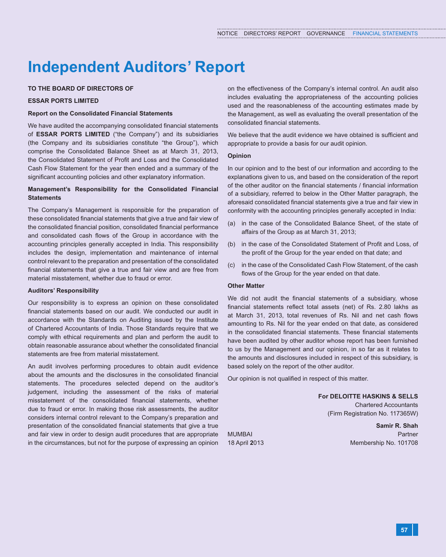### **Independent Auditors' Report**

### **TO THE BOARD OF DIRECTORS OF**

#### **ESSAR PORTS LIMITED**

### **Report on the Consolidated Financial Statements**

We have audited the accompanying consolidated financial statements of **ESSAR PORTS LIMITED** ("the Company") and its subsidiaries (the Company and its subsidiaries constitute "the Group"), which comprise the Consolidated Balance Sheet as at March 31, 2013, the Consolidated Statement of Profit and Loss and the Consolidated Cash Flow Statement for the year then ended and a summary of the significant accounting policies and other explanatory information.

### **Management's Responsibility for the Consolidated Financial Statements**

The Company's Management is responsible for the preparation of these consolidated financial statements that give a true and fair view of the consolidated financial position, consolidated financial performance and consolidated cash flows of the Group in accordance with the accounting principles generally accepted in India. This responsibility includes the design, implementation and maintenance of internal control relevant to the preparation and presentation of the consolidated financial statements that give a true and fair view and are free from material misstatement, whether due to fraud or error.

#### **Auditors' Responsibility**

Our responsibility is to express an opinion on these consolidated financial statements based on our audit. We conducted our audit in accordance with the Standards on Auditing issued by the Institute of Chartered Accountants of India. Those Standards require that we comply with ethical requirements and plan and perform the audit to obtain reasonable assurance about whether the consolidated financial statements are free from material misstatement.

An audit involves performing procedures to obtain audit evidence about the amounts and the disclosures in the consolidated financial statements. The procedures selected depend on the auditor's judgement, including the assessment of the risks of material misstatement of the consolidated financial statements, whether due to fraud or error. In making those risk assessments, the auditor considers internal control relevant to the Company's preparation and presentation of the consolidated financial statements that give a true and fair view in order to design audit procedures that are appropriate in the circumstances, but not for the purpose of expressing an opinion on the effectiveness of the Company's internal control. An audit also includes evaluating the appropriateness of the accounting policies used and the reasonableness of the accounting estimates made by the Management, as well as evaluating the overall presentation of the consolidated financial statements.

We believe that the audit evidence we have obtained is sufficient and appropriate to provide a basis for our audit opinion.

### **Opinion**

In our opinion and to the best of our information and according to the explanations given to us, and based on the consideration of the report of the other auditor on the financial statements / financial information of a subsidiary, referred to below in the Other Matter paragraph, the aforesaid consolidated financial statements give a true and fair view in conformity with the accounting principles generally accepted in India:

- (a) in the case of the Consolidated Balance Sheet, of the state of affairs of the Group as at March 31, 2013;
- (b) in the case of the Consolidated Statement of Profit and Loss, of the profit of the Group for the year ended on that date; and
- (c) in the case of the Consolidated Cash Flow Statement, of the cash flows of the Group for the year ended on that date.

### **Other Matter**

We did not audit the financial statements of a subsidiary, whose financial statements reflect total assets (net) of Rs. 2.80 lakhs as at March 31, 2013, total revenues of Rs. Nil and net cash flows amounting to Rs. Nil for the year ended on that date, as considered in the consolidated financial statements. These financial statements have been audited by other auditor whose report has been furnished to us by the Management and our opinion, in so far as it relates to the amounts and disclosures included in respect of this subsidiary, is based solely on the report of the other auditor.

Our opinion is not qualified in respect of this matter.

**For DELOITTE HASKINS & SELLS** Chartered Accountants (Firm Registration No. 117365W)

**Samir R. Shah** MUMBAI Partner 18 April **2**013 Membership No. 101708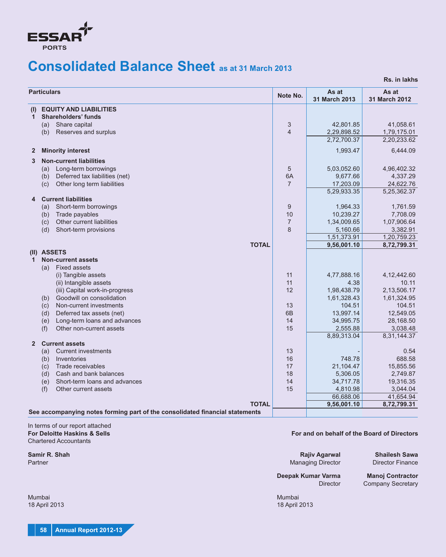

### **Consolidated Balance Sheet as at 31 March 2013**

|                |                                                                              |                |                        | Rs. in lakhs           |
|----------------|------------------------------------------------------------------------------|----------------|------------------------|------------------------|
|                | <b>Particulars</b>                                                           | Note No.       | As at<br>31 March 2013 | As at<br>31 March 2012 |
| (I)            | <b>EQUITY AND LIABILITIES</b>                                                |                |                        |                        |
| $\mathbf{1}$   | <b>Shareholders' funds</b>                                                   |                |                        |                        |
|                | Share capital<br>(a)                                                         | 3              | 42,801.85              | 41,058.61              |
|                | Reserves and surplus<br>(b)                                                  | 4              | 2,29,898.52            | 1,79,175.01            |
|                |                                                                              |                | 2,72,700.37            | 2,20,233.62            |
| $\mathbf{2}$   | <b>Minority interest</b>                                                     |                | 1,993.47               | 6,444.09               |
| 3              | <b>Non-current liabilities</b>                                               |                |                        |                        |
|                | Long-term borrowings<br>(a)                                                  | 5              | 5,03,052.60            | 4,96,402.32            |
|                | Deferred tax liabilities (net)<br>(b)                                        | 6A             | 9,677.66               | 4,337.29               |
|                | Other long term liabilities<br>(c)                                           | $\overline{7}$ | 17,203.09              | 24,622.76              |
|                |                                                                              |                | 5,29,933.35            | 5,25,362.37            |
| $\overline{4}$ | <b>Current liabilities</b>                                                   |                |                        |                        |
|                | Short-term borrowings<br>(a)                                                 | 9              | 1,964.33               | 1,761.59               |
|                | Trade payables<br>(b)                                                        | 10             | 10,239.27              | 7,708.09               |
|                | Other current liabilities<br>(c)                                             | 7              | 1,34,009.65            | 1,07,906.64            |
|                | Short-term provisions<br>(d)                                                 | 8              | 5,160.66               | 3,382.91               |
|                |                                                                              |                | 1,51,373.91            | 1,20,759.23            |
|                | <b>TOTAL</b>                                                                 |                | 9,56,001.10            | 8,72,799.31            |
|                | (II) ASSETS                                                                  |                |                        |                        |
| $\mathbf{1}$   | <b>Non-current assets</b>                                                    |                |                        |                        |
|                | <b>Fixed assets</b><br>(a)                                                   |                |                        |                        |
|                | (i) Tangible assets                                                          | 11             | 4,77,888.16            | 4,12,442.60            |
|                | (ii) Intangible assets                                                       | 11             | 4.38                   | 10.11                  |
|                | (iii) Capital work-in-progress                                               | 12             | 1,98,438.79            | 2,13,506.17            |
|                | Goodwill on consolidation<br>(b)                                             |                | 1,61,328.43            | 1,61,324.95            |
|                | Non-current investments<br>(C)                                               | 13             | 104.51                 | 104.51                 |
|                | Deferred tax assets (net)<br>(d)                                             | 6 <sub>B</sub> | 13,997.14              | 12,549.05              |
|                | Long-term loans and advances<br>(e)                                          | 14             | 34,995.75              | 28,168.50              |
|                | (f)<br>Other non-current assets                                              | 15             | 2,555.88               | 3,038.48               |
|                |                                                                              |                | 8,89,313.04            | 8,31,144.37            |
| $\overline{2}$ | <b>Current assets</b>                                                        |                |                        |                        |
|                | <b>Current investments</b><br>(a)                                            | 13             |                        | 0.54                   |
|                | Inventories<br>(b)                                                           | 16<br>17       | 748.78                 | 688.58                 |
|                | Trade receivables<br>(c)<br>Cash and bank balances                           | 18             | 21,104.47<br>5,306.05  | 15,855.56<br>2,749.87  |
|                | (d)<br>Short-term loans and advances                                         | 14             | 34,717.78              | 19,316.35              |
|                | (e)<br>Other current assets                                                  | 15             | 4,810.98               | 3,044.04               |
|                | (f)                                                                          |                | 66,688.06              | 41,654.94              |
|                | <b>TOTAL</b>                                                                 |                | 9,56,001.10            | 8,72,799.31            |
|                | See accompanying notes forming part of the consolidated financial statements |                |                        |                        |
|                |                                                                              |                |                        |                        |

In terms of our report attached<br>For Deloitte Haskins & Sells Chartered Accountants

**For and on behalf of the Board of Directors** 

**Samir R. Shah Rajiv Agarwal Shailesh Sawa** Partner Managing Director Director Finance Control of the Managing Director Director Director Finance

**Deepak Kumar Varma Manoj Contractor<br>Director Company Secretary** 

Company Secretary

Mumbai Manazarta di Kabupatén Bandung Kabupatén Kabupatén Kabupatén Kabupatén Kabupatén Kabupatén Ka 18 April 2013 18 April 2013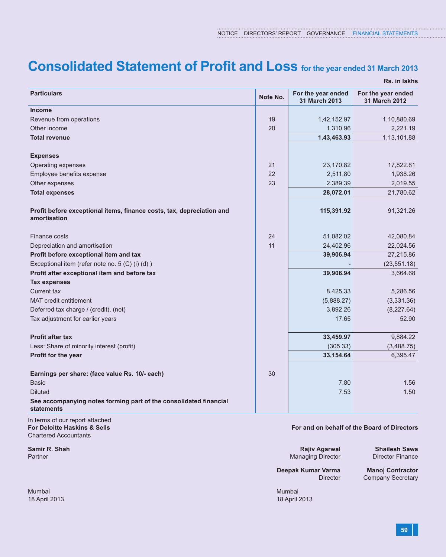### **Consolidated Statement of Profit and Loss for the year ended 31 March 2013**

| Rs. in lakhs                                                                          |          |                                     |                                     |  |  |  |  |  |  |
|---------------------------------------------------------------------------------------|----------|-------------------------------------|-------------------------------------|--|--|--|--|--|--|
| <b>Particulars</b>                                                                    | Note No. | For the year ended<br>31 March 2013 | For the year ended<br>31 March 2012 |  |  |  |  |  |  |
| Income                                                                                |          |                                     |                                     |  |  |  |  |  |  |
| Revenue from operations                                                               | 19       | 1,42,152.97                         | 1,10,880.69                         |  |  |  |  |  |  |
| Other income                                                                          | 20       | 1,310.96                            | 2,221.19                            |  |  |  |  |  |  |
| <b>Total revenue</b>                                                                  |          | 1,43,463.93                         | 1,13,101.88                         |  |  |  |  |  |  |
| <b>Expenses</b>                                                                       |          |                                     |                                     |  |  |  |  |  |  |
| Operating expenses                                                                    | 21       | 23,170.82                           | 17,822.81                           |  |  |  |  |  |  |
| Employee benefits expense                                                             | 22       | 2,511.80                            | 1,938.26                            |  |  |  |  |  |  |
| Other expenses                                                                        | 23       | 2,389.39                            | 2,019.55                            |  |  |  |  |  |  |
| <b>Total expenses</b>                                                                 |          | 28,072.01                           | 21,780.62                           |  |  |  |  |  |  |
| Profit before exceptional items, finance costs, tax, depreciation and<br>amortisation |          | 115,391.92                          | 91,321.26                           |  |  |  |  |  |  |
| Finance costs                                                                         | 24       | 51,082.02                           | 42,080.84                           |  |  |  |  |  |  |
| Depreciation and amortisation                                                         | 11       | 24,402.96                           | 22,024.56                           |  |  |  |  |  |  |
| Profit before exceptional item and tax                                                |          | 39,906.94                           | 27,215.86                           |  |  |  |  |  |  |
| Exceptional item (refer note no. 5 (C) (i) (d))                                       |          |                                     | (23, 551.18)                        |  |  |  |  |  |  |
| Profit after exceptional item and before tax                                          |          | 39,906.94                           | 3,664.68                            |  |  |  |  |  |  |
| <b>Tax expenses</b>                                                                   |          |                                     |                                     |  |  |  |  |  |  |
| Current tax                                                                           |          | 8,425.33                            | 5,286.56                            |  |  |  |  |  |  |
| <b>MAT</b> credit entitlement                                                         |          | (5,888.27)                          | (3,331.36)                          |  |  |  |  |  |  |
| Deferred tax charge / (credit), (net)                                                 |          | 3,892.26                            | (8,227.64)                          |  |  |  |  |  |  |
| Tax adjustment for earlier years                                                      |          | 17.65                               | 52.90                               |  |  |  |  |  |  |
| <b>Profit after tax</b>                                                               |          | 33,459.97                           | 9,884.22                            |  |  |  |  |  |  |
| Less: Share of minority interest (profit)                                             |          | (305.33)                            | (3,488.75)                          |  |  |  |  |  |  |
| Profit for the year                                                                   |          | 33,154.64                           | 6,395.47                            |  |  |  |  |  |  |
| Earnings per share: (face value Rs. 10/- each)                                        | 30       |                                     |                                     |  |  |  |  |  |  |
| <b>Basic</b>                                                                          |          | 7.80                                | 1.56                                |  |  |  |  |  |  |
| <b>Diluted</b>                                                                        |          | 7.53                                | 1.50                                |  |  |  |  |  |  |
| See accompanying notes forming part of the consolidated financial<br>statements       |          |                                     |                                     |  |  |  |  |  |  |

In terms of our report attached<br>For Deloitte Haskins & Sells Chartered Accountants

Mumbai Manazarta di Kabupatén Bandung Kabupatén Kabupatén Kabupatén Kabupatén Kabupatén Kabupatén Ka 18 April 2013 18 April 2013

### **For and on behalf of the Board of Directors**

| Samir R. Shah<br>Partner | <b>Rajiv Agarwal</b><br><b>Managing Director</b> | <b>Shailesh Sawa</b><br><b>Director Finance</b>     |
|--------------------------|--------------------------------------------------|-----------------------------------------------------|
|                          | Deepak Kumar Varma<br><b>Director</b>            | <b>Manoj Contractor</b><br><b>Company Secretary</b> |
| Mumbo                    | $M$ umboi                                        |                                                     |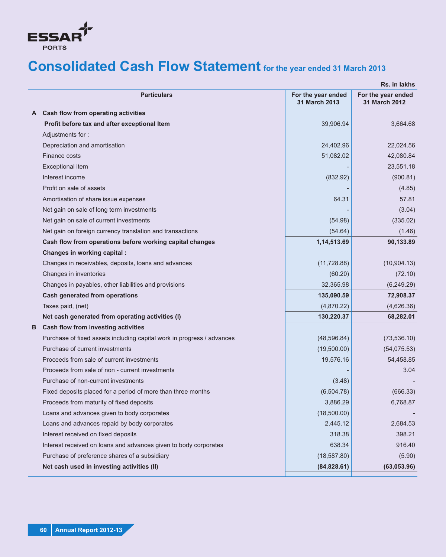

### **Consolidated Cash Flow Statement for the year ended 31 March 2013**

| Rs. in lakhs                                                           |                                     |                                     |  |
|------------------------------------------------------------------------|-------------------------------------|-------------------------------------|--|
| <b>Particulars</b>                                                     | For the year ended<br>31 March 2013 | For the year ended<br>31 March 2012 |  |
| A Cash flow from operating activities                                  |                                     |                                     |  |
| Profit before tax and after exceptional Item                           | 39,906.94                           | 3,664.68                            |  |
| Adjustments for:                                                       |                                     |                                     |  |
| Depreciation and amortisation                                          | 24,402.96                           | 22,024.56                           |  |
| <b>Finance costs</b>                                                   | 51,082.02                           | 42,080.84                           |  |
| Exceptional item                                                       |                                     | 23,551.18                           |  |
| Interest income                                                        | (832.92)                            | (900.81)                            |  |
| Profit on sale of assets                                               |                                     | (4.85)                              |  |
| Amortisation of share issue expenses                                   | 64.31                               | 57.81                               |  |
| Net gain on sale of long term investments                              |                                     | (3.04)                              |  |
| Net gain on sale of current investments                                | (54.98)                             | (335.02)                            |  |
| Net gain on foreign currency translation and transactions              | (54.64)                             | (1.46)                              |  |
| Cash flow from operations before working capital changes               | 1,14,513.69                         | 90,133.89                           |  |
| Changes in working capital:                                            |                                     |                                     |  |
| Changes in receivables, deposits, loans and advances                   | (11, 728.88)                        | (10, 904.13)                        |  |
| Changes in inventories                                                 | (60.20)                             | (72.10)                             |  |
| Changes in payables, other liabilities and provisions                  | 32,365.98                           | (6, 249.29)                         |  |
| <b>Cash generated from operations</b>                                  | 135,090.59                          | 72,908.37                           |  |
| Taxes paid, (net)                                                      | (4,870.22)                          | (4,626.36)                          |  |
| Net cash generated from operating activities (I)                       | 130,220.37                          | 68,282.01                           |  |
| <b>B</b> Cash flow from investing activities                           |                                     |                                     |  |
| Purchase of fixed assets including capital work in progress / advances | (48, 596.84)                        | (73, 536.10)                        |  |
| Purchase of current investments                                        | (19,500.00)                         | (54,075.53)                         |  |
| Proceeds from sale of current investments                              | 19,576.16                           | 54,458.85                           |  |
| Proceeds from sale of non - current investments                        |                                     | 3.04                                |  |
| Purchase of non-current investments                                    | (3.48)                              |                                     |  |
| Fixed deposits placed for a period of more than three months           | (6,504.78)                          | (666.33)                            |  |
| Proceeds from maturity of fixed deposits                               | 3,886.29                            | 6,768.87                            |  |
| Loans and advances given to body corporates                            | (18,500.00)                         |                                     |  |
| Loans and advances repaid by body corporates                           | 2,445.12                            | 2.684.53                            |  |
| Interest received on fixed deposits                                    | 318.38                              | 398.21                              |  |
| Interest received on loans and advances given to body corporates       | 638.34                              | 916.40                              |  |
| Purchase of preference shares of a subsidiary                          | (18, 587.80)                        | (5.90)                              |  |
| Net cash used in investing activities (II)                             | (84,828.61)                         | (63,053.96)                         |  |
|                                                                        |                                     |                                     |  |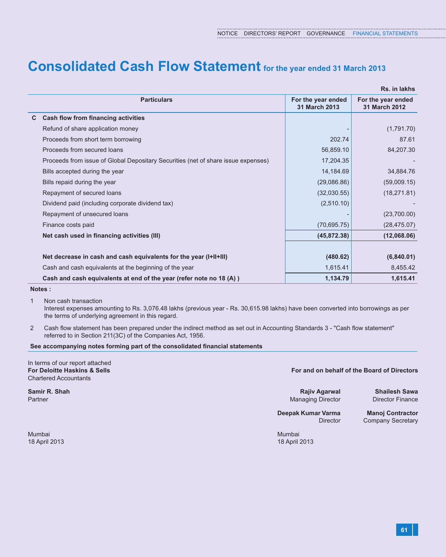### **Consolidated Cash Flow Statement for the year ended 31 March 2013**

|                                                                                   |                                     | Rs. in lakhs                        |
|-----------------------------------------------------------------------------------|-------------------------------------|-------------------------------------|
| <b>Particulars</b>                                                                | For the year ended<br>31 March 2013 | For the year ended<br>31 March 2012 |
| <b>Cash flow from financing activities</b><br>C.                                  |                                     |                                     |
| Refund of share application money                                                 |                                     | (1,791.70)                          |
| Proceeds from short term borrowing                                                | 202.74                              | 87.61                               |
| Proceeds from secured loans                                                       | 56,859.10                           | 84,207.30                           |
| Proceeds from issue of Global Depositary Securities (net of share issue expenses) | 17,204.35                           |                                     |
| Bills accepted during the year                                                    | 14,184.69                           | 34,884.76                           |
| Bills repaid during the year                                                      | (29,086.86)                         | (59,009.15)                         |
| Repayment of secured loans                                                        | (32,030.55)                         | (18, 271.81)                        |
| Dividend paid (including corporate dividend tax)                                  | (2,510.10)                          |                                     |
| Repayment of unsecured loans                                                      |                                     | (23,700.00)                         |
| Finance costs paid                                                                | (70,695.75)                         | (28, 475.07)                        |
| Net cash used in financing activities (III)                                       | (45, 872.38)                        | (12,068.06)                         |
| Net decrease in cash and cash equivalents for the year (I+II+III)                 | (480.62)                            | (6,840.01)                          |
| Cash and cash equivalents at the beginning of the year                            | 1,615.41                            | 8,455.42                            |
| Cash and cash equivalents at end of the year (refer note no 18 (A))               | 1,134.79                            | 1,615.41                            |

**Notes :**

1 Non cash transaction

Interest expenses amounting to Rs. 3,076.48 lakhs (previous year - Rs. 30,615.98 lakhs) have been converted into borrowings as per the terms of underlying agreement in this regard.

2 Cash flow statement has been prepared under the indirect method as set out in Accounting Standards 3 - "Cash flow statement" referred to in Section 211(3C) of the Companies Act, 1956.

See accompanying notes forming part of the consolidated financial statements

In terms of our report attached<br>For Deloitte Haskins & Sells Chartered Accountants

### **For and on behalf of the Board of Directors**

**Samir R. Shah Rajiv Agarwal Shailesh Sawa** Partner Managing Director Director Finance Director Control of the Managing Director Control Director Finance

**Deepak Kumar Varma Manoj Contractor**

Director Company Secretary

Mumbai Manazarta di Kabupatén Bandung Kabupatén Kabupatén Kabupatén Kabupatén Kabupatén Kabupatén Ka

18 April 2013 18 April 2013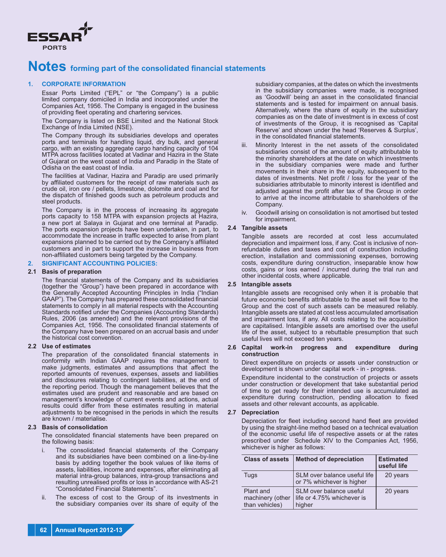

### **1. CORPORATE INFORMATION**

 Essar Ports Limited ("EPL" or "the Company") is a public limited company domiciled in India and incorporated under the Companies Act, 1956. The Company is engaged in the business of providing fleet operating and chartering services.

 The Company is listed on BSE Limited and the National Stock Exchange of India Limited (NSE).

 The Company through its subsidiaries develops and operates ports and terminals for handling liquid, dry bulk, and general cargo, with an existing aggregate cargo handing capacity of 104 MTPA across facilities located at Vadinar and Hazira in the State of Gujarat on the west coast of India and Paradip in the State of Odisha on the east coast of India.

 The facilities at Vadinar, Hazira and Paradip are used primarily by affiliated customers for the receipt of raw materials such as crude oil, iron ore / pellets, limestone, dolomite and coal and for the dispatch of finished goods such as petroleum products and steel products.

 The Company is in the process of increasing its aggregate ports capacity to 158 MTPA with expansion projects at Hazira, a new port at Salaya in Gujarat and one terminal at Paradip. The ports expansion projects have been undertaken, in part, to accommodate the increase in traffic expected to arise from plant expansions planned to be carried out by the Company's affiliated customers and in part to support the increase in business from non-affiliated customers being targeted by the Company.

#### **2. SIGNIFICANT ACCOUNTING POLICIES:**

### **2.1 Basis of preparation**

The financial statements of the Company and its subsidiaries (together the "Group") have been prepared in accordance with the Generally Accepted Accounting Principles in India ("Indian GAAP"). The Company has prepared these consolidated financial statements to comply in all material respects with the Accounting Standards notified under the Companies (Accounting Standards) Rules, 2006 (as amended) and the relevant provisions of the Companies Act, 1956. The consolidated financial statements of the Company have been prepared on an accrual basis and under the historical cost convention.

#### **2.2 Use of estimates**

The preparation of the consolidated financial statements in conformity with Indian GAAP requires the management to make judgments, estimates and assumptions that affect the reported amounts of revenues, expenses, assets and liabilities and disclosures relating to contingent liabilities, at the end of the reporting period. Though the management believes that the estimates used are prudent and reasonable and are based on management's knowledge of current events and actions, actual results could differ from these estimates resulting in material adjustments to be recognised in the periods in which the results are known / materialise.

#### **2.3 Basis of consolidation**

The consolidated financial statements have been prepared on the following basis:

- i. The consolidated financial statements of the Company and its subsidiaries have been combined on a line-by-line basis by adding together the book values of like items of assets, liabilities, income and expenses, after eliminating all material intra-group balances, intra-group transactions and resulting unrealised profits or loss in accordance with AS-21 "Consolidated Financial Statements".
- ii. The excess of cost to the Group of its investments in the subsidiary companies over its share of equity of the

subsidiary companies, at the dates on which the investments in the subsidiary companies were made, is recognised as 'Goodwill' being an asset in the consolidated financial statements and is tested for impairment on annual basis. Alternatively, where the share of equity in the subsidiary companies as on the date of investment is in excess of cost of investments of the Group, it is recognised as 'Capital Reserve' and shown under the head 'Reserves & Surplus', in the consolidated financial statements.

- iii. Minority Interest in the net assets of the consolidated subsidiaries consist of the amount of equity attributable to the minority shareholders at the date on which investments in the subsidiary companies were made and further movements in their share in the equity, subsequent to the dates of investments. Net profit / loss for the year of the subsidiaries attributable to minority interest is identified and adjusted against the profit after tax of the Group in order to arrive at the income attributable to shareholders of the Company.
- iv. Goodwill arising on consolidation is not amortised but tested for impairment.

### **2.4 Tangible assets**

 Tangible assets are recorded at cost less accumulated depreciation and impairment loss, if any. Cost is inclusive of nonrefundable duties and taxes and cost of construction including erection, installation and commissioning expenses, borrowing costs, expenditure during construction, inseparable know how costs, gains or loss earned / incurred during the trial run and other incidental costs, where applicable.

#### **2.5 Intangible assets**

 Intangible assets are recognised only when it is probable that future economic benefits attributable to the asset will flow to the Group and the cost of such assets can be measured reliably. Intangible assets are stated at cost less accumulated amortisation and impairment loss, if any. All costs relating to the acquisition are capitalised. Intangible assets are amortised over the useful life of the asset, subject to a rebuttable presumption that such useful lives will not exceed ten years.

#### **2.6 Capital work-in progress and expenditure during construction**

Direct expenditure on projects or assets under construction or development is shown under capital work - in - progress.

 Expenditure incidental to the construction of projects or assets under construction or development that take substantial period of time to get ready for their intended use is accumulated as expenditure during construction, pending allocation to fixed assets and other relevant accounts, as applicable.

#### **2.7 Depreciation**

Depreciation for fleet including second hand fleet are provided by using the straight-line method based on a technical evaluation of the economic useful life of respective assets or at the rates prescribed under Schedule XIV to the Companies Act, 1956, whichever is higher as follows:

| <b>Class of assets</b>                          | Method of depreciation                                          | <b>Estimated</b><br>useful life |
|-------------------------------------------------|-----------------------------------------------------------------|---------------------------------|
| Tugs                                            | SLM over balance useful life<br>or 7% whichever is higher       | 20 years                        |
| Plant and<br>machinery (other<br>than vehicles) | SLM over balance useful<br>life or 4.75% whichever is<br>higher | 20 years                        |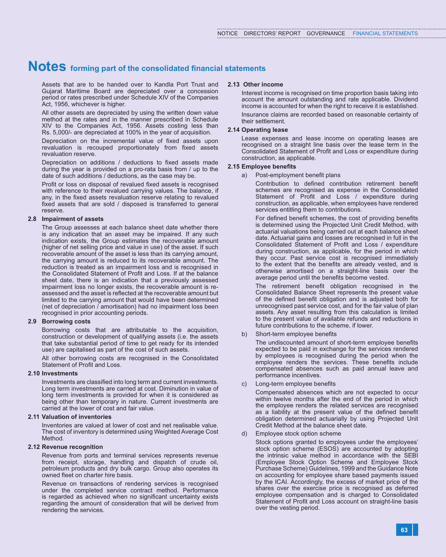Assets that are to be handed over to Kandla Port Trust and Gujarat Maritime Board are depreciated over a concession period or rates prescribed under Schedule XIV of the Companies Act, 1956, whichever is higher.

 All other assets are depreciated by using the written down value method at the rates and in the manner prescribed in Schedule XIV to the Companies Act, 1956. Assets costing less than Rs. 5,000/- are depreciated at 100% in the year of acquisition.

Depreciation on the incremental value of fixed assets upon revaluation is recouped proportionately from fixed assets revaluation reserve.

Depreciation on additions / deductions to fixed assets made during the year is provided on a pro-rata basis from / up to the date of such additions / deductions, as the case may be.

Profit or loss on disposal of revalued fixed assets is recognised with reference to their revalued carrying values. The balance, if any, in the fixed assets revaluation reserve relating to revalued fixed assets that are sold / disposed is transferred to general reserve.

### **2.8 Impairment of assets**

The Group assesses at each balance sheet date whether there is any indication that an asset may be impaired. If any such indication exists, the Group estimates the recoverable amount (higher of net selling price and value in use) of the asset. If such recoverable amount of the asset is less than its carrying amount, the carrying amount is reduced to its recoverable amount. The reduction is treated as an impairment loss and is recognised in the Consolidated Statement of Profit and Loss. If at the balance sheet date, there is an indication that a previously assessed impairment loss no longer exists, the recoverable amount is reassessed and the asset is reflected at the recoverable amount but limited to the carrying amount that would have been determined (net of depreciation / amortisation) had no impairment loss been recognised in prior accounting periods.

### **2.9 Borrowing costs**

Borrowing costs that are attributable to the acquisition, construction or development of qualifying assets (i.e. the assets that take substantial period of time to get ready for its intended use) are capitalised as part of the cost of such assets.

 All other borrowing costs are recognised in the Consolidated Statement of Profit and Loss.

#### **2.10 Investments**

Investments are classified into long term and current investments. Long term investments are carried at cost. Diminution in value of long term investments is provided for when it is considered as being other than temporary in nature. Current investments are carried at the lower of cost and fair value.

#### **2.11 Valuation of inventories**

Inventories are valued at lower of cost and net realisable value. The cost of inventory is determined using Weighted Average Cost Method.

#### **2.12 Revenue recognition**

Revenue from ports and terminal services represents revenue from receipt, storage, handling and dispatch of crude oil, petroleum products and dry bulk cargo. Group also operates its owned fleet on charter hire basis.

 Revenue on transactions of rendering services is recognised under the completed service contract method. Performance is regarded as achieved when no significant uncertainty exists regarding the amount of consideration that will be derived from rendering the services.

#### **2.13 Other income**

Interest income is recognised on time proportion basis taking into account the amount outstanding and rate applicable. Dividend income is accounted for when the right to receive it is established. Insurance claims are recorded based on reasonable certainty of their settlement.

#### **2.14 Operating lease**

Lease expenses and lease income on operating leases are recognised on a straight line basis over the lease term in the Consolidated Statement of Profit and Loss or expenditure during construction, as applicable.

#### **2.15 Employee benefits**

a) Post-employment benefit plans

Contribution to defined contribution retirement benefit schemes are recognised as expense in the Consolidated Statement of Profit and Loss / expenditure during construction, as applicable, when employees have rendered services entitling them to contributions.

For defined benefit schemes, the cost of providing benefits is determined using the Projected Unit Credit Method, with actuarial valuations being carried out at each balance sheet date. Actuarial gains and losses are recognised in full in the Consolidated Statement of Profit and Loss / expenditure during construction, as applicable, for the period in which they occur. Past service cost is recognised immediately to the extent that the benefits are already vested, and is otherwise amortised on a straight-line basis over the average period until the benefits become vested.

The retirement benefit obligation recognised in the Consolidated Balance Sheet represents the present value of the defined benefit obligation and is adjusted both for unrecognised past service cost, and for the fair value of plan assets. Any asset resulting from this calculation is limited to the present value of available refunds and reductions in future contributions to the scheme, if lower.

b) Short-term employee benefits

The undiscounted amount of short-term employee benefits expected to be paid in exchange for the services rendered by employees is recognised during the period when the employee renders the services. These benefits include compensated absences such as paid annual leave and performance incentives.

Long-term employee benefits

 Compensated absences which are not expected to occur within twelve months after the end of the period in which the employee renders the related services are recognised as a liability at the present value of the defined benefit obligation determined actuarially by using Projected Unit Credit Method at the balance sheet date.

d) Employee stock option scheme

 Stock options granted to employees under the employees' stock option scheme (ESOS) are accounted by adopting the intrinsic value method in accordance with the SEBI (Employee Stock Option Scheme and Employee Stock Purchase Scheme) Guidelines, 1999 and the Guidance Note on accounting for employee share based payments issued by the ICAI. Accordingly, the excess of market price of the shares over the exercise price is recognised as deferred employee compensation and is charged to Consolidated Statement of Profit and Loss account on straight-line basis over the vesting period.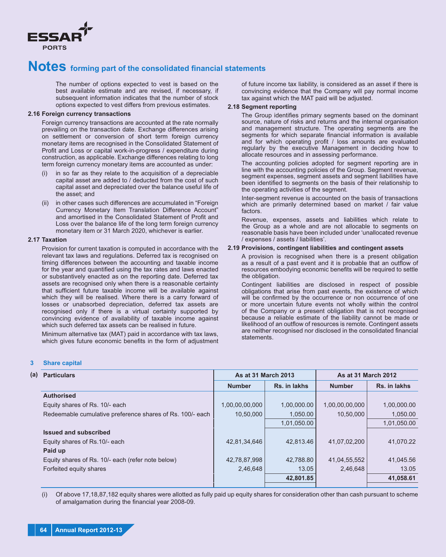

 The number of options expected to vest is based on the best available estimate and are revised, if necessary, if subsequent information indicates that the number of stock options expected to vest differs from previous estimates.

### **2.16 Foreign currency transactions**

 Foreign currency transactions are accounted at the rate normally prevailing on the transaction date. Exchange differences arising on settlement or conversion of short term foreign currency monetary items are recognised in the Consolidated Statement of Profit and Loss or capital work-in-progress / expenditure during construction, as applicable. Exchange differences relating to long term foreign currency monetary items are accounted as under:

- (i) in so far as they relate to the acquisition of a depreciable capital asset are added to / deducted from the cost of such capital asset and depreciated over the balance useful life of the asset; and
- (ii) in other cases such differences are accumulated in "Foreign Currency Monetary Item Translation Difference Account" and amortised in the Consolidated Statement of Profit and Loss over the balance life of the long term foreign currency monetary item or 31 March 2020, whichever is earlier.

#### **2.17 Taxation**

 Provision for current taxation is computed in accordance with the relevant tax laws and regulations. Deferred tax is recognised on timing differences between the accounting and taxable income for the vear and quantified using the tax rates and laws enacted or substantively enacted as on the reporting date. Deferred tax assets are recognised only when there is a reasonable certainty that sufficient future taxable income will be available against which they will be realised. Where there is a carry forward of losses or unabsorbed depreciation, deferred tax assets are recognised only if there is a virtual certainty supported by convincing evidence of availability of taxable income against which such deferred tax assets can be realised in future.

 Minimum alternative tax (MAT) paid in accordance with tax laws, which gives future economic benefits in the form of adjustment of future income tax liability, is considered as an asset if there is convincing evidence that the Company will pay normal income tax against which the MAT paid will be adjusted.

#### **2.18 Segment reporting**

The Group identifies primary segments based on the dominant source, nature of risks and returns and the internal organisation and management structure. The operating segments are the segments for which separate financial information is available and for which operating profit  $/$  loss amounts are evaluated regularly by the executive Management in deciding how to allocate resources and in assessing performance.

 The accounting policies adopted for segment reporting are in line with the accounting policies of the Group. Segment revenue, segment expenses, segment assets and segment liabilities have been identified to segments on the basis of their relationship to the operating activities of the segment.

 Inter-segment revenue is accounted on the basis of transactions which are primarily determined based on market / fair value factors.

 Revenue, expenses, assets and liabilities which relate to the Group as a whole and are not allocable to segments on reasonable basis have been included under 'unallocated revenue / expenses / assets / liabilities'.

#### **2.19 Provisions, contingent liabilities and contingent assets**

A provision is recognised when there is a present obligation as a result of a past event and it is probable that an outflow of resources embodying economic benefits will be required to settle the obligation.

 Contingent liabilities are disclosed in respect of possible obligations that arise from past events, the existence of which will be confirmed by the occurrence or non occurrence of one or more uncertain future events not wholly within the control of the Company or a present obligation that is not recognised because a reliable estimate of the liability cannot be made or likelihood of an outflow of resources is remote. Contingent assets are neither recognised nor disclosed in the consolidated financial statements.

### **3 Share capital**

| (a) | <b>Particulars</b>                                        | As at 31 March 2013 |              | As at 31 March 2012 |              |  |
|-----|-----------------------------------------------------------|---------------------|--------------|---------------------|--------------|--|
|     |                                                           |                     |              |                     |              |  |
|     |                                                           | <b>Number</b>       | Rs. in lakhs | <b>Number</b>       | Rs. in lakhs |  |
|     | <b>Authorised</b>                                         |                     |              |                     |              |  |
|     | Equity shares of Rs. 10/- each                            | 1,00,00,00,000      | 1.00.000.00  | 1,00,00,00,000      | 1.00.000.00  |  |
|     | Redeemable cumulative preference shares of Rs. 100/- each | 10,50,000           | 1,050.00     | 10,50,000           | 1,050.00     |  |
|     |                                                           |                     | 1,01,050.00  |                     | 1,01,050.00  |  |
|     | Issued and subscribed                                     |                     |              |                     |              |  |
|     | Equity shares of Rs.10/- each                             | 42,81,34,646        | 42.813.46    | 41,07,02,200        | 41.070.22    |  |
|     | Paid up                                                   |                     |              |                     |              |  |
|     | Equity shares of Rs. 10/- each (refer note below)         | 42,78,87,998        | 42,788.80    | 41,04,55,552        | 41,045.56    |  |
|     | Forfeited equity shares                                   | 2,46,648            | 13.05        | 2.46.648            | 13.05        |  |
|     |                                                           |                     | 42,801.85    |                     | 41,058.61    |  |
|     |                                                           |                     |              |                     |              |  |

 (i) Of above 17,18,87,182 equity shares were allotted as fully paid up equity shares for consideration other than cash pursuant to scheme of amalgamation during the financial year 2008-09.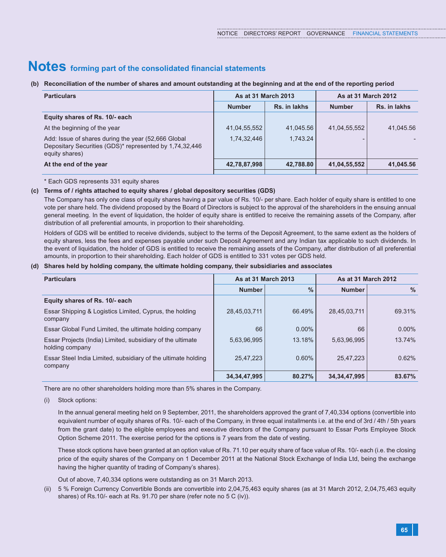### **(b) Reconciliation of the number of shares and amount outstanding at the beginning and at the end of the reporting period**

| <b>Particulars</b>                                                                                                               |               | As at 31 March 2013 | As at 31 March 2012 |              |
|----------------------------------------------------------------------------------------------------------------------------------|---------------|---------------------|---------------------|--------------|
|                                                                                                                                  | <b>Number</b> | Rs. in lakhs        | <b>Number</b>       | Rs. in lakhs |
| Equity shares of Rs. 10/- each                                                                                                   |               |                     |                     |              |
| At the beginning of the year                                                                                                     | 41,04,55,552  | 41.045.56           | 41,04,55,552        | 41.045.56    |
| Add: Issue of shares during the year (52,666 Global<br>Depositary Securities (GDS)* represented by 1,74,32,446<br>equity shares) | 1,74,32,446   | 1.743.24            |                     |              |
| At the end of the year                                                                                                           | 42,78,87,998  | 42.788.80           | 41,04,55,552        | 41,045.56    |
|                                                                                                                                  |               |                     |                     |              |

\* Each GDS represents 331 equity shares

### **(c) Terms of / rights attached to equity shares / global depository securities (GDS)**

The Company has only one class of equity shares having a par value of Rs. 10/- per share. Each holder of equity share is entitled to one vote per share held. The dividend proposed by the Board of Directors is subject to the approval of the shareholders in the ensuing annual general meeting. In the event of liquidation, the holder of equity share is entitled to receive the remaining assets of the Company, after distribution of all preferential amounts, in proportion to their shareholding.

Holders of GDS will be entitled to receive dividends, subject to the terms of the Deposit Agreement, to the same extent as the holders of equity shares, less the fees and expenses payable under such Deposit Agreement and any Indian tax applicable to such dividends. In the event of liquidation, the holder of GDS is entitled to receive the remaining assets of the Company, after distribution of all preferential amounts, in proportion to their shareholding. Each holder of GDS is entitled to 331 votes per GDS held.

### **(d) Shares held by holding company, the ultimate holding company, their subsidiaries and associates**

| <b>Particulars</b>                                                            | As at 31 March 2013 |               | As at 31 March 2012 |          |  |
|-------------------------------------------------------------------------------|---------------------|---------------|---------------------|----------|--|
|                                                                               | <b>Number</b>       | $\frac{0}{2}$ | <b>Number</b>       | $\%$     |  |
| Equity shares of Rs. 10/- each                                                |                     |               |                     |          |  |
| Essar Shipping & Logistics Limited, Cyprus, the holding<br>company            | 28,45,03,711        | 66.49%        | 28,45,03,711        | 69.31%   |  |
| Essar Global Fund Limited, the ultimate holding company                       | 66                  | $0.00\%$      | 66                  | $0.00\%$ |  |
| Essar Projects (India) Limited, subsidiary of the ultimate<br>holding company | 5,63,96,995         | 13.18%        | 5,63,96,995         | 13.74%   |  |
| Essar Steel India Limited, subsidiary of the ultimate holding<br>company      | 25,47,223           | 0.60%         | 25,47,223           | 0.62%    |  |
|                                                                               | 34, 34, 47, 995     | 80.27%        | 34, 34, 47, 995     | 83.67%   |  |

There are no other shareholders holding more than 5% shares in the Company.

(i) Stock options:

 In the annual general meeting held on 9 September, 2011, the shareholders approved the grant of 7,40,334 options (convertible into equivalent number of equity shares of Rs. 10/- each of the Company, in three equal installments i.e. at the end of 3rd / 4th / 5th years from the grant date) to the eligible employees and executive directors of the Company pursuant to Essar Ports Employee Stock Option Scheme 2011. The exercise period for the options is 7 years from the date of vesting.

 These stock options have been granted at an option value of Rs. 71.10 per equity share of face value of Rs. 10/- each (i.e. the closing price of the equity shares of the Company on 1 December 2011 at the National Stock Exchange of India Ltd, being the exchange having the higher quantity of trading of Company's shares).

Out of above, 7,40,334 options were outstanding as on 31 March 2013.

(ii) 5 % Foreign Currency Convertible Bonds are convertible into 2,04,75,463 equity shares (as at 31 March 2012, 2,04,75,463 equity shares) of Rs.10/- each at Rs. 91.70 per share (refer note no 5 C (iv)).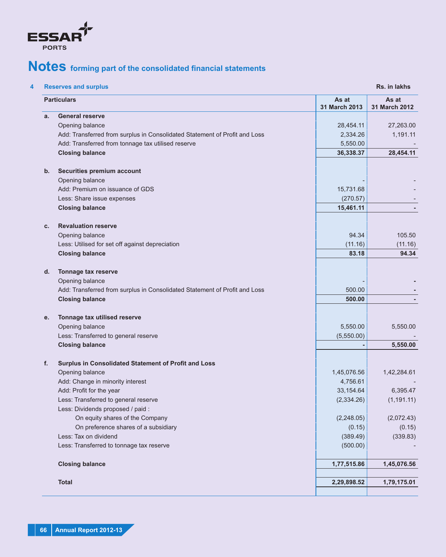

|    | <b>Reserves and surplus</b>                                                |                        | Rs. in lakhs           |  |
|----|----------------------------------------------------------------------------|------------------------|------------------------|--|
|    | <b>Particulars</b>                                                         | As at<br>31 March 2013 | As at<br>31 March 2012 |  |
| a. | <b>General reserve</b>                                                     |                        |                        |  |
|    | Opening balance                                                            | 28,454.11              | 27,263.00              |  |
|    | Add: Transferred from surplus in Consolidated Statement of Profit and Loss | 2,334.26               | 1,191.11               |  |
|    | Add: Transferred from tonnage tax utilised reserve                         | 5,550.00               |                        |  |
|    | <b>Closing balance</b>                                                     | 36,338.37              | 28,454.11              |  |
| b. | Securities premium account                                                 |                        |                        |  |
|    | Opening balance                                                            |                        |                        |  |
|    | Add: Premium on issuance of GDS                                            | 15,731.68              |                        |  |
|    | Less: Share issue expenses                                                 | (270.57)               |                        |  |
|    | <b>Closing balance</b>                                                     | 15,461.11              |                        |  |
| c. | <b>Revaluation reserve</b>                                                 |                        |                        |  |
|    | Opening balance                                                            | 94.34                  | 105.50                 |  |
|    | Less: Utilised for set off against depreciation                            | (11.16)                | (11.16)                |  |
|    | <b>Closing balance</b>                                                     | 83.18                  | 94.34                  |  |
| d. | Tonnage tax reserve                                                        |                        |                        |  |
|    | Opening balance                                                            |                        |                        |  |
|    | Add: Transferred from surplus in Consolidated Statement of Profit and Loss | 500.00                 |                        |  |
|    | <b>Closing balance</b>                                                     | 500.00                 |                        |  |
| е. | Tonnage tax utilised reserve                                               |                        |                        |  |
|    | Opening balance                                                            | 5,550.00               | 5,550.00               |  |
|    | Less: Transferred to general reserve                                       | (5,550.00)             |                        |  |
|    | <b>Closing balance</b>                                                     |                        | 5,550.00               |  |
| f. | Surplus in Consolidated Statement of Profit and Loss                       |                        |                        |  |
|    | Opening balance                                                            | 1,45,076.56            | 1,42,284.61            |  |
|    | Add: Change in minority interest                                           | 4,756.61               |                        |  |
|    | Add: Profit for the year                                                   | 33,154.64              | 6,395.47               |  |
|    | Less: Transferred to general reserve                                       | (2,334.26)             | (1, 191.11)            |  |
|    | Less: Dividends proposed / paid :                                          |                        |                        |  |
|    | On equity shares of the Company                                            | (2,248.05)             | (2,072.43)             |  |
|    | On preference shares of a subsidiary                                       | (0.15)                 | (0.15)                 |  |
|    | Less: Tax on dividend                                                      | (389.49)               | (339.83)               |  |
|    | Less: Transferred to tonnage tax reserve                                   | (500.00)               |                        |  |
|    | <b>Closing balance</b>                                                     | 1,77,515.86            | 1,45,076.56            |  |
|    | <b>Total</b>                                                               | 2,29,898.52            | 1,79,175.01            |  |
|    |                                                                            |                        |                        |  |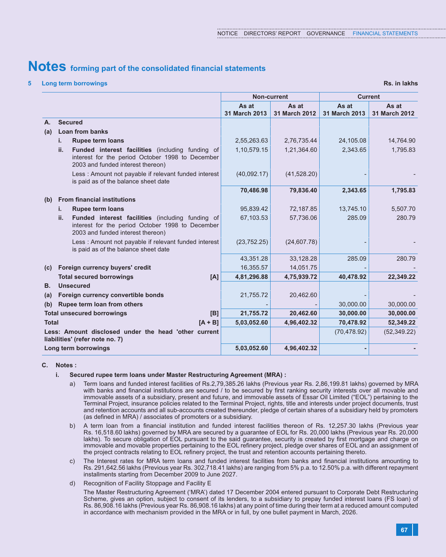### **5 Long term borrowings Rs. in lakhs**

|              |                                                                                                                                                         |                        | Non-current            |                        | <b>Current</b>         |
|--------------|---------------------------------------------------------------------------------------------------------------------------------------------------------|------------------------|------------------------|------------------------|------------------------|
|              |                                                                                                                                                         | As at<br>31 March 2013 | As at<br>31 March 2012 | As at<br>31 March 2013 | As at<br>31 March 2012 |
| A.           | <b>Secured</b>                                                                                                                                          |                        |                        |                        |                        |
| (a)          | <b>Loan from banks</b>                                                                                                                                  |                        |                        |                        |                        |
|              | <b>Rupee term loans</b><br>i.                                                                                                                           | 2,55,263.63            | 2,76,735.44            | 24,105.08              | 14,764.90              |
|              | ii.<br><b>Funded interest facilities</b> (including funding of<br>interest for the period October 1998 to December<br>2003 and funded interest thereon) | 1,10,579.15            | 1,21,364.60            | 2,343.65               | 1,795.83               |
|              | Less: Amount not payable if relevant funded interest<br>is paid as of the balance sheet date                                                            | (40,092.17)            | (41, 528.20)           |                        |                        |
|              |                                                                                                                                                         | 70,486.98              | 79,836.40              | 2,343.65               | 1,795.83               |
| (b)          | <b>From financial institutions</b>                                                                                                                      |                        |                        |                        |                        |
|              | <b>Rupee term loans</b><br>i.                                                                                                                           | 95,839.42              | 72,187.85              | 13,745.10              | 5,507.70               |
|              | Funded interest facilities (including funding of<br>ii.<br>interest for the period October 1998 to December<br>2003 and funded interest thereon)        | 67,103.53              | 57.736.06              | 285.09                 | 280.79                 |
|              | Less: Amount not payable if relevant funded interest<br>is paid as of the balance sheet date                                                            | (23, 752.25)           | (24, 607.78)           |                        |                        |
|              |                                                                                                                                                         | 43,351.28              | 33,128.28              | 285.09                 | 280.79                 |
| (c)          | Foreign currency buyers' credit                                                                                                                         | 16,355.57              | 14,051.75              |                        |                        |
|              | [A]<br><b>Total secured borrowings</b>                                                                                                                  | 4,81,296.88            | 4,75,939.72            | 40,478.92              | 22,349.22              |
| <b>B.</b>    | <b>Unsecured</b>                                                                                                                                        |                        |                        |                        |                        |
| (a)          | Foreign currency convertible bonds                                                                                                                      | 21,755.72              | 20,462.60              |                        |                        |
| (b)          | Rupee term loan from others                                                                                                                             |                        |                        | 30,000.00              | 30,000.00              |
|              | <b>Total unsecured borrowings</b><br>[B]                                                                                                                | 21,755.72              | 20,462.60              | 30,000.00              | 30,000.00              |
| <b>Total</b> | $[A + B]$                                                                                                                                               | 5,03,052.60            | 4,96,402.32            | 70,478.92              | 52,349.22              |
|              | Less: Amount disclosed under the head 'other current<br>liabilities' (refer note no. 7)                                                                 |                        |                        | (70, 478.92)           | (52, 349.22)           |
|              | Long term borrowings                                                                                                                                    | 5,03,052.60            | 4,96,402.32            |                        |                        |

#### **C. Notes :**

#### **i. Secured rupee term loans under Master Restructuring Agreement (MRA) :**

- a) Term loans and funded interest facilities of Rs.2,79,385.26 lakhs (Previous year Rs. 2,86,199.81 lakhs) governed by MRA with banks and financial institutions are secured / to be secured by first ranking security interests over all movable and immovable assets of a subsidiary, present and future, and immovable assets of Essar Oil Limited ("EOL") pertaining to the Terminal Project, insurance policies related to the Terminal Project, rights, title and interests under project documents, trust and retention accounts and all sub-accounts created thereunder, pledge of certain shares of a subsidiary held by promoters (as defined in MRA) / associates of promoters or a subsidiary.
- b) A term loan from a financial institution and funded interest facilities thereon of Rs. 12,257.30 lakhs (Previous year Rs. 16,518.60 lakhs) governed by MRA are secured by a guarantee of EOL for Rs. 20,000 lakhs (Previous year Rs. 20,000 lakhs). To secure obligation of EOL pursuant to the said guarantee, security is created by first mortgage and charge on immovable and movable properties pertaining to the EOL refinery project, pledge over shares of EOL and an assignment of the project contracts relating to EOL refinery project, the trust and retention accounts pertaining thereto.
- c) The Interest rates for MRA term loans and funded interest facilities from banks and financial institutions amounting to Rs. 291,642.56 lakhs (Previous year Rs. 302,718.41 lakhs) are ranging from 5% p.a. to 12.50% p.a. with different repayment installments starting from December 2009 to June 2027.
- d) Recognition of Facility Stoppage and Facility E

 The Master Restructuring Agreement ('MRA') dated 17 December 2004 entered pursuant to Corporate Debt Restructuring Scheme, gives an option, subject to consent of its lenders, to a subsidiary to prepay funded interest loans (FS loan) of Rs. 86,908.16 lakhs (Previous year Rs. 86,908.16 lakhs) at any point of time during their term at a reduced amount computed in accordance with mechanism provided in the MRA or in full, by one bullet payment in March, 2026.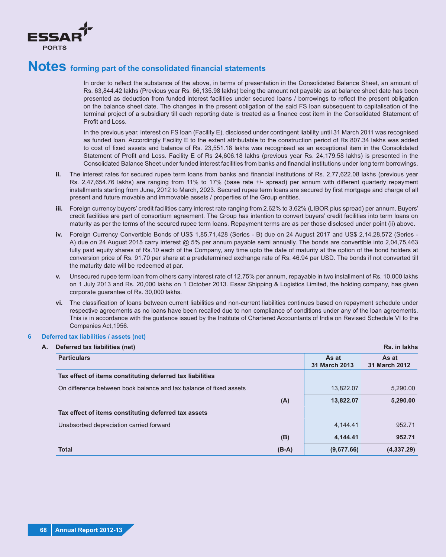

In order to reflect the substance of the above, in terms of presentation in the Consolidated Balance Sheet, an amount of Rs. 63,844.42 lakhs (Previous year Rs. 66,135.98 lakhs) being the amount not payable as at balance sheet date has been presented as deduction from funded interest facilities under secured loans / borrowings to reflect the present obligation on the balance sheet date. The changes in the present obligation of the said FS loan subsequent to capitalisation of the terminal project of a subsidiary till each reporting date is treated as a finance cost item in the Consolidated Statement of Profit and Loss.

 In the previous year, interest on FS loan (Facility E), disclosed under contingent liability until 31 March 2011 was recognised as funded loan. Accordingly Facility E to the extent attributable to the construction period of Rs 807.34 lakhs was added to cost of fixed assets and balance of Rs. 23,551.18 lakhs was recognised as an exceptional item in the Consolidated Statement of Profit and Loss. Facility E of Rs 24,606.18 lakhs (previous year Rs. 24,179.58 lakhs) is presented in the Consolidated Balance Sheet under funded interest facilities from banks and financial institutions under long term borrowings.

- ii. The interest rates for secured rupee term loans from banks and financial institutions of Rs. 2,77,622.08 lakhs (previous year Rs. 2,47,654.76 lakhs) are ranging from 11% to 17% (base rate +/- spread) per annum with different quarterly repayment installments starting from June, 2012 to March, 2023. Secured rupee term loans are secured by first mortgage and charge of all present and future movable and immovable assets / properties of the Group entities.
- **iii.** Foreign currency buyers' credit facilities carry interest rate ranging from 2.62% to 3.62% (LIBOR plus spread) per annum. Buyers' credit facilities are part of consortium agreement. The Group has intention to convert buyers' credit facilities into term loans on maturity as per the terms of the secured rupee term loans. Repayment terms are as per those disclosed under point (ii) above.
- **iv.** Foreign Currency Convertible Bonds of US\$ 1,85,71,428 (Series B) due on 24 August 2017 and US\$ 2,14,28,572 (Series A) due on 24 August 2015 carry interest @ 5% per annum payable semi annually. The bonds are convertible into 2,04,75,463 fully paid equity shares of Rs.10 each of the Company, any time upto the date of maturity at the option of the bond holders at conversion price of Rs. 91.70 per share at a predetermined exchange rate of Rs. 46.94 per USD. The bonds if not converted till the maturity date will be redeemed at par.
- **v.** Unsecured rupee term loan from others carry interest rate of 12.75% per annum, repayable in two installment of Rs. 10,000 lakhs on 1 July 2013 and Rs. 20,000 lakhs on 1 October 2013. Essar Shipping & Logistics Limited, the holding company, has given corporate guarantee of Rs. 30,000 lakhs.
- vi. The classification of loans between current liabilities and non-current liabilities continues based on repayment schedule under respective agreements as no loans have been recalled due to non compliance of conditions under any of the loan agreements. This is in accordance with the guidance issued by the Institute of Chartered Accountants of India on Revised Schedule VI to the Companies Act,1956.

### **6 Deferred tax liabilities / assets (net)**

| Deferred tax liabilities (net)<br>А.                               |         |                        | Rs. in lakhs           |
|--------------------------------------------------------------------|---------|------------------------|------------------------|
| <b>Particulars</b>                                                 |         | As at<br>31 March 2013 | As at<br>31 March 2012 |
| Tax effect of items constituting deferred tax liabilities          |         |                        |                        |
| On difference between book balance and tax balance of fixed assets |         | 13,822.07              | 5,290.00               |
|                                                                    | (A)     | 13,822.07              | 5,290.00               |
| Tax effect of items constituting deferred tax assets               |         |                        |                        |
| Unabsorbed depreciation carried forward                            |         | 4,144.41               | 952.71                 |
|                                                                    | (B)     | 4,144.41               | 952.71                 |
| <b>Total</b>                                                       | $(B-A)$ | (9,677.66)             | (4,337.29)             |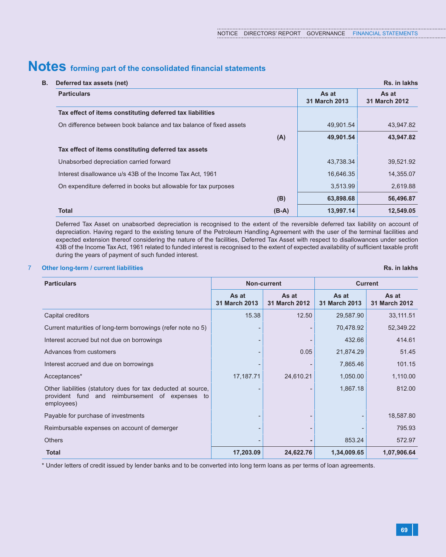| <b>B.</b> | Deferred tax assets (net) |  |  |
|-----------|---------------------------|--|--|
|           |                           |  |  |

|         |                        | Rs. in lakhs           |
|---------|------------------------|------------------------|
|         | As at<br>31 March 2013 | As at<br>31 March 2012 |
|         |                        |                        |
|         | 49,901.54              | 43,947.82              |
| (A)     | 49,901.54              | 43,947.82              |
|         |                        |                        |
|         | 43,738.34              | 39,521.92              |
|         | 16,646.35              | 14,355.07              |
|         | 3,513.99               | 2,619.88               |
| (B)     | 63,898.68              | 56,496.87              |
| $(B-A)$ | 13,997.14              | 12,549.05              |
|         |                        |                        |

Deferred Tax Asset on unabsorbed depreciation is recognised to the extent of the reversible deferred tax liability on account of depreciation. Having regard to the existing tenure of the Petroleum Handling Agreement with the user of the terminal facilities and expected extension thereof considering the nature of the facilities, Deferred Tax Asset with respect to disallowances under section 43B of the Income Tax Act, 1961 related to funded interest is recognised to the extent of expected availability of sufficient taxable profit during the years of payment of such funded interest.

### 7 **Other long-term / current liabilities Rs. in lakhs**

| <b>Particulars</b>                                                                                                             |                        | Non-current            |                        | <b>Current</b>         |
|--------------------------------------------------------------------------------------------------------------------------------|------------------------|------------------------|------------------------|------------------------|
|                                                                                                                                | As at<br>31 March 2013 | As at<br>31 March 2012 | As at<br>31 March 2013 | As at<br>31 March 2012 |
| Capital creditors                                                                                                              | 15.38                  | 12.50                  | 29,587.90              | 33,111.51              |
| Current maturities of long-term borrowings (refer note no 5)                                                                   |                        |                        | 70,478.92              | 52,349.22              |
| Interest accrued but not due on borrowings                                                                                     |                        |                        | 432.66                 | 414.61                 |
| Advances from customers                                                                                                        |                        | 0.05                   | 21,874.29              | 51.45                  |
| Interest accrued and due on borrowings                                                                                         |                        |                        | 7,865.46               | 101.15                 |
| Acceptances*                                                                                                                   | 17,187.71              | 24,610.21              | 1,050.00               | 1,110.00               |
| Other liabilities (statutory dues for tax deducted at source,<br>provident fund and reimbursement of expenses to<br>employees) |                        |                        | 1,867.18               | 812.00                 |
| Payable for purchase of investments                                                                                            |                        |                        |                        | 18,587.80              |
| Reimbursable expenses on account of demerger                                                                                   |                        |                        |                        | 795.93                 |
| <b>Others</b>                                                                                                                  |                        |                        | 853.24                 | 572.97                 |
| <b>Total</b>                                                                                                                   | 17,203.09              | 24,622.76              | 1,34,009.65            | 1,07,906.64            |

\* Under letters of credit issued by lender banks and to be converted into long term loans as per terms of loan agreements.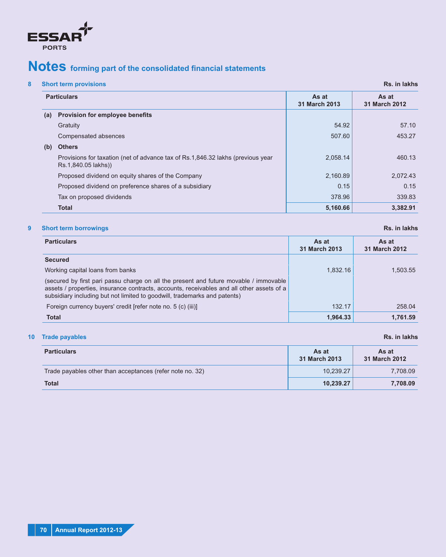

|     | <b>Short term provisions</b>                                                                           |                        | Rs. in lakhs           |
|-----|--------------------------------------------------------------------------------------------------------|------------------------|------------------------|
|     | <b>Particulars</b>                                                                                     | As at<br>31 March 2013 | As at<br>31 March 2012 |
| (a) | <b>Provision for employee benefits</b>                                                                 |                        |                        |
|     | Gratuity                                                                                               | 54.92                  | 57.10                  |
|     | Compensated absences                                                                                   | 507.60                 | 453.27                 |
| (b) | <b>Others</b>                                                                                          |                        |                        |
|     | Provisions for taxation (net of advance tax of Rs.1,846.32 lakhs (previous year<br>Rs.1,840.05 lakhs)) | 2,058.14               | 460.13                 |
|     | Proposed dividend on equity shares of the Company                                                      | 2,160.89               | 2,072.43               |
|     | Proposed dividend on preference shares of a subsidiary                                                 | 0.15                   | 0.15                   |
|     | Tax on proposed dividends                                                                              | 378.96                 | 339.83                 |
|     | <b>Total</b>                                                                                           | 5,160.66               | 3,382.91               |

### **9 Short term borrowings Rs. in lakhs**

| <b>Particulars</b>                                                                                                                                                                                                                                              | As at<br>31 March 2013 | As at<br>31 March 2012 |
|-----------------------------------------------------------------------------------------------------------------------------------------------------------------------------------------------------------------------------------------------------------------|------------------------|------------------------|
| <b>Secured</b>                                                                                                                                                                                                                                                  |                        |                        |
| Working capital loans from banks                                                                                                                                                                                                                                | 1.832.16               | 1.503.55               |
| (secured by first pari passu charge on all the present and future movable / immovable<br>assets / properties, insurance contracts, accounts, receivables and all other assets of a<br>subsidiary including but not limited to goodwill, trademarks and patents) |                        |                        |
| Foreign currency buyers' credit [refer note no. 5 (c) (iii)]                                                                                                                                                                                                    | 132.17                 | 258.04                 |
| <b>Total</b>                                                                                                                                                                                                                                                    | 1,964.33               | 1,761.59               |

### **10 Trade payables Rs. in lakhs**

| <b>Particulars</b>                                        | As at<br>31 March 2013 | As at<br>31 March 2012 |
|-----------------------------------------------------------|------------------------|------------------------|
| Trade payables other than acceptances (refer note no. 32) | 10,239.27              | 7,708.09               |
| Total                                                     | 10,239.27              | 7,708.09               |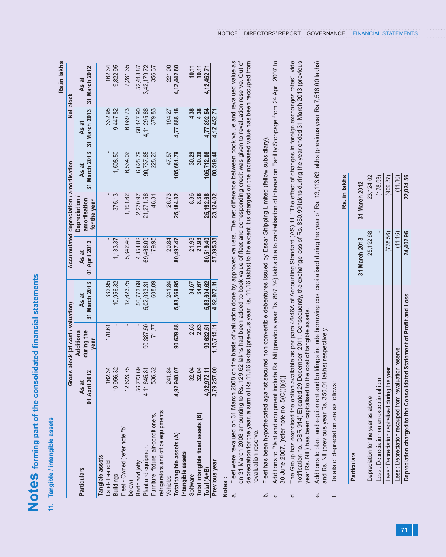| l<br>l               |
|----------------------|
|                      |
| i<br>こくこくし<br>ا<br>ا |
|                      |
| and part of the      |
|                      |
|                      |
|                      |

# 11. Tangible / intangible assets **11. Tangible / intangible assets**

Rs.in lakhs  **Rs.in lakhs**

|                                         |                        | Gross block (at cost / valuation) |                        |                        | Accumulated depreciation / amortisation      |                        | Net block              |                        |
|-----------------------------------------|------------------------|-----------------------------------|------------------------|------------------------|----------------------------------------------|------------------------|------------------------|------------------------|
| <b>Particulars</b>                      | 01 April 2012<br>As at | during the<br>Additions<br>year   | 31 March 2013<br>As at | 01 April 2012<br>As at | Depreciation<br>amortisation<br>for the year | 31 March 2013<br>As at | 31 March 2013<br>As at | 31 March 2012<br>As at |
| Tangible assets                         |                        |                                   |                        |                        |                                              |                        |                        |                        |
| -and-freehold<br><b>Buildings</b>       | 162.34<br>10,956.32    | 170.61                            | 332.95<br>10,956.32    | 1,133.37               | 375.13                                       | 1,508.50               | 332.95<br>9,447.82     | 9,822.95<br>162.34     |
| Fleet - Owned (refer note "b"<br>below) | 12,623.75              |                                   | 12,623.75              | 5,342.40               | 1,191.62                                     | 6,534.02               | 6,089.73               | 7,281.35               |
| Berth and jetty                         | 56,773.69              |                                   | 56,773.69              | 4,354.82               | 2,270.97                                     | 6,625.79               | 50, 147.90             | 52,418.87              |
| Plant and equipment                     | 4,11,645.81            | 90,387.50                         | 5,02,033.31            | 69,466.09              | 21,271.56                                    | 90,737.65              | 4,11,295.66            | 3,42,179.72            |
| Furniture, fixture, air-conditioners,   | 536.32                 | 71.77                             | 608.09                 | 179.95                 | 48.31                                        | 228.26                 | 379.83                 | 356.37                 |
| efrigerators and office equipments      |                        |                                   |                        |                        |                                              |                        |                        |                        |
| <b>Vehicles</b>                         | 241.84                 |                                   | 241.84                 | 20.84                  | 26.73                                        | 47.57                  | 194.27                 | 221.00                 |
| Total tangible assets (A)               | 4.92.940.07            | 90.629.88                         | 5,83,569.95            | 80,497.47              | 25,184.32                                    | 105.681.79             | 4,77,888.16            | 4,12,442.60            |
| Intangible assets                       |                        |                                   |                        |                        |                                              |                        |                        |                        |
| Software                                | 32.04                  | 2.63                              | 34.67                  | 21.93                  | 8.36                                         | 30.29                  | 4.38                   | 10.11                  |
| Total intangible fixed assets (B)       | 32.04                  | 2.63                              | 34.67                  | 21.93                  | 8.36                                         | 30.29                  | 4.38                   | 10.11                  |
| Total (A+B)                             | 4,92,972.11            | 90.632.51                         | 5.83.604.62            | 80,519.40              | 25.192.68                                    | 105.712.08             | 4,77,892.54            | 4.12.452.71            |
| Previous year                           | 3,79,257.00            | 1,13,715.11                       | 4,92,972.11            | 57,395.38              | 23,124.02                                    | 80,519.40              | 4,12,452.71            |                        |
| Notes -                                 |                        |                                   |                        |                        |                                              |                        |                        |                        |

## **Notes :**

- a. Fleet were revalued on 31 March 2008 on the basis of valuation done by approved valuers. The net difference between book value and revalued value as on 31 March 2008 amounting to Rs. 129.62 lakhs had been added to book value of fleet and corresponding credit was given to revaluation reserve. Out of<br>depreciation for the year, a sum of Rs.11.16 lakhs (previous year Rs. 1 on 31 March 2008 amounting to Rs. 129.62 lakhs had been added to book value of fleet and corresponding credit was given to revaluation reserve. Out of depreciation for the year, a sum of Rs.11.16 lakhs (previous year Rs. 11.16 lakhs) to the extent it is charged on the increased value has been recouped from Fleet were revalued on 31 March 2008 on the basis of valuation done by approved valuers. The net difference between book value and revalued value as revaluation reserve. revaluation reserve.  $\vec{\sigma}$ 
	- Fleet has been hypothecated against secured non convertible debentures issued by Essar Shipping Limited (fellow subsidiary). b. Fleet has been hypothecated against secured non convertible debentures issued by Essar Shipping Limited (fellow subsidiary). .<br>ف
- c. Additions to Plant and equipment include Rs. Nil (previous year Rs. 807.34) lakhs due to capitalisation of interest on Facility Stoppage from 24 April 2007 to Additions to Plant and equipment include Rs. Nil (previous year Rs. 807.34) lakhs due to capitalisation of interest on Facility Stoppage from 24 April 2007 to 30 June 2007. [refer note no. 5(C)(i)(d)] 30 June 2007. [refer note no. 5(C)(i)(d)]  $\dot{\circ}$
- The Group has exercised the option available as per para 46/46A of Accounting Standard (AS) 11, "The effect of changes in foreign exchanges rates", vide<br>notification no. GSR 914(E) dated 29 December 2011. Consequently, the d. The Group has exercised the option available as per para 46/46A of Accounting Standard (AS) 11, "The effect of changes in foreign exchanges rates", vide notifi cation no. GSR 914( E) dated 29 December 2011. Consequently, the exchange loss of Rs. 850.99 lakhs during the year ended 31 March 2013 (previous year Rs. Nil ) has been capitalised to the cost of tangible assets. year Rs. Nil ) has been capitalised to the cost of tangible assets.  $\dot{\sigma}$
- e. Additions to plant and equipment and buildings include borrowing cost capitalised during the year of Rs. 13,113.63 lakhs (previous year Rs.7,516.00 lakhs) Additions to plant and equipment and buildings include borrowing cost capitalised during the year of Rs. 13,113.63 lakhs (previous year Rs.7,516.00 lakhs) and Rs. Nil (previous year Rs. 350.01 lakhs) respectively. and Rs. Nil (previous year Rs. 350.01 lakhs) respectively.  $\dot{\omega}$
- Details of depreciation are as follows: f. Details of depreciation are as follows: Ļ.

| ı             |  |
|---------------|--|
|               |  |
| $\mathbf{r}$  |  |
|               |  |
|               |  |
|               |  |
|               |  |
| $\frac{a}{2}$ |  |
|               |  |
|               |  |
|               |  |
|               |  |
|               |  |

| <b>Particulars</b>                                                    | 31 March 2013 | 31 March 2012 |
|-----------------------------------------------------------------------|---------------|---------------|
| Depreciation for the year as above                                    | 25, 192.68    | 23,124.02     |
| Less : Depreciation on an exceptional item                            |               | (178.93)      |
| Less : Depreciation capitalised during the year                       | (778.56)      | (909.37)      |
| Less: Depreciation recouped from revaluation reserve                  | (11.16)       | (11.16)       |
| Depreciation charged to the Consolidated Statement of Profit and Loss | 24,402.96     | 22,024.56     |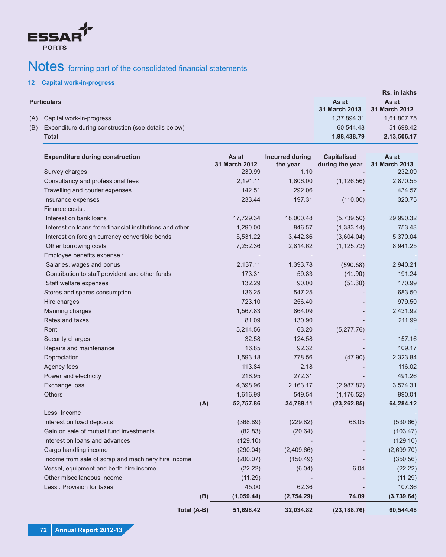

### **12 Capital work-in-progress**

|                    |                                                     |               | Rs. in lakhs  |
|--------------------|-----------------------------------------------------|---------------|---------------|
| <b>Particulars</b> |                                                     |               | As at         |
|                    |                                                     | 31 March 2013 | 31 March 2012 |
| (A)                | Capital work-in-progress                            | 1,37,894.31   | 1,61,807.75   |
| (B)                | Expenditure during construction (see details below) | 60.544.48     | 51.698.42     |
|                    | <b>Total</b>                                        | 1,98,438.79   | 2,13,506.17   |

| <b>Expenditure during construction</b>                                | As at                   | <b>Incurred during</b> | <b>Capitalised</b> | As at                   |
|-----------------------------------------------------------------------|-------------------------|------------------------|--------------------|-------------------------|
| Survey charges                                                        | 31 March 2012<br>230.99 | the year<br>1.10       | during the year    | 31 March 2013<br>232.09 |
| Consultancy and professional fees                                     | 2,191.11                | 1,806.00               | (1, 126.56)        | 2,870.55                |
| Travelling and courier expenses                                       | 142.51                  | 292.06                 |                    | 434.57                  |
| Insurance expenses                                                    | 233.44                  | 197.31                 | (110.00)           | 320.75                  |
| Finance costs:                                                        |                         |                        |                    |                         |
| Interest on bank loans                                                | 17,729.34               | 18,000.48              | (5,739.50)         | 29,990.32               |
| Interest on loans from financial institutions and other               | 1,290.00                | 846.57                 | (1, 383.14)        | 753.43                  |
| Interest on foreign currency convertible bonds                        | 5,531.22                | 3,442.86               | (3,604.04)         | 5,370.04                |
| Other borrowing costs                                                 | 7,252.36                | 2,814.62               | (1, 125.73)        | 8,941.25                |
| Employee benefits expense :                                           |                         |                        |                    |                         |
|                                                                       |                         |                        |                    |                         |
| Salaries, wages and bonus                                             | 2,137.11<br>173.31      | 1,393.78<br>59.83      | (590.68)           | 2,940.21<br>191.24      |
| Contribution to staff provident and other funds                       | 132.29                  | 90.00                  | (41.90)            | 170.99                  |
| Staff welfare expenses                                                | 136.25                  | 547.25                 | (51.30)            | 683.50                  |
| Stores and spares consumption<br>Hire charges                         | 723.10                  | 256.40                 |                    | 979.50                  |
|                                                                       | 1,567.83                | 864.09                 |                    | 2,431.92                |
| Manning charges<br>Rates and taxes                                    | 81.09                   | 130.90                 |                    | 211.99                  |
| Rent                                                                  |                         | 63.20                  |                    |                         |
|                                                                       | 5,214.56<br>32.58       | 124.58                 | (5,277.76)         | 157.16                  |
| Security charges                                                      | 16.85                   | 92.32                  |                    | 109.17                  |
| Repairs and maintenance                                               | 1,593.18                | 778.56                 | (47.90)            | 2,323.84                |
| Depreciation                                                          | 113.84                  | 2.18                   |                    | 116.02                  |
| Agency fees                                                           | 218.95                  | 272.31                 |                    | 491.26                  |
| Power and electricity                                                 |                         | 2,163.17               |                    | 3,574.31                |
| Exchange loss<br><b>Others</b>                                        | 4,398.96<br>1,616.99    | 549.54                 | (2,987.82)         | 990.01                  |
| (A)                                                                   | 52,757.86               | 34,789.11              | (1, 176.52)        | 64,284.12               |
| Less: Income                                                          |                         |                        | (23, 262.85)       |                         |
| Interest on fixed deposits                                            | (368.89)                | (229.82)               | 68.05              | (530.66)                |
| Gain on sale of mutual fund investments                               | (82.83)                 | (20.64)                |                    | (103.47)                |
| Interest on loans and advances                                        | (129.10)                |                        |                    | (129.10)                |
|                                                                       |                         |                        |                    | (2,699.70)              |
| Cargo handling income                                                 | (290.04)                | (2,409.66)             |                    |                         |
| Income from sale of scrap and machinery hire income                   | (200.07)                | (150.49)               | 6.04               | (350.56)                |
| Vessel, equipment and berth hire income<br>Other miscellaneous income | (22.22)                 | (6.04)                 |                    | (22.22)                 |
|                                                                       | (11.29)                 |                        |                    | (11.29)                 |
| Less: Provision for taxes                                             | 45.00                   | 62.36                  | 74.09              | 107.36                  |
| (B)                                                                   | (1,059.44)              | (2,754.29)             |                    | (3,739.64)              |
| Total (A-B)                                                           | 51,698.42               | 32,034.82              | (23, 188.76)       | 60,544.48               |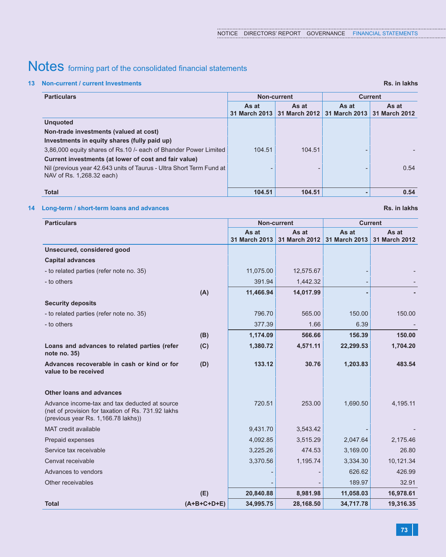#### **13 Non-current / current Investments Rs. in lakhs**

| <b>Particulars</b>                                                                                | <b>Non-current</b>     |        | <b>Current</b>                       |                        |
|---------------------------------------------------------------------------------------------------|------------------------|--------|--------------------------------------|------------------------|
|                                                                                                   | As at<br>31 March 2013 | As at  | As at<br>31 March 2012 31 March 2013 | As at<br>31 March 2012 |
| <b>Unquoted</b>                                                                                   |                        |        |                                      |                        |
| Non-trade investments (valued at cost)                                                            |                        |        |                                      |                        |
| Investments in equity shares (fully paid up)                                                      |                        |        |                                      |                        |
| 3,86,000 equity shares of Rs.10 /- each of Bhander Power Limited                                  | 104.51                 | 104.51 |                                      |                        |
| Current investments (at lower of cost and fair value)                                             |                        |        |                                      |                        |
| Nil (previous year 42.643 units of Taurus - Ultra Short Term Fund at<br>NAV of Rs. 1,268.32 each) |                        |        |                                      | 0.54                   |
| <b>Total</b>                                                                                      | 104.51                 | 104.51 |                                      | 0.54                   |

#### **14 Long-term / short-term loans and advances RS. in lakhs RS. in lakhs**

| <b>Particulars</b>                                                                                                                          |               |               | Non-current   |               | <b>Current</b> |  |
|---------------------------------------------------------------------------------------------------------------------------------------------|---------------|---------------|---------------|---------------|----------------|--|
|                                                                                                                                             |               | As at         | As at         | As at         | As at          |  |
|                                                                                                                                             |               | 31 March 2013 | 31 March 2012 | 31 March 2013 | 31 March 2012  |  |
| Unsecured, considered good                                                                                                                  |               |               |               |               |                |  |
| <b>Capital advances</b>                                                                                                                     |               |               |               |               |                |  |
| - to related parties (refer note no. 35)                                                                                                    |               | 11,075.00     | 12,575.67     |               |                |  |
| - to others                                                                                                                                 |               | 391.94        | 1,442.32      |               |                |  |
|                                                                                                                                             | (A)           | 11,466.94     | 14,017.99     |               |                |  |
| <b>Security deposits</b>                                                                                                                    |               |               |               |               |                |  |
| - to related parties (refer note no. 35)                                                                                                    |               | 796.70        | 565.00        | 150.00        | 150.00         |  |
| - to others                                                                                                                                 |               | 377.39        | 1.66          | 6.39          |                |  |
|                                                                                                                                             | (B)           | 1,174.09      | 566.66        | 156.39        | 150.00         |  |
| Loans and advances to related parties (refer<br>note no. 35)                                                                                | (C)           | 1,380.72      | 4,571.11      | 22,299.53     | 1,704.20       |  |
| Advances recoverable in cash or kind or for<br>value to be received                                                                         | (D)           | 133.12        | 30.76         | 1,203.83      | 483.54         |  |
| Other loans and advances                                                                                                                    |               |               |               |               |                |  |
| Advance income-tax and tax deducted at source<br>(net of provision for taxation of Rs. 731.92 lakhs)<br>(previous year Rs. 1,166.78 lakhs)) |               | 720.51        | 253.00        | 1,690.50      | 4,195.11       |  |
| MAT credit available                                                                                                                        |               | 9,431.70      | 3,543.42      |               |                |  |
| Prepaid expenses                                                                                                                            |               | 4,092.85      | 3,515.29      | 2,047.64      | 2,175.46       |  |
| Service tax receivable                                                                                                                      |               | 3,225.26      | 474.53        | 3,169.00      | 26.80          |  |
| Cenvat receivable                                                                                                                           |               | 3,370.56      | 1,195.74      | 3,334.30      | 10,121.34      |  |
| Advances to vendors                                                                                                                         |               |               |               | 626.62        | 426.99         |  |
| Other receivables                                                                                                                           |               |               |               | 189.97        | 32.91          |  |
|                                                                                                                                             | (E)           | 20,840.88     | 8,981.98      | 11,058.03     | 16,978.61      |  |
| <b>Total</b>                                                                                                                                | $(A+B+C+D+E)$ | 34.995.75     | 28.168.50     | 34,717.78     | 19,316.35      |  |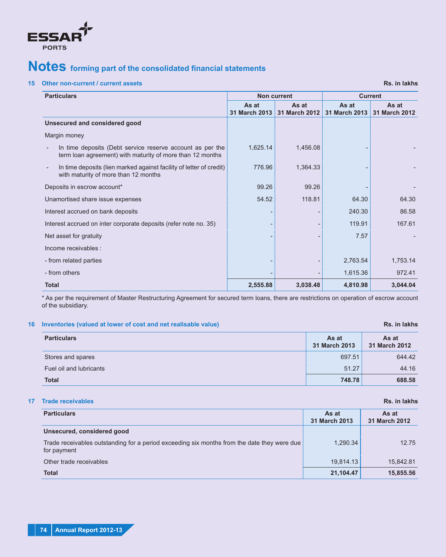

#### **15 Other non-current / current assets Rs. in lakhs**

| <b>Particulars</b>                                               |                                                                                                                        | Non current   |               | <b>Current</b> |               |
|------------------------------------------------------------------|------------------------------------------------------------------------------------------------------------------------|---------------|---------------|----------------|---------------|
|                                                                  |                                                                                                                        | As at         | As at         | As at          | As at         |
|                                                                  |                                                                                                                        | 31 March 2013 | 31 March 2012 | 31 March 2013  | 31 March 2012 |
|                                                                  | Unsecured and considered good                                                                                          |               |               |                |               |
|                                                                  | Margin money                                                                                                           |               |               |                |               |
|                                                                  | In time deposits (Debt service reserve account as per the<br>term loan agreement) with maturity of more than 12 months | 1,625.14      | 1,456.08      |                |               |
|                                                                  | In time deposits (lien marked against facility of letter of credit)<br>with maturity of more than 12 months            | 776.96        | 1,364.33      |                |               |
| Deposits in escrow account*                                      |                                                                                                                        | 99.26         | 99.26         |                |               |
| Unamortised share issue expenses                                 |                                                                                                                        | 54.52         | 118.81        | 64.30          | 64.30         |
| Interest accrued on bank deposits                                |                                                                                                                        |               |               | 240.30         | 86.58         |
| Interest accrued on inter corporate deposits (refer note no. 35) |                                                                                                                        |               |               | 119.91         | 167.61        |
| Net asset for gratuity                                           |                                                                                                                        |               |               | 7.57           |               |
| Income receivables :                                             |                                                                                                                        |               |               |                |               |
|                                                                  | - from related parties                                                                                                 |               |               | 2,763.54       | 1,753.14      |
| - from others                                                    |                                                                                                                        |               |               | 1,615.36       | 972.41        |
| Total                                                            |                                                                                                                        | 2,555.88      | 3,038.48      | 4,810.98       | 3,044.04      |

\* As per the requirement of Master Restructuring Agreement for secured term loans, there are restrictions on operation of escrow account of the subsidiary.

#### **16 Inventories (valued at lower of cost and net realisable value) RS. in lakhs** RS. in lakhs

| <b>Particulars</b>      | As at<br>31 March 2013 | As at<br>31 March 2012 |
|-------------------------|------------------------|------------------------|
| Stores and spares       | 697.51                 | 644.42                 |
| Fuel oil and lubricants | 51.27                  | 44.16                  |
| <b>Total</b>            | 748.78                 | 688.58                 |

#### **17 Trade receivables Rs. in lakhs**

| <b>Particulars</b>                                                                                         | As at<br>31 March 2013 | As at<br>31 March 2012 |
|------------------------------------------------------------------------------------------------------------|------------------------|------------------------|
| Unsecured, considered good                                                                                 |                        |                        |
| Trade receivables outstanding for a period exceeding six months from the date they were due<br>for payment | 1.290.34               | 12.75                  |
| Other trade receivables                                                                                    | 19.814.13              | 15.842.81              |
| <b>Total</b>                                                                                               | 21,104.47              | 15,855.56              |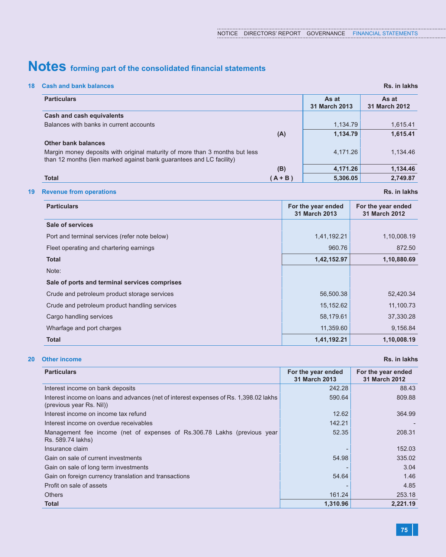| <b>Cash and bank balances</b><br>Rs. in lakhs                                                                                                       |          |                        |                        |  |
|-----------------------------------------------------------------------------------------------------------------------------------------------------|----------|------------------------|------------------------|--|
| <b>Particulars</b>                                                                                                                                  |          | As at<br>31 March 2013 | As at<br>31 March 2012 |  |
| Cash and cash equivalents                                                                                                                           |          |                        |                        |  |
| Balances with banks in current accounts                                                                                                             |          | 1,134.79               | 1,615.41               |  |
|                                                                                                                                                     | (A)      | 1,134.79               | 1,615.41               |  |
| Other bank balances                                                                                                                                 |          |                        |                        |  |
| Margin money deposits with original maturity of more than 3 months but less<br>than 12 months (lien marked against bank quarantees and LC facility) |          | 4,171.26               | 1.134.46               |  |
|                                                                                                                                                     | (B)      | 4,171.26               | 1,134.46               |  |
| <b>Total</b>                                                                                                                                        | (A + B ) | 5,306.05               | 2,749.87               |  |

#### **19 Revenue from operations 19 Revenue from operations**

| <b>Particulars</b>                            | For the year ended<br>31 March 2013 | For the year ended<br>31 March 2012 |
|-----------------------------------------------|-------------------------------------|-------------------------------------|
| Sale of services                              |                                     |                                     |
| Port and terminal services (refer note below) | 1,41,192.21                         | 1,10,008.19                         |
| Fleet operating and chartering earnings       | 960.76                              | 872.50                              |
| Total                                         | 1,42,152.97                         | 1,10,880.69                         |
| Note:                                         |                                     |                                     |
| Sale of ports and terminal services comprises |                                     |                                     |
| Crude and petroleum product storage services  | 56,500.38                           | 52,420.34                           |
| Crude and petroleum product handling services | 15,152.62                           | 11,100.73                           |
| Cargo handling services                       | 58,179.61                           | 37,330.28                           |
| Wharfage and port charges                     | 11,359.60                           | 9,156.84                            |
| <b>Total</b>                                  | 1,41,192.21                         | 1,10,008.19                         |

#### **20 Other income Rs. in lakhs**

| <b>Particulars</b>                                                                                                | For the year ended<br>31 March 2013 | For the year ended<br>31 March 2012 |
|-------------------------------------------------------------------------------------------------------------------|-------------------------------------|-------------------------------------|
| Interest income on bank deposits                                                                                  | 242.28                              | 88.43                               |
| Interest income on loans and advances (net of interest expenses of Rs. 1,398.02 lakhs<br>(previous year Rs. Nil)) | 590.64                              | 809.88                              |
| Interest income on income tax refund                                                                              | 12.62                               | 364.99                              |
| Interest income on overdue receivables                                                                            | 142.21                              |                                     |
| Management fee income (net of expenses of Rs.306.78 Lakhs (previous year<br>Rs. 589.74 lakhs)                     | 52.35                               | 208.31                              |
| Insurance claim                                                                                                   |                                     | 152.03                              |
| Gain on sale of current investments                                                                               | 54.98                               | 335.02                              |
| Gain on sale of long term investments                                                                             |                                     | 3.04                                |
| Gain on foreign currency translation and transactions                                                             | 54.64                               | 1.46                                |
| Profit on sale of assets                                                                                          |                                     | 4.85                                |
| <b>Others</b>                                                                                                     | 161.24                              | 253.18                              |
| <b>Total</b>                                                                                                      | 1.310.96                            | 2,221.19                            |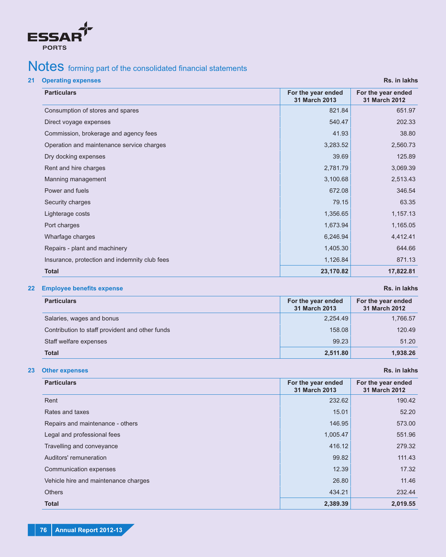

#### **21 Operating expenses Rs. in lakhs**

### **Particulars For the year ended 31 March 2013 For the year ended 31 March 2012** Consumption of stores and spares 821.84 651.97 Direct voyage expenses 540.47 202.33 Commission, brokerage and agency fees **41.93** 38.80 Operation and maintenance service charges 3,283.52 2,560.73 Dry docking expenses 39.69 125.89 Rent and hire charges 2,781.79 3,069.39 Manning management 2,513.43 2,513.43 Power and fuels 672.08  $\vert$  346.54  $\vert$  346.54  $\vert$  546.54  $\vert$  546.54  $\vert$  546.54  $\vert$  546.54  $\vert$  546.54  $\vert$  546.54  $\vert$  546.54  $\vert$  546.54  $\vert$  546.54  $\vert$  546.54  $\vert$  546.54  $\vert$  546.54  $\vert$  546.54  $\vert$  546.54  $\vert$  5 Security charges 63.35 and the state of the state of the state of the state of the state of the state of the state of the state of the state of the state of the state of the state of the state of the state of the state of Lighterage costs 1,356.65 1,157.13 Port charges 1,673.94 1,165.05 Wharfage charges **6,246.94 4,412.41 6,246.94 6**,246.94 **4,412.41** Repairs - plant and machinery 1,405.30 **644.66 1,405.30 1,405.30 644.66**

#### **Total 23,170.82 17,822.81**

#### **22 Employee benefits expense RS. in lakhs RS. in lakhs**

#### **Particulars For the year ended 31 March 2013 For the year ended 31 March 2012** Salaries, wages and bonus 2,254.49 1,766.57 Contribution to staff provident and other funds 158.08 120.49 158.08 120.49 Staff welfare expenses 61.20  $\sim$  51.20  $\sim$  51.20  $\sim$  51.20  $\sim$  51.20  $\sim$  51.20  $\sim$  51.20  $\sim$  51.20  $\sim$  51.20  $\sim$  51.20  $\sim$  51.20  $\sim$  51.20  $\sim$  51.20  $\sim$  51.20  $\sim$  51.20  $\sim$  51.20  $\sim$  51.20  $\sim$  51.20  $\sim$  5 **Total 2,511.80 1,938.26**

Insurance, protection and indemnity club fees 1,126.84 871.13

#### **23** Other expenses

**Particulars For the year ended 31 March 2013 For the year ended 31 March 2012** Rent  $232.62$  190.42 Rates and taxes  $\sim$  52.20 Repairs and maintenance - others 146.95 **Figure 2.146.95 146.95 146.95 146.95 146.95 146.95 146.95 146.95** Legal and professional fees  $\qquad \qquad$  551.96 Travelling and conveyance **416.12** 279.32 Auditors' remuneration 99.82 111.43 Communication expenses 12.39 17.32 Vehicle hire and maintenance charges 21.46 11.46 11.46 11.46 11.46 11.46 11.46 11.46 11.46 11.46 11.46 11.46 1 Others 434.21 232.44 **Total 2,389.39 2,019.55** 

|  | Rs. in lakhs |
|--|--------------|
|  |              |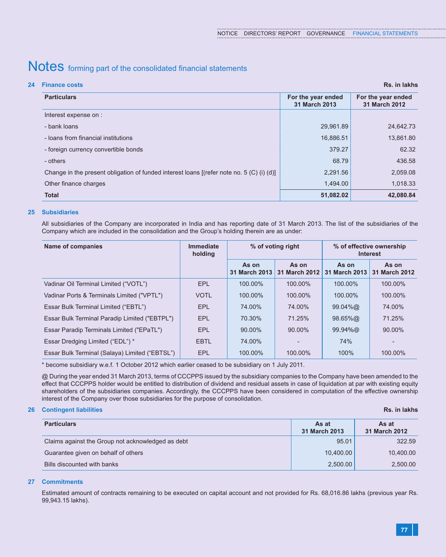| 24 | <b>Finance costs</b>                                                                        |                                     |                                     |  |  |
|----|---------------------------------------------------------------------------------------------|-------------------------------------|-------------------------------------|--|--|
|    | <b>Particulars</b>                                                                          | For the year ended<br>31 March 2013 | For the year ended<br>31 March 2012 |  |  |
|    | Interest expense on :                                                                       |                                     |                                     |  |  |
|    | - bank loans                                                                                | 29,961.89                           | 24,642.73                           |  |  |
|    | - loans from financial institutions                                                         | 16,886.51                           | 13,861.80                           |  |  |
|    | - foreign currency convertible bonds                                                        | 379.27                              | 62.32                               |  |  |
|    | - others                                                                                    | 68.79                               | 436.58                              |  |  |
|    | Change in the present obligation of funded interest loans [(refer note no. 5 $(C)$ (i) (d)] | 2,291.56                            | 2,059.08                            |  |  |
|    | Other finance charges                                                                       | 1.494.00                            | 1,018.33                            |  |  |
|    | <b>Total</b>                                                                                | 51,082.02                           | 42.080.84                           |  |  |

#### **25 Subsidiaries**

 All subsidiaries of the Company are incorporated in India and has reporting date of 31 March 2013. The list of the subsidiaries of the Company which are included in the consolidation and the Group's holding therein are as under:

| Name of companies                              | Immediate<br>holding | % of voting right      |                          | % of effective ownership<br><b>Interest</b> |                          |  |
|------------------------------------------------|----------------------|------------------------|--------------------------|---------------------------------------------|--------------------------|--|
|                                                |                      | As on<br>31 March 2013 | As on<br>31 March 2012   | As on<br>31 March 2013                      | As on<br>31 March 2012   |  |
| Vadinar Oil Terminal Limited ("VOTL")          | EPL                  | 100.00%                | 100.00%                  | 100.00%                                     | 100.00%                  |  |
| Vadinar Ports & Terminals Limited ("VPTL")     | <b>VOTL</b>          | 100.00%                | 100.00%                  | 100.00%                                     | 100.00%                  |  |
| Essar Bulk Terminal Limited ("EBTL")           | EPL                  | 74.00%                 | 74.00%                   | $99.04\%$ @                                 | 74.00%                   |  |
| Essar Bulk Terminal Paradip Limited ("EBTPL")  | EPL                  | 70.30%                 | 71.25%                   | $98.65\%$ @                                 | 71.25%                   |  |
| Essar Paradip Terminals Limited ("EPaTL")      | EPL                  | $90.00\%$              | $90.00\%$                | $99.94\%$ @                                 | 90.00%                   |  |
| Essar Dredging Limited ("EDL") *               | <b>EBTL</b>          | 74.00%                 | $\overline{\phantom{a}}$ | 74%                                         | $\overline{\phantom{0}}$ |  |
| Essar Bulk Terminal (Salaya) Limited ("EBTSL") | EPL                  | 100.00%                | 100.00%                  | 100%                                        | 100.00%                  |  |

\* become subsidiary w.e.f. 1 October 2012 which earlier ceased to be subsidiary on 1 July 2011.

@ During the year ended 31 March 2013, terms of CCCPPS issued by the subsidiary companies to the Company have been amended to the effect that CCCPPS holder would be entitled to distribution of dividend and residual assets in case of liquidation at par with existing equity shareholders of the subsidiaries companies. Accordingly, the CCCPPS have been considered in computation of the effective ownership interest of the Company over those subsidiaries for the purpose of consolidation.

#### **26 Contingent liabilities Rs. in lakhs**

| <b>Particulars</b>                                | As at<br>31 March 2013 | As at<br>31 March 2012 |
|---------------------------------------------------|------------------------|------------------------|
| Claims against the Group not acknowledged as debt | 95.01                  | 322.59                 |
| Guarantee given on behalf of others               | 10,400.00              | 10,400.00              |
| Bills discounted with banks                       | 2.500.00               | 2.500.00               |

#### **27 Commitments**

Estimated amount of contracts remaining to be executed on capital account and not provided for Rs. 68,016.86 lakhs (previous year Rs. 99,943.15 lakhs).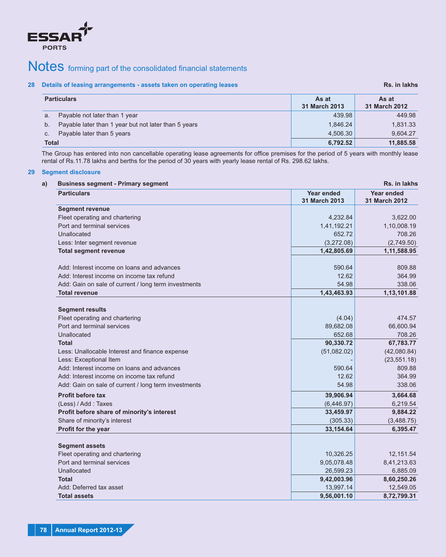

#### **28 Details of leasing arrangements - assets taken on operating leases and arrangements of lakhs** Rs. in lakhs

|                | <b>Particulars</b>                                   | As at<br>31 March 2013 | As at<br>31 March 2012 |
|----------------|------------------------------------------------------|------------------------|------------------------|
| a.             | Payable not later than 1 year                        | 439.98                 | 449.98                 |
| b.             | Payable later than 1 year but not later than 5 years | 1.846.24               | 1.831.33               |
| C <sub>1</sub> | Payable later than 5 years                           | 4.506.30               | 9.604.27               |
| <b>Total</b>   |                                                      | 6.792.52               | 11,885.58              |

The Group has entered into non cancellable operating lease agreements for office premises for the period of 5 years with monthly lease rental of Rs.11.78 lakhs and berths for the period of 30 years with yearly lease rental of Rs. 298.62 lakhs.

#### **29 Segment disclosure**

#### **a)** Business segment - Primary segment **Research Rs. in lakhs** Rs. in lakhs

| <b>Particulars</b>                                                   | Year ended<br>31 March 2013 | Year ended<br>31 March 2012 |
|----------------------------------------------------------------------|-----------------------------|-----------------------------|
| <b>Segment revenue</b>                                               |                             |                             |
| Fleet operating and chartering                                       | 4,232.84                    | 3,622.00                    |
| Port and terminal services                                           | 1,41,192.21                 | 1,10,008.19                 |
| Unallocated                                                          | 652.72                      | 708.26                      |
| Less: Inter segment revenue                                          | (3,272.08)                  | (2,749.50)                  |
| <b>Total segment revenue</b>                                         | 1,42,805.69                 | 1,11,588.95                 |
| Add: Interest income on loans and advances                           | 590.64                      | 809.88                      |
| Add: Interest income on income tax refund                            | 12.62                       | 364.99                      |
| Add: Gain on sale of current / long term investments                 | 54.98                       | 338.06                      |
| <b>Total revenue</b>                                                 | 1,43,463.93                 | 1,13,101.88                 |
|                                                                      |                             |                             |
| <b>Segment results</b>                                               |                             |                             |
| Fleet operating and chartering                                       | (4.04)                      | 474.57                      |
| Port and terminal services<br>Unallocated                            | 89,682.08<br>652.68         | 66,600.94                   |
|                                                                      |                             | 708.26                      |
| <b>Total</b>                                                         | 90,330.72                   | 67,783.77                   |
| Less: Unallocable Interest and finance expense                       | (51,082.02)                 | (42,080.84)                 |
| Less: Exceptional Item<br>Add: Interest income on loans and advances |                             | (23, 551.18)                |
|                                                                      | 590.64                      | 809.88<br>364.99            |
| Add: Interest income on income tax refund                            | 12.62<br>54.98              | 338.06                      |
| Add: Gain on sale of current / long term investments                 |                             |                             |
| <b>Profit before tax</b>                                             | 39,906.94                   | 3,664.68                    |
| (Less) / Add: Taxes                                                  | (6,446.97)                  | 6,219.54                    |
| Profit before share of minority's interest                           | 33,459.97                   | 9,884.22                    |
| Share of minority's interest                                         | (305.33)                    | (3,488.75)                  |
| Profit for the year                                                  | 33,154.64                   | 6,395.47                    |
| <b>Segment assets</b>                                                |                             |                             |
| Fleet operating and chartering                                       | 10,326.25                   | 12,151.54                   |
| Port and terminal services                                           | 9,05,078.48                 | 8,41,213.63                 |
| Unallocated                                                          | 26,599.23                   | 6,885.09                    |
| <b>Total</b>                                                         | 9,42,003.96                 | 8,60,250.26                 |
| Add: Deferred tax asset                                              | 13,997.14                   | 12,549.05                   |
| <b>Total assets</b>                                                  | 9,56,001.10                 | 8,72,799.31                 |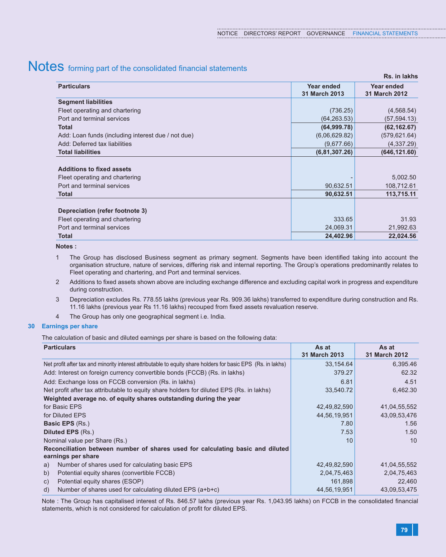| Rs. in lakhs                                       |                             |                             |  |  |  |  |
|----------------------------------------------------|-----------------------------|-----------------------------|--|--|--|--|
| <b>Particulars</b>                                 | Year ended<br>31 March 2013 | Year ended<br>31 March 2012 |  |  |  |  |
| <b>Segment liabilities</b>                         |                             |                             |  |  |  |  |
| Fleet operating and chartering                     | (736.25)                    | (4,568.54)                  |  |  |  |  |
| Port and terminal services                         | (64, 263.53)                | (57, 594.13)                |  |  |  |  |
| Total                                              | (64,999.78)                 | (62, 162.67)                |  |  |  |  |
| Add: Loan funds (including interest due / not due) | (6,06,629.82)               | (579, 621.64)               |  |  |  |  |
| Add: Deferred tax liabilities                      | (9,677.66)                  | (4,337.29)                  |  |  |  |  |
| <b>Total liabilities</b>                           | (6, 81, 307.26)             | (646, 121.60)               |  |  |  |  |
| <b>Additions to fixed assets</b>                   |                             |                             |  |  |  |  |
| Fleet operating and chartering                     |                             | 5,002.50                    |  |  |  |  |
| Port and terminal services                         | 90,632.51                   | 108,712.61                  |  |  |  |  |
| Total                                              | 90,632.51                   | 113,715.11                  |  |  |  |  |
| Depreciation (refer footnote 3)                    |                             |                             |  |  |  |  |
| Fleet operating and chartering                     | 333.65                      | 31.93                       |  |  |  |  |
| Port and terminal services                         | 24,069.31                   | 21,992.63                   |  |  |  |  |
| Total                                              | 24.402.96                   | 22,024.56                   |  |  |  |  |

 **Notes :**

- 1 The Group has disclosed Business segment as primary segment. Segments have been identified taking into account the organisation structure, nature of services, differing risk and internal reporting. The Group's operations predominantly relates to Fleet operating and chartering, and Port and terminal services.
- 2 Additions to fixed assets shown above are including exchange difference and excluding capital work in progress and expenditure during construction.
- 3 Depreciation excludes Rs. 778.55 lakhs (previous year Rs. 909.36 lakhs) transferred to expenditure during construction and Rs. 11.16 lakhs (previous year Rs 11.16 lakhs) recouped from fixed assets revaluation reserve.
- 4 The Group has only one geographical segment i.e. India.

#### **30 Earnings per share**

The calculation of basic and diluted earnings per share is based on the following data:

| <b>Particulars</b>                                                                                           | As at<br>31 March 2013 | As at<br>31 March 2012 |
|--------------------------------------------------------------------------------------------------------------|------------------------|------------------------|
| Net profit after tax and minority interest attributable to equity share holders for basic EPS (Rs. in lakhs) | 33,154.64              | 6,395.46               |
| Add: Interest on foreign currency convertible bonds (FCCB) (Rs. in lakhs)                                    | 379.27                 | 62.32                  |
| Add: Exchange loss on FCCB conversion (Rs. in lakhs)                                                         | 6.81                   | 4.51                   |
| Net profit after tax attributable to equity share holders for diluted EPS (Rs. in lakhs)                     | 33,540.72              | 6,462.30               |
| Weighted average no. of equity shares outstanding during the year                                            |                        |                        |
| for Basic EPS                                                                                                | 42,49,82,590           | 41,04,55,552           |
| for Diluted EPS                                                                                              | 44,56,19,951           | 43,09,53,476           |
| <b>Basic EPS (Rs.)</b>                                                                                       | 7.80                   | 1.56                   |
| <b>Diluted EPS (Rs.)</b>                                                                                     | 7.53                   | 1.50                   |
| Nominal value per Share (Rs.)                                                                                | 10                     | 10                     |
| Reconciliation between number of shares used for calculating basic and diluted<br>earnings per share         |                        |                        |
| Number of shares used for calculating basic EPS<br>a)                                                        | 42,49,82,590           | 41,04,55,552           |
| Potential equity shares (convertible FCCB)<br>b)                                                             | 2,04,75,463            | 2,04,75,463            |
| Potential equity shares (ESOP)<br>$\mathsf{C}$ )                                                             | 161,898                | 22,460                 |
| Number of shares used for calculating diluted EPS (a+b+c)<br>d)                                              | 44,56,19,951           | 43,09,53,475           |

Note : The Group has capitalised interest of Rs. 846.57 lakhs (previous year Rs. 1,043.95 lakhs) on FCCB in the consolidated financial statements, which is not considered for calculation of profit for diluted EPS.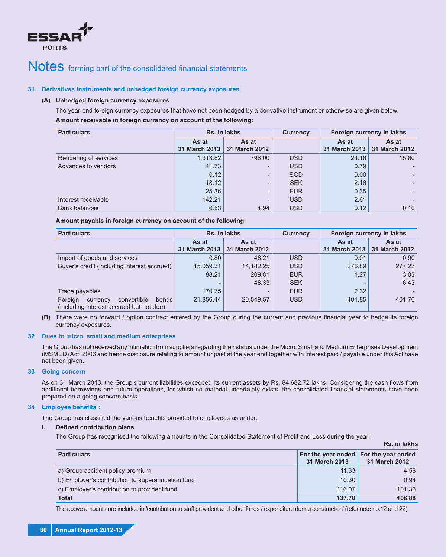

#### **31 Derivatives instruments and unhedged foreign currency exposures**

#### **(A) Unhedged foreign currency exposures**

The year-end foreign currency exposures that have not been hedged by a derivative instrument or otherwise are given below.

#### **Amount receivable in foreign currency on account of the following:**

|        |                              | Currency                                                | Foreign currency in lakhs |                             |  |  |  |  |  |
|--------|------------------------------|---------------------------------------------------------|---------------------------|-----------------------------|--|--|--|--|--|
| As at  | As at                        |                                                         | As at                     | As at                       |  |  |  |  |  |
|        |                              |                                                         |                           | 31 March 2013 31 March 2012 |  |  |  |  |  |
|        | 798.00                       | <b>USD</b>                                              | 24.16                     | 15.60                       |  |  |  |  |  |
| 41.73  | $\overline{\phantom{a}}$     | <b>USD</b>                                              | 0.79                      | $\overline{\phantom{a}}$    |  |  |  |  |  |
| 0.12   | $\overline{\phantom{0}}$     | <b>SGD</b>                                              | 0.00                      | $\overline{\phantom{a}}$    |  |  |  |  |  |
| 18.12  | $\qquad \qquad \blacksquare$ | <b>SEK</b>                                              | 2.16                      | $\overline{\phantom{a}}$    |  |  |  |  |  |
| 25.36  | $\qquad \qquad$              | <b>EUR</b>                                              | 0.35                      | $\overline{\phantom{a}}$    |  |  |  |  |  |
| 142.21 | $\qquad \qquad$              | <b>USD</b>                                              | 2.61                      | $\overline{\phantom{a}}$    |  |  |  |  |  |
| 6.53   | 4.94                         | <b>USD</b>                                              | 0.12                      | 0.10                        |  |  |  |  |  |
|        |                              | Rs. in lakhs<br>31 March 2013 31 March 2012<br>1,313.82 |                           |                             |  |  |  |  |  |

 **Amount payable in foreign currency on account of the following:**

| <b>Particulars</b>                                                                      |                                                  | Rs. in lakhs    | Currency   | Foreign currency in lakhs |                        |
|-----------------------------------------------------------------------------------------|--------------------------------------------------|-----------------|------------|---------------------------|------------------------|
|                                                                                         | As at<br>As at<br>31 March 2013<br>31 March 2012 |                 |            | As at<br>31 March 2013    | As at<br>31 March 2012 |
| Import of goods and services                                                            | 0.80                                             | 46.21           | <b>USD</b> | 0.01                      | 0.90                   |
| Buyer's credit (including interest accrued)                                             | 15,059.31                                        | 14,182.25       | <b>USD</b> | 276.89                    | 277.23                 |
|                                                                                         | 88.21                                            | 209.81          | <b>EUR</b> | 1.27                      | 3.03                   |
|                                                                                         | $\overline{\phantom{0}}$                         | 48.33           | <b>SEK</b> | $\overline{\phantom{0}}$  | 6.43                   |
| Trade payables                                                                          | 170.75                                           | $\qquad \qquad$ | <b>EUR</b> | 2.32                      |                        |
| Foreign<br>bonds<br>convertible<br>currency<br>(including interest accrued but not due) | 21.856.44                                        | 20.549.57       | <b>USD</b> | 401.85                    | 401.70                 |

**(B)** There were no forward / option contract entered by the Group during the current and previous financial year to hedge its foreign currency exposures.

#### **32 Dues to micro, small and medium enterprises**

The Group has not received any intimation from suppliers regarding their status under the Micro, Small and Medium Enterprises Development (MSMED) Act, 2006 and hence disclosure relating to amount unpaid at the year end together with interest paid / payable under this Act have not been given.

#### **33 Going concern**

As on 31 March 2013, the Group's current liabilities exceeded its current assets by Rs. 84,682.72 lakhs. Considering the cash flows from additional borrowings and future operations, for which no material uncertainty exists, the consolidated financial statements have been prepared on a going concern basis.

#### **34 Employee benefits :**

The Group has classified the various benefits provided to employees as under:

#### **I.** Defined contribution plans

The Group has recognised the following amounts in the Consolidated Statement of Profit and Loss during the year:

|                                                   |               | Rs. in lakhs                                           |
|---------------------------------------------------|---------------|--------------------------------------------------------|
| <b>Particulars</b>                                | 31 March 2013 | For the year ended For the year ended<br>31 March 2012 |
| a) Group accident policy premium                  | 11.33         | 4.58                                                   |
| b) Employer's contribution to superannuation fund | 10.30         | 0.94                                                   |
| c) Employer's contribution to provident fund      | 116.07        | 101.36                                                 |
| <b>Total</b>                                      | 137.70        | 106.88                                                 |

The above amounts are included in 'contribution to staff provident and other funds / expenditure during construction' (refer note no.12 and 22).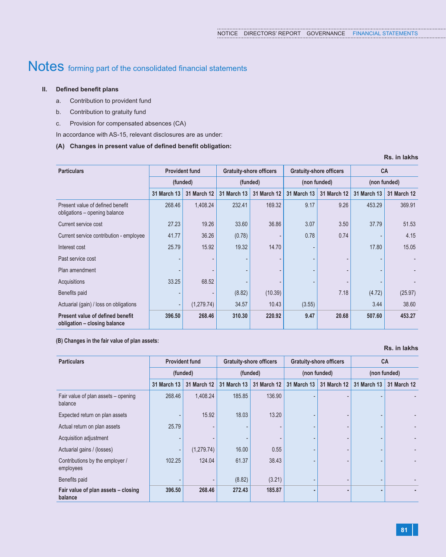#### **II.** Defined benefit plans

- a. Contribution to provident fund
- b. Contribution to gratuity fund
- c. Provision for compensated absences (CA)

In accordance with AS-15, relevant disclosures are as under:

#### (A) Changes in present value of defined benefit obligation:

**Rs. in lakhs**

| <b>Particulars</b>                                                | <b>Provident fund</b> |             | <b>Gratuity-shore officers</b> |                              |              | <b>Gratuity-shore officers</b> | <b>CA</b>    |             |
|-------------------------------------------------------------------|-----------------------|-------------|--------------------------------|------------------------------|--------------|--------------------------------|--------------|-------------|
|                                                                   | (funded)              |             | (funded)                       |                              | (non funded) |                                | (non funded) |             |
|                                                                   | 31 March 13           | 31 March 12 | 31 March 13                    | <b>31 March 12</b>           | 31 March 13  | <b>31 March 12</b>             | 31 March 13  | 31 March 12 |
| Present value of defined benefit<br>obligations - opening balance | 268.46                | 1,408.24    | 232.41                         | 169.32                       | 9.17         | 9.26                           | 453.29       | 369.91      |
| Current service cost                                              | 27.23                 | 19.26       | 33.60                          | 36.86                        | 3.07         | 3.50                           | 37.79        | 51.53       |
| Current service contribution - employee                           | 41.77                 | 36.26       | (0.78)                         | $\qquad \qquad \blacksquare$ | 0.78         | 0.74                           |              | 4.15        |
| Interest cost                                                     | 25.79                 | 15.92       | 19.32                          | 14.70                        |              |                                | 17.80        | 15.05       |
| Past service cost                                                 |                       |             |                                |                              |              |                                |              |             |
| Plan amendment                                                    |                       |             |                                |                              |              |                                |              |             |
| Acquisitions                                                      | 33.25                 | 68.52       |                                |                              |              |                                |              |             |
| Benefits paid                                                     |                       |             | (8.82)                         | (10.39)                      |              | 7.18                           | (4.72)       | (25.97)     |
| Actuarial (gain) / loss on obligations                            | ٠                     | (1,279.74)  | 34.57                          | 10.43                        | (3.55)       |                                | 3.44         | 38.60       |
| Present value of defined benefit<br>obligation - closing balance  | 396.50                | 268.46      | 310.30                         | 220.92                       | 9.47         | 20.68                          | 507.60       | 453.27      |

#### **(B) Changes in the fair value of plan assets:**

#### **Rs. in lakhs**

| <b>Particulars</b>                             | <b>Provident fund</b>    |                    | <b>Gratuity-shore officers</b> |                    | <b>Gratuity-shore officers</b> |                    | <b>CA</b>          |                          |
|------------------------------------------------|--------------------------|--------------------|--------------------------------|--------------------|--------------------------------|--------------------|--------------------|--------------------------|
|                                                | (funded)                 |                    | (funded)                       |                    | (non funded)                   |                    | (non funded)       |                          |
|                                                | <b>31 March 13</b>       | <b>31 March 12</b> | <b>31 March 13</b>             | <b>31 March 12</b> | <b>31 March 13</b>             | <b>31 March 12</b> | <b>31 March 13</b> | <b>31 March 12</b>       |
| Fair value of plan assets - opening<br>balance | 268.46                   | 1.408.24           | 185.85                         | 136.90             |                                |                    |                    |                          |
| Expected return on plan assets                 |                          | 15.92              | 18.03                          | 13.20              |                                |                    |                    |                          |
| Actual return on plan assets                   | 25.79                    | -                  |                                |                    |                                |                    |                    |                          |
| Acquisition adjustment                         |                          | $\overline{a}$     |                                |                    |                                |                    |                    |                          |
| Actuarial gains / (losses)                     | $\overline{\phantom{a}}$ | (1,279.74)         | 16.00                          | 0.55               |                                |                    |                    |                          |
| Contributions by the employer /<br>employees   | 102.25                   | 124.04             | 61.37                          | 38.43              |                                |                    |                    |                          |
| Benefits paid                                  |                          | $\overline{a}$     | (8.82)                         | (3.21)             | $\overline{a}$                 | ٠                  |                    | $\overline{\phantom{a}}$ |
| Fair value of plan assets - closing<br>balance | 396.50                   | 268,46             | 272.43                         | 185.87             |                                |                    |                    |                          |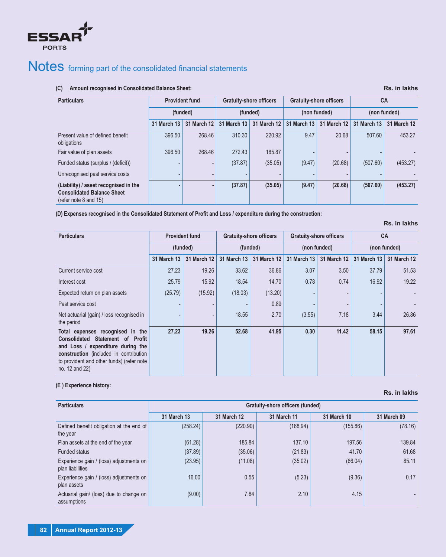

#### **(C)** Amount recognised in Consolidated Balance Sheet: **Rights and Sheet and Sheet and Sheet Amount Test in lakhs**

| <b>Particulars</b>                                                                                  | <b>Provident fund</b> |                          | <b>Gratuity-shore officers</b> |             | <b>Gratuity-shore officers</b> |             | <b>CA</b>    |             |
|-----------------------------------------------------------------------------------------------------|-----------------------|--------------------------|--------------------------------|-------------|--------------------------------|-------------|--------------|-------------|
|                                                                                                     | (funded)              |                          | (funded)                       |             | (non funded)                   |             | (non funded) |             |
|                                                                                                     | 31 March 13           | 31 March 12              | 31 March 13                    | 31 March 12 | 31 March 13                    | 31 March 12 | 31 March 13  | 31 March 12 |
| Present value of defined benefit<br>obligations                                                     | 396.50                | 268.46                   | 310.30                         | 220.92      | 9.47                           | 20.68       | 507.60       | 453.27      |
| Fair value of plan assets                                                                           | 396.50                | 268.46                   | 272.43                         | 185.87      |                                |             |              |             |
| Funded status (surplus / (deficit))                                                                 |                       | $\overline{\phantom{a}}$ | (37.87)                        | (35.05)     | (9.47)                         | (20.68)     | (507.60)     | (453.27)    |
| Unrecognised past service costs                                                                     |                       | $\overline{\phantom{a}}$ |                                |             |                                |             |              |             |
| (Liability) / asset recognised in the<br><b>Consolidated Balance Sheet</b><br>(refer note 8 and 15) |                       | ۰.                       | (37.87)                        | (35.05)     | (9.47)                         | (20.68)     | (507.60)     | (453.27)    |

 **(D) Expenses recognised in the Consolidated Statement of Profi t and Loss / expenditure during the construction:**

| <b>Particulars</b>                                                                                                                                                                                                 | <b>Provident fund</b> |                    | <b>Gratuity-shore officers</b> |             | <b>Gratuity-shore officers</b> |                    | <b>CA</b>    |                |  |
|--------------------------------------------------------------------------------------------------------------------------------------------------------------------------------------------------------------------|-----------------------|--------------------|--------------------------------|-------------|--------------------------------|--------------------|--------------|----------------|--|
|                                                                                                                                                                                                                    |                       | (funded)           |                                | (funded)    |                                | (non funded)       | (non funded) |                |  |
|                                                                                                                                                                                                                    | 31 March 13           | <b>31 March 12</b> | 31 March 13                    | 31 March 12 | 31 March 13                    | <b>31 March 12</b> | 31 March 13  | 31 March 12    |  |
| Current service cost                                                                                                                                                                                               | 27.23                 | 19.26              | 33.62                          | 36.86       | 3.07                           | 3.50               | 37.79        | 51.53          |  |
| Interest cost                                                                                                                                                                                                      | 25.79                 | 15.92              | 18.54                          | 14.70       | 0.78                           | 0.74               | 16.92        | 19.22          |  |
| Expected return on plan assets                                                                                                                                                                                     | (25.79)               | (15.92)            | (18.03)                        | (13.20)     |                                |                    |              |                |  |
| Past service cost                                                                                                                                                                                                  |                       | -                  |                                | 0.89        |                                |                    |              | $\blacksquare$ |  |
| Net actuarial (gain) / loss recognised in<br>the period                                                                                                                                                            |                       | -                  | 18.55                          | 2.70        | (3.55)                         | 7.18               | 3.44         | 26.86          |  |
| Total expenses recognised in the<br>Consolidated Statement of Profit<br>and Loss / expenditure during the<br>construction (included in contribution<br>to provident and other funds) (refer note<br>no. 12 and 22) | 27.23                 | 19.26              | 52.68                          | 41.95       | 0.30                           | 11.42              | 58.15        | 97.61          |  |

#### **(E ) Experience history:**

#### **Rs. in lakhs**

**Rs. in lakhs**

| <b>Particulars</b>                                          |                    | Gratuity-shore officers (funded) |             |                    |             |  |  |  |  |  |
|-------------------------------------------------------------|--------------------|----------------------------------|-------------|--------------------|-------------|--|--|--|--|--|
|                                                             | <b>31 March 13</b> | 31 March 12                      | 31 March 11 | <b>31 March 10</b> | 31 March 09 |  |  |  |  |  |
| Defined benefit obligation at the end of<br>the year        | (258.24)           | (220.90)                         | (168.94)    | (155.86)           | (78.16)     |  |  |  |  |  |
| Plan assets at the end of the year                          | (61.28)            | 185.84                           | 137.10      | 197.56             | 139.84      |  |  |  |  |  |
| <b>Funded status</b>                                        | (37.89)            | (35.06)                          | (21.83)     | 41.70              | 61.68       |  |  |  |  |  |
| Experience gain / (loss) adjustments on<br>plan liabilities | (23.95)            | (11.08)                          | (35.02)     | (66.04)            | 85.11       |  |  |  |  |  |
| Experience gain / (loss) adjustments on<br>plan assets      | 16.00              | 0.55                             | (5.23)      | (9.36)             | 0.17        |  |  |  |  |  |
| Actuarial gain/ (loss) due to change on<br>assumptions      | (9.00)             | 7.84                             | 2.10        | 4.15               |             |  |  |  |  |  |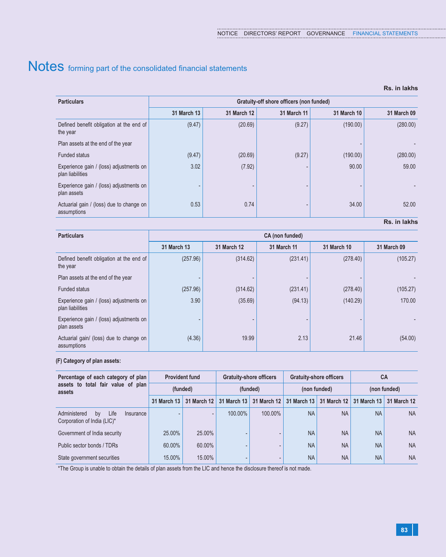| <b>Particulars</b>                                          |                    |                    | Gratuity-off shore officers (non funded) |             |                          |
|-------------------------------------------------------------|--------------------|--------------------|------------------------------------------|-------------|--------------------------|
|                                                             | <b>31 March 13</b> | <b>31 March 12</b> | <b>31 March 11</b>                       | 31 March 10 | 31 March 09              |
| Defined benefit obligation at the end of<br>the year        | (9.47)             | (20.69)            | (9.27)                                   | (190.00)    | (280.00)                 |
| Plan assets at the end of the year                          |                    |                    |                                          |             |                          |
| <b>Funded status</b>                                        | (9.47)             | (20.69)            | (9.27)                                   | (190.00)    | (280.00)                 |
| Experience gain / (loss) adjustments on<br>plan liabilities | 3.02               | (7.92)             |                                          | 90.00       | 59.00                    |
| Experience gain / (loss) adjustments on<br>plan assets      |                    | $\overline{a}$     |                                          |             | $\overline{\phantom{a}}$ |
| Actuarial gain / (loss) due to change on<br>assumptions     | 0.53               | 0.74               |                                          | 34.00       | 52.00                    |

**Rs. in lakhs**

**Rs. in lakhs**

| <b>Particulars</b>                                          | CA (non funded)    |                    |                    |                    |             |  |  |  |  |
|-------------------------------------------------------------|--------------------|--------------------|--------------------|--------------------|-------------|--|--|--|--|
|                                                             | <b>31 March 13</b> | <b>31 March 12</b> | <b>31 March 11</b> | <b>31 March 10</b> | 31 March 09 |  |  |  |  |
| Defined benefit obligation at the end of<br>the year        | (257.96)           | (314.62)           | (231.41)           | (278.40)           | (105.27)    |  |  |  |  |
| Plan assets at the end of the year                          |                    |                    |                    |                    |             |  |  |  |  |
| <b>Funded status</b>                                        | (257.96)           | (314.62)           | (231.41)           | (278.40)           | (105.27)    |  |  |  |  |
| Experience gain / (loss) adjustments on<br>plan liabilities | 3.90               | (35.69)            | (94.13)            | (140.29)           | 170.00      |  |  |  |  |
| Experience gain / (loss) adjustments on<br>plan assets      |                    |                    |                    |                    |             |  |  |  |  |
| Actuarial gain/ (loss) due to change on<br>assumptions      | (4.36)             | 19.99              | 2.13               | 21.46              | (54.00)     |  |  |  |  |

#### **(F) Category of plan assets:**

| Percentage of each category of plan                                    |             | <b>Provident fund</b><br>(funded) |             | <b>Gratuity-shore officers</b> | <b>Gratuity-shore officers</b> |              | CA           |                         |  |
|------------------------------------------------------------------------|-------------|-----------------------------------|-------------|--------------------------------|--------------------------------|--------------|--------------|-------------------------|--|
| assets to total fair value of plan<br>assets                           |             |                                   |             | (funded)                       |                                | (non funded) | (non funded) |                         |  |
|                                                                        | 31 March 13 | 31 March 12                       | 31 March 13 | 31 March 12                    | 31 March 13                    | 31 March 12  |              | 31 March 13 31 March 12 |  |
| Life<br>Administered<br>by<br>Insurance<br>Corporation of India (LIC)* |             | $\overline{\phantom{0}}$          | 100.00%     | 100.00%                        | <b>NA</b>                      | <b>NA</b>    | <b>NA</b>    | <b>NA</b>               |  |
| Government of India security                                           | 25.00%      | 25.00%                            |             |                                | <b>NA</b>                      | <b>NA</b>    | <b>NA</b>    | <b>NA</b>               |  |
| Public sector bonds / TDRs                                             | 60.00%      | 60.00%                            |             |                                | <b>NA</b>                      | <b>NA</b>    | <b>NA</b>    | <b>NA</b>               |  |
| State government securities                                            | 15.00%      | 15.00%                            |             | -                              | <b>NA</b>                      | <b>NA</b>    | <b>NA</b>    | <b>NA</b>               |  |

\*The Group is unable to obtain the details of plan assets from the LIC and hence the disclosure thereof is not made.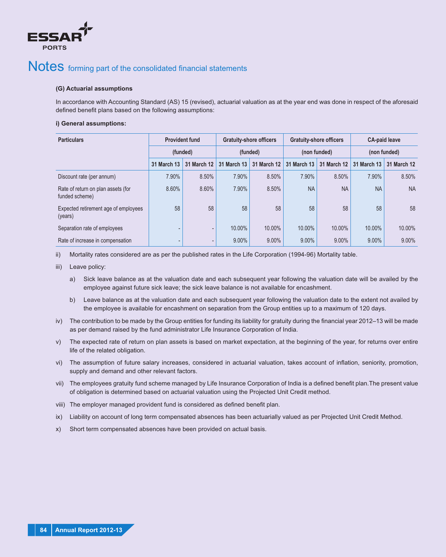

#### **(G) Actuarial assumptions**

In accordance with Accounting Standard (AS) 15 (revised), actuarial valuation as at the year end was done in respect of the aforesaid defined benefit plans based on the following assumptions:

#### **i) General assumptions:**

| <b>Particulars</b>                                   | <b>Provident fund</b> |                          |             | <b>Gratuity-shore officers</b> |             | <b>Gratuity-shore officers</b> | <b>CA-paid leave</b> |             |  |
|------------------------------------------------------|-----------------------|--------------------------|-------------|--------------------------------|-------------|--------------------------------|----------------------|-------------|--|
|                                                      | (funded)              |                          |             | (funded)                       |             | (non funded)                   | (non funded)         |             |  |
|                                                      | <b>31 March 13</b>    | 31 March 12              | 31 March 13 | <b>31 March 12</b>             | 31 March 13 | 31 March 12                    | 31 March 13          | 31 March 12 |  |
| Discount rate (per annum)                            | 7.90%                 | 8.50%                    | 7.90%       | 8.50%                          | 7.90%       | 8.50%                          | 7.90%                | 8.50%       |  |
| Rate of return on plan assets (for<br>funded scheme) | 8.60%                 | 8.60%                    | 7.90%       | 8.50%                          | <b>NA</b>   | <b>NA</b>                      | <b>NA</b>            | <b>NA</b>   |  |
| Expected retirement age of employees<br>(years)      | 58                    | 58                       | 58          | 58                             | 58          | 58                             | 58                   | 58          |  |
| Separation rate of employees                         |                       | $\overline{\phantom{a}}$ | 10.00%      | 10.00%                         | 10.00%      | 10.00%                         | 10.00%               | 10.00%      |  |
| Rate of increase in compensation                     |                       | $\overline{\phantom{a}}$ | 9.00%       | $9.00\%$                       | 9.00%       | $9.00\%$                       | $9.00\%$             | $9.00\%$    |  |

ii) Mortality rates considered are as per the published rates in the Life Corporation (1994-96) Mortality table.

- iii) Leave policy:
	- a) Sick leave balance as at the valuation date and each subsequent year following the valuation date will be availed by the employee against future sick leave; the sick leave balance is not available for encashment.
	- b) Leave balance as at the valuation date and each subsequent year following the valuation date to the extent not availed by the employee is available for encashment on separation from the Group entities up to a maximum of 120 days.
- iv) The contribution to be made by the Group entities for funding its liability for gratuity during the financial year 2012–13 will be made as per demand raised by the fund administrator Life Insurance Corporation of India.
- v) The expected rate of return on plan assets is based on market expectation, at the beginning of the year, for returns over entire life of the related obligation.
- vi) The assumption of future salary increases, considered in actuarial valuation, takes account of inflation, seniority, promotion, supply and demand and other relevant factors.
- vii) The employees gratuity fund scheme managed by Life Insurance Corporation of India is a defined benefit plan.The present value of obligation is determined based on actuarial valuation using the Projected Unit Credit method.
- viii) The employer managed provident fund is considered as defined benefit plan.
- ix) Liability on account of long term compensated absences has been actuarially valued as per Projected Unit Credit Method.
- x) Short term compensated absences have been provided on actual basis.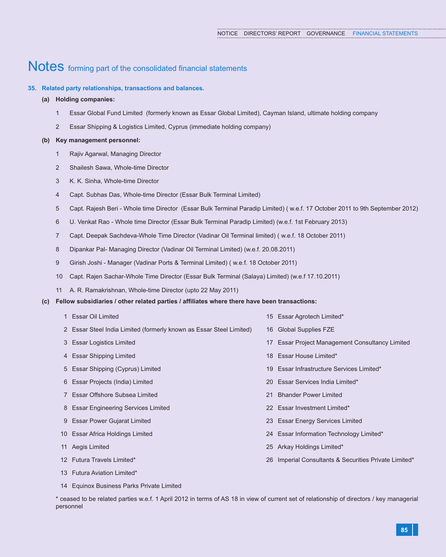#### **35. Related party relationships, transactions and balances.**

#### **(a) Holding companies:**

- 1 Essar Global Fund Limited (formerly known as Essar Global Limited), Cayman Island, ultimate holding company
- 2 Essar Shipping & Logistics Limited, Cyprus (immediate holding company)

#### **(b) Key management personnel:**

- 1 Rajiv Agarwal, Managing Director
- 2 Shailesh Sawa, Whole-time Director
- 3 K. K. Sinha, Whole-time Director
- 4 Capt. Subhas Das, Whole-time Director (Essar Bulk Terminal Limited)
- 5 Capt. Rajesh Beri Whole time Director (Essar Bulk Terminal Paradip Limited) ( w.e.f. 17 October 2011 to 9th September 2012)
- 6 U. Venkat Rao Whole time Director (Essar Bulk Terminal Paradip Limited) (w.e.f. 1st February 2013)
- 7 Capt. Deepak Sachdeva-Whole Time Director (Vadinar Oil Terminal limited) ( w.e.f. 18 October 2011)
- 8 Dipankar Pal- Managing Director (Vadinar Oil Terminal Limited) (w.e.f. 20.08.2011)
- 9 Girish Joshi Manager (Vadinar Ports & Terminal Limited) ( w.e.f. 18 October 2011)
- 10 Capt. Rajen Sachar-Whole Time Director (Essar Bulk Terminal (Salaya) Limited) (w.e.f 17.10.2011)
- 11 A. R. Ramakrishnan, Whole-time Director (upto 22 May 2011)

#### **(c) Fellow subsidiaries / other related parties / affi liates where there have been transactions:**

- 
- 2 Essar Steel India Limited (formerly known as Essar Steel Limited) 16 Global Supplies FZE
- 
- 
- 
- 
- 7 Essar Offshore Subsea Limited 21 Bhander Power Limited
- 8 Essar Engineering Services Limited 22 Essar Investment Limited\*
- 
- 
- 
- 
- 13 Futura Aviation Limited\*
- 14 Equinox Business Parks Private Limited

 \* ceased to be related parties w.e.f. 1 April 2012 in terms of AS 18 in view of current set of relationship of directors / key managerial personnel

- 1 Essar Oil Limited 15 Essar Agrotech Limited\*
	-
- 3 Essar Logistics Limited 17 Essar Project Management Consultancy Limited
- 4 Essar Shipping Limited 18 Essar House Limited\*
- 5 Essar Shipping (Cyprus) Limited 19 Essar Infrastructure Services Limited\*
- 6 Essar Projects (India) Limited 20 Essar Services India Limited\*
	-
	-
- 9 Essar Power Gujarat Limited 23 Essar Energy Services Limited
- 10 Essar Africa Holdings Limited 24 Essar Information Technology Limited\*
- 11 Aegis Limited 25 Arkay Holdings Limited\*
- 12 Futura Travels Limited\* 26 Imperial Consultants & Securities Private Limited\*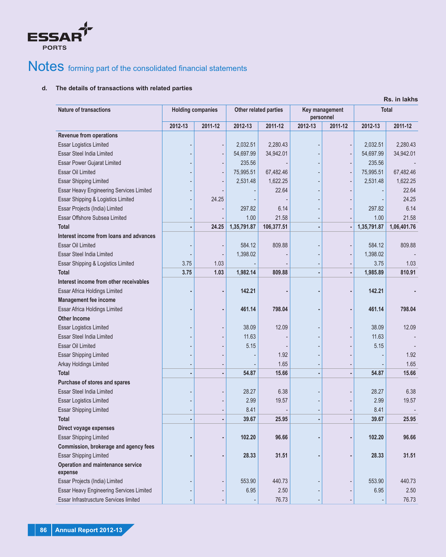

#### **d. The details of transactions with related parties**

|                                          |         |                          |             |                       |         |                             |             | Rs. in lakhs |
|------------------------------------------|---------|--------------------------|-------------|-----------------------|---------|-----------------------------|-------------|--------------|
| <b>Nature of transactions</b>            |         | <b>Holding companies</b> |             | Other related parties |         | Key management<br>personnel |             | <b>Total</b> |
|                                          | 2012-13 | 2011-12                  | 2012-13     | 2011-12               | 2012-13 | 2011-12                     | 2012-13     | 2011-12      |
| <b>Revenue from operations</b>           |         |                          |             |                       |         |                             |             |              |
| <b>Essar Logistics Limited</b>           |         |                          | 2,032.51    | 2,280.43              |         | $\overline{a}$              | 2,032.51    | 2,280.43     |
| <b>Essar Steel India Limited</b>         |         |                          | 54,697.99   | 34,942.01             |         |                             | 54,697.99   | 34,942.01    |
| <b>Essar Power Gujarat Limited</b>       |         |                          | 235.56      |                       |         |                             | 235.56      |              |
| Essar Oil Limited                        |         |                          | 75,995.51   | 67,482.46             |         |                             | 75,995.51   | 67,482.46    |
| <b>Essar Shipping Limited</b>            |         |                          | 2,531.48    | 1,622.25              |         |                             | 2,531.48    | 1,622.25     |
| Essar Heavy Engineering Services Limited |         |                          |             | 22.64                 |         |                             |             | 22.64        |
| Essar Shipping & Logistics Limited       |         | 24.25                    |             |                       |         |                             |             | 24.25        |
| Essar Projects (India) Limited           |         |                          | 297.82      | 6.14                  |         |                             | 297.82      | 6.14         |
| Essar Offshore Subsea Limited            |         |                          | 1.00        | 21.58                 |         |                             | 1.00        | 21.58        |
| Total                                    |         | 24.25                    | 1,35,791.87 | 106,377.51            |         | ÷                           | 1,35,791.87 | 1,06,401.76  |
| Interest income from loans and advances  |         |                          |             |                       |         |                             |             |              |
| <b>Essar Oil Limited</b>                 |         | $\overline{a}$           | 584.12      | 809.88                |         |                             | 584.12      | 809.88       |
| <b>Essar Steel India Limited</b>         |         |                          | 1,398.02    |                       |         |                             | 1,398.02    |              |
| Essar Shipping & Logistics Limited       | 3.75    | 1.03                     |             |                       |         |                             | 3.75        | 1.03         |
| Total                                    | 3.75    | 1.03                     | 1,982.14    | 809.88                |         | ٠                           | 1,985.89    | 810.91       |
| Interest income from other receivables   |         |                          |             |                       |         |                             |             |              |
| Essar Africa Holdings Limited            |         |                          | 142.21      |                       |         |                             | 142.21      |              |
| <b>Management fee income</b>             |         |                          |             |                       |         |                             |             |              |
| Essar Africa Holdings Limited            |         |                          | 461.14      | 798.04                |         |                             | 461.14      | 798.04       |
| <b>Other Income</b>                      |         |                          |             |                       |         |                             |             |              |
| <b>Essar Logistics Limited</b>           |         |                          | 38.09       | 12.09                 |         |                             | 38.09       | 12.09        |
| <b>Essar Steel India Limited</b>         |         |                          | 11.63       |                       |         |                             | 11.63       |              |
| Essar Oil Limited                        |         |                          | 5.15        |                       |         |                             | 5.15        |              |
| <b>Essar Shipping Limited</b>            |         |                          |             | 1.92                  |         |                             |             | 1.92         |
| Arkay Holdings Limited                   |         |                          |             | 1.65                  |         |                             |             | 1.65         |
| <b>Total</b>                             |         | ÷                        | 54.87       | 15.66                 |         |                             | 54.87       | 15.66        |
| Purchase of stores and spares            |         |                          |             |                       |         |                             |             |              |
| <b>Essar Steel India Limited</b>         |         |                          | 28.27       | 6.38                  |         |                             | 28.27       | 6.38         |
| <b>Essar Logistics Limited</b>           |         |                          | 2.99        | 19.57                 |         |                             | 2.99        | 19.57        |
| <b>Essar Shipping Limited</b>            |         |                          | 8.41        |                       |         |                             | 8.41        |              |
| Total                                    |         | ÷                        | 39.67       | 25.95                 |         |                             | 39.67       | 25.95        |
| Direct voyage expenses                   |         |                          |             |                       |         |                             |             |              |
| <b>Essar Shipping Limited</b>            |         | ٠                        | 102.20      | 96.66                 |         |                             | 102.20      | 96.66        |
| Commission, brokerage and agency fees    |         |                          |             |                       |         |                             |             |              |
| <b>Essar Shipping Limited</b>            |         |                          | 28.33       | 31.51                 |         |                             | 28.33       | 31.51        |
| Operation and maintenance service        |         |                          |             |                       |         |                             |             |              |
| expense                                  |         |                          |             |                       |         |                             |             |              |
| Essar Projects (India) Limited           |         | $\overline{a}$           | 553.90      | 440.73                |         |                             | 553.90      | 440.73       |
| Essar Heavy Engineering Services Limited |         |                          | 6.95        | 2.50                  |         |                             | 6.95        | 2.50         |
| Essar Infrastruscture Services limited   |         |                          |             | 76.73                 |         |                             |             | 76.73        |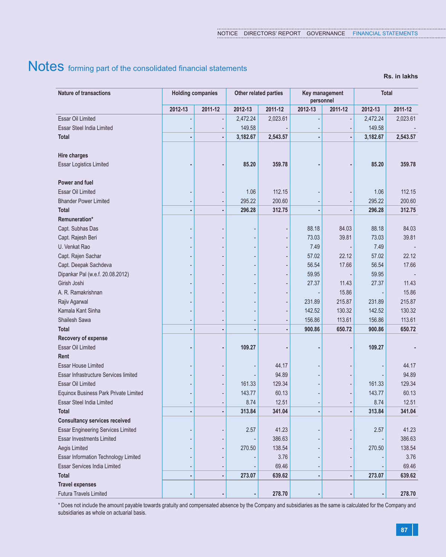**Rs. in lakhs**

| <b>Nature of transactions</b>             |         | <b>Holding companies</b> |          | Other related parties |         | Key management<br>personnel | <b>Total</b> |          |
|-------------------------------------------|---------|--------------------------|----------|-----------------------|---------|-----------------------------|--------------|----------|
|                                           | 2012-13 | 2011-12                  | 2012-13  | 2011-12               | 2012-13 | 2011-12                     | 2012-13      | 2011-12  |
| Essar Oil Limited                         |         |                          | 2,472.24 | 2,023.61              |         |                             | 2,472.24     | 2,023.61 |
| Essar Steel India Limited                 |         |                          | 149.58   |                       |         |                             | 149.58       |          |
| <b>Total</b>                              |         |                          | 3,182.67 | 2,543.57              |         |                             | 3,182.67     | 2,543.57 |
|                                           |         |                          |          |                       |         |                             |              |          |
| <b>Hire charges</b>                       |         |                          |          |                       |         |                             |              |          |
| <b>Essar Logistics Limited</b>            |         |                          | 85.20    | 359.78                |         |                             | 85.20        | 359.78   |
|                                           |         |                          |          |                       |         |                             |              |          |
| Power and fuel                            |         |                          |          |                       |         |                             |              |          |
| Essar Oil Limited                         |         |                          | 1.06     | 112.15                |         |                             | 1.06         | 112.15   |
| <b>Bhander Power Limited</b>              |         |                          | 295.22   | 200.60                |         |                             | 295.22       | 200.60   |
| <b>Total</b>                              |         |                          | 296.28   | 312.75                | ä,      |                             | 296.28       | 312.75   |
| Remuneration*                             |         |                          |          |                       |         |                             |              |          |
| Capt. Subhas Das                          |         |                          |          |                       | 88.18   | 84.03                       | 88.18        | 84.03    |
| Capt. Rajesh Beri                         |         |                          |          |                       | 73.03   | 39.81                       | 73.03        | 39.81    |
| U. Venkat Rao                             |         |                          |          |                       | 7.49    |                             | 7.49         |          |
| Capt. Rajen Sachar                        |         |                          |          |                       | 57.02   | 22.12                       | 57.02        | 22.12    |
| Capt. Deepak Sachdeva                     |         |                          |          |                       | 56.54   | 17.66                       | 56.54        | 17.66    |
| Dipankar Pal (w.e.f. 20.08.2012)          |         |                          |          |                       | 59.95   |                             | 59.95        |          |
| Girish Joshi                              |         |                          |          |                       | 27.37   | 11.43                       | 27.37        | 11.43    |
| A. R. Ramakrishnan                        |         |                          |          |                       |         | 15.86                       |              | 15.86    |
| Rajiv Agarwal                             |         |                          |          |                       | 231.89  | 215.87                      | 231.89       | 215.87   |
| Kamala Kant Sinha                         |         |                          |          |                       | 142.52  | 130.32                      | 142.52       | 130.32   |
| Shailesh Sawa                             |         |                          |          |                       | 156.86  | 113.61                      | 156.86       | 113.61   |
| Total                                     |         |                          |          |                       | 900.86  | 650.72                      | 900.86       | 650.72   |
| Recovery of expense                       |         |                          |          |                       |         |                             |              |          |
| Essar Oil Limited                         |         |                          | 109.27   |                       |         |                             | 109.27       |          |
| Rent                                      |         |                          |          |                       |         |                             |              |          |
| <b>Essar House Limited</b>                |         |                          |          | 44.17                 |         |                             |              | 44.17    |
| Essar Infrastructure Services limited     |         |                          |          | 94.89                 |         |                             |              | 94.89    |
| <b>Essar Oil Limited</b>                  |         |                          | 161.33   | 129.34                |         |                             | 161.33       | 129.34   |
| Equinox Business Park Private Limited     |         |                          | 143.77   | 60.13                 |         |                             | 143.77       | 60.13    |
| Essar Steel India Limited                 |         |                          | 8.74     | 12.51                 |         |                             | 8.74         | 12.51    |
| <b>Total</b>                              |         |                          | 313.84   | 341.04                | ä,      |                             | 313.84       | 341.04   |
| <b>Consultancy services received</b>      |         |                          |          |                       |         |                             |              |          |
| <b>Essar Engineering Services Limited</b> |         |                          | 2.57     | 41.23                 |         |                             | 2.57         | 41.23    |
| Essar Investments Limited                 |         |                          |          | 386.63                |         |                             |              | 386.63   |
| Aegis Limited                             |         |                          | 270.50   | 138.54                |         |                             | 270.50       | 138.54   |
| Essar Information Technology Limited      |         |                          |          | 3.76                  |         |                             |              | 3.76     |
| Essar Services India Limited              |         |                          |          | 69.46                 |         |                             |              | 69.46    |
| <b>Total</b>                              |         | ٠                        | 273.07   | 639.62                | ٠       |                             | 273.07       | 639.62   |
| <b>Travel expenses</b>                    |         |                          |          |                       |         |                             |              |          |
| <b>Futura Travels Limited</b>             |         |                          |          | 278.70                |         |                             |              | 278.70   |

\* Does not include the amount payable towards gratuity and compensated absence by the Company and subsidiaries as the same is calculated for the Company and subsidiaries as whole on actuarial basis.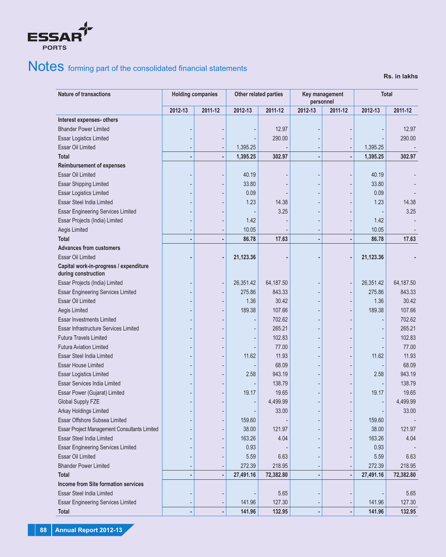

**Rs. in lakhs**

| <b>Nature of transactions</b>                                 |         | <b>Holding companies</b> |           | Other related parties |         | Key management<br>personnel |           | <b>Total</b> |  |
|---------------------------------------------------------------|---------|--------------------------|-----------|-----------------------|---------|-----------------------------|-----------|--------------|--|
|                                                               | 2012-13 | 2011-12                  | 2012-13   | 2011-12               | 2012-13 | 2011-12                     | 2012-13   | 2011-12      |  |
| Interest expenses- others                                     |         |                          |           |                       |         |                             |           |              |  |
| <b>Bhander Power Limited</b>                                  |         |                          |           | 12.97                 |         |                             |           | 12.97        |  |
| <b>Essar Logistics Limited</b>                                |         |                          |           | 290.00                |         |                             |           | 290.00       |  |
| Essar Oil Limited                                             |         |                          | 1,395.25  |                       |         |                             | 1,395.25  |              |  |
| <b>Total</b>                                                  |         |                          | 1,395.25  | 302.97                |         |                             | 1,395.25  | 302.97       |  |
| <b>Reimbursement of expenses</b>                              |         |                          |           |                       |         |                             |           |              |  |
| <b>Essar Oil Limited</b>                                      |         |                          | 40.19     |                       |         |                             | 40.19     |              |  |
| <b>Essar Shipping Limited</b>                                 |         |                          | 33.80     |                       |         |                             | 33.80     |              |  |
| <b>Essar Logistics Limited</b>                                |         |                          | 0.09      |                       |         |                             | 0.09      |              |  |
| <b>Essar Steel India Limited</b>                              |         |                          | 1.23      | 14.38                 |         |                             | 1.23      | 14.38        |  |
| <b>Essar Engineering Services Limited</b>                     |         |                          |           | 3.25                  |         |                             |           | 3.25         |  |
| Essar Projects (India) Limited                                |         |                          | 1.42      |                       |         |                             | 1.42      |              |  |
| Aegis Limited                                                 |         |                          | 10.05     |                       |         |                             | 10.05     |              |  |
| <b>Total</b>                                                  |         |                          | 86.78     | 17.63                 |         |                             | 86.78     | 17.63        |  |
| <b>Advances from customers</b>                                |         |                          |           |                       |         |                             |           |              |  |
| <b>Essar Oil Limited</b>                                      |         |                          | 21,123.36 |                       |         |                             | 21,123.36 |              |  |
| Capital work-in-progress / expenditure<br>during construction |         |                          |           |                       |         |                             |           |              |  |
| Essar Projects (India) Limited                                |         |                          | 26,351.42 | 64,187.50             |         |                             | 26,351.42 | 64,187.50    |  |
| <b>Essar Engineering Services Limited</b>                     |         |                          | 275.86    | 843.33                |         |                             | 275.86    | 843.33       |  |
| Essar Oil Limited                                             |         |                          | 1.36      | 30.42                 |         |                             | 1.36      | 30.42        |  |
| Aegis Limited                                                 |         |                          | 189.38    | 107.66                |         |                             | 189.38    | 107.66       |  |
| <b>Essar Investments Limited</b>                              |         |                          |           | 702.62                |         |                             |           | 702.62       |  |
| Essar Infrastructure Services Limited                         |         |                          |           | 265.21                |         |                             |           | 265.21       |  |
| <b>Futura Travels Limited</b>                                 |         |                          |           | 102.83                |         |                             |           | 102.83       |  |
| <b>Futura Aviation Limited</b>                                |         |                          |           | 77.00                 |         |                             |           | 77.00        |  |
| <b>Essar Steel India Limited</b>                              |         |                          | 11.62     | 11.93                 |         |                             | 11.62     | 11.93        |  |
| <b>Essar House Limited</b>                                    |         |                          |           | 68.09                 |         |                             |           | 68.09        |  |
| <b>Essar Logistics Limited</b>                                |         |                          | 2.58      | 943.19                |         |                             | 2.58      | 943.19       |  |
| <b>Essar Services India Limited</b>                           |         |                          |           | 138.79                |         |                             |           | 138.79       |  |
| Essar Power (Gujarat) Limited                                 |         |                          | 19.17     | 19.65                 |         |                             | 19.17     | 19.65        |  |
| Global Supply FZE                                             |         |                          |           | 4,499.99              |         |                             |           | 4.499.99     |  |
| Arkay Holdings Limited                                        |         |                          |           | 33.00                 |         |                             |           | 33.00        |  |
| Essar Offshore Subsea Limited                                 |         |                          | 159.60    |                       |         |                             | 159.60    |              |  |
| Essar Project Management Consultants Limited                  |         |                          | 38.00     | 121.97                |         |                             | 38.00     | 121.97       |  |
| Essar Steel India Limited                                     |         |                          | 163.26    | 4.04                  |         |                             | 163.26    | 4.04         |  |
| <b>Essar Engineering Services Limited</b>                     |         |                          | 0.93      |                       |         |                             | 0.93      |              |  |
| Essar Oil Limited                                             |         |                          | 5.59      | 6.63                  |         |                             | 5.59      | 6.63         |  |
| <b>Bhander Power Limited</b>                                  |         |                          | 272.39    | 218.95                |         |                             | 272.39    | 218.95       |  |
| <b>Total</b>                                                  | ٠       |                          | 27,491.16 | 72,382.80             |         |                             | 27,491.16 | 72,382.80    |  |
| Income from Site formation services                           |         |                          |           |                       |         |                             |           |              |  |
| Essar Steel India Limited                                     |         |                          |           | 5.65                  |         |                             |           | 5.65         |  |
| <b>Essar Engineering Services Limited</b>                     |         |                          | 141.96    | 127.30                |         |                             | 141.96    | 127.30       |  |
| Total                                                         | ٠       |                          | 141.96    | 132.95                |         |                             | 141.96    | 132.95       |  |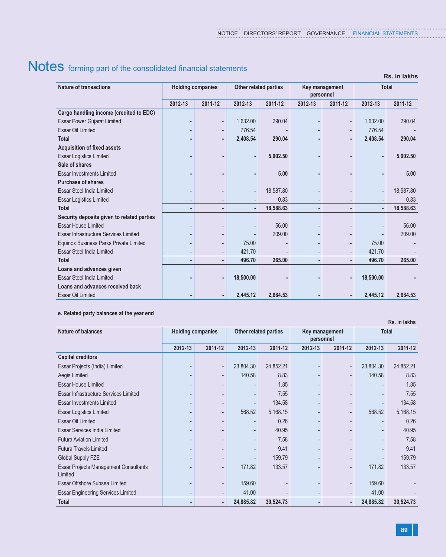| Nature of transactions                     | <b>Holding companies</b> |                |           | Other related parties |         | Key management<br>personnel | <b>Total</b> |           |
|--------------------------------------------|--------------------------|----------------|-----------|-----------------------|---------|-----------------------------|--------------|-----------|
|                                            | 2012-13                  | 2011-12        | 2012-13   | 2011-12               | 2012-13 | 2011-12                     | 2012-13      | 2011-12   |
| Cargo handling income (credited to EDC)    |                          |                |           |                       |         |                             |              |           |
| <b>Essar Power Gujarat Limited</b>         |                          |                | 1,632.00  | 290.04                |         |                             | 1,632.00     | 290.04    |
| Essar Oil Limited                          |                          |                | 776.54    |                       |         |                             | 776.54       |           |
| <b>Total</b>                               |                          | ٠              | 2,408.54  | 290.04                |         |                             | 2,408.54     | 290.04    |
| <b>Acquisition of fixed assets</b>         |                          |                |           |                       |         |                             |              |           |
| <b>Essar Logistics Limited</b>             |                          |                |           | 5,002.50              |         |                             |              | 5,002.50  |
| Sale of shares                             |                          |                |           |                       |         |                             |              |           |
| <b>Essar Investments Limited</b>           |                          |                |           | 5.00                  |         |                             |              | 5.00      |
| <b>Purchase of shares</b>                  |                          |                |           |                       |         |                             |              |           |
| Essar Steel India Limited                  |                          |                |           | 18,587.80             |         |                             |              | 18,587.80 |
| <b>Essar Logistics Limited</b>             |                          |                |           | 0.83                  |         |                             |              | 0.83      |
| <b>Total</b>                               |                          | ٠              |           | 18,588.63             | ٠       |                             |              | 18,588.63 |
| Security deposits given to related parties |                          |                |           |                       |         |                             |              |           |
| <b>Essar House Limited</b>                 |                          |                |           | 56.00                 |         |                             |              | 56.00     |
| Essar Infrastructure Services Limited      |                          |                |           | 209.00                |         |                             |              | 209.00    |
| Equinox Business Parks Private Limited     |                          |                | 75.00     |                       |         |                             | 75.00        |           |
| Essar Steel India Limited                  |                          | $\overline{a}$ | 421.70    |                       |         |                             | 421.70       |           |
| <b>Total</b>                               |                          | ٠              | 496.70    | 265.00                | ٠       |                             | 496.70       | 265.00    |
| Loans and advances given                   |                          |                |           |                       |         |                             |              |           |
| <b>Essar Steel India Limited</b>           |                          | ٠              | 18,500.00 |                       |         |                             | 18,500.00    |           |
| Loans and advances received back           |                          |                |           |                       |         |                             |              |           |
| <b>Essar Oil Limited</b>                   |                          | ٠              | 2,445.12  | 2,684.53              |         |                             | 2,445.12     | 2,684.53  |

#### **e. Related party balances at the year end**

|                                                         |                          |                              |                       |           |                             |         |              | Rs. in lakhs |
|---------------------------------------------------------|--------------------------|------------------------------|-----------------------|-----------|-----------------------------|---------|--------------|--------------|
| <b>Nature of balances</b>                               | <b>Holding companies</b> |                              | Other related parties |           | Key management<br>personnel |         | <b>Total</b> |              |
|                                                         | 2012-13                  | 2011-12                      | 2012-13               | 2011-12   | 2012-13                     | 2011-12 | 2012-13      | 2011-12      |
| <b>Capital creditors</b>                                |                          |                              |                       |           |                             |         |              |              |
| Essar Projects (India) Limited                          |                          |                              | 23,804.30             | 24,852.21 |                             |         | 23,804.30    | 24,852.21    |
| Aegis Limited                                           |                          | $\overline{a}$               | 140.58                | 8.83      |                             | ٠       | 140.58       | 8.83         |
| <b>Essar House Limited</b>                              |                          |                              |                       | 1.85      |                             |         |              | 1.85         |
| Essar Infrastructure Services Limited                   |                          |                              |                       | 7.55      |                             |         |              | 7.55         |
| <b>Essar Investments Limited</b>                        |                          |                              |                       | 134.58    |                             |         |              | 134.58       |
| <b>Essar Logistics Limited</b>                          |                          |                              | 568.52                | 5,168.15  |                             |         | 568.52       | 5,168.15     |
| Essar Oil Limited                                       |                          |                              |                       | 0.26      |                             |         |              | 0.26         |
| Essar Services India Limited                            |                          |                              |                       | 40.95     |                             |         |              | 40.95        |
| <b>Futura Aviation Limited</b>                          |                          |                              |                       | 7.58      |                             |         |              | 7.58         |
| <b>Futura Travels Limited</b>                           |                          |                              |                       | 9.41      |                             |         |              | 9.41         |
| <b>Global Supply FZE</b>                                |                          |                              |                       | 159.79    |                             |         |              | 159.79       |
| <b>Essar Projects Management Consultants</b><br>Limited |                          |                              | 171.82                | 133.57    |                             |         | 171.82       | 133.57       |
| Essar Offshore Subsea Limited                           |                          |                              | 159.60                |           |                             |         | 159.60       |              |
| <b>Essar Engineering Services Limited</b>               |                          | $\qquad \qquad \blacksquare$ | 41.00                 |           |                             |         | 41.00        |              |
| Total                                                   |                          | $\blacksquare$               | 24,885.82             | 30,524.73 |                             |         | 24,885.82    | 30,524.73    |

**Rs. in lakhs**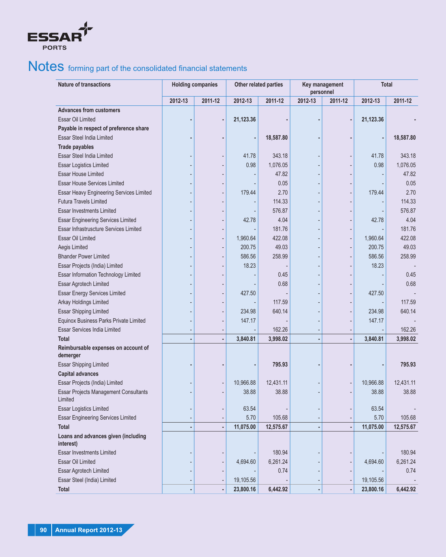

| <b>Nature of transactions</b>                           |         | <b>Holding companies</b> |           | Other related parties |         | Key management<br>personnel |           | Total     |  |
|---------------------------------------------------------|---------|--------------------------|-----------|-----------------------|---------|-----------------------------|-----------|-----------|--|
|                                                         | 2012-13 | 2011-12                  | 2012-13   | 2011-12               | 2012-13 | 2011-12                     | 2012-13   | 2011-12   |  |
| <b>Advances from customers</b>                          |         |                          |           |                       |         |                             |           |           |  |
| <b>Essar Oil Limited</b>                                |         |                          | 21,123.36 |                       |         |                             | 21,123.36 |           |  |
| Payable in respect of preference share                  |         |                          |           |                       |         |                             |           |           |  |
| Essar Steel India Limited                               |         |                          |           | 18,587.80             |         |                             |           | 18,587.80 |  |
| Trade payables                                          |         |                          |           |                       |         |                             |           |           |  |
| Essar Steel India Limited                               |         |                          | 41.78     | 343.18                |         |                             | 41.78     | 343.18    |  |
| <b>Essar Logistics Limited</b>                          |         |                          | 0.98      | 1,076.05              |         |                             | 0.98      | 1,076.05  |  |
| <b>Essar House Limited</b>                              |         |                          |           | 47.82                 |         |                             |           | 47.82     |  |
| <b>Essar House Services Limited</b>                     |         |                          |           | 0.05                  |         |                             |           | 0.05      |  |
| Essar Heavy Engineering Services Limited                |         |                          | 179.44    | 2.70                  |         |                             | 179.44    | 2.70      |  |
| <b>Futura Travels Limited</b>                           |         |                          |           | 114.33                |         |                             |           | 114.33    |  |
| <b>Essar Investments Limited</b>                        |         |                          |           | 576.87                |         |                             |           | 576.87    |  |
| <b>Essar Engineering Services Limited</b>               |         |                          | 42.78     | 4.04                  |         |                             | 42.78     | 4.04      |  |
| Essar Infrastruscture Services Limited                  |         |                          |           | 181.76                |         |                             |           | 181.76    |  |
| Essar Oil Limited                                       |         |                          | 1,960.64  | 422.08                |         |                             | 1,960.64  | 422.08    |  |
| Aegis Limited                                           |         |                          | 200.75    | 49.03                 |         |                             | 200.75    | 49.03     |  |
| <b>Bhander Power Limited</b>                            |         |                          | 586.56    | 258.99                |         |                             | 586.56    | 258.99    |  |
| Essar Projects (India) Limited                          |         |                          | 18.23     |                       |         |                             | 18.23     |           |  |
| Essar Information Technology Limited                    |         |                          |           | 0.45                  |         |                             |           | 0.45      |  |
| Essar Agrotech Limited                                  |         |                          |           | 0.68                  |         |                             |           | 0.68      |  |
| <b>Essar Energy Services Limited</b>                    |         |                          | 427.50    |                       |         |                             | 427.50    |           |  |
| Arkay Holdings Limited                                  |         |                          |           | 117.59                |         |                             |           | 117.59    |  |
| <b>Essar Shipping Limited</b>                           |         |                          | 234.98    | 640.14                |         |                             | 234.98    | 640.14    |  |
| Equinox Business Parks Private Limited                  |         |                          | 147.17    |                       |         |                             | 147.17    |           |  |
| Essar Services India Limited                            |         |                          |           | 162.26                |         |                             |           | 162.26    |  |
| <b>Total</b>                                            |         |                          | 3,840.81  | 3,998.02              |         |                             | 3,840.81  | 3,998.02  |  |
| Reimbursable expenses on account of                     |         |                          |           |                       |         |                             |           |           |  |
| demerger                                                |         |                          |           |                       |         |                             |           |           |  |
| <b>Essar Shipping Limited</b>                           |         |                          |           | 795.93                |         |                             |           | 795.93    |  |
| <b>Capital advances</b>                                 |         |                          |           |                       |         |                             |           |           |  |
| Essar Projects (India) Limited                          |         |                          | 10,966.88 | 12,431.11             |         |                             | 10,966.88 | 12,431.11 |  |
| <b>Essar Projects Management Consultants</b><br>Limited |         |                          | 38.88     | 38.88                 |         |                             | 38.88     | 38.88     |  |
| <b>Essar Logistics Limited</b>                          |         |                          | 63.54     |                       |         |                             | 63.54     |           |  |
| <b>Essar Engineering Services Limited</b>               |         |                          | 5.70      | 105.68                |         |                             | 5.70      | 105.68    |  |
| <b>Total</b>                                            |         |                          | 11,075.00 | 12,575.67             |         |                             | 11,075.00 | 12,575.67 |  |
| Loans and advances given (including                     |         |                          |           |                       |         |                             |           |           |  |
| interest)                                               |         |                          |           |                       |         |                             |           |           |  |
| Essar Investments Limited                               |         |                          |           | 180.94                |         |                             |           | 180.94    |  |
| Essar Oil Limited                                       |         |                          | 4,694.60  | 6,261.24              |         |                             | 4,694.60  | 6,261.24  |  |
| Essar Agrotech Limited                                  |         |                          |           | 0.74                  |         |                             |           | 0.74      |  |
| Essar Steel (India) Limited                             |         |                          | 19,105.56 |                       |         |                             | 19,105.56 |           |  |
| Total                                                   |         |                          | 23,800.16 | 6,442.92              | ä,      |                             | 23,800.16 | 6,442.92  |  |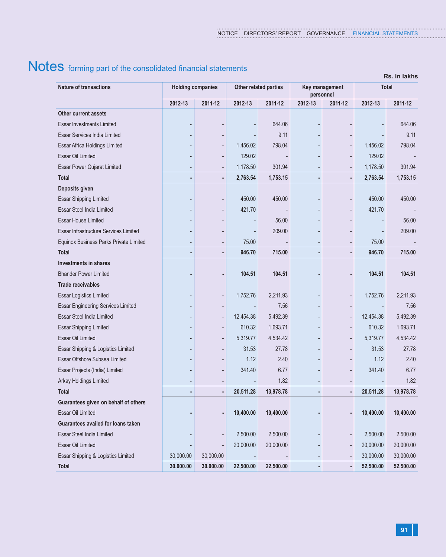|                                           |           |                                 |           |                       |         |                             |           | Rs. in lakhs |
|-------------------------------------------|-----------|---------------------------------|-----------|-----------------------|---------|-----------------------------|-----------|--------------|
| <b>Nature of transactions</b>             |           | <b>Holding companies</b>        |           | Other related parties |         | Key management<br>personnel |           | <b>Total</b> |
|                                           | 2012-13   | 2011-12                         | 2012-13   | 2011-12               | 2012-13 | 2011-12                     | 2012-13   | 2011-12      |
| Other current assets                      |           |                                 |           |                       |         |                             |           |              |
| <b>Essar Investments Limited</b>          |           |                                 |           | 644.06                |         |                             |           | 644.06       |
| Essar Services India Limited              |           |                                 |           | 9.11                  |         |                             |           | 9.11         |
| Essar Africa Holdings Limited             |           |                                 | 1,456.02  | 798.04                |         |                             | 1,456.02  | 798.04       |
| Essar Oil Limited                         |           |                                 | 129.02    |                       |         |                             | 129.02    |              |
| <b>Essar Power Gujarat Limited</b>        |           |                                 | 1,178.50  | 301.94                |         |                             | 1,178.50  | 301.94       |
| <b>Total</b>                              |           | $\blacksquare$                  | 2,763.54  | 1,753.15              |         |                             | 2,763.54  | 1,753.15     |
| Deposits given                            |           |                                 |           |                       |         |                             |           |              |
| <b>Essar Shipping Limited</b>             |           |                                 | 450.00    | 450.00                |         |                             | 450.00    | 450.00       |
| Essar Steel India Limited                 |           |                                 | 421.70    |                       |         |                             | 421.70    |              |
| <b>Essar House Limited</b>                |           |                                 |           | 56.00                 |         |                             |           | 56.00        |
| Essar Infrastructure Services Limited     |           |                                 |           | 209.00                |         |                             |           | 209.00       |
| Equinox Business Parks Private Limited    |           |                                 | 75.00     |                       |         |                             | 75.00     |              |
| Total                                     |           | $\centering \label{eq:reduced}$ | 946.70    | 715.00                |         |                             | 946.70    | 715.00       |
| <b>Investments in shares</b>              |           |                                 |           |                       |         |                             |           |              |
| <b>Bhander Power Limited</b>              |           |                                 | 104.51    | 104.51                |         |                             | 104.51    | 104.51       |
| <b>Trade receivables</b>                  |           |                                 |           |                       |         |                             |           |              |
| <b>Essar Logistics Limited</b>            |           |                                 | 1,752.76  | 2,211.93              |         |                             | 1,752.76  | 2,211.93     |
| <b>Essar Engineering Services Limited</b> |           |                                 |           | 7.56                  |         |                             |           | 7.56         |
| <b>Essar Steel India Limited</b>          |           |                                 | 12,454.38 | 5,492.39              |         |                             | 12,454.38 | 5,492.39     |
| <b>Essar Shipping Limited</b>             |           |                                 | 610.32    | 1,693.71              |         |                             | 610.32    | 1,693.71     |
| Essar Oil Limited                         |           |                                 | 5,319.77  | 4,534.42              |         |                             | 5,319.77  | 4,534.42     |
| Essar Shipping & Logistics Limited        |           |                                 | 31.53     | 27.78                 |         |                             | 31.53     | 27.78        |
| Essar Offshore Subsea Limited             |           |                                 | 1.12      | 2.40                  |         |                             | 1.12      | 2.40         |
| Essar Projects (India) Limited            |           |                                 | 341.40    | 6.77                  |         |                             | 341.40    | 6.77         |
| Arkay Holdings Limited                    |           |                                 |           | 1.82                  |         |                             |           | 1.82         |
| <b>Total</b>                              |           | $\blacksquare$                  | 20,511.28 | 13,978.78             |         |                             | 20,511.28 | 13,978.78    |
| Guarantees given on behalf of others      |           |                                 |           |                       |         |                             |           |              |
| <b>Essar Oil Limited</b>                  |           |                                 | 10,400.00 | 10,400.00             |         |                             | 10,400.00 | 10,400.00    |
| <b>Guarantees availed for loans taken</b> |           |                                 |           |                       |         |                             |           |              |
| Essar Steel India Limited                 |           |                                 | 2,500.00  | 2,500.00              |         |                             | 2,500.00  | 2,500.00     |
| <b>Essar Oil Limited</b>                  |           |                                 | 20,000.00 | 20,000.00             |         |                             | 20,000.00 | 20,000.00    |
| Essar Shipping & Logistics Limited        | 30,000.00 | 30,000.00                       |           |                       |         |                             | 30,000.00 | 30,000.00    |
| <b>Total</b>                              | 30,000.00 | 30,000.00                       | 22,500.00 | 22,500.00             |         |                             | 52,500.00 | 52,500.00    |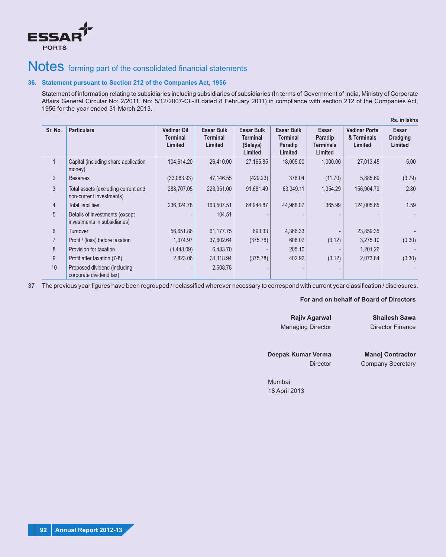

#### **36. Statement pursuant to Section 212 of the Companies Act, 1956**

Statement of information relating to subsidiaries including subsidiaries of subsidiaries (In terms of Government of India, Ministry of Corporate Affairs General Circular No: 2/2011, No: 5/12/2007-CL-III dated 8 February 2011) in compliance with section 212 of the Companies Act, 1956 for the year ended 31 March 2013.

|                |                                                                 |                                                  |                                                 |                                                             |                                                            |                                                 |                                                | Rs. in lakhs                               |
|----------------|-----------------------------------------------------------------|--------------------------------------------------|-------------------------------------------------|-------------------------------------------------------------|------------------------------------------------------------|-------------------------------------------------|------------------------------------------------|--------------------------------------------|
| Sr. No.        | <b>Particulars</b>                                              | <b>Vadinar Oil</b><br><b>Terminal</b><br>Limited | <b>Essar Bulk</b><br><b>Terminal</b><br>Limited | <b>Essar Bulk</b><br><b>Terminal</b><br>(Salaya)<br>Limited | <b>Essar Bulk</b><br><b>Terminal</b><br>Paradip<br>Limited | <b>Essar</b><br>Paradip<br>Terminals<br>Limited | <b>Vadinar Ports</b><br>& Terminals<br>Limited | <b>Essar</b><br><b>Dredging</b><br>Limited |
| $\mathbf{1}$   | Capital (including share application<br>money)                  | 104,614.20                                       | 26.410.00                                       | 27,165.85                                                   | 18,005.00                                                  | 1,000.00                                        | 27.013.45                                      | 5.00                                       |
| $\overline{2}$ | <b>Reserves</b>                                                 | (33,083.93)                                      | 47,146.55                                       | (429.23)                                                    | 376.04                                                     | (11.70)                                         | 5,885.69                                       | (3.79)                                     |
| 3              | Total assets (excluding current and<br>non-current investments) | 288.707.05                                       | 223,951.00                                      | 91,681.49                                                   | 63,349.11                                                  | 1,354.29                                        | 156,904.79                                     | 2.80                                       |
| $\overline{4}$ | <b>Total liabilities</b>                                        | 236,324.78                                       | 163,507.51                                      | 64,944.87                                                   | 44,968.07                                                  | 365.99                                          | 124,005.65                                     | 1.59                                       |
| 5              | Details of investments (except<br>investments in subsidiaries)  |                                                  | 104.51                                          |                                                             |                                                            |                                                 |                                                |                                            |
| $6\phantom{.}$ | Turnover                                                        | 56,651.86                                        | 61,177.75                                       | 693.33                                                      | 4,366.33                                                   |                                                 | 23,859.35                                      |                                            |
| $\overline{7}$ | Profit / (loss) before taxation                                 | 1,374.97                                         | 37,602.64                                       | (375.78)                                                    | 608.02                                                     | (3.12)                                          | 3,275.10                                       | (0.30)                                     |
| 8              | Provision for taxation                                          | (1,448.09)                                       | 6,483.70                                        |                                                             | 205.10                                                     |                                                 | 1,201.26                                       |                                            |
| 9              | Profit after taxation (7-8)                                     | 2,823.06                                         | 31,118.94                                       | (375.78)                                                    | 402.92                                                     | (3.12)                                          | 2,073.84                                       | (0.30)                                     |
| 10             | Proposed dividend (including<br>corporate dividend tax)         |                                                  | 2,608.78                                        |                                                             |                                                            |                                                 |                                                |                                            |

37 The previous year figures have been regrouped / reclassified wherever necessary to correspond with current year classification / disclosures.

#### **For and on behalf of Board of Directors**

Managing Director **Director Bilance** 

**Rajiv Agarwal Shailesh Sawa**

**Deepak Kumar Verma Manoj Contractor** Director Company Secretary

Mumbai 18 April 2013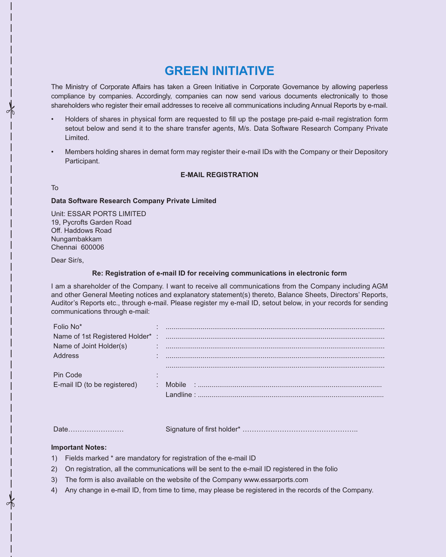### **GREEN INITIATIVE**

The Ministry of Corporate Affairs has taken a Green Initiative in Corporate Governance by allowing paperless compliance by companies. Accordingly, companies can now send various documents electronically to those shareholders who register their email addresses to receive all communications including Annual Reports by e-mail.

- Holders of shares in physical form are requested to fill up the postage pre-paid e-mail registration form setout below and send it to the share transfer agents, M/s. Data Software Research Company Private Limited.
- Members holding shares in demat form may register their e-mail IDs with the Company or their Depository Participant.

#### **E-MAIL REGISTRATION**

#### To

 $\frac{1}{\sqrt{2}}$ 

#### **Data Software Research Company Private Limited**

Unit: ESSAR PORTS LIMITED 19, Pycrofts Garden Road Off. Haddows Road Nungambakkam Chennai 600006

#### Dear Sir/s,

#### **Re: Registration of e-mail ID for receiving communications in electronic form**

I am a shareholder of the Company. I want to receive all communications from the Company including AGM and other General Meeting notices and explanatory statement(s) thereto, Balance Sheets, Directors' Reports, Auditor's Reports etc., through e-mail. Please register my e-mail ID, setout below, in your records for sending communications through e-mail:

| Folio No <sup>*</sup>        |                   |
|------------------------------|-------------------|
|                              |                   |
| Name of Joint Holder(s)      |                   |
| Address                      |                   |
|                              |                   |
| Pin Code                     |                   |
| E-mail ID (to be registered) |                   |
|                              | $\cdot$ andline : |
|                              |                   |

Date…………………… Signature of fi rst holder\* …………………………………………..

#### **Important Notes:**

 $\ast$ 

- 1) Fields marked \* are mandatory for registration of the e-mail ID
- 2) On registration, all the communications will be sent to the e-mail ID registered in the folio
- 3) The form is also available on the website of the Company www.essarports.com
- 4) Any change in e-mail ID, from time to time, may please be registered in the records of the Company.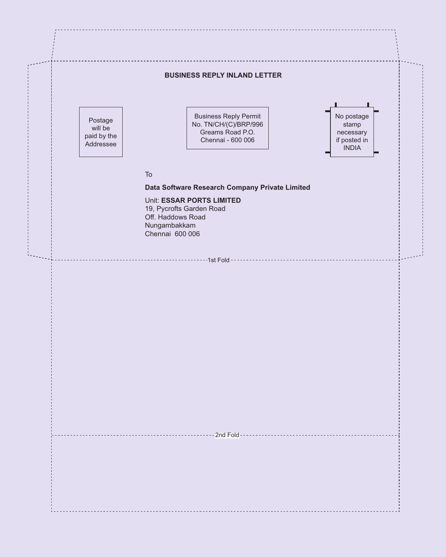|                                                | <b>BUSINESS REPLY INLAND LETTER</b>                                                                                                                                    |                                                                  |
|------------------------------------------------|------------------------------------------------------------------------------------------------------------------------------------------------------------------------|------------------------------------------------------------------|
| Postage<br>will be<br>paid by the<br>Addressee | <b>Business Reply Permit</b><br>No. TN/CH/(C)/BRP/996<br>Greams Road P.O.<br>Chennai - 600 006                                                                         | No postage<br>stamp<br>necessary<br>if posted in<br><b>INDIA</b> |
| To                                             |                                                                                                                                                                        |                                                                  |
|                                                | Data Software Research Company Private Limited<br><b>Unit: ESSAR PORTS LIMITED</b><br>19, Pycrofts Garden Road<br>Off. Haddows Road<br>Nungambakkam<br>Chennai 600 006 |                                                                  |
|                                                | ---------1st Fold -                                                                                                                                                    |                                                                  |
|                                                |                                                                                                                                                                        |                                                                  |
|                                                |                                                                                                                                                                        |                                                                  |
|                                                |                                                                                                                                                                        |                                                                  |
|                                                |                                                                                                                                                                        |                                                                  |
|                                                |                                                                                                                                                                        |                                                                  |
|                                                |                                                                                                                                                                        |                                                                  |
|                                                |                                                                                                                                                                        |                                                                  |
|                                                | $-2nd$ Fold - -                                                                                                                                                        |                                                                  |
|                                                |                                                                                                                                                                        |                                                                  |
|                                                |                                                                                                                                                                        |                                                                  |
|                                                |                                                                                                                                                                        |                                                                  |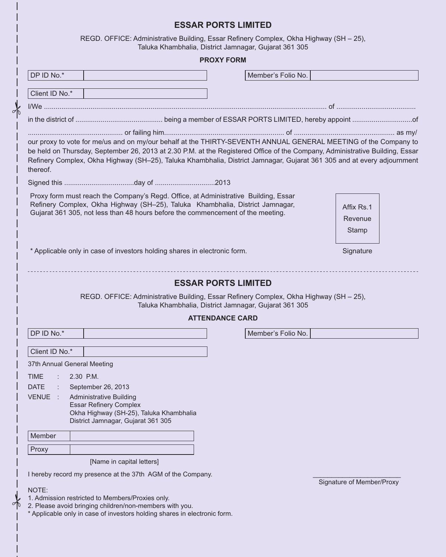### **ESSAR PORTS LIMITED**

REGD. OFFICE: Administrative Building, Essar Refinery Complex, Okha Highway (SH – 25), Taluka Khambhalia, District Jamnagar, Gujarat 361 305

### **PROXY FORM**

| Client ID No.*                                                       |           |                                                                                       |                                    |                                                                           |                        |                                                                                                                                                                                                                                                                                                                                                                           |                    |                                |  |
|----------------------------------------------------------------------|-----------|---------------------------------------------------------------------------------------|------------------------------------|---------------------------------------------------------------------------|------------------------|---------------------------------------------------------------------------------------------------------------------------------------------------------------------------------------------------------------------------------------------------------------------------------------------------------------------------------------------------------------------------|--------------------|--------------------------------|--|
|                                                                      |           |                                                                                       |                                    |                                                                           |                        |                                                                                                                                                                                                                                                                                                                                                                           |                    |                                |  |
|                                                                      |           |                                                                                       |                                    |                                                                           |                        |                                                                                                                                                                                                                                                                                                                                                                           |                    |                                |  |
| thereof.                                                             |           |                                                                                       |                                    |                                                                           |                        | our proxy to vote for me/us and on my/our behalf at the THIRTY-SEVENTH ANNUAL GENERAL MEETING of the Company to<br>be held on Thursday, September 26, 2013 at 2.30 P.M. at the Registered Office of the Company, Administrative Building, Essar<br>Refinery Complex, Okha Highway (SH-25), Taluka Khambhalia, District Jamnagar, Gujarat 361 305 and at every adjournment |                    |                                |  |
|                                                                      |           |                                                                                       |                                    |                                                                           |                        |                                                                                                                                                                                                                                                                                                                                                                           |                    |                                |  |
|                                                                      |           |                                                                                       |                                    |                                                                           |                        | Proxy form must reach the Company's Regd. Office, at Administrative Building, Essar<br>Refinery Complex, Okha Highway (SH-25), Taluka Khambhalia, District Jamnagar,<br>Gujarat 361 305, not less than 48 hours before the commencement of the meeting.                                                                                                                   |                    | Affix Rs.1<br>Revenue<br>Stamp |  |
|                                                                      |           |                                                                                       |                                    | * Applicable only in case of investors holding shares in electronic form. |                        |                                                                                                                                                                                                                                                                                                                                                                           |                    | Signature                      |  |
|                                                                      |           |                                                                                       |                                    |                                                                           |                        | <b>ESSAR PORTS LIMITED</b><br>REGD. OFFICE: Administrative Building, Essar Refinery Complex, Okha Highway (SH - 25),<br>Taluka Khambhalia, District Jamnagar, Gujarat 361 305                                                                                                                                                                                             |                    |                                |  |
|                                                                      |           |                                                                                       |                                    |                                                                           | <b>ATTENDANCE CARD</b> |                                                                                                                                                                                                                                                                                                                                                                           |                    |                                |  |
| DP ID No.*                                                           |           |                                                                                       |                                    |                                                                           |                        |                                                                                                                                                                                                                                                                                                                                                                           | Member's Folio No. |                                |  |
| Client ID No.*                                                       |           |                                                                                       |                                    |                                                                           |                        |                                                                                                                                                                                                                                                                                                                                                                           |                    |                                |  |
|                                                                      |           |                                                                                       |                                    |                                                                           |                        |                                                                                                                                                                                                                                                                                                                                                                           |                    |                                |  |
| t.                                                                   | 2.30 P.M. |                                                                                       |                                    |                                                                           |                        |                                                                                                                                                                                                                                                                                                                                                                           |                    |                                |  |
| 37th Annual General Meeting<br><b>TIME</b><br><b>DATE</b><br>VENUE : |           | September 26, 2013<br><b>Administrative Building</b><br><b>Essar Refinery Complex</b> | District Jamnagar, Gujarat 361 305 | Okha Highway (SH-25), Taluka Khambhalia                                   |                        |                                                                                                                                                                                                                                                                                                                                                                           |                    |                                |  |
| Member                                                               |           |                                                                                       |                                    |                                                                           |                        |                                                                                                                                                                                                                                                                                                                                                                           |                    |                                |  |
| Proxy                                                                |           |                                                                                       |                                    |                                                                           |                        |                                                                                                                                                                                                                                                                                                                                                                           |                    |                                |  |
|                                                                      |           |                                                                                       | [Name in capital letters]          |                                                                           |                        |                                                                                                                                                                                                                                                                                                                                                                           |                    |                                |  |
|                                                                      |           |                                                                                       |                                    | I hereby record my presence at the 37th AGM of the Company.               |                        |                                                                                                                                                                                                                                                                                                                                                                           |                    | Signature of Member/Proxy      |  |